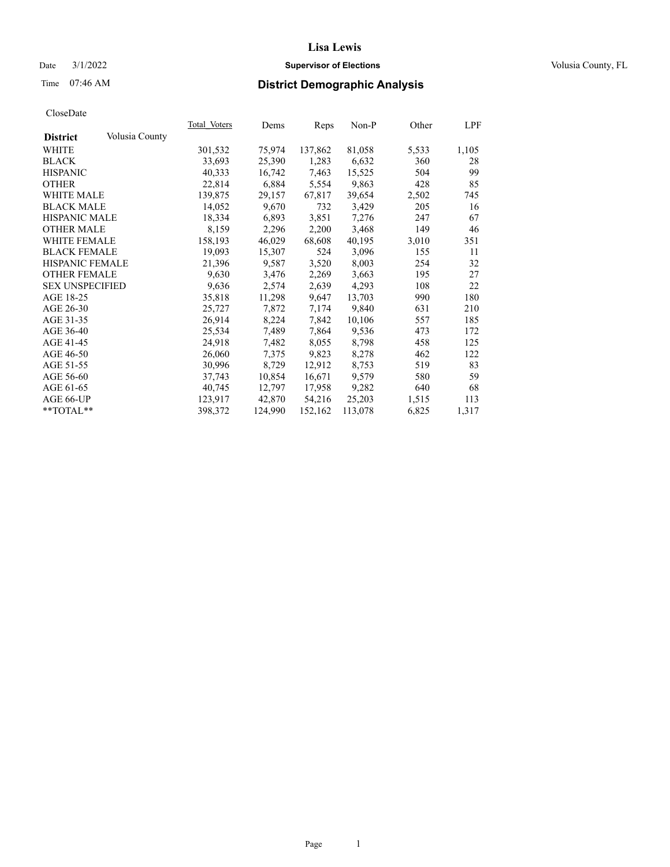## Date  $3/1/2022$  **Supervisor of Elections Supervisor of Elections** Volusia County, FL

# Time 07:46 AM **District Demographic Analysis**

|                        |                | Total Voters | Dems    | Reps    | Non-P   | Other | LPF   |
|------------------------|----------------|--------------|---------|---------|---------|-------|-------|
| <b>District</b>        | Volusia County |              |         |         |         |       |       |
| WHITE                  |                | 301,532      | 75,974  | 137,862 | 81,058  | 5,533 | 1,105 |
| <b>BLACK</b>           |                | 33,693       | 25,390  | 1,283   | 6,632   | 360   | 28    |
| <b>HISPANIC</b>        |                | 40,333       | 16,742  | 7,463   | 15,525  | 504   | 99    |
| <b>OTHER</b>           |                | 22,814       | 6,884   | 5,554   | 9,863   | 428   | 85    |
| <b>WHITE MALE</b>      |                | 139,875      | 29,157  | 67,817  | 39,654  | 2,502 | 745.  |
| <b>BLACK MALE</b>      |                | 14,052       | 9,670   | 732     | 3,429   | 205   | 16    |
| <b>HISPANIC MALE</b>   |                | 18,334       | 6,893   | 3,851   | 7,276   | 247   | 67    |
| <b>OTHER MALE</b>      |                | 8,159        | 2,296   | 2,200   | 3,468   | 149   | 46    |
| <b>WHITE FEMALE</b>    |                | 158,193      | 46,029  | 68,608  | 40,195  | 3,010 | 351   |
| <b>BLACK FEMALE</b>    |                | 19,093       | 15,307  | 524     | 3,096   | 155   | 11    |
| HISPANIC FEMALE        |                | 21,396       | 9,587   | 3,520   | 8,003   | 254   | 32    |
| <b>OTHER FEMALE</b>    |                | 9,630        | 3,476   | 2,269   | 3,663   | 195   | 27    |
| <b>SEX UNSPECIFIED</b> |                | 9,636        | 2,574   | 2,639   | 4,293   | 108   | 22    |
| AGE 18-25              |                | 35,818       | 11,298  | 9,647   | 13,703  | 990   | 180   |
| AGE 26-30              |                | 25,727       | 7,872   | 7,174   | 9,840   | 631   | 210   |
| AGE 31-35              |                | 26,914       | 8,224   | 7,842   | 10,106  | 557   | 185   |
| AGE 36-40              |                | 25,534       | 7,489   | 7,864   | 9,536   | 473   | 172   |
| AGE 41-45              |                | 24,918       | 7,482   | 8,055   | 8,798   | 458   | 125   |
| AGE 46-50              |                | 26,060       | 7,375   | 9,823   | 8,278   | 462   | 122   |
| AGE 51-55              |                | 30,996       | 8,729   | 12,912  | 8,753   | 519   | 83    |
| AGE 56-60              |                | 37,743       | 10,854  | 16,671  | 9,579   | 580   | 59    |
| AGE 61-65              |                | 40,745       | 12,797  | 17,958  | 9,282   | 640   | 68    |
| AGE 66-UP              |                | 123,917      | 42,870  | 54,216  | 25,203  | 1,515 | 113   |
| $*$ TOTAL $*$          |                | 398,372      | 124,990 | 152,162 | 113,078 | 6,825 | 1,317 |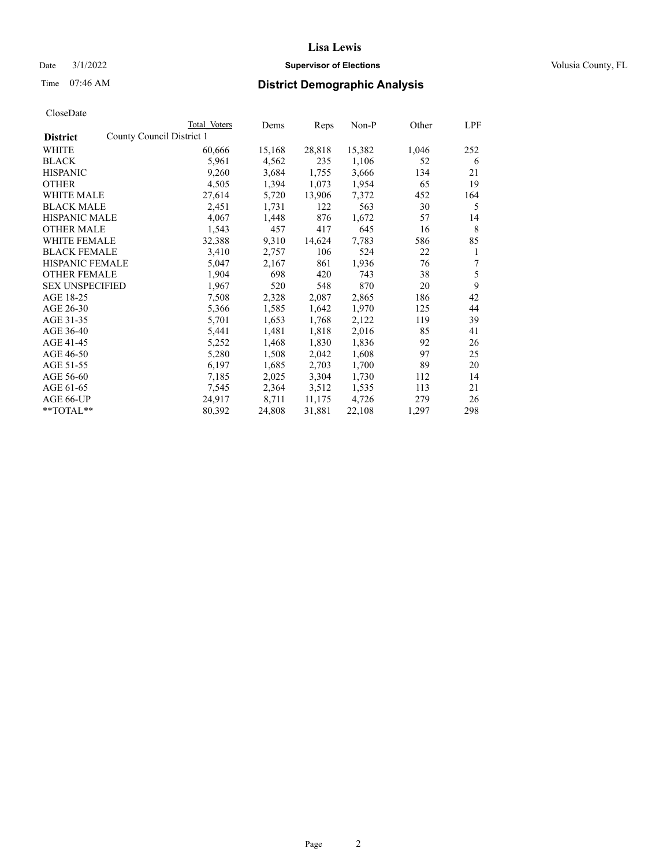## Date  $3/1/2022$  **Supervisor of Elections Supervisor of Elections** Volusia County, FL

| CloseDate |
|-----------|
|-----------|

|                        | Total Voters              | Dems   | Reps   | Non-P  | Other | LPF |
|------------------------|---------------------------|--------|--------|--------|-------|-----|
| <b>District</b>        | County Council District 1 |        |        |        |       |     |
| WHITE                  | 60,666                    | 15,168 | 28,818 | 15,382 | 1,046 | 252 |
| <b>BLACK</b>           | 5,961                     | 4,562  | 235    | 1,106  | 52    | 6   |
| <b>HISPANIC</b>        | 9,260                     | 3,684  | 1,755  | 3,666  | 134   | 21  |
| <b>OTHER</b>           | 4,505                     | 1,394  | 1,073  | 1,954  | 65    | 19  |
| <b>WHITE MALE</b>      | 27,614                    | 5,720  | 13,906 | 7,372  | 452   | 164 |
| <b>BLACK MALE</b>      | 2,451                     | 1,731  | 122    | 563    | 30    | 5   |
| <b>HISPANIC MALE</b>   | 4,067                     | 1,448  | 876    | 1,672  | 57    | 14  |
| <b>OTHER MALE</b>      | 1,543                     | 457    | 417    | 645    | 16    | 8   |
| WHITE FEMALE           | 32,388                    | 9,310  | 14,624 | 7,783  | 586   | 85  |
| <b>BLACK FEMALE</b>    | 3,410                     | 2,757  | 106    | 524    | 22    | 1   |
| <b>HISPANIC FEMALE</b> | 5,047                     | 2,167  | 861    | 1,936  | 76    | 7   |
| <b>OTHER FEMALE</b>    | 1,904                     | 698    | 420    | 743    | 38    | 5   |
| <b>SEX UNSPECIFIED</b> | 1,967                     | 520    | 548    | 870    | 20    | 9   |
| AGE 18-25              | 7,508                     | 2,328  | 2,087  | 2,865  | 186   | 42  |
| AGE 26-30              | 5,366                     | 1,585  | 1,642  | 1,970  | 125   | 44  |
| AGE 31-35              | 5,701                     | 1,653  | 1,768  | 2,122  | 119   | 39  |
| AGE 36-40              | 5,441                     | 1,481  | 1,818  | 2,016  | 85    | 41  |
| AGE 41-45              | 5,252                     | 1,468  | 1,830  | 1,836  | 92    | 26  |
| AGE 46-50              | 5,280                     | 1,508  | 2,042  | 1,608  | 97    | 25  |
| AGE 51-55              | 6,197                     | 1,685  | 2,703  | 1,700  | 89    | 20  |
| AGE 56-60              | 7,185                     | 2,025  | 3,304  | 1,730  | 112   | 14  |
| AGE 61-65              | 7,545                     | 2,364  | 3,512  | 1,535  | 113   | 21  |
| AGE 66-UP              | 24,917                    | 8,711  | 11,175 | 4,726  | 279   | 26  |
| **TOTAL**              | 80,392                    | 24,808 | 31,881 | 22,108 | 1,297 | 298 |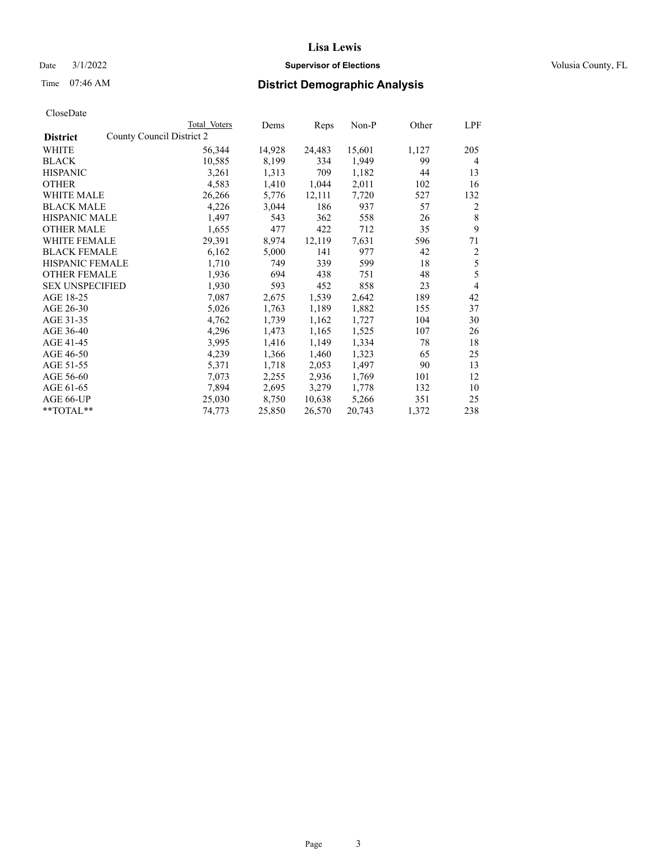## Date  $3/1/2022$  **Supervisor of Elections Supervisor of Elections** Volusia County, FL

## Time 07:46 AM **District Demographic Analysis**

|                        | Total Voters              | Dems           | Reps   | Non-P  | Other | LPF |
|------------------------|---------------------------|----------------|--------|--------|-------|-----|
| <b>District</b>        | County Council District 2 |                |        |        |       |     |
| WHITE                  | 56,344                    | 14,928         | 24,483 | 15,601 | 1,127 | 205 |
| <b>BLACK</b>           | 10,585                    | 8,199          | 334    | 1,949  | 99    | 4   |
| <b>HISPANIC</b>        |                           | 3,261<br>1,313 | 709    | 1,182  | 44    | 13  |
| <b>OTHER</b>           |                           | 4,583<br>1,410 | 1,044  | 2,011  | 102   | 16  |
| WHITE MALE             | 26,266                    | 5,776          | 12,111 | 7,720  | 527   | 132 |
| <b>BLACK MALE</b>      |                           | 4,226<br>3,044 | 186    | 937    | 57    | 2   |
| <b>HISPANIC MALE</b>   |                           | 1,497<br>543   | 362    | 558    | 26    | 8   |
| <b>OTHER MALE</b>      |                           | 1,655<br>477   | 422    | 712    | 35    | 9   |
| <b>WHITE FEMALE</b>    | 29,391                    | 8,974          | 12,119 | 7,631  | 596   | 71  |
| <b>BLACK FEMALE</b>    |                           | 6,162<br>5,000 | 141    | 977    | 42    | 2   |
| <b>HISPANIC FEMALE</b> |                           | 1,710<br>749   | 339    | 599    | 18    | 5   |
| <b>OTHER FEMALE</b>    |                           | 1,936<br>694   | 438    | 751    | 48    | 5   |
| <b>SEX UNSPECIFIED</b> |                           | 1,930<br>593   | 452    | 858    | 23    | 4   |
| AGE 18-25              |                           | 7,087<br>2,675 | 1,539  | 2,642  | 189   | 42  |
| AGE 26-30              |                           | 5,026<br>1,763 | 1,189  | 1,882  | 155   | 37  |
| AGE 31-35              |                           | 4,762<br>1,739 | 1,162  | 1,727  | 104   | 30  |
| AGE 36-40              |                           | 4,296<br>1,473 | 1,165  | 1,525  | 107   | 26  |
| AGE 41-45              |                           | 3,995<br>1,416 | 1,149  | 1,334  | 78    | 18  |
| AGE 46-50              |                           | 4,239<br>1,366 | 1,460  | 1,323  | 65    | 25  |
| AGE 51-55              |                           | 5,371<br>1,718 | 2,053  | 1,497  | 90    | 13  |
| AGE 56-60              |                           | 7,073<br>2,255 | 2,936  | 1,769  | 101   | 12  |
| AGE 61-65              |                           | 7,894<br>2,695 | 3,279  | 1,778  | 132   | 10  |
| AGE 66-UP              | 25,030                    | 8,750          | 10,638 | 5,266  | 351   | 25  |
| **TOTAL**              | 74,773                    | 25,850         | 26,570 | 20,743 | 1,372 | 238 |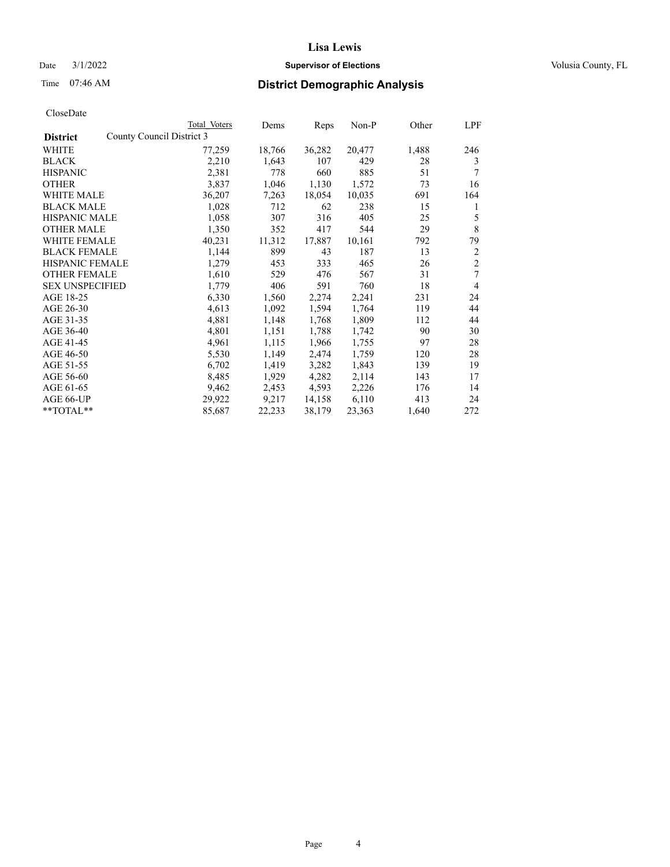## Date  $3/1/2022$  **Supervisor of Elections Supervisor of Elections** Volusia County, FL

| Total Voters | Dems                                | Reps   | Non-P  | Other | LPF            |
|--------------|-------------------------------------|--------|--------|-------|----------------|
|              |                                     |        |        |       |                |
| 77,259       | 18,766                              | 36,282 | 20,477 | 1,488 | 246            |
| 2,210        | 1,643                               | 107    | 429    | 28    | 3              |
| 2,381        | 778                                 | 660    | 885    | 51    | 7              |
| 3,837        | 1,046                               | 1,130  | 1,572  | 73    | 16             |
| 36,207       | 7,263                               | 18,054 | 10,035 | 691   | 164            |
| 1,028        | 712                                 | 62     | 238    | 15    | 1              |
| 1,058        | 307                                 | 316    | 405    | 25    | 5              |
| 1,350        | 352                                 | 417    | 544    | 29    | 8              |
| 40,231       | 11,312                              | 17,887 | 10,161 | 792   | 79             |
| 1,144        | 899                                 | 43     | 187    | 13    | 2              |
| 1,279        | 453                                 | 333    | 465    | 26    | $\overline{c}$ |
| 1,610        | 529                                 | 476    | 567    | 31    | 7              |
| 1,779        | 406                                 | 591    | 760    | 18    | $\overline{4}$ |
| 6,330        | 1,560                               | 2,274  | 2,241  | 231   | 24             |
| 4,613        | 1,092                               | 1,594  | 1,764  | 119   | 44             |
| 4,881        | 1,148                               | 1,768  | 1,809  | 112   | 44             |
| 4,801        | 1,151                               | 1,788  | 1,742  | 90    | 30             |
| 4,961        | 1,115                               | 1,966  | 1,755  | 97    | 28             |
| 5,530        | 1,149                               | 2,474  | 1,759  | 120   | 28             |
| 6,702        | 1,419                               | 3,282  | 1,843  | 139   | 19             |
| 8,485        | 1,929                               | 4,282  | 2,114  | 143   | 17             |
| 9,462        | 2,453                               | 4,593  | 2,226  | 176   | 14             |
|              | 9,217                               | 14,158 | 6,110  | 413   | 24             |
| 85,687       | 22,233                              | 38,179 | 23,363 | 1,640 | 272            |
|              | County Council District 3<br>29,922 |        |        |       |                |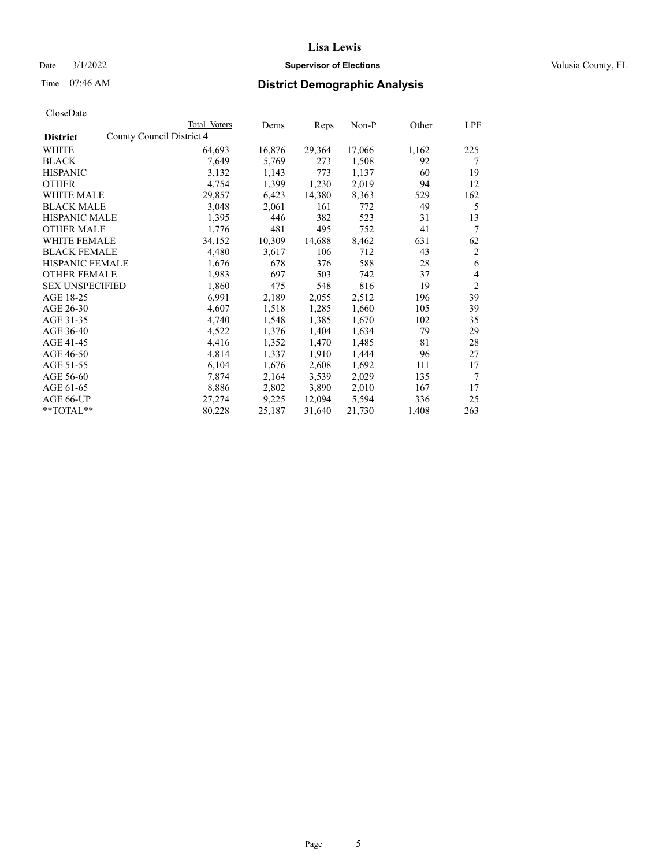## Date  $3/1/2022$  **Supervisor of Elections Supervisor of Elections** Volusia County, FL

| CloseDate |
|-----------|
|-----------|

|                                              | Total Voters | Dems   | Reps   | Non-P  | Other | LPF            |
|----------------------------------------------|--------------|--------|--------|--------|-------|----------------|
| County Council District 4<br><b>District</b> |              |        |        |        |       |                |
| WHITE                                        | 64,693       | 16,876 | 29,364 | 17,066 | 1,162 | 225            |
| <b>BLACK</b>                                 | 7,649        | 5,769  | 273    | 1,508  | 92    | 7              |
| <b>HISPANIC</b>                              | 3,132        | 1,143  | 773    | 1,137  | 60    | 19             |
| <b>OTHER</b>                                 | 4,754        | 1,399  | 1,230  | 2,019  | 94    | 12             |
| WHITE MALE                                   | 29,857       | 6,423  | 14,380 | 8,363  | 529   | 162            |
| <b>BLACK MALE</b>                            | 3,048        | 2,061  | 161    | 772    | 49    | 5              |
| <b>HISPANIC MALE</b>                         | 1,395        | 446    | 382    | 523    | 31    | 13             |
| <b>OTHER MALE</b>                            | 1,776        | 481    | 495    | 752    | 41    | 7              |
| WHITE FEMALE                                 | 34,152       | 10,309 | 14,688 | 8,462  | 631   | 62             |
| <b>BLACK FEMALE</b>                          | 4,480        | 3,617  | 106    | 712    | 43    | $\overline{c}$ |
| <b>HISPANIC FEMALE</b>                       | 1,676        | 678    | 376    | 588    | 28    | 6              |
| <b>OTHER FEMALE</b>                          | 1,983        | 697    | 503    | 742    | 37    | 4              |
| <b>SEX UNSPECIFIED</b>                       | 1,860        | 475    | 548    | 816    | 19    | $\overline{2}$ |
| AGE 18-25                                    | 6,991        | 2,189  | 2,055  | 2,512  | 196   | 39             |
| AGE 26-30                                    | 4,607        | 1,518  | 1,285  | 1,660  | 105   | 39             |
| AGE 31-35                                    | 4,740        | 1,548  | 1,385  | 1,670  | 102   | 35             |
| AGE 36-40                                    | 4,522        | 1,376  | 1,404  | 1,634  | 79    | 29             |
| AGE 41-45                                    | 4,416        | 1,352  | 1,470  | 1,485  | 81    | 28             |
| AGE 46-50                                    | 4,814        | 1,337  | 1,910  | 1,444  | 96    | 27             |
| AGE 51-55                                    | 6,104        | 1,676  | 2,608  | 1,692  | 111   | 17             |
| AGE 56-60                                    | 7,874        | 2,164  | 3,539  | 2,029  | 135   | 7              |
| AGE 61-65                                    | 8,886        | 2,802  | 3,890  | 2,010  | 167   | 17             |
| AGE 66-UP                                    | 27,274       | 9,225  | 12,094 | 5,594  | 336   | 25             |
| **TOTAL**                                    | 80,228       | 25,187 | 31,640 | 21,730 | 1,408 | 263            |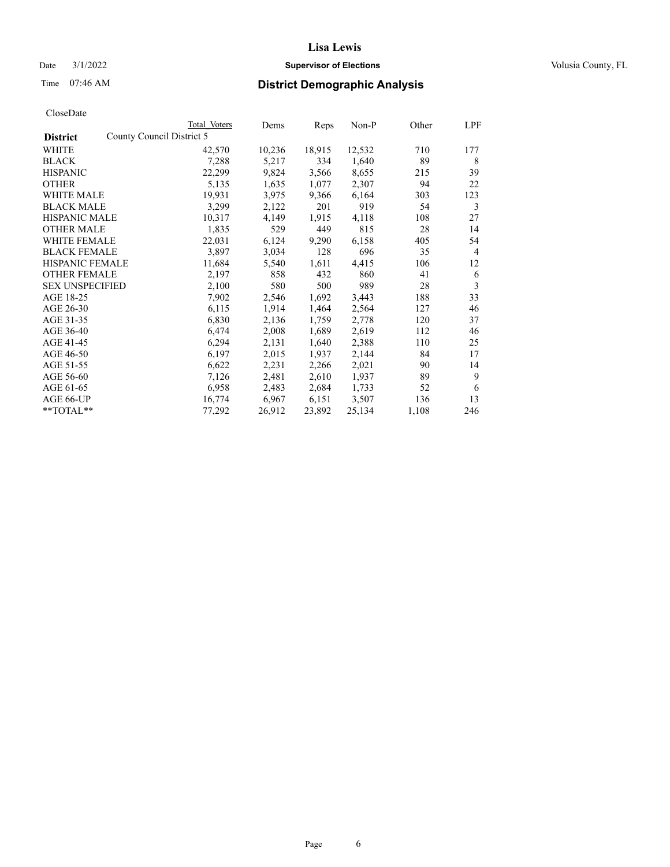## Date  $3/1/2022$  **Supervisor of Elections Supervisor of Elections** Volusia County, FL

| CloseDate |
|-----------|
|-----------|

|                                              | Total Voters | Dems   | Reps   | Non-P  | Other | LPF |
|----------------------------------------------|--------------|--------|--------|--------|-------|-----|
| County Council District 5<br><b>District</b> |              |        |        |        |       |     |
| WHITE                                        | 42,570       | 10,236 | 18,915 | 12,532 | 710   | 177 |
| <b>BLACK</b>                                 | 7,288        | 5,217  | 334    | 1,640  | 89    | 8   |
| <b>HISPANIC</b>                              | 22,299       | 9,824  | 3,566  | 8,655  | 215   | 39  |
| <b>OTHER</b>                                 | 5,135        | 1,635  | 1,077  | 2,307  | 94    | 22  |
| <b>WHITE MALE</b>                            | 19,931       | 3,975  | 9,366  | 6,164  | 303   | 123 |
| <b>BLACK MALE</b>                            | 3,299        | 2,122  | 201    | 919    | 54    | 3   |
| <b>HISPANIC MALE</b>                         | 10,317       | 4,149  | 1,915  | 4,118  | 108   | 27  |
| <b>OTHER MALE</b>                            | 1,835        | 529    | 449    | 815    | 28    | 14  |
| <b>WHITE FEMALE</b>                          | 22,031       | 6,124  | 9,290  | 6,158  | 405   | 54  |
| <b>BLACK FEMALE</b>                          | 3,897        | 3,034  | 128    | 696    | 35    | 4   |
| <b>HISPANIC FEMALE</b>                       | 11,684       | 5,540  | 1,611  | 4,415  | 106   | 12  |
| <b>OTHER FEMALE</b>                          | 2,197        | 858    | 432    | 860    | 41    | 6   |
| <b>SEX UNSPECIFIED</b>                       | 2,100        | 580    | 500    | 989    | 28    | 3   |
| AGE 18-25                                    | 7,902        | 2,546  | 1,692  | 3,443  | 188   | 33  |
| AGE 26-30                                    | 6,115        | 1,914  | 1,464  | 2,564  | 127   | 46  |
| AGE 31-35                                    | 6,830        | 2,136  | 1,759  | 2,778  | 120   | 37  |
| AGE 36-40                                    | 6,474        | 2,008  | 1,689  | 2,619  | 112   | 46  |
| AGE 41-45                                    | 6,294        | 2,131  | 1,640  | 2,388  | 110   | 25  |
| AGE 46-50                                    | 6,197        | 2,015  | 1,937  | 2,144  | 84    | 17  |
| AGE 51-55                                    | 6,622        | 2,231  | 2,266  | 2,021  | 90    | 14  |
| AGE 56-60                                    | 7,126        | 2,481  | 2,610  | 1,937  | 89    | 9   |
| AGE 61-65                                    | 6,958        | 2,483  | 2,684  | 1,733  | 52    | 6   |
| AGE 66-UP                                    | 16,774       | 6,967  | 6,151  | 3,507  | 136   | 13  |
| $*$ $TOTAL**$                                | 77,292       | 26,912 | 23,892 | 25,134 | 1,108 | 246 |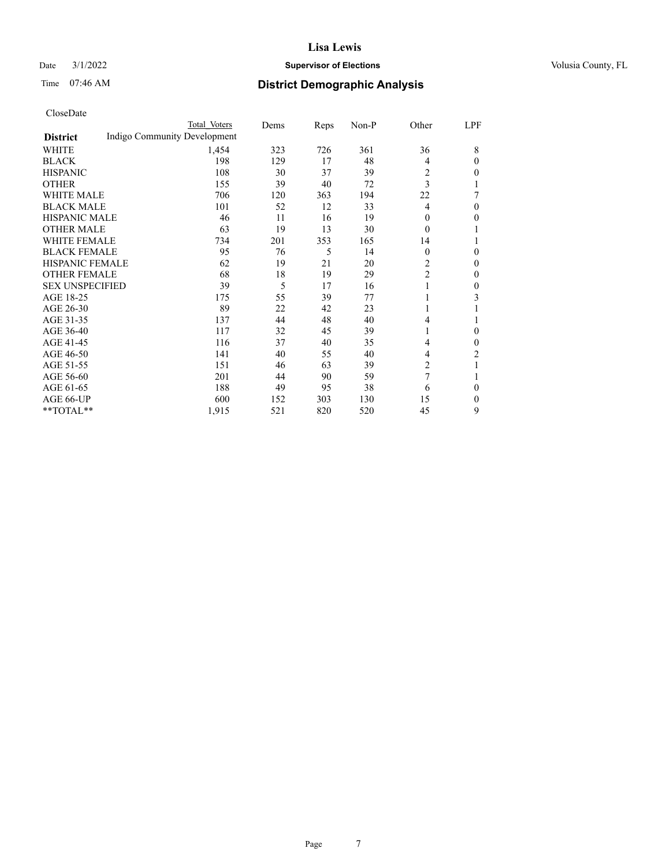### Date  $3/1/2022$  **Supervisor of Elections** Volusia County, FL

## Time 07:46 AM **District Demographic Analysis**

|                        | Total Voters                 | Dems | Reps | Non-P | Other          | LPF            |
|------------------------|------------------------------|------|------|-------|----------------|----------------|
| <b>District</b>        | Indigo Community Development |      |      |       |                |                |
| WHITE                  | 1,454                        | 323  | 726  | 361   | 36             | 8              |
| <b>BLACK</b>           | 198                          | 129  | 17   | 48    | 4              | 0              |
| <b>HISPANIC</b>        | 108                          | 30   | 37   | 39    | 2              | 0              |
| <b>OTHER</b>           | 155                          | 39   | 40   | 72    | 3              |                |
| <b>WHITE MALE</b>      | 706                          | 120  | 363  | 194   | 22             | 7              |
| <b>BLACK MALE</b>      | 101                          | 52   | 12   | 33    | $\overline{4}$ | 0              |
| <b>HISPANIC MALE</b>   | 46                           | 11   | 16   | 19    | $\theta$       | 0              |
| <b>OTHER MALE</b>      | 63                           | 19   | 13   | 30    | $\theta$       |                |
| <b>WHITE FEMALE</b>    | 734                          | 201  | 353  | 165   | 14             |                |
| <b>BLACK FEMALE</b>    | 95                           | 76   | 5    | 14    | $\theta$       | 0              |
| <b>HISPANIC FEMALE</b> | 62                           | 19   | 21   | 20    | 2              | 0              |
| <b>OTHER FEMALE</b>    | 68                           | 18   | 19   | 29    | $\overline{c}$ | 0              |
| <b>SEX UNSPECIFIED</b> | 39                           | 5    | 17   | 16    | 1              | 0              |
| AGE 18-25              | 175                          | 55   | 39   | 77    | 1              | 3              |
| AGE 26-30              | 89                           | 22   | 42   | 23    | 1              |                |
| AGE 31-35              | 137                          | 44   | 48   | 40    | $\overline{4}$ |                |
| AGE 36-40              | 117                          | 32   | 45   | 39    | 1              | 0              |
| AGE 41-45              | 116                          | 37   | 40   | 35    | 4              | 0              |
| AGE 46-50              | 141                          | 40   | 55   | 40    | 4              | $\overline{2}$ |
| AGE 51-55              | 151                          | 46   | 63   | 39    | 2              | 1              |
| AGE 56-60              | 201                          | 44   | 90   | 59    | 7              |                |
| AGE 61-65              | 188                          | 49   | 95   | 38    | 6              | 0              |
| AGE 66-UP              | 600                          | 152  | 303  | 130   | 15             | 0              |
| **TOTAL**              | 1,915                        | 521  | 820  | 520   | 45             | 9              |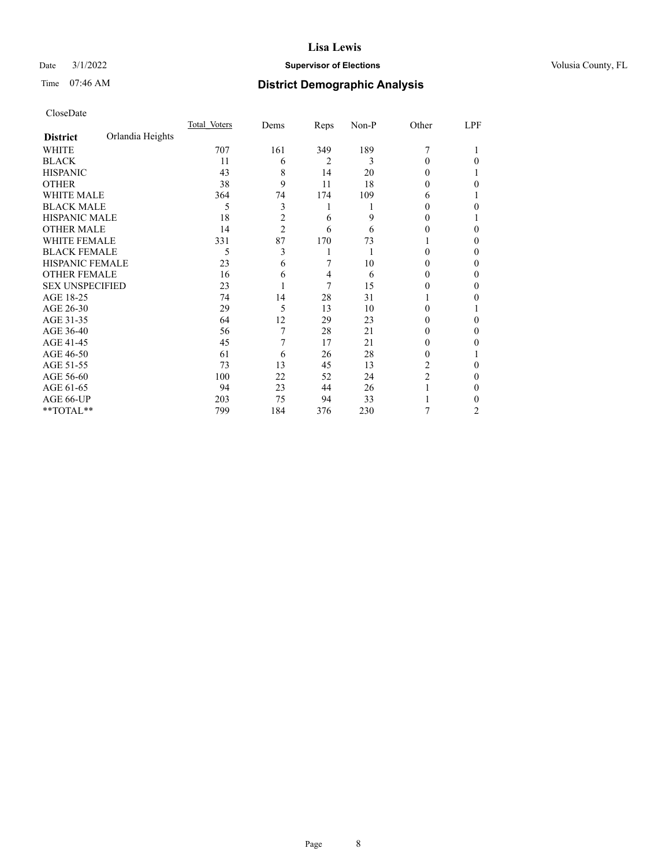## Date  $3/1/2022$  **Supervisor of Elections Supervisor of Elections** Volusia County, FL

# Time 07:46 AM **District Demographic Analysis**

|                        |                  | Total Voters | Dems           | Reps           | Non-P | Other          | LPF |
|------------------------|------------------|--------------|----------------|----------------|-------|----------------|-----|
| <b>District</b>        | Orlandia Heights |              |                |                |       |                |     |
| WHITE                  |                  | 707          | 161            | 349            | 189   | 7              |     |
| <b>BLACK</b>           |                  | 11           | 6              | $\overline{2}$ | 3     | 0              | 0   |
| <b>HISPANIC</b>        |                  | 43           | 8              | 14             | 20    | 0              |     |
| <b>OTHER</b>           |                  | 38           | 9              | 11             | 18    | 0              | 0   |
| WHITE MALE             |                  | 364          | 74             | 174            | 109   | 6              |     |
| <b>BLACK MALE</b>      |                  | 5            | 3              | 1              |       | 0              | 0   |
| <b>HISPANIC MALE</b>   |                  | 18           | 2              | 6              | 9     | 0              |     |
| <b>OTHER MALE</b>      |                  | 14           | $\overline{2}$ | 6              | 6     | 0              | 0   |
| WHITE FEMALE           |                  | 331          | 87             | 170            | 73    |                | 0   |
| <b>BLACK FEMALE</b>    |                  | 5            | 3              |                |       | 0              | 0   |
| <b>HISPANIC FEMALE</b> |                  | 23           | 6              | 7              | 10    | 0              | 0   |
| <b>OTHER FEMALE</b>    |                  | 16           | 6              | 4              | 6     | 0              | 0   |
| <b>SEX UNSPECIFIED</b> |                  | 23           |                | 7              | 15    | 0              | 0   |
| AGE 18-25              |                  | 74           | 14             | 28             | 31    |                | 0   |
| AGE 26-30              |                  | 29           | 5              | 13             | 10    | 0              |     |
| AGE 31-35              |                  | 64           | 12             | 29             | 23    | 0              | 0   |
| AGE 36-40              |                  | 56           |                | 28             | 21    | 0              | 0   |
| AGE 41-45              |                  | 45           |                | 17             | 21    | 0              | 0   |
| AGE 46-50              |                  | 61           | 6              | 26             | 28    | 0              |     |
| AGE 51-55              |                  | 73           | 13             | 45             | 13    | 2              | 0   |
| AGE 56-60              |                  | 100          | 22             | 52             | 24    | $\overline{c}$ | 0   |
| AGE 61-65              |                  | 94           | 23             | 44             | 26    |                | 0   |
| AGE 66-UP              |                  | 203          | 75             | 94             | 33    |                | 0   |
| **TOTAL**              |                  | 799          | 184            | 376            | 230   | 7              | 2   |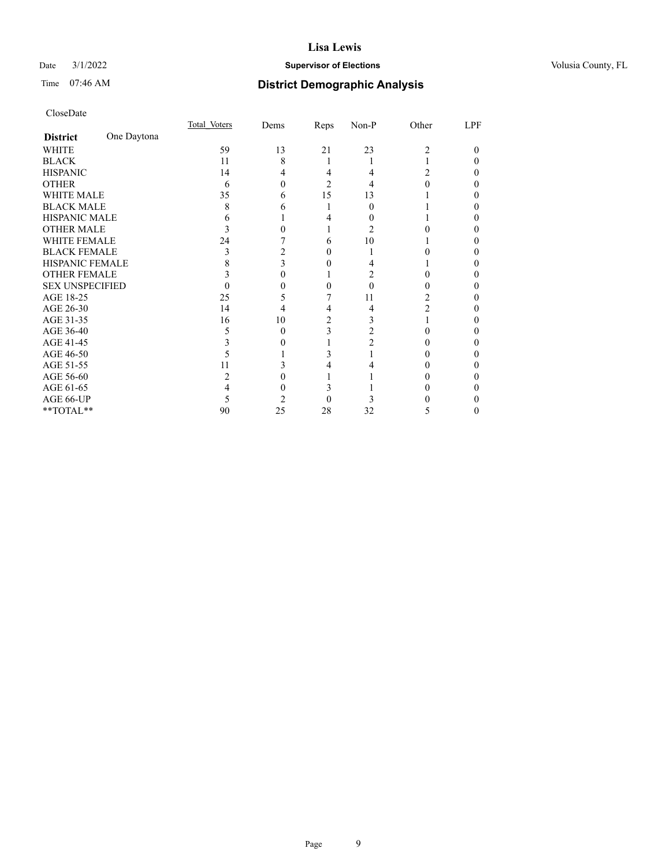### Date  $3/1/2022$  **Supervisor of Elections** Volusia County, FL

## Time 07:46 AM **District Demographic Analysis**

|                        |             | Total Voters | Dems | Reps     | Non-P | Other         | LPF |
|------------------------|-------------|--------------|------|----------|-------|---------------|-----|
| <b>District</b>        | One Daytona |              |      |          |       |               |     |
| WHITE                  |             | 59           | 13   | 21       | 23    | 2             | 0   |
| <b>BLACK</b>           |             | 11           | 8    |          |       |               |     |
| <b>HISPANIC</b>        |             | 14           | 4    | 4        |       | 2             | 0   |
| <b>OTHER</b>           |             | 6            | 0    | 2        |       |               |     |
| <b>WHITE MALE</b>      |             | 35           | 6    | 15       | 13    |               |     |
| <b>BLACK MALE</b>      |             | 8            | 6    |          | 0     |               | 0   |
| <b>HISPANIC MALE</b>   |             |              |      |          |       |               |     |
| <b>OTHER MALE</b>      |             |              |      |          | 2     |               | 0   |
| <b>WHITE FEMALE</b>    |             | 24           |      | 6        | 10    |               |     |
| <b>BLACK FEMALE</b>    |             | 3            |      | 0        |       |               | 0   |
| HISPANIC FEMALE        |             |              |      |          |       |               |     |
| <b>OTHER FEMALE</b>    |             |              | 0    |          |       |               |     |
| <b>SEX UNSPECIFIED</b> |             |              |      | 0        | 0     | 0             | 0   |
| AGE 18-25              |             | 25           |      |          | 11    | 2             | 0   |
| AGE 26-30              |             | 14           | 4    | 4        | 4     | 2             | 0   |
| AGE 31-35              |             | 16           | 10   | 2        | 3     |               |     |
| AGE 36-40              |             | ╮            | 0    | 3        |       | 0             | 0   |
| AGE 41-45              |             |              |      |          |       |               |     |
| AGE 46-50              |             |              |      | 3        |       |               | 0   |
| AGE 51-55              |             | 11           |      |          |       |               | 0   |
| AGE 56-60              |             |              |      |          |       |               | 0   |
| AGE 61-65              |             | 4            | 0    | 3        |       |               | 0   |
| AGE 66-UP              |             | ╮            |      | $\theta$ |       |               |     |
| **TOTAL**              |             | 90           | 25   | 28       | 32    | $\mathcal{D}$ | 0   |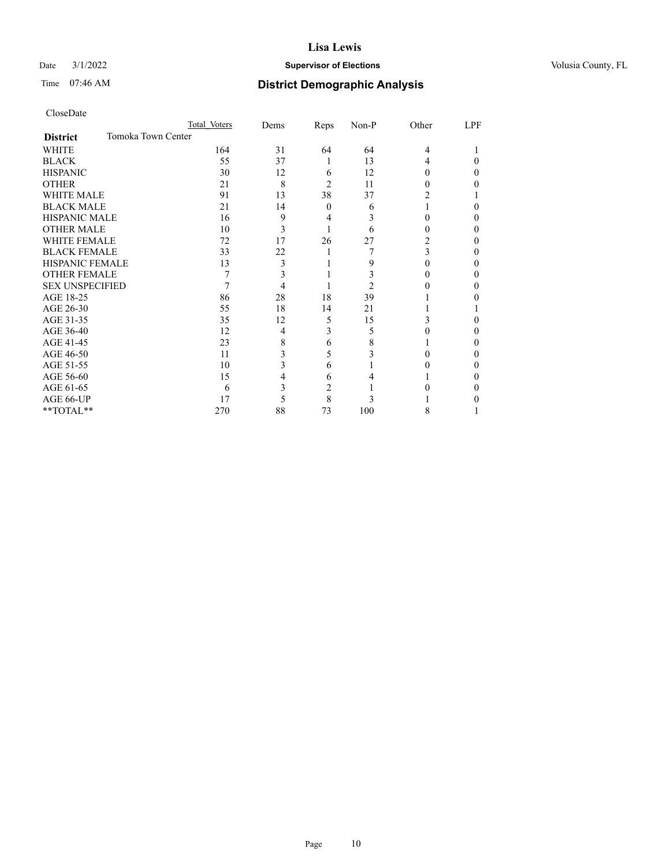## Date  $3/1/2022$  **Supervisor of Elections Supervisor of Elections** Volusia County, FL

# Time 07:46 AM **District Demographic Analysis**

|                                       | Total Voters | Dems | Reps     | Non-P | Other    | LPF |
|---------------------------------------|--------------|------|----------|-------|----------|-----|
| Tomoka Town Center<br><b>District</b> |              |      |          |       |          |     |
| <b>WHITE</b>                          | 164          | 31   | 64       | 64    | 4        |     |
| <b>BLACK</b>                          | 55           | 37   | 1        | 13    | 4        | 0   |
| <b>HISPANIC</b>                       | 30           | 12   | 6        | 12    | $\theta$ | 0   |
| <b>OTHER</b>                          | 21           | 8    | 2        | 11    |          |     |
| <b>WHITE MALE</b>                     | 91           | 13   | 38       | 37    | 2        |     |
| <b>BLACK MALE</b>                     | 21           | 14   | $\Omega$ | 6     |          | 0   |
| <b>HISPANIC MALE</b>                  | 16           | 9    | 4        | 3     |          | 0   |
| <b>OTHER MALE</b>                     | 10           | 3    |          | 6     | 0        | 0   |
| <b>WHITE FEMALE</b>                   | 72           | 17   | 26       | 27    | 2        | 0   |
| <b>BLACK FEMALE</b>                   | 33           | 22   | 1        |       | 3        | 0   |
| <b>HISPANIC FEMALE</b>                | 13           | 3    |          | 9     | 0        | 0   |
| <b>OTHER FEMALE</b>                   |              | 3    |          | 3     |          | 0   |
| <b>SEX UNSPECIFIED</b>                |              | 4    |          | 2     |          | 0   |
| AGE 18-25                             | 86           | 28   | 18       | 39    |          |     |
| AGE 26-30                             | 55           | 18   | 14       | 21    |          |     |
| AGE 31-35                             | 35           | 12   | 5        | 15    | 3        |     |
| AGE 36-40                             | 12           | 4    | 3        | 5     |          | 0   |
| AGE 41-45                             | 23           | 8    | 6        | 8     |          | 0   |
| AGE 46-50                             | 11           | 3    | 5        | 3     |          | 0   |
| AGE 51-55                             | 10           | 3    | 6        |       |          | 0   |
| AGE 56-60                             | 15           | 4    | 6        |       |          | 0   |
| AGE 61-65                             | 6            | 3    | 2        |       |          | 0   |
| AGE 66-UP                             | 17           | 5    | 8        | 3     |          |     |
| **TOTAL**                             | 270          | 88   | 73       | 100   | 8        |     |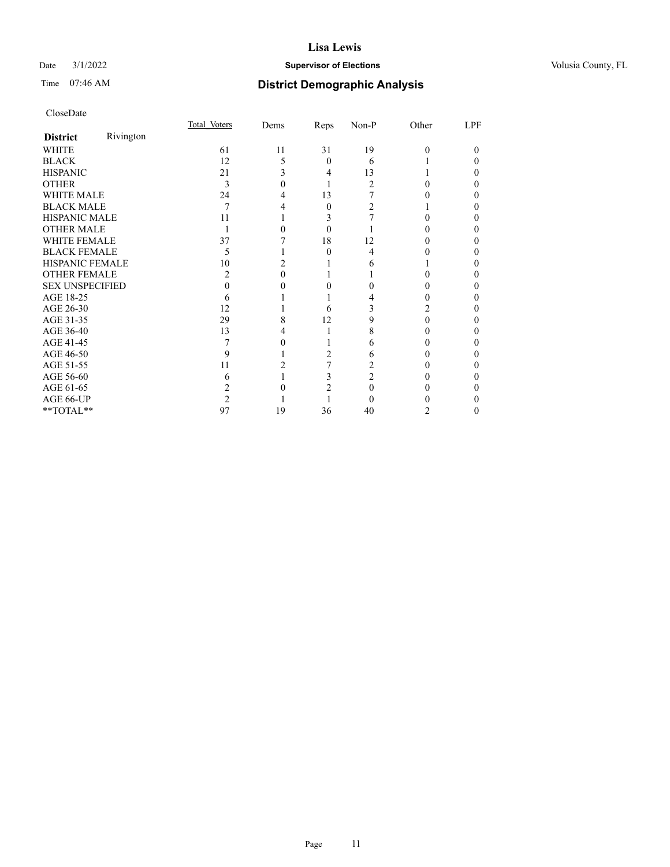## Date  $3/1/2022$  **Supervisor of Elections Supervisor of Elections** Volusia County, FL

# Time 07:46 AM **District Demographic Analysis**

|                        |           | Total Voters | Dems | <b>Reps</b>    | Non-P | Other | LPF |
|------------------------|-----------|--------------|------|----------------|-------|-------|-----|
| <b>District</b>        | Rivington |              |      |                |       |       |     |
| WHITE                  |           | 61           | 11   | 31             | 19    | 0     | 0   |
| <b>BLACK</b>           |           | 12           | 5    | 0              | 6     |       |     |
| <b>HISPANIC</b>        |           | 21           |      | 4              | 13    |       |     |
| <b>OTHER</b>           |           | 3            |      |                | 2     |       |     |
| <b>WHITE MALE</b>      |           | 24           |      | 13             |       |       |     |
| <b>BLACK MALE</b>      |           | 7            |      | 0              |       |       |     |
| <b>HISPANIC MALE</b>   |           | 11           |      |                |       |       |     |
| <b>OTHER MALE</b>      |           |              |      | 0              |       |       |     |
| <b>WHITE FEMALE</b>    |           | 37           |      | 18             | 12    |       |     |
| <b>BLACK FEMALE</b>    |           | 5            |      | 0              | 4     |       |     |
| <b>HISPANIC FEMALE</b> |           | 10           |      |                | 6     |       |     |
| <b>OTHER FEMALE</b>    |           | 2            |      |                |       |       |     |
| <b>SEX UNSPECIFIED</b> |           |              |      |                |       |       |     |
| AGE 18-25              |           | h            |      |                |       |       |     |
| AGE 26-30              |           | 12           |      | 6              |       |       |     |
| AGE 31-35              |           | 29           |      | 12             |       |       |     |
| AGE 36-40              |           | 13           |      |                | 8     |       |     |
| AGE 41-45              |           |              |      |                | 6     |       |     |
| AGE 46-50              |           | 9            |      | $\mathfrak{D}$ | 6     |       |     |
| AGE 51-55              |           | 11           |      |                |       |       |     |
| AGE 56-60              |           | h            |      |                |       |       |     |
| AGE 61-65              |           |              |      |                |       |       |     |
| AGE 66-UP              |           |              |      |                |       |       |     |
| **TOTAL**              |           | 97           | 19   | 36             | 40    | 2     | 0   |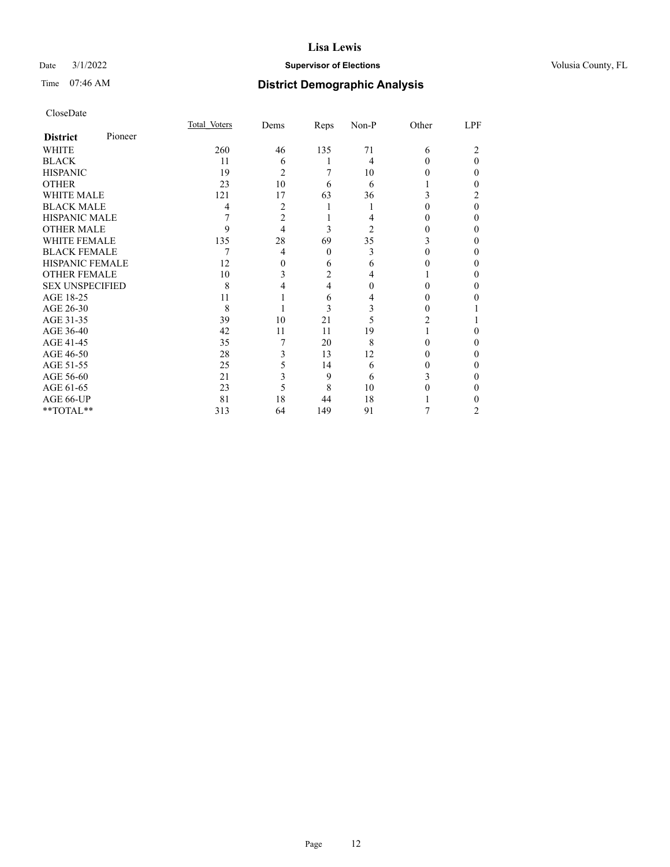## Date  $3/1/2022$  **Supervisor of Elections Supervisor of Elections** Volusia County, FL

| CloseDate |
|-----------|
|-----------|

|                        |         | Total Voters | Dems           | Reps             | Non-P | Other    | LPF |
|------------------------|---------|--------------|----------------|------------------|-------|----------|-----|
| <b>District</b>        | Pioneer |              |                |                  |       |          |     |
| WHITE                  |         | 260          | 46             | 135              | 71    | 6        |     |
| <b>BLACK</b>           |         | 11           | 6              |                  | 4     | $_{0}$   | 0   |
| <b>HISPANIC</b>        |         | 19           | $\overline{2}$ |                  | 10    |          | 0   |
| <b>OTHER</b>           |         | 23           | 10             | 6                | 6     |          | 0   |
| <b>WHITE MALE</b>      |         | 121          | 17             | 63               | 36    |          | 2   |
| <b>BLACK MALE</b>      |         | 4            | 2              |                  |       |          | 0   |
| <b>HISPANIC MALE</b>   |         | 7            | $\overline{2}$ |                  |       |          | 0   |
| <b>OTHER MALE</b>      |         | 9            | 4              | 3                | 2     |          | 0   |
| <b>WHITE FEMALE</b>    |         | 135          | 28             | 69               | 35    |          | 0   |
| <b>BLACK FEMALE</b>    |         | 7            | 4              | $\boldsymbol{0}$ | 3     |          | 0   |
| <b>HISPANIC FEMALE</b> |         | 12           | 0              | 6                | 6     |          | 0   |
| <b>OTHER FEMALE</b>    |         | 10           | 3              | $\overline{2}$   | 4     |          | 0   |
| <b>SEX UNSPECIFIED</b> |         | 8            | 4              | 4                | 0     |          | 0   |
| AGE 18-25              |         | 11           |                | 6                | 4     |          |     |
| AGE 26-30              |         | 8            |                | 3                | 3     |          |     |
| AGE 31-35              |         | 39           | 10             | 21               |       |          |     |
| AGE 36-40              |         | 42           | 11             | 11               | 19    |          | 0   |
| AGE 41-45              |         | 35           | 7              | 20               | 8     |          |     |
| AGE 46-50              |         | 28           | 3              | 13               | 12    | $^{(1)}$ | 0   |
| AGE 51-55              |         | 25           | 5              | 14               | 6     |          | 0   |
| AGE 56-60              |         | 21           | 3              | 9                | 6     |          | 0   |
| AGE 61-65              |         | 23           | 5              | 8                | 10    |          | 0   |
| AGE 66-UP              |         | 81           | 18             | 44               | 18    |          |     |
| **TOTAL**              |         | 313          | 64             | 149              | 91    |          | 2   |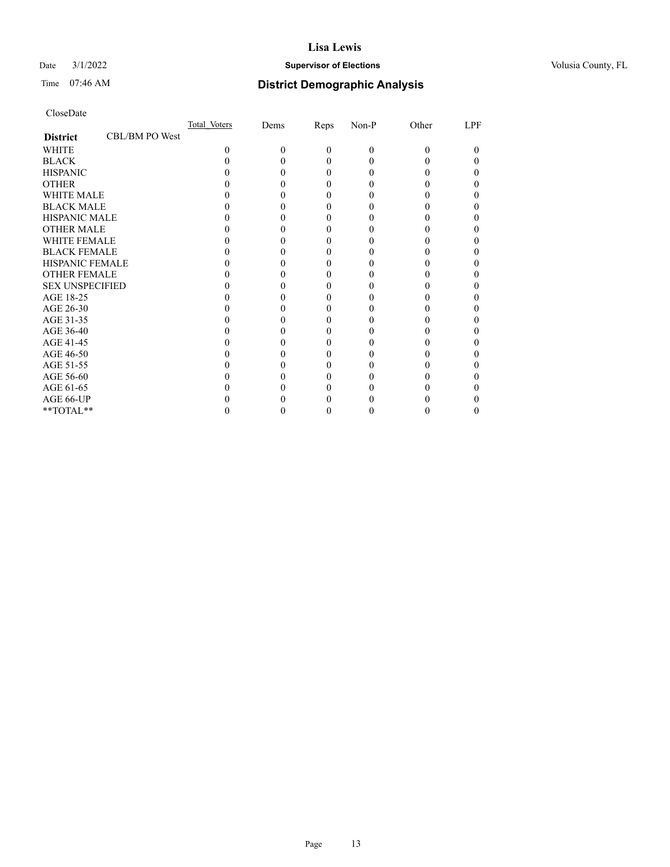## Date  $3/1/2022$  **Supervisor of Elections Supervisor of Elections** Volusia County, FL

# Time 07:46 AM **District Demographic Analysis**

|                        |                | Total Voters | Dems | Reps     | Non-P | Other | LPF |
|------------------------|----------------|--------------|------|----------|-------|-------|-----|
| <b>District</b>        | CBL/BM PO West |              |      |          |       |       |     |
| <b>WHITE</b>           |                | $\Omega$     | 0    | $\theta$ | 0     | 0     |     |
| <b>BLACK</b>           |                |              |      | 0        |       |       |     |
| <b>HISPANIC</b>        |                |              |      | $_{0}$   |       |       |     |
| <b>OTHER</b>           |                |              |      |          |       |       |     |
| <b>WHITE MALE</b>      |                |              |      |          |       |       |     |
| <b>BLACK MALE</b>      |                |              |      |          |       |       |     |
| <b>HISPANIC MALE</b>   |                |              |      |          |       |       |     |
| <b>OTHER MALE</b>      |                |              |      |          |       |       |     |
| <b>WHITE FEMALE</b>    |                |              |      |          |       |       |     |
| <b>BLACK FEMALE</b>    |                |              |      | 0        |       |       |     |
| <b>HISPANIC FEMALE</b> |                |              |      |          |       |       |     |
| <b>OTHER FEMALE</b>    |                |              |      |          |       |       |     |
| <b>SEX UNSPECIFIED</b> |                |              |      |          |       |       |     |
| AGE 18-25              |                |              |      |          |       |       |     |
| AGE 26-30              |                |              |      |          |       |       |     |
| AGE 31-35              |                |              |      |          |       |       |     |
| AGE 36-40              |                |              |      | 0        |       |       |     |
| AGE 41-45              |                |              |      |          |       |       |     |
| AGE 46-50              |                |              |      |          |       |       |     |
| AGE 51-55              |                |              |      |          |       |       |     |
| AGE 56-60              |                |              |      |          |       |       |     |
| AGE 61-65              |                |              |      |          |       |       |     |
| AGE 66-UP              |                |              |      |          |       |       |     |
| **TOTAL**              |                |              |      | 0        |       |       |     |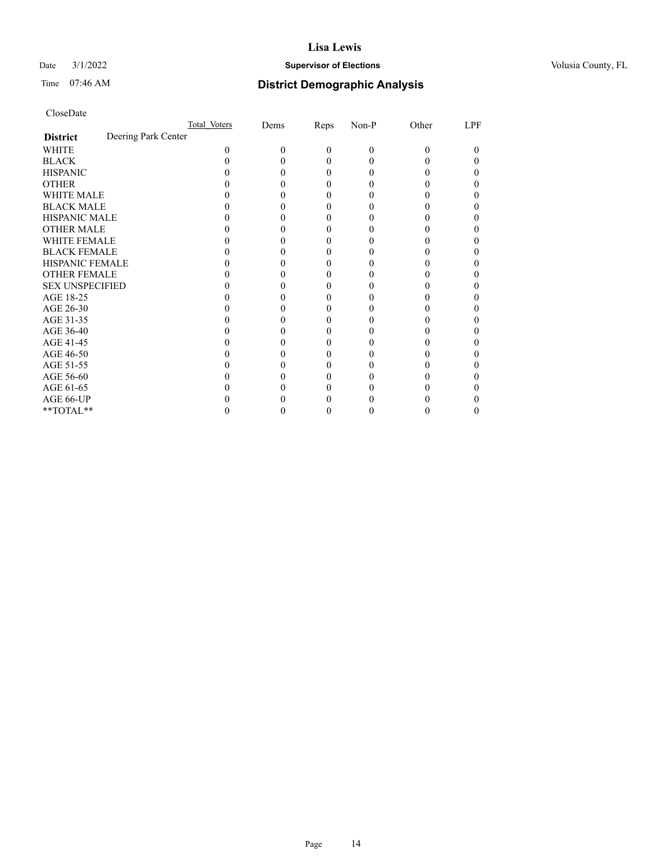## Date  $3/1/2022$  **Supervisor of Elections Supervisor of Elections** Volusia County, FL

## Time 07:46 AM **District Demographic Analysis**

|                        |                     | Total Voters | Dems | Reps     | Non-P    | Other    | LPF |
|------------------------|---------------------|--------------|------|----------|----------|----------|-----|
| <b>District</b>        | Deering Park Center |              |      |          |          |          |     |
| <b>WHITE</b>           |                     | 0            | 0    | $\theta$ | $\theta$ | $\Omega$ | 0   |
| <b>BLACK</b>           |                     |              |      | 0        |          |          |     |
| <b>HISPANIC</b>        |                     |              |      | 0        |          |          |     |
| <b>OTHER</b>           |                     |              |      |          |          |          |     |
| <b>WHITE MALE</b>      |                     |              |      |          |          |          |     |
| <b>BLACK MALE</b>      |                     |              |      |          |          |          |     |
| <b>HISPANIC MALE</b>   |                     |              |      |          |          |          |     |
| <b>OTHER MALE</b>      |                     |              |      |          |          |          | 0   |
| <b>WHITE FEMALE</b>    |                     |              |      |          |          |          |     |
| <b>BLACK FEMALE</b>    |                     |              |      | 0        |          |          |     |
| <b>HISPANIC FEMALE</b> |                     |              |      |          |          |          |     |
| <b>OTHER FEMALE</b>    |                     |              |      |          |          |          |     |
| <b>SEX UNSPECIFIED</b> |                     |              |      |          |          |          |     |
| AGE 18-25              |                     |              |      |          |          |          |     |
| AGE 26-30              |                     |              |      |          |          |          |     |
| AGE 31-35              |                     |              |      |          |          |          |     |
| AGE 36-40              |                     |              |      |          |          |          |     |
| AGE 41-45              |                     |              |      |          |          |          |     |
| AGE 46-50              |                     |              |      |          |          |          | 0   |
| AGE 51-55              |                     |              |      |          |          |          |     |
| AGE 56-60              |                     |              |      |          |          |          |     |
| AGE 61-65              |                     |              |      |          |          |          |     |
| AGE 66-UP              |                     |              |      |          |          |          |     |
| **TOTAL**              |                     |              |      |          |          |          | 0   |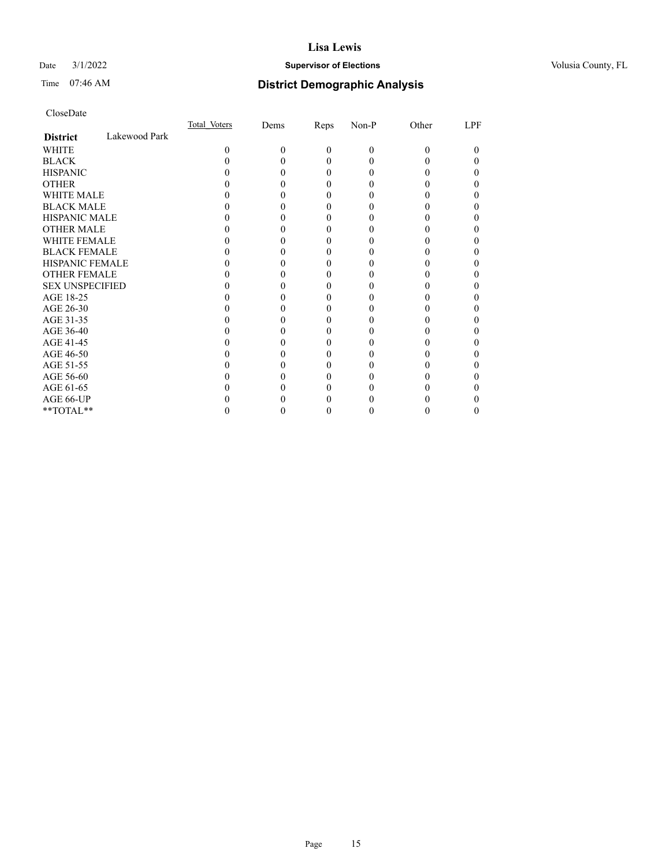## Date  $3/1/2022$  **Supervisor of Elections Supervisor of Elections** Volusia County, FL

# Time 07:46 AM **District Demographic Analysis**

|                        |               | Total Voters | Dems | Reps     | Non-P | Other | LPF |
|------------------------|---------------|--------------|------|----------|-------|-------|-----|
| <b>District</b>        | Lakewood Park |              |      |          |       |       |     |
| WHITE                  |               | 0            | 0    | $\theta$ | 0     | 0     | 0   |
| <b>BLACK</b>           |               |              |      | 0        |       |       |     |
| <b>HISPANIC</b>        |               |              |      | $\theta$ |       |       |     |
| <b>OTHER</b>           |               |              |      |          |       |       |     |
| WHITE MALE             |               |              |      |          |       |       |     |
| <b>BLACK MALE</b>      |               |              |      |          |       |       |     |
| <b>HISPANIC MALE</b>   |               |              |      |          |       |       |     |
| <b>OTHER MALE</b>      |               |              |      |          |       |       |     |
| <b>WHITE FEMALE</b>    |               |              |      |          |       |       |     |
| <b>BLACK FEMALE</b>    |               |              |      | 0        |       |       |     |
| <b>HISPANIC FEMALE</b> |               |              |      |          |       |       |     |
| <b>OTHER FEMALE</b>    |               |              |      |          |       |       |     |
| <b>SEX UNSPECIFIED</b> |               |              |      |          |       |       |     |
| AGE 18-25              |               |              |      |          |       |       |     |
| AGE 26-30              |               |              |      |          |       |       |     |
| AGE 31-35              |               |              |      |          |       |       |     |
| AGE 36-40              |               |              |      | 0        |       |       |     |
| AGE 41-45              |               |              |      |          |       |       |     |
| AGE 46-50              |               |              |      |          |       |       |     |
| AGE 51-55              |               |              |      |          |       |       |     |
| AGE 56-60              |               |              |      |          |       |       |     |
| AGE 61-65              |               |              |      |          |       |       |     |
| AGE 66-UP              |               |              |      |          |       |       |     |
| **TOTAL**              |               |              |      | 0        |       |       |     |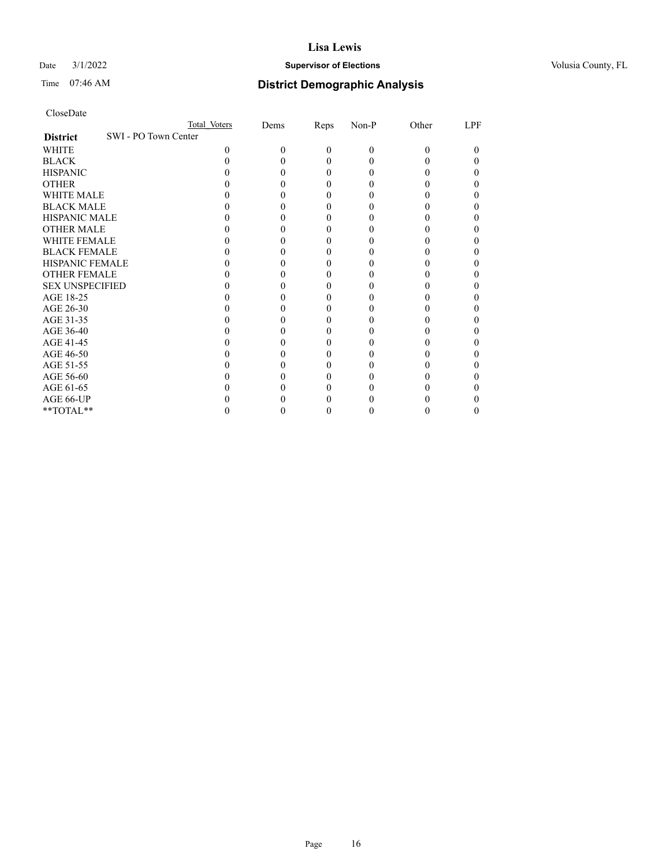## Date  $3/1/2022$  **Supervisor of Elections Supervisor of Elections** Volusia County, FL

| CloseDate |
|-----------|
|-----------|

|                                         | Total Voters | Dems | Reps     | Non-P    | Other | LPF |
|-----------------------------------------|--------------|------|----------|----------|-------|-----|
| SWI - PO Town Center<br><b>District</b> |              |      |          |          |       |     |
| WHITE                                   | 0            | 0    | $\Omega$ | $\theta$ | 0     | 0   |
| <b>BLACK</b>                            |              |      | 0        | 0        |       |     |
| <b>HISPANIC</b>                         |              |      | 0        | 0        |       |     |
| <b>OTHER</b>                            |              |      |          |          |       |     |
| <b>WHITE MALE</b>                       |              |      |          |          |       |     |
| <b>BLACK MALE</b>                       |              |      |          |          |       |     |
| <b>HISPANIC MALE</b>                    |              |      |          |          |       |     |
| <b>OTHER MALE</b>                       |              |      |          |          |       |     |
| <b>WHITE FEMALE</b>                     |              |      |          |          |       |     |
| <b>BLACK FEMALE</b>                     |              |      |          |          |       |     |
| <b>HISPANIC FEMALE</b>                  |              |      |          |          |       |     |
| <b>OTHER FEMALE</b>                     |              |      |          |          |       |     |
| <b>SEX UNSPECIFIED</b>                  |              |      |          |          |       |     |
| AGE 18-25                               |              |      |          |          |       |     |
| AGE 26-30                               |              |      |          |          |       |     |
| AGE 31-35                               |              |      |          |          |       |     |
| AGE 36-40                               |              |      |          |          |       |     |
| AGE 41-45                               |              |      |          |          |       |     |
| AGE 46-50                               |              |      |          |          |       |     |
| AGE 51-55                               |              |      |          |          |       |     |
| AGE 56-60                               |              |      |          |          |       |     |
| AGE 61-65                               |              |      |          |          |       |     |
| AGE 66-UP                               |              |      |          |          |       |     |
| **TOTAL**                               |              |      |          | 0        |       |     |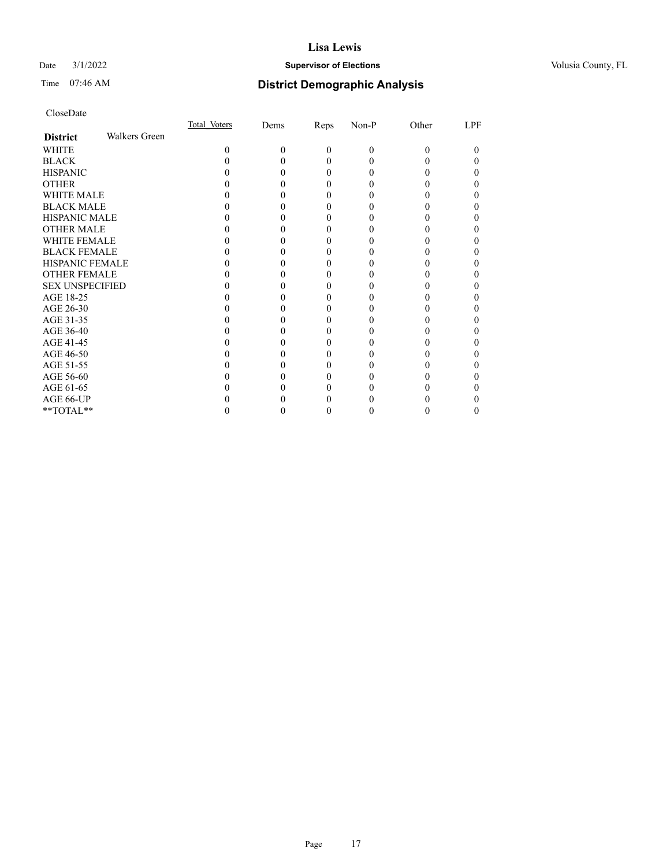## Date  $3/1/2022$  **Supervisor of Elections Supervisor of Elections** Volusia County, FL

# Time 07:46 AM **District Demographic Analysis**

|                        |               | Total Voters | Dems | Reps     | Non-P | Other    | LPF |
|------------------------|---------------|--------------|------|----------|-------|----------|-----|
| <b>District</b>        | Walkers Green |              |      |          |       |          |     |
| WHITE                  |               | $\Omega$     | 0    | $\theta$ | 0     | $\Omega$ | 0   |
| <b>BLACK</b>           |               |              |      | 0        |       |          |     |
| <b>HISPANIC</b>        |               |              |      | $_{0}$   |       |          | 0   |
| <b>OTHER</b>           |               |              |      |          |       |          |     |
| <b>WHITE MALE</b>      |               |              |      |          |       |          |     |
| <b>BLACK MALE</b>      |               |              |      |          |       |          |     |
| <b>HISPANIC MALE</b>   |               |              |      |          |       |          |     |
| <b>OTHER MALE</b>      |               |              |      |          |       |          | 0   |
| WHITE FEMALE           |               |              |      |          |       |          |     |
| <b>BLACK FEMALE</b>    |               |              |      | 0        |       |          |     |
| <b>HISPANIC FEMALE</b> |               |              |      |          |       |          |     |
| <b>OTHER FEMALE</b>    |               |              |      | 0        |       |          | 0   |
| <b>SEX UNSPECIFIED</b> |               |              |      |          |       |          |     |
| AGE 18-25              |               |              |      |          |       |          |     |
| AGE 26-30              |               |              |      |          |       |          |     |
| AGE 31-35              |               |              |      |          |       |          |     |
| AGE 36-40              |               |              |      |          |       |          | 0   |
| AGE 41-45              |               |              |      |          |       |          |     |
| AGE 46-50              |               |              |      | 0        |       |          | 0   |
| AGE 51-55              |               |              |      |          |       |          |     |
| AGE 56-60              |               |              |      |          |       |          |     |
| AGE 61-65              |               |              |      |          |       |          |     |
| AGE 66-UP              |               |              |      |          |       |          |     |
| **TOTAL**              |               |              |      |          |       |          | 0   |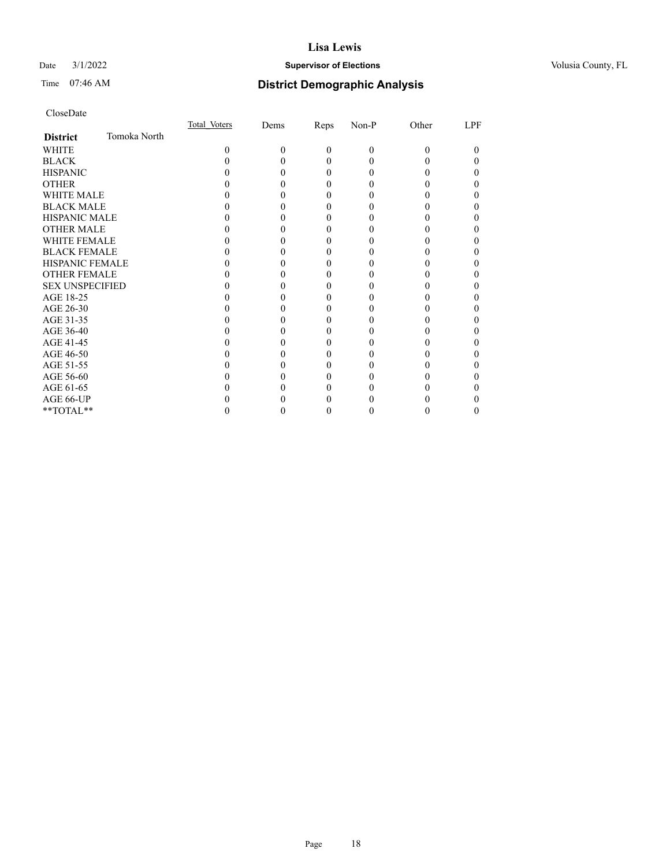## Date  $3/1/2022$  **Supervisor of Elections Supervisor of Elections** Volusia County, FL

# Time 07:46 AM **District Demographic Analysis**

|                        |              | Total Voters | Dems | Reps     | Non-P | Other | LPF |
|------------------------|--------------|--------------|------|----------|-------|-------|-----|
| <b>District</b>        | Tomoka North |              |      |          |       |       |     |
| WHITE                  |              | 0            | 0    | $\Omega$ | 0     | 0     | 0   |
| <b>BLACK</b>           |              |              |      | 0        |       |       |     |
| <b>HISPANIC</b>        |              |              |      | 0        |       |       | 0   |
| <b>OTHER</b>           |              |              |      | 0        |       |       |     |
| WHITE MALE             |              |              |      | 0        |       |       | 0   |
| <b>BLACK MALE</b>      |              |              |      |          |       |       |     |
| <b>HISPANIC MALE</b>   |              |              |      |          |       |       |     |
| <b>OTHER MALE</b>      |              |              |      |          |       |       |     |
| <b>WHITE FEMALE</b>    |              |              |      |          |       |       |     |
| <b>BLACK FEMALE</b>    |              |              |      |          |       |       | 0   |
| <b>HISPANIC FEMALE</b> |              |              |      |          |       |       |     |
| <b>OTHER FEMALE</b>    |              |              |      | 0        | 0     |       | 0   |
| <b>SEX UNSPECIFIED</b> |              |              |      |          |       |       |     |
| AGE 18-25              |              |              |      |          |       |       |     |
| AGE 26-30              |              |              |      |          |       |       |     |
| AGE 31-35              |              |              |      |          |       |       |     |
| AGE 36-40              |              |              |      |          |       |       | 0   |
| AGE 41-45              |              |              |      |          |       |       |     |
| AGE 46-50              |              |              |      | 0        |       |       | 0   |
| AGE 51-55              |              |              |      |          |       |       |     |
| AGE 56-60              |              |              |      |          |       |       |     |
| AGE 61-65              |              |              |      |          |       |       |     |
| AGE 66-UP              |              |              |      |          |       |       |     |
| **TOTAL**              |              |              |      |          |       |       | 0   |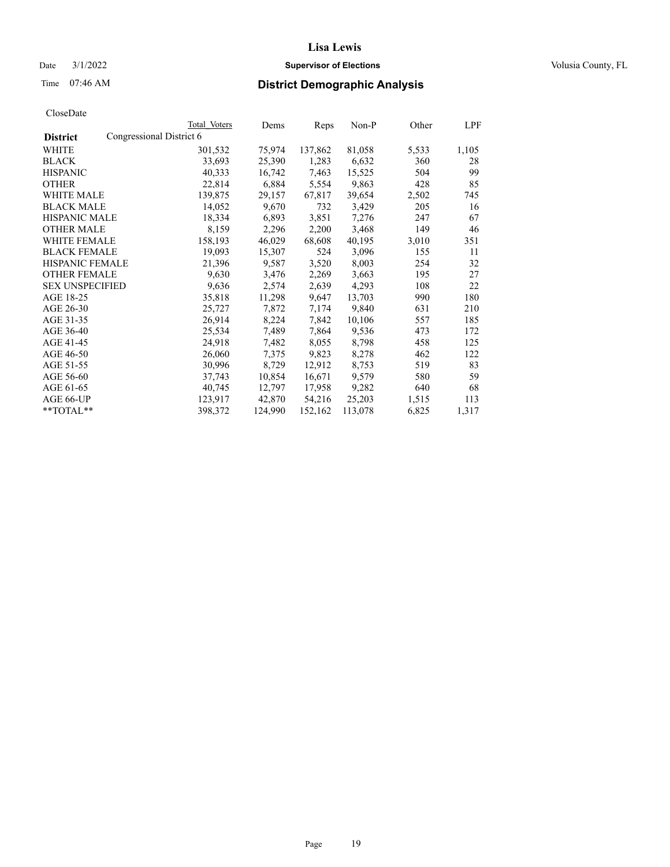## Date  $3/1/2022$  **Supervisor of Elections Supervisor of Elections** Volusia County, FL

| CloseDate |
|-----------|
|-----------|

|                        | Total Voters             | Dems    | <b>Reps</b> | $Non-P$ | Other | <u>LPF</u> |
|------------------------|--------------------------|---------|-------------|---------|-------|------------|
| <b>District</b>        | Congressional District 6 |         |             |         |       |            |
| WHITE                  | 301,532                  | 75,974  | 137,862     | 81,058  | 5,533 | 1,105      |
| <b>BLACK</b>           | 33,693                   | 25,390  | 1,283       | 6,632   | 360   | 28         |
| <b>HISPANIC</b>        | 40,333                   | 16,742  | 7,463       | 15,525  | 504   | 99         |
| <b>OTHER</b>           | 22,814                   | 6,884   | 5,554       | 9,863   | 428   | 85         |
| <b>WHITE MALE</b>      | 139,875                  | 29,157  | 67,817      | 39,654  | 2,502 | 745        |
| <b>BLACK MALE</b>      | 14,052                   | 9,670   | 732         | 3,429   | 205   | 16         |
| <b>HISPANIC MALE</b>   | 18,334                   | 6,893   | 3,851       | 7,276   | 247   | 67         |
| <b>OTHER MALE</b>      | 8,159                    | 2,296   | 2,200       | 3,468   | 149   | 46         |
| <b>WHITE FEMALE</b>    | 158,193                  | 46,029  | 68,608      | 40,195  | 3,010 | 351        |
| <b>BLACK FEMALE</b>    | 19,093                   | 15,307  | 524         | 3,096   | 155   | 11         |
| <b>HISPANIC FEMALE</b> | 21,396                   | 9,587   | 3,520       | 8,003   | 254   | 32         |
| <b>OTHER FEMALE</b>    | 9,630                    | 3,476   | 2,269       | 3,663   | 195   | 27         |
| <b>SEX UNSPECIFIED</b> | 9,636                    | 2,574   | 2,639       | 4,293   | 108   | 22         |
| AGE 18-25              | 35,818                   | 11,298  | 9,647       | 13,703  | 990   | 180        |
| AGE 26-30              | 25,727                   | 7,872   | 7,174       | 9,840   | 631   | 210        |
| AGE 31-35              | 26,914                   | 8,224   | 7,842       | 10,106  | 557   | 185        |
| AGE 36-40              | 25,534                   | 7,489   | 7,864       | 9,536   | 473   | 172        |
| AGE 41-45              | 24,918                   | 7,482   | 8,055       | 8,798   | 458   | 125        |
| AGE 46-50              | 26,060                   | 7,375   | 9,823       | 8,278   | 462   | 122        |
| AGE 51-55              | 30,996                   | 8,729   | 12,912      | 8,753   | 519   | 83         |
| AGE 56-60              | 37,743                   | 10,854  | 16,671      | 9,579   | 580   | 59         |
| AGE 61-65              | 40,745                   | 12,797  | 17,958      | 9,282   | 640   | 68         |
| AGE 66-UP              | 123,917                  | 42,870  | 54,216      | 25,203  | 1,515 | 113        |
| $*$ TOTAL $*$          | 398,372                  | 124,990 | 152,162     | 113,078 | 6,825 | 1,317      |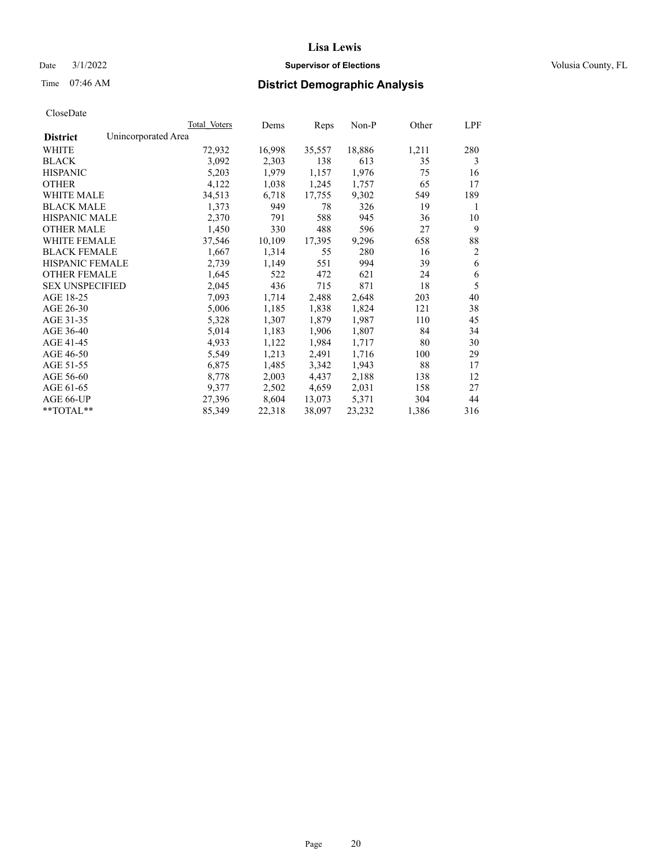## Date  $3/1/2022$  **Supervisor of Elections Supervisor of Elections** Volusia County, FL

# Time 07:46 AM **District Demographic Analysis**

|                        | Total Voters        | Dems   | Reps   | Non-P  | Other | LPF            |
|------------------------|---------------------|--------|--------|--------|-------|----------------|
| <b>District</b>        | Unincorporated Area |        |        |        |       |                |
| WHITE                  | 72,932              | 16,998 | 35,557 | 18,886 | 1,211 | 280            |
| <b>BLACK</b>           | 3,092               | 2,303  | 138    | 613    | 35    | 3              |
| <b>HISPANIC</b>        | 5,203               | 1,979  | 1,157  | 1,976  | 75    | 16             |
| <b>OTHER</b>           | 4,122               | 1,038  | 1,245  | 1,757  | 65    | 17             |
| WHITE MALE             | 34,513              | 6,718  | 17,755 | 9,302  | 549   | 189            |
| <b>BLACK MALE</b>      | 1,373               | 949    | 78     | 326    | 19    | 1              |
| <b>HISPANIC MALE</b>   | 2,370               | 791    | 588    | 945    | 36    | 10             |
| <b>OTHER MALE</b>      | 1,450               | 330    | 488    | 596    | 27    | 9              |
| WHITE FEMALE           | 37,546              | 10,109 | 17,395 | 9,296  | 658   | 88             |
| <b>BLACK FEMALE</b>    | 1,667               | 1,314  | 55     | 280    | 16    | $\overline{2}$ |
| <b>HISPANIC FEMALE</b> | 2,739               | 1,149  | 551    | 994    | 39    | 6              |
| <b>OTHER FEMALE</b>    | 1,645               | 522    | 472    | 621    | 24    | 6              |
| <b>SEX UNSPECIFIED</b> | 2,045               | 436    | 715    | 871    | 18    | 5              |
| AGE 18-25              | 7,093               | 1,714  | 2,488  | 2,648  | 203   | 40             |
| AGE 26-30              | 5,006               | 1,185  | 1,838  | 1,824  | 121   | 38             |
| AGE 31-35              | 5,328               | 1,307  | 1,879  | 1,987  | 110   | 45             |
| AGE 36-40              | 5,014               | 1,183  | 1,906  | 1,807  | 84    | 34             |
| AGE 41-45              | 4,933               | 1,122  | 1,984  | 1,717  | 80    | 30             |
| AGE 46-50              | 5,549               | 1,213  | 2,491  | 1,716  | 100   | 29             |
| AGE 51-55              | 6,875               | 1,485  | 3,342  | 1,943  | 88    | 17             |
| AGE 56-60              | 8,778               | 2,003  | 4,437  | 2,188  | 138   | 12             |
| AGE 61-65              | 9,377               | 2,502  | 4,659  | 2,031  | 158   | 27             |
| AGE 66-UP              | 27,396              | 8,604  | 13,073 | 5,371  | 304   | 44             |
| $*$ $TOTAL**$          | 85,349              | 22,318 | 38,097 | 23,232 | 1,386 | 316            |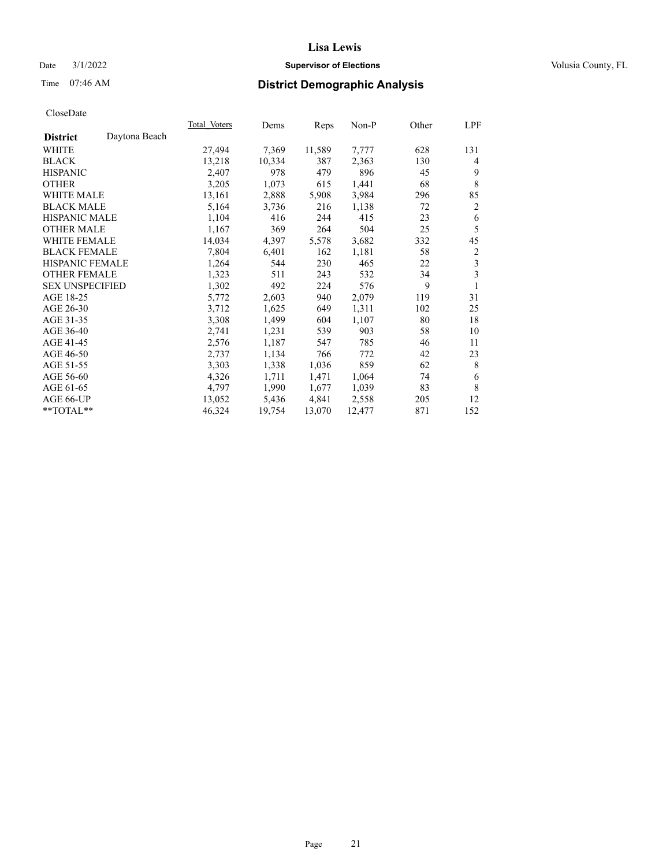## Date  $3/1/2022$  **Supervisor of Elections Supervisor of Elections** Volusia County, FL

## Time 07:46 AM **District Demographic Analysis**

|                        |               | Total Voters | Dems   | Reps   | Non-P  | Other | LPF |
|------------------------|---------------|--------------|--------|--------|--------|-------|-----|
| <b>District</b>        | Daytona Beach |              |        |        |        |       |     |
| WHITE                  |               | 27,494       | 7,369  | 11,589 | 7,777  | 628   | 131 |
| <b>BLACK</b>           |               | 13,218       | 10,334 | 387    | 2,363  | 130   | 4   |
| <b>HISPANIC</b>        |               | 2,407        | 978    | 479    | 896    | 45    | 9   |
| <b>OTHER</b>           |               | 3,205        | 1,073  | 615    | 1,441  | 68    | 8   |
| WHITE MALE             |               | 13,161       | 2,888  | 5,908  | 3,984  | 296   | 85  |
| <b>BLACK MALE</b>      |               | 5,164        | 3,736  | 216    | 1,138  | 72    | 2   |
| <b>HISPANIC MALE</b>   |               | 1,104        | 416    | 244    | 415    | 23    | 6   |
| <b>OTHER MALE</b>      |               | 1,167        | 369    | 264    | 504    | 25    | 5   |
| <b>WHITE FEMALE</b>    |               | 14,034       | 4,397  | 5,578  | 3,682  | 332   | 45  |
| <b>BLACK FEMALE</b>    |               | 7,804        | 6,401  | 162    | 1,181  | 58    | 2   |
| <b>HISPANIC FEMALE</b> |               | 1,264        | 544    | 230    | 465    | 22    | 3   |
| <b>OTHER FEMALE</b>    |               | 1,323        | 511    | 243    | 532    | 34    | 3   |
| <b>SEX UNSPECIFIED</b> |               | 1,302        | 492    | 224    | 576    | 9     | 1   |
| AGE 18-25              |               | 5,772        | 2,603  | 940    | 2,079  | 119   | 31  |
| AGE 26-30              |               | 3,712        | 1,625  | 649    | 1,311  | 102   | 25  |
| AGE 31-35              |               | 3,308        | 1,499  | 604    | 1,107  | 80    | 18  |
| AGE 36-40              |               | 2,741        | 1,231  | 539    | 903    | 58    | 10  |
| AGE 41-45              |               | 2,576        | 1,187  | 547    | 785    | 46    | 11  |
| AGE 46-50              |               | 2,737        | 1,134  | 766    | 772    | 42    | 23  |
| AGE 51-55              |               | 3,303        | 1,338  | 1,036  | 859    | 62    | 8   |
| AGE 56-60              |               | 4,326        | 1,711  | 1,471  | 1,064  | 74    | 6   |
| AGE 61-65              |               | 4,797        | 1,990  | 1,677  | 1,039  | 83    | 8   |
| AGE 66-UP              |               | 13,052       | 5,436  | 4,841  | 2,558  | 205   | 12  |
| $**TOTAL**$            |               | 46,324       | 19,754 | 13,070 | 12,477 | 871   | 152 |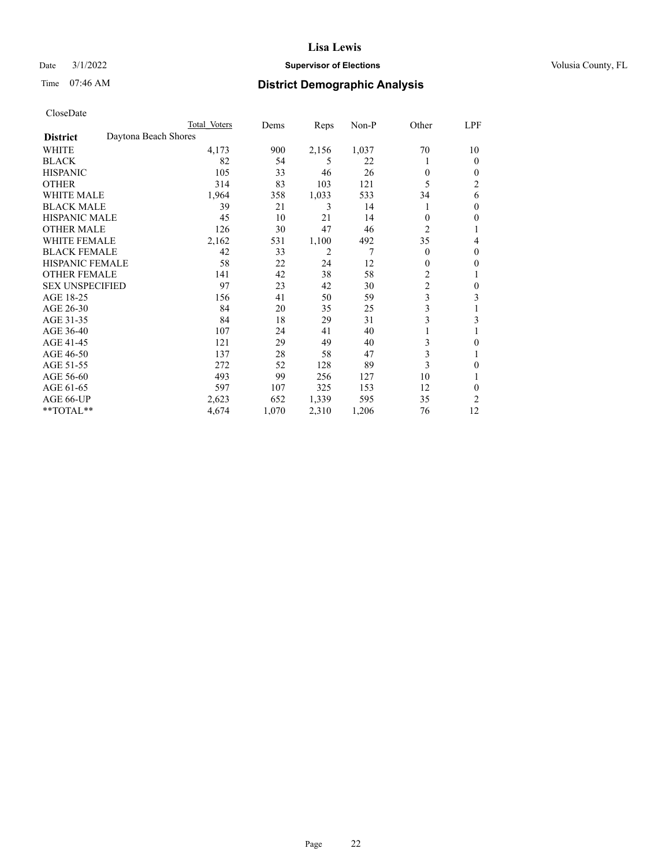## Date  $3/1/2022$  **Supervisor of Elections Supervisor of Elections** Volusia County, FL

# Time 07:46 AM **District Demographic Analysis**

|                                         | Total Voters | Dems  | Reps           | $Non-P$ | Other          | LPF |
|-----------------------------------------|--------------|-------|----------------|---------|----------------|-----|
| Daytona Beach Shores<br><b>District</b> |              |       |                |         |                |     |
| WHITE                                   | 4,173        | 900   | 2,156          | 1,037   | 70             | 10  |
| <b>BLACK</b>                            | 82           | 54    | 5              | 22      |                | 0   |
| <b>HISPANIC</b>                         | 105          | 33    | 46             | 26      | $\Omega$       | 0   |
| <b>OTHER</b>                            | 314          | 83    | 103            | 121     | 5              | 2   |
| <b>WHITE MALE</b>                       | 1,964        | 358   | 1,033          | 533     | 34             | 6   |
| <b>BLACK MALE</b>                       | 39           | 21    | 3              | 14      | 1              | 0   |
| <b>HISPANIC MALE</b>                    | 45           | 10    | 21             | 14      | 0              | 0   |
| <b>OTHER MALE</b>                       | 126          | 30    | 47             | 46      | $\overline{c}$ |     |
| WHITE FEMALE                            | 2,162        | 531   | 1,100          | 492     | 35             | 4   |
| <b>BLACK FEMALE</b>                     | 42           | 33    | $\overline{2}$ | 7       | $\theta$       | 0   |
| <b>HISPANIC FEMALE</b>                  | 58           | 22    | 24             | 12      | 0              | 0   |
| <b>OTHER FEMALE</b>                     | 141          | 42    | 38             | 58      | $\overline{c}$ |     |
| <b>SEX UNSPECIFIED</b>                  | 97           | 23    | 42             | 30      | $\overline{c}$ | 0   |
| AGE 18-25                               | 156          | 41    | 50             | 59      | 3              | 3   |
| AGE 26-30                               | 84           | 20    | 35             | 25      | $\mathfrak{Z}$ | 1   |
| AGE 31-35                               | 84           | 18    | 29             | 31      | 3              | 3   |
| AGE 36-40                               | 107          | 24    | 41             | 40      |                |     |
| AGE 41-45                               | 121          | 29    | 49             | 40      | 3              | 0   |
| AGE 46-50                               | 137          | 28    | 58             | 47      | 3              |     |
| AGE 51-55                               | 272          | 52    | 128            | 89      | 3              | 0   |
| AGE 56-60                               | 493          | 99    | 256            | 127     | 10             |     |
| AGE 61-65                               | 597          | 107   | 325            | 153     | 12             | 0   |
| AGE 66-UP                               | 2,623        | 652   | 1,339          | 595     | 35             | 2   |
| **TOTAL**                               | 4,674        | 1,070 | 2,310          | 1,206   | 76             | 12  |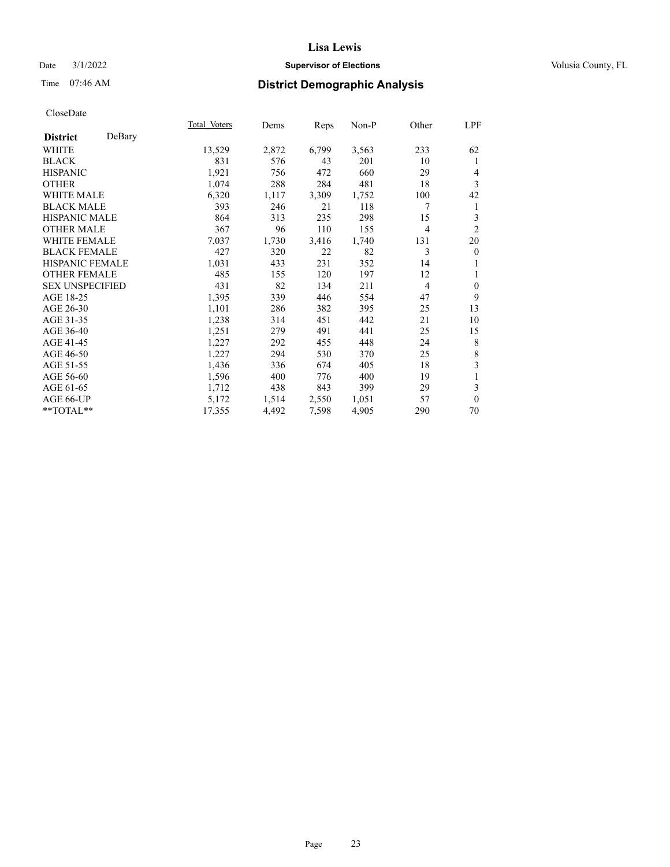## Date  $3/1/2022$  **Supervisor of Elections Supervisor of Elections** Volusia County, FL

# Time 07:46 AM **District Demographic Analysis**

|                        |        | Total Voters | Dems  | Reps  | $Non-P$ | Other | LPF            |
|------------------------|--------|--------------|-------|-------|---------|-------|----------------|
| <b>District</b>        | DeBary |              |       |       |         |       |                |
| WHITE                  |        | 13,529       | 2,872 | 6,799 | 3,563   | 233   | 62             |
| <b>BLACK</b>           |        | 831          | 576   | 43    | 201     | 10    | 1              |
| <b>HISPANIC</b>        |        | 1,921        | 756   | 472   | 660     | 29    | 4              |
| <b>OTHER</b>           |        | 1,074        | 288   | 284   | 481     | 18    | 3              |
| WHITE MALE             |        | 6,320        | 1,117 | 3,309 | 1,752   | 100   | 42             |
| <b>BLACK MALE</b>      |        | 393          | 246   | 21    | 118     | 7     | 1              |
| <b>HISPANIC MALE</b>   |        | 864          | 313   | 235   | 298     | 15    | 3              |
| <b>OTHER MALE</b>      |        | 367          | 96    | 110   | 155     | 4     | $\overline{2}$ |
| WHITE FEMALE           |        | 7,037        | 1,730 | 3,416 | 1,740   | 131   | 20             |
| <b>BLACK FEMALE</b>    |        | 427          | 320   | 22    | 82      | 3     | $\mathbf{0}$   |
| HISPANIC FEMALE        |        | 1,031        | 433   | 231   | 352     | 14    | 1              |
| <b>OTHER FEMALE</b>    |        | 485          | 155   | 120   | 197     | 12    | 1              |
| <b>SEX UNSPECIFIED</b> |        | 431          | 82    | 134   | 211     | 4     | $\mathbf{0}$   |
| AGE 18-25              |        | 1,395        | 339   | 446   | 554     | 47    | 9              |
| AGE 26-30              |        | 1,101        | 286   | 382   | 395     | 25    | 13             |
| AGE 31-35              |        | 1,238        | 314   | 451   | 442     | 21    | 10             |
| AGE 36-40              |        | 1,251        | 279   | 491   | 441     | 25    | 15             |
| AGE 41-45              |        | 1,227        | 292   | 455   | 448     | 24    | 8              |
| AGE 46-50              |        | 1,227        | 294   | 530   | 370     | 25    | 8              |
| AGE 51-55              |        | 1,436        | 336   | 674   | 405     | 18    | 3              |
| AGE 56-60              |        | 1,596        | 400   | 776   | 400     | 19    | 1              |
| AGE 61-65              |        | 1,712        | 438   | 843   | 399     | 29    | 3              |
| AGE 66-UP              |        | 5,172        | 1,514 | 2,550 | 1,051   | 57    | $\Omega$       |
| $*$ TOTAL $**$         |        | 17,355       | 4,492 | 7,598 | 4,905   | 290   | 70             |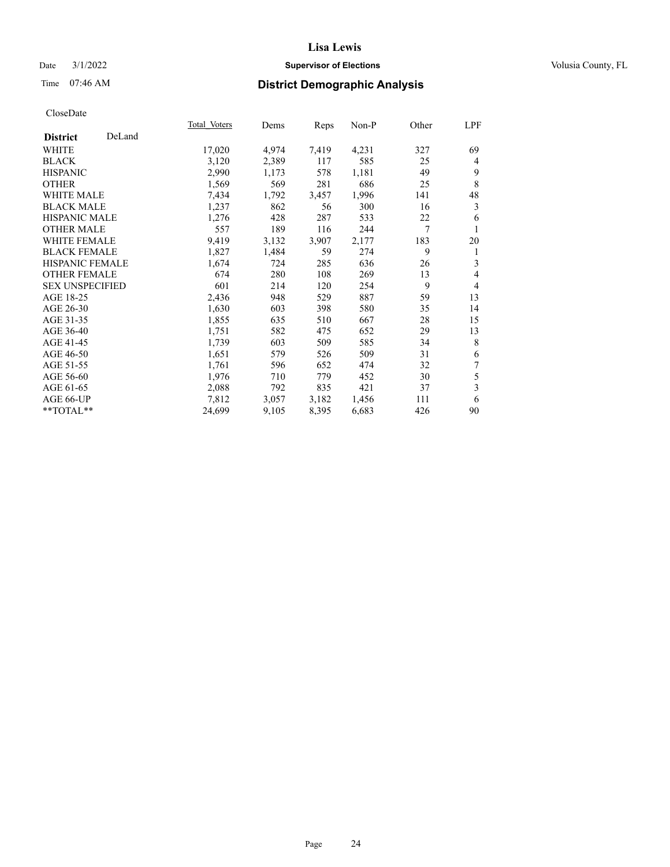## Date  $3/1/2022$  **Supervisor of Elections Supervisor of Elections** Volusia County, FL

## Time 07:46 AM **District Demographic Analysis**

|                           | Total Voters | Dems  | Reps  | Non-P | Other | LPF            |
|---------------------------|--------------|-------|-------|-------|-------|----------------|
| DeLand<br><b>District</b> |              |       |       |       |       |                |
| WHITE                     | 17,020       | 4,974 | 7,419 | 4,231 | 327   | 69             |
| <b>BLACK</b>              | 3,120        | 2,389 | 117   | 585   | 25    | 4              |
| <b>HISPANIC</b>           | 2,990        | 1,173 | 578   | 1,181 | 49    | 9              |
| <b>OTHER</b>              | 1,569        | 569   | 281   | 686   | 25    | 8              |
| WHITE MALE                | 7,434        | 1,792 | 3,457 | 1,996 | 141   | 48             |
| <b>BLACK MALE</b>         | 1,237        | 862   | 56    | 300   | 16    | 3              |
| HISPANIC MALE             | 1,276        | 428   | 287   | 533   | 22    | 6              |
| <b>OTHER MALE</b>         | 557          | 189   | 116   | 244   | 7     |                |
| <b>WHITE FEMALE</b>       | 9,419        | 3,132 | 3,907 | 2,177 | 183   | 20             |
| <b>BLACK FEMALE</b>       | 1,827        | 1,484 | 59    | 274   | 9     | 1              |
| <b>HISPANIC FEMALE</b>    | 1,674        | 724   | 285   | 636   | 26    | 3              |
| <b>OTHER FEMALE</b>       | 674          | 280   | 108   | 269   | 13    | 4              |
| <b>SEX UNSPECIFIED</b>    | 601          | 214   | 120   | 254   | 9     | $\overline{4}$ |
| AGE 18-25                 | 2,436        | 948   | 529   | 887   | 59    | 13             |
| AGE 26-30                 | 1,630        | 603   | 398   | 580   | 35    | 14             |
| AGE 31-35                 | 1,855        | 635   | 510   | 667   | 28    | 15             |
| AGE 36-40                 | 1,751        | 582   | 475   | 652   | 29    | 13             |
| AGE 41-45                 | 1,739        | 603   | 509   | 585   | 34    | 8              |
| AGE 46-50                 | 1,651        | 579   | 526   | 509   | 31    | 6              |
| AGE 51-55                 | 1,761        | 596   | 652   | 474   | 32    | 7              |
| AGE 56-60                 | 1,976        | 710   | 779   | 452   | 30    | 5              |
| AGE 61-65                 | 2,088        | 792   | 835   | 421   | 37    | 3              |
| AGE 66-UP                 | 7,812        | 3,057 | 3,182 | 1,456 | 111   | 6              |
| $*$ TOTAL $*$             | 24,699       | 9,105 | 8,395 | 6,683 | 426   | 90             |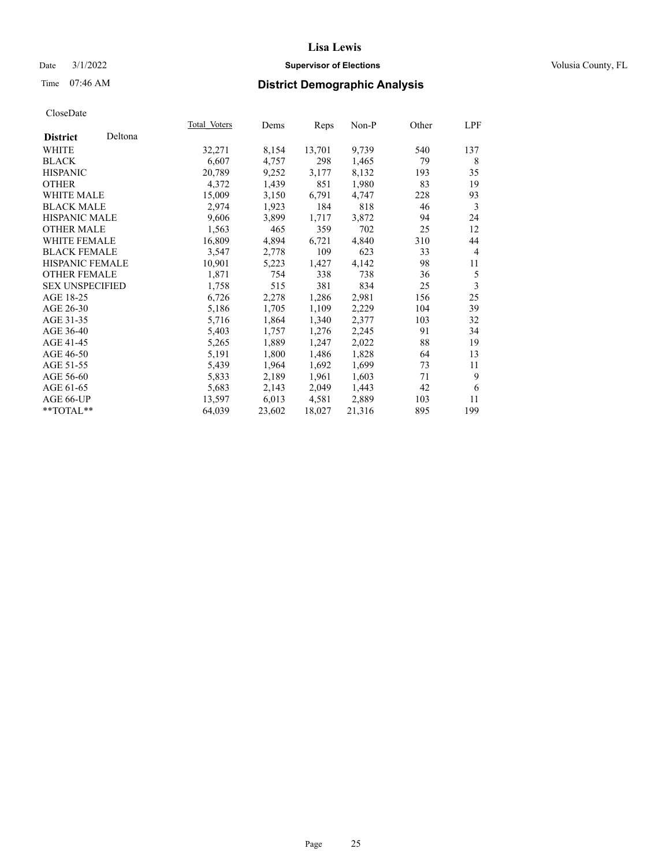## Date  $3/1/2022$  **Supervisor of Elections Supervisor of Elections** Volusia County, FL

| CloseDate |
|-----------|
|-----------|

|                        |         | Total Voters | Dems   | Reps   | $Non-P$ | Other | LPF            |
|------------------------|---------|--------------|--------|--------|---------|-------|----------------|
| <b>District</b>        | Deltona |              |        |        |         |       |                |
| WHITE                  |         | 32,271       | 8,154  | 13,701 | 9,739   | 540   | 137            |
| <b>BLACK</b>           |         | 6,607        | 4,757  | 298    | 1,465   | 79    | 8              |
| <b>HISPANIC</b>        |         | 20,789       | 9,252  | 3,177  | 8,132   | 193   | 35             |
| OTHER                  |         | 4,372        | 1,439  | 851    | 1,980   | 83    | 19             |
| WHITE MALE             |         | 15,009       | 3,150  | 6,791  | 4,747   | 228   | 93             |
| <b>BLACK MALE</b>      |         | 2,974        | 1,923  | 184    | 818     | 46    | 3              |
| <b>HISPANIC MALE</b>   |         | 9,606        | 3,899  | 1,717  | 3,872   | 94    | 24             |
| OTHER MALE             |         | 1,563        | 465    | 359    | 702     | 25    | 12             |
| <b>WHITE FEMALE</b>    |         | 16,809       | 4,894  | 6,721  | 4,840   | 310   | 44             |
| <b>BLACK FEMALE</b>    |         | 3,547        | 2,778  | 109    | 623     | 33    | $\overline{4}$ |
| <b>HISPANIC FEMALE</b> |         | 10,901       | 5,223  | 1,427  | 4,142   | 98    | 11             |
| <b>OTHER FEMALE</b>    |         | 1,871        | 754    | 338    | 738     | 36    | 5              |
| <b>SEX UNSPECIFIED</b> |         | 1,758        | 515    | 381    | 834     | 25    | 3              |
| AGE 18-25              |         | 6,726        | 2,278  | 1,286  | 2,981   | 156   | 25             |
| AGE 26-30              |         | 5,186        | 1,705  | 1,109  | 2,229   | 104   | 39             |
| AGE 31-35              |         | 5,716        | 1,864  | 1,340  | 2,377   | 103   | 32             |
| AGE 36-40              |         | 5,403        | 1,757  | 1,276  | 2,245   | 91    | 34             |
| AGE 41-45              |         | 5,265        | 1,889  | 1,247  | 2,022   | 88    | 19             |
| AGE 46-50              |         | 5,191        | 1,800  | 1,486  | 1,828   | 64    | 13             |
| AGE 51-55              |         | 5,439        | 1,964  | 1,692  | 1,699   | 73    | 11             |
| AGE 56-60              |         | 5,833        | 2,189  | 1,961  | 1,603   | 71    | 9              |
| AGE 61-65              |         | 5,683        | 2,143  | 2,049  | 1,443   | 42    | 6              |
| AGE 66-UP              |         | 13,597       | 6,013  | 4,581  | 2,889   | 103   | 11             |
| **TOTAL**              |         | 64,039       | 23,602 | 18,027 | 21,316  | 895   | 199            |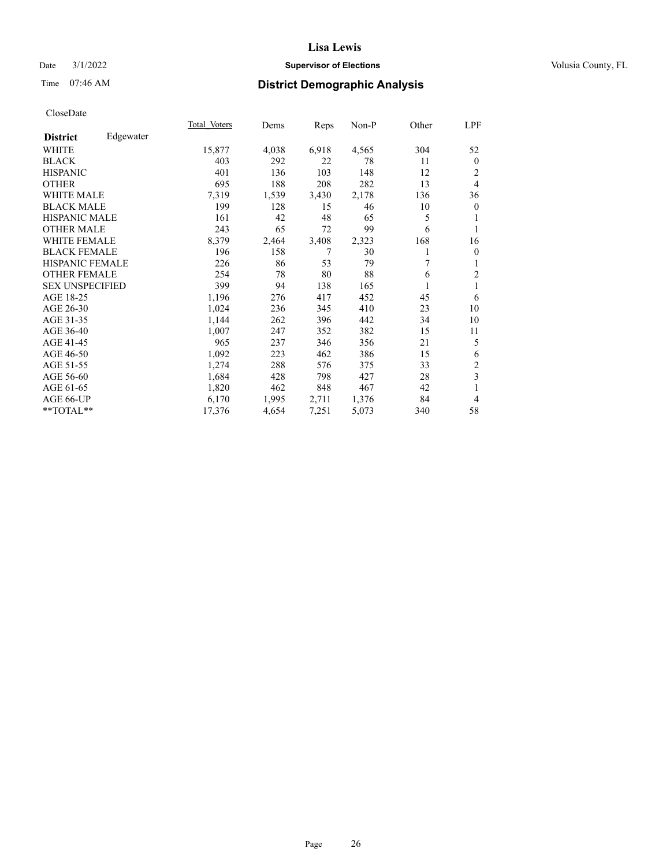## Date  $3/1/2022$  **Supervisor of Elections Supervisor of Elections** Volusia County, FL

## Time 07:46 AM **District Demographic Analysis**

|                        |           | Total Voters | Dems  | Reps  | Non-P | Other | LPF            |
|------------------------|-----------|--------------|-------|-------|-------|-------|----------------|
| <b>District</b>        | Edgewater |              |       |       |       |       |                |
| WHITE                  |           | 15,877       | 4,038 | 6,918 | 4,565 | 304   | 52             |
| <b>BLACK</b>           |           | 403          | 292   | 22    | 78    | 11    | $\mathbf{0}$   |
| <b>HISPANIC</b>        |           | 401          | 136   | 103   | 148   | 12    | 2              |
| <b>OTHER</b>           |           | 695          | 188   | 208   | 282   | 13    | $\overline{4}$ |
| WHITE MALE             |           | 7,319        | 1,539 | 3,430 | 2,178 | 136   | 36             |
| <b>BLACK MALE</b>      |           | 199          | 128   | 15    | 46    | 10    | $\theta$       |
| <b>HISPANIC MALE</b>   |           | 161          | 42    | 48    | 65    | 5     |                |
| <b>OTHER MALE</b>      |           | 243          | 65    | 72    | 99    | 6     | 1              |
| WHITE FEMALE           |           | 8,379        | 2,464 | 3,408 | 2,323 | 168   | 16             |
| <b>BLACK FEMALE</b>    |           | 196          | 158   | 7     | 30    |       | $\mathbf{0}$   |
| <b>HISPANIC FEMALE</b> |           | 226          | 86    | 53    | 79    | 7     | 1              |
| <b>OTHER FEMALE</b>    |           | 254          | 78    | 80    | 88    | 6     | 2              |
| <b>SEX UNSPECIFIED</b> |           | 399          | 94    | 138   | 165   |       | 1              |
| AGE 18-25              |           | 1,196        | 276   | 417   | 452   | 45    | 6              |
| AGE 26-30              |           | 1,024        | 236   | 345   | 410   | 23    | 10             |
| AGE 31-35              |           | 1,144        | 262   | 396   | 442   | 34    | 10             |
| AGE 36-40              |           | 1,007        | 247   | 352   | 382   | 15    | 11             |
| AGE 41-45              |           | 965          | 237   | 346   | 356   | 21    | 5              |
| AGE 46-50              |           | 1,092        | 223   | 462   | 386   | 15    | 6              |
| AGE 51-55              |           | 1,274        | 288   | 576   | 375   | 33    | $\overline{c}$ |
| AGE 56-60              |           | 1,684        | 428   | 798   | 427   | 28    | 3              |
| AGE 61-65              |           | 1,820        | 462   | 848   | 467   | 42    | 1              |
| AGE 66-UP              |           | 6,170        | 1,995 | 2,711 | 1,376 | 84    | $\overline{4}$ |
| $*$ $TOTAL**$          |           | 17,376       | 4,654 | 7,251 | 5,073 | 340   | 58             |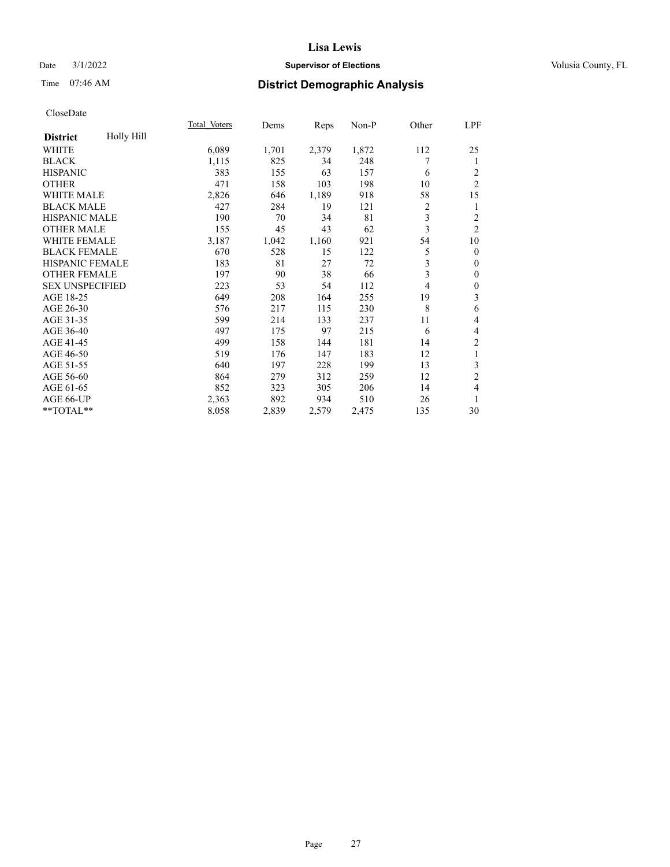## Date  $3/1/2022$  **Supervisor of Elections Supervisor of Elections** Volusia County, FL

## Time 07:46 AM **District Demographic Analysis**

|                        |            | Total Voters | Dems  | Reps  | Non-P | Other          | LPF              |
|------------------------|------------|--------------|-------|-------|-------|----------------|------------------|
| <b>District</b>        | Holly Hill |              |       |       |       |                |                  |
| WHITE                  |            | 6,089        | 1,701 | 2,379 | 1,872 | 112            | 25               |
| <b>BLACK</b>           |            | 1,115        | 825   | 34    | 248   | 7              | 1                |
| <b>HISPANIC</b>        |            | 383          | 155   | 63    | 157   | 6              | 2                |
| <b>OTHER</b>           |            | 471          | 158   | 103   | 198   | 10             | $\overline{2}$   |
| <b>WHITE MALE</b>      |            | 2,826        | 646   | 1,189 | 918   | 58             | 15               |
| <b>BLACK MALE</b>      |            | 427          | 284   | 19    | 121   | 2              | 1                |
| <b>HISPANIC MALE</b>   |            | 190          | 70    | 34    | 81    | 3              | $\overline{c}$   |
| <b>OTHER MALE</b>      |            | 155          | 45    | 43    | 62    | 3              | $\overline{2}$   |
| WHITE FEMALE           |            | 3,187        | 1,042 | 1,160 | 921   | 54             | 10               |
| <b>BLACK FEMALE</b>    |            | 670          | 528   | 15    | 122   | 5              | $\mathbf{0}$     |
| <b>HISPANIC FEMALE</b> |            | 183          | 81    | 27    | 72    | 3              | $\mathbf{0}$     |
| <b>OTHER FEMALE</b>    |            | 197          | 90    | 38    | 66    | $\overline{3}$ | $\mathbf{0}$     |
| <b>SEX UNSPECIFIED</b> |            | 223          | 53    | 54    | 112   | 4              | $\boldsymbol{0}$ |
| AGE 18-25              |            | 649          | 208   | 164   | 255   | 19             | 3                |
| AGE 26-30              |            | 576          | 217   | 115   | 230   | 8              | 6                |
| AGE 31-35              |            | 599          | 214   | 133   | 237   | 11             | 4                |
| AGE 36-40              |            | 497          | 175   | 97    | 215   | 6              | 4                |
| AGE 41-45              |            | 499          | 158   | 144   | 181   | 14             | $\overline{c}$   |
| AGE 46-50              |            | 519          | 176   | 147   | 183   | 12             | 1                |
| AGE 51-55              |            | 640          | 197   | 228   | 199   | 13             | 3                |
| AGE 56-60              |            | 864          | 279   | 312   | 259   | 12             | $\overline{2}$   |
| AGE 61-65              |            | 852          | 323   | 305   | 206   | 14             | 4                |
| AGE 66-UP              |            | 2,363        | 892   | 934   | 510   | 26             | 1                |
| **TOTAL**              |            | 8,058        | 2,839 | 2,579 | 2,475 | 135            | 30               |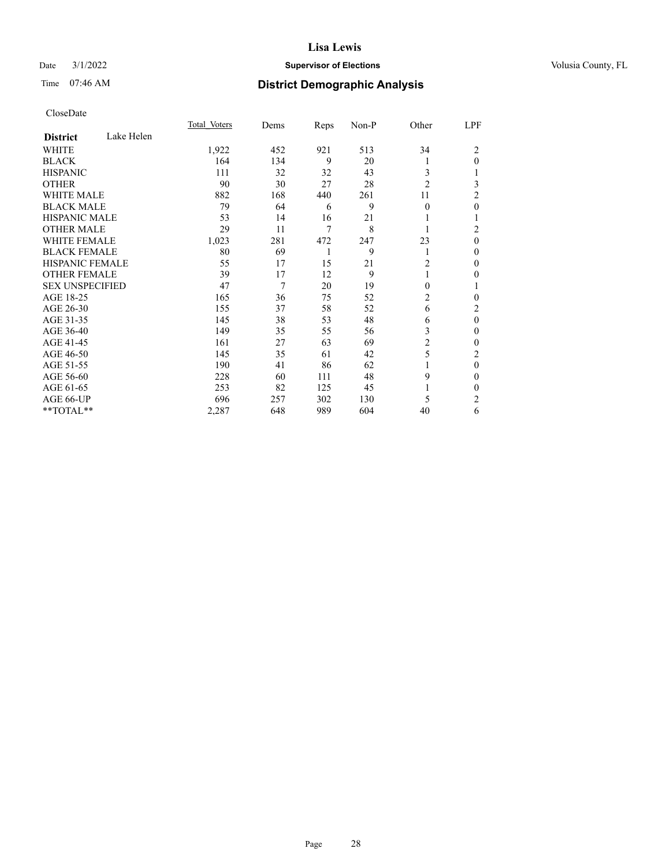### Date  $3/1/2022$  **Supervisor of Elections** Volusia County, FL

## Time 07:46 AM **District Demographic Analysis**

|                               | Total Voters | Dems | Reps | Non-P | Other          | LPF            |
|-------------------------------|--------------|------|------|-------|----------------|----------------|
| Lake Helen<br><b>District</b> |              |      |      |       |                |                |
| WHITE                         | 1,922        | 452  | 921  | 513   | 34             | 2              |
| <b>BLACK</b>                  | 164          | 134  | 9    | 20    | 1              | $\mathbf{0}$   |
| <b>HISPANIC</b>               | 111          | 32   | 32   | 43    | 3              |                |
| <b>OTHER</b>                  | 90           | 30   | 27   | 28    | $\overline{2}$ | 3              |
| <b>WHITE MALE</b>             | 882          | 168  | 440  | 261   | 11             | 2              |
| <b>BLACK MALE</b>             | 79           | 64   | 6    | 9     | $\theta$       | 0              |
| <b>HISPANIC MALE</b>          | 53           | 14   | 16   | 21    | 1              |                |
| <b>OTHER MALE</b>             | 29           | 11   | 7    | 8     | 1              | 2              |
| <b>WHITE FEMALE</b>           | 1,023        | 281  | 472  | 247   | 23             | $\theta$       |
| <b>BLACK FEMALE</b>           | 80           | 69   | 1    | 9     | 1              | 0              |
| <b>HISPANIC FEMALE</b>        | 55           | 17   | 15   | 21    | $\overline{2}$ | 0              |
| <b>OTHER FEMALE</b>           | 39           | 17   | 12   | 9     | 1              | 0              |
| <b>SEX UNSPECIFIED</b>        | 47           | 7    | 20   | 19    | $\theta$       |                |
| AGE 18-25                     | 165          | 36   | 75   | 52    | 2              | 0              |
| AGE 26-30                     | 155          | 37   | 58   | 52    | 6              | 2              |
| AGE 31-35                     | 145          | 38   | 53   | 48    | 6              | $\theta$       |
| AGE 36-40                     | 149          | 35   | 55   | 56    | 3              | 0              |
| AGE 41-45                     | 161          | 27   | 63   | 69    | $\overline{c}$ | 0              |
| AGE 46-50                     | 145          | 35   | 61   | 42    | 5              | $\overline{c}$ |
| AGE 51-55                     | 190          | 41   | 86   | 62    | 1              | $\mathbf{0}$   |
| AGE 56-60                     | 228          | 60   | 111  | 48    | 9              | 0              |
| AGE 61-65                     | 253          | 82   | 125  | 45    |                | 0              |
| AGE 66-UP                     | 696          | 257  | 302  | 130   | 5              | 2              |
| **TOTAL**                     | 2,287        | 648  | 989  | 604   | 40             | 6              |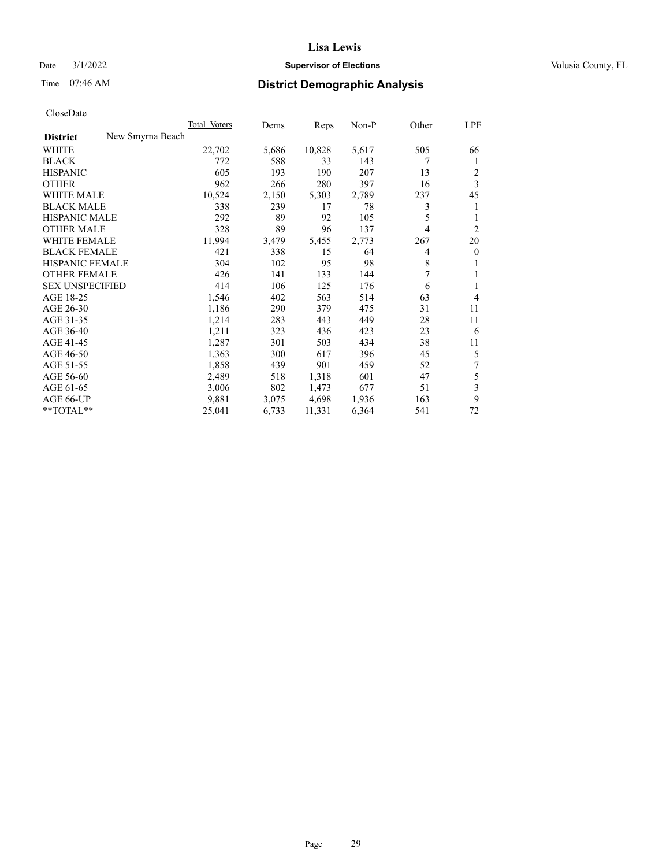## Date  $3/1/2022$  **Supervisor of Elections Supervisor of Elections** Volusia County, FL

# Time 07:46 AM **District Demographic Analysis**

|                                     | Total Voters | Dems  | Reps   | $Non-P$ | Other | LPF                     |
|-------------------------------------|--------------|-------|--------|---------|-------|-------------------------|
| New Smyrna Beach<br><b>District</b> |              |       |        |         |       |                         |
| WHITE                               | 22,702       | 5,686 | 10,828 | 5,617   | 505   | 66                      |
| <b>BLACK</b>                        | 772          | 588   | 33     | 143     | 7     | 1                       |
| <b>HISPANIC</b>                     | 605          | 193   | 190    | 207     | 13    | 2                       |
| <b>OTHER</b>                        | 962          | 266   | 280    | 397     | 16    | $\overline{\mathbf{3}}$ |
| <b>WHITE MALE</b>                   | 10,524       | 2,150 | 5,303  | 2,789   | 237   | 45                      |
| <b>BLACK MALE</b>                   | 338          | 239   | 17     | 78      | 3     | 1                       |
| <b>HISPANIC MALE</b>                | 292          | 89    | 92     | 105     | 5     | 1                       |
| <b>OTHER MALE</b>                   | 328          | 89    | 96     | 137     | 4     | $\overline{2}$          |
| <b>WHITE FEMALE</b>                 | 11,994       | 3,479 | 5,455  | 2,773   | 267   | 20                      |
| <b>BLACK FEMALE</b>                 | 421          | 338   | 15     | 64      | 4     | $\overline{0}$          |
| HISPANIC FEMALE                     | 304          | 102   | 95     | 98      | 8     | 1                       |
| <b>OTHER FEMALE</b>                 | 426          | 141   | 133    | 144     | 7     | 1                       |
| <b>SEX UNSPECIFIED</b>              | 414          | 106   | 125    | 176     | 6     | 1                       |
| AGE 18-25                           | 1,546        | 402   | 563    | 514     | 63    | 4                       |
| AGE 26-30                           | 1,186        | 290   | 379    | 475     | 31    | 11                      |
| AGE 31-35                           | 1,214        | 283   | 443    | 449     | 28    | 11                      |
| AGE 36-40                           | 1,211        | 323   | 436    | 423     | 23    | 6                       |
| AGE 41-45                           | 1,287        | 301   | 503    | 434     | 38    | 11                      |
| AGE 46-50                           | 1,363        | 300   | 617    | 396     | 45    | 5                       |
| AGE 51-55                           | 1,858        | 439   | 901    | 459     | 52    | 7                       |
| AGE 56-60                           | 2,489        | 518   | 1,318  | 601     | 47    | 5                       |
| AGE 61-65                           | 3,006        | 802   | 1,473  | 677     | 51    | 3                       |
| AGE 66-UP                           | 9,881        | 3,075 | 4,698  | 1,936   | 163   | 9                       |
| **TOTAL**                           | 25,041       | 6,733 | 11,331 | 6,364   | 541   | 72                      |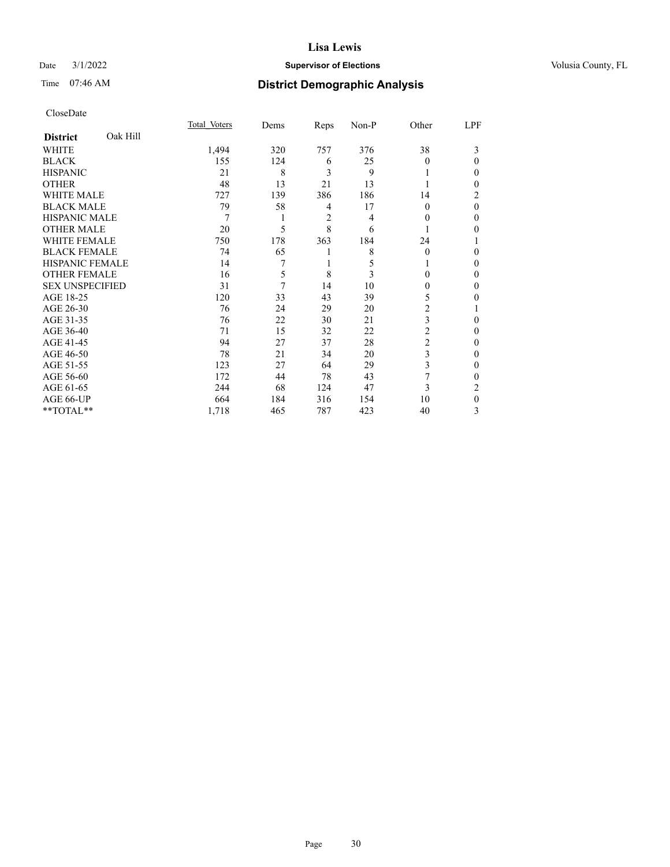### Date  $3/1/2022$  **Supervisor of Elections** Volusia County, FL

## Time 07:46 AM **District Demographic Analysis**

|                        |          | Total Voters | Dems | Reps | Non-P | Other    | LPF      |
|------------------------|----------|--------------|------|------|-------|----------|----------|
| <b>District</b>        | Oak Hill |              |      |      |       |          |          |
| WHITE                  |          | 1,494        | 320  | 757  | 376   | 38       | 3        |
| <b>BLACK</b>           |          | 155          | 124  | 6    | 25    | 0        | 0        |
| <b>HISPANIC</b>        |          | 21           | 8    | 3    | 9     |          | 0        |
| <b>OTHER</b>           |          | 48           | 13   | 21   | 13    |          | 0        |
| WHITE MALE             |          | 727          | 139  | 386  | 186   | 14       | 2        |
| <b>BLACK MALE</b>      |          | 79           | 58   | 4    | 17    | $\Omega$ | $\theta$ |
| <b>HISPANIC MALE</b>   |          | 7            |      | 2    | 4     | $\Omega$ | 0        |
| <b>OTHER MALE</b>      |          | 20           | 5    | 8    | 6     | 1        | 0        |
| WHITE FEMALE           |          | 750          | 178  | 363  | 184   | 24       |          |
| <b>BLACK FEMALE</b>    |          | 74           | 65   | 1    | 8     | $\Omega$ | 0        |
| <b>HISPANIC FEMALE</b> |          | 14           | 7    | 1    | 5     | L        | 0        |
| <b>OTHER FEMALE</b>    |          | 16           | 5    | 8    | 3     | 0        | 0        |
| <b>SEX UNSPECIFIED</b> |          | 31           | 7    | 14   | 10    | $\Omega$ | 0        |
| AGE 18-25              |          | 120          | 33   | 43   | 39    | 5        | 0        |
| AGE 26-30              |          | 76           | 24   | 29   | 20    | 2        |          |
| AGE 31-35              |          | 76           | 22   | 30   | 21    | 3        | 0        |
| AGE 36-40              |          | 71           | 15   | 32   | 22    | 2        | 0        |
| AGE 41-45              |          | 94           | 27   | 37   | 28    | 2        | 0        |
| AGE 46-50              |          | 78           | 21   | 34   | 20    | 3        | 0        |
| AGE 51-55              |          | 123          | 27   | 64   | 29    | 3        | $\Omega$ |
| AGE 56-60              |          | 172          | 44   | 78   | 43    | 7        | 0        |
| AGE 61-65              |          | 244          | 68   | 124  | 47    | 3        | 2        |
| AGE 66-UP              |          | 664          | 184  | 316  | 154   | 10       | $\theta$ |
| **TOTAL**              |          | 1,718        | 465  | 787  | 423   | 40       | 3        |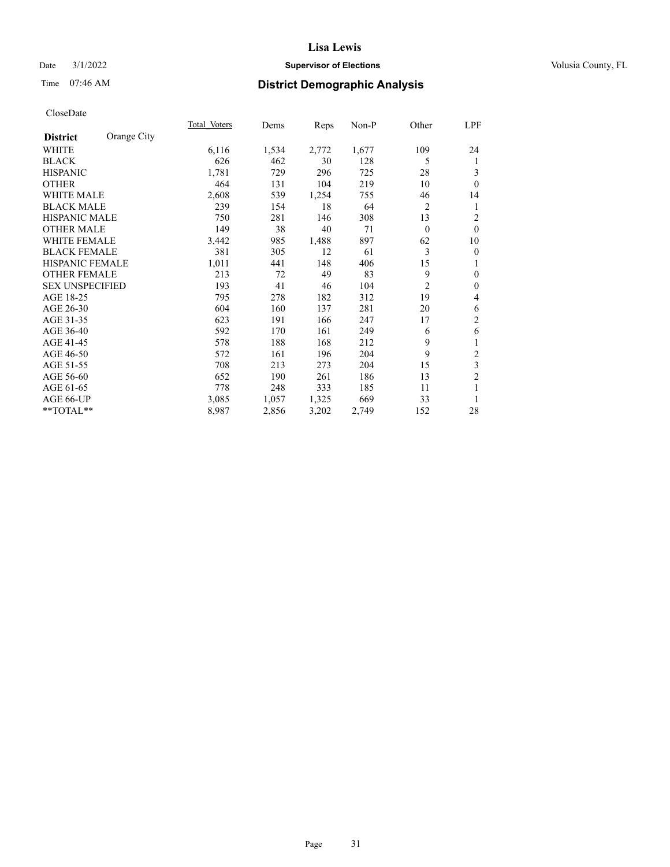## Date  $3/1/2022$  **Supervisor of Elections Supervisor of Elections** Volusia County, FL

## Time 07:46 AM **District Demographic Analysis**

|                        |             | Total Voters | Dems  | Reps  | Non-P | Other          | LPF            |
|------------------------|-------------|--------------|-------|-------|-------|----------------|----------------|
| <b>District</b>        | Orange City |              |       |       |       |                |                |
| <b>WHITE</b>           |             | 6,116        | 1,534 | 2,772 | 1,677 | 109            | 24             |
| <b>BLACK</b>           |             | 626          | 462   | 30    | 128   | 5              | 1              |
| <b>HISPANIC</b>        |             | 1,781        | 729   | 296   | 725   | 28             | 3              |
| <b>OTHER</b>           |             | 464          | 131   | 104   | 219   | 10             | $\theta$       |
| WHITE MALE             |             | 2,608        | 539   | 1,254 | 755   | 46             | 14             |
| <b>BLACK MALE</b>      |             | 239          | 154   | 18    | 64    | $\overline{2}$ | 1              |
| <b>HISPANIC MALE</b>   |             | 750          | 281   | 146   | 308   | 13             | $\overline{c}$ |
| <b>OTHER MALE</b>      |             | 149          | 38    | 40    | 71    | $\theta$       | $\theta$       |
| WHITE FEMALE           |             | 3,442        | 985   | 1,488 | 897   | 62             | 10             |
| <b>BLACK FEMALE</b>    |             | 381          | 305   | 12    | 61    | 3              | $\overline{0}$ |
| <b>HISPANIC FEMALE</b> |             | 1,011        | 441   | 148   | 406   | 15             | 1              |
| <b>OTHER FEMALE</b>    |             | 213          | 72    | 49    | 83    | 9              | $\mathbf{0}$   |
| <b>SEX UNSPECIFIED</b> |             | 193          | 41    | 46    | 104   | $\overline{c}$ | $\mathbf{0}$   |
| AGE 18-25              |             | 795          | 278   | 182   | 312   | 19             | 4              |
| AGE 26-30              |             | 604          | 160   | 137   | 281   | 20             | 6              |
| AGE 31-35              |             | 623          | 191   | 166   | 247   | 17             | $\overline{2}$ |
| AGE 36-40              |             | 592          | 170   | 161   | 249   | 6              | 6              |
| AGE 41-45              |             | 578          | 188   | 168   | 212   | 9              | 1              |
| AGE 46-50              |             | 572          | 161   | 196   | 204   | 9              | $\overline{2}$ |
| AGE 51-55              |             | 708          | 213   | 273   | 204   | 15             | 3              |
| AGE 56-60              |             | 652          | 190   | 261   | 186   | 13             | $\overline{c}$ |
| AGE 61-65              |             | 778          | 248   | 333   | 185   | 11             | 1              |
| AGE 66-UP              |             | 3,085        | 1,057 | 1,325 | 669   | 33             | 1              |
| **TOTAL**              |             | 8,987        | 2,856 | 3,202 | 2,749 | 152            | 28             |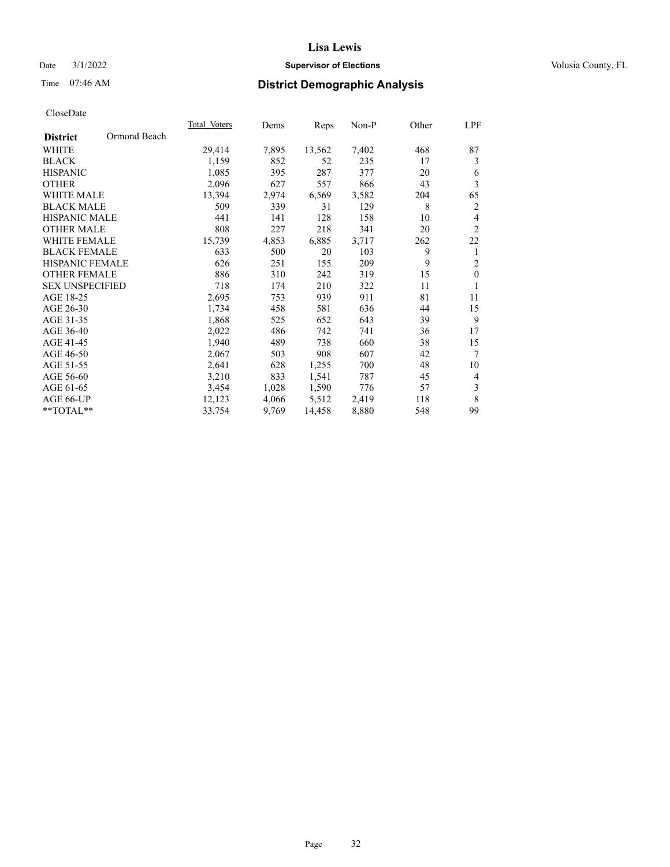## Date  $3/1/2022$  **Supervisor of Elections Supervisor of Elections** Volusia County, FL

## Time 07:46 AM **District Demographic Analysis**

|                        |              | Total Voters | Dems  | Reps   | Non-P | Other | LPF            |
|------------------------|--------------|--------------|-------|--------|-------|-------|----------------|
| <b>District</b>        | Ormond Beach |              |       |        |       |       |                |
| WHITE                  |              | 29,414       | 7,895 | 13,562 | 7,402 | 468   | 87             |
| <b>BLACK</b>           |              | 1,159        | 852   | 52     | 235   | 17    | 3              |
| <b>HISPANIC</b>        |              | 1,085        | 395   | 287    | 377   | 20    | 6              |
| <b>OTHER</b>           |              | 2,096        | 627   | 557    | 866   | 43    | 3              |
| WHITE MALE             |              | 13,394       | 2,974 | 6,569  | 3,582 | 204   | 65             |
| <b>BLACK MALE</b>      |              | 509          | 339   | 31     | 129   | 8     | $\overline{2}$ |
| <b>HISPANIC MALE</b>   |              | 441          | 141   | 128    | 158   | 10    | $\overline{4}$ |
| <b>OTHER MALE</b>      |              | 808          | 227   | 218    | 341   | 20    | $\overline{2}$ |
| <b>WHITE FEMALE</b>    |              | 15,739       | 4,853 | 6,885  | 3,717 | 262   | 22             |
| <b>BLACK FEMALE</b>    |              | 633          | 500   | 20     | 103   | 9     | 1              |
| HISPANIC FEMALE        |              | 626          | 251   | 155    | 209   | 9     | $\overline{2}$ |
| <b>OTHER FEMALE</b>    |              | 886          | 310   | 242    | 319   | 15    | $\theta$       |
| <b>SEX UNSPECIFIED</b> |              | 718          | 174   | 210    | 322   | 11    | 1              |
| AGE 18-25              |              | 2,695        | 753   | 939    | 911   | 81    | 11             |
| AGE 26-30              |              | 1,734        | 458   | 581    | 636   | 44    | 15             |
| AGE 31-35              |              | 1,868        | 525   | 652    | 643   | 39    | 9              |
| AGE 36-40              |              | 2,022        | 486   | 742    | 741   | 36    | 17             |
| AGE 41-45              |              | 1,940        | 489   | 738    | 660   | 38    | 15             |
| AGE 46-50              |              | 2,067        | 503   | 908    | 607   | 42    | 7              |
| AGE 51-55              |              | 2,641        | 628   | 1,255  | 700   | 48    | 10             |
| AGE 56-60              |              | 3,210        | 833   | 1,541  | 787   | 45    | 4              |
| AGE 61-65              |              | 3,454        | 1,028 | 1,590  | 776   | 57    | 3              |
| AGE 66-UP              |              | 12,123       | 4,066 | 5,512  | 2,419 | 118   | 8              |
| **TOTAL**              |              | 33,754       | 9,769 | 14,458 | 8,880 | 548   | 99             |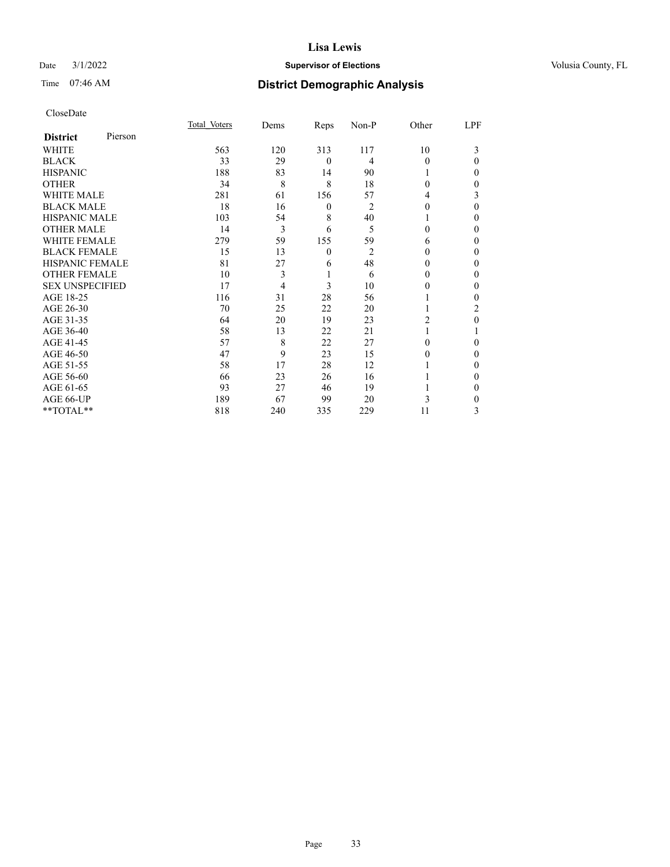## Date  $3/1/2022$  **Supervisor of Elections Supervisor of Elections** Volusia County, FL

| CloseDate |
|-----------|
|-----------|

|                        |         | Total Voters | Dems | Reps         | Non-P          | Other    | LPF      |
|------------------------|---------|--------------|------|--------------|----------------|----------|----------|
| <b>District</b>        | Pierson |              |      |              |                |          |          |
| WHITE                  |         | 563          | 120  | 313          | 117            | 10       | 3        |
| <b>BLACK</b>           |         | 33           | 29   | $\mathbf{0}$ | 4              | $\Omega$ | $\Omega$ |
| <b>HISPANIC</b>        |         | 188          | 83   | 14           | 90             |          | 0        |
| <b>OTHER</b>           |         | 34           | 8    | 8            | 18             | 0        | 0        |
| <b>WHITE MALE</b>      |         | 281          | 61   | 156          | 57             | 4        | 3        |
| <b>BLACK MALE</b>      |         | 18           | 16   | 0            | 2              | 0        | $\Omega$ |
| <b>HISPANIC MALE</b>   |         | 103          | 54   | 8            | 40             |          | 0        |
| <b>OTHER MALE</b>      |         | 14           | 3    | 6            | 5              | 0        | 0        |
| <b>WHITE FEMALE</b>    |         | 279          | 59   | 155          | 59             | 6        | 0        |
| <b>BLACK FEMALE</b>    |         | 15           | 13   | $\mathbf{0}$ | $\overline{2}$ | 0        | 0        |
| <b>HISPANIC FEMALE</b> |         | 81           | 27   | 6            | 48             | 0        | 0        |
| <b>OTHER FEMALE</b>    |         | 10           | 3    | 1            | 6              | 0        | 0        |
| <b>SEX UNSPECIFIED</b> |         | 17           | 4    | 3            | 10             | 0        | 0        |
| AGE 18-25              |         | 116          | 31   | 28           | 56             |          | 0        |
| AGE 26-30              |         | 70           | 25   | 22           | 20             |          | 2        |
| AGE 31-35              |         | 64           | 20   | 19           | 23             | 2        | 0        |
| AGE 36-40              |         | 58           | 13   | 22           | 21             |          |          |
| AGE 41-45              |         | 57           | 8    | 22           | 27             | 0        | 0        |
| AGE 46-50              |         | 47           | 9    | 23           | 15             | 0        | $\Omega$ |
| AGE 51-55              |         | 58           | 17   | 28           | 12             |          | 0        |
| AGE 56-60              |         | 66           | 23   | 26           | 16             |          | 0        |
| AGE 61-65              |         | 93           | 27   | 46           | 19             |          | 0        |
| AGE 66-UP              |         | 189          | 67   | 99           | 20             | 3        | 0        |
| **TOTAL**              |         | 818          | 240  | 335          | 229            | 11       | 3        |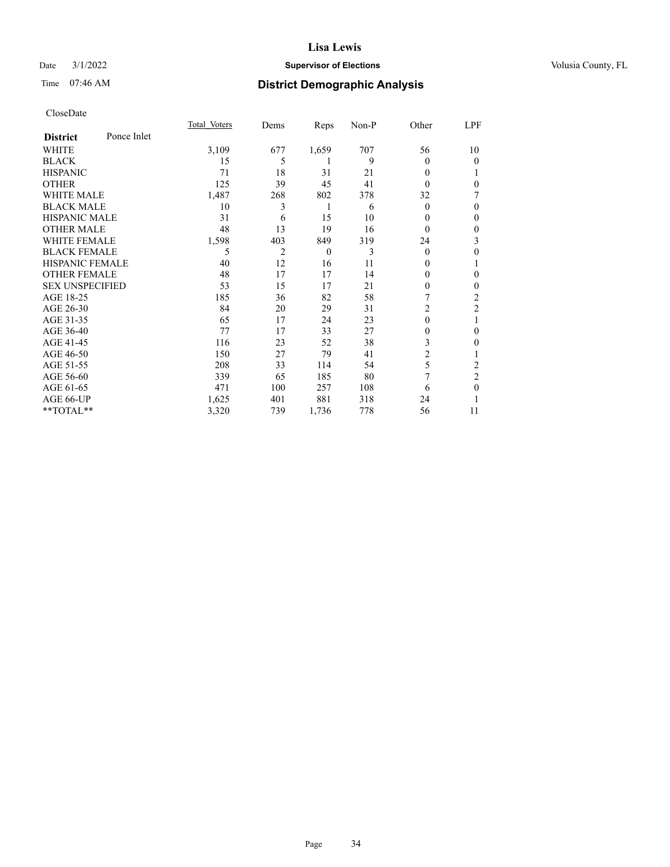## Date  $3/1/2022$  **Supervisor of Elections Supervisor of Elections** Volusia County, FL

## Time 07:46 AM **District Demographic Analysis**

|                        |             | Total Voters | Dems | Reps     | Non-P | Other          | LPF            |
|------------------------|-------------|--------------|------|----------|-------|----------------|----------------|
| <b>District</b>        | Ponce Inlet |              |      |          |       |                |                |
| WHITE                  |             | 3,109        | 677  | 1,659    | 707   | 56             | 10             |
| <b>BLACK</b>           |             | 15           | 5    | 1        | 9     | 0              | $\theta$       |
| <b>HISPANIC</b>        |             | 71           | 18   | 31       | 21    | 0              | 1              |
| <b>OTHER</b>           |             | 125          | 39   | 45       | 41    | 0              | $\theta$       |
| <b>WHITE MALE</b>      |             | 1,487        | 268  | 802      | 378   | 32             | 7              |
| <b>BLACK MALE</b>      |             | 10           | 3    | 1        | 6     | 0              | $\theta$       |
| <b>HISPANIC MALE</b>   |             | 31           | 6    | 15       | 10    | 0              | $\theta$       |
| <b>OTHER MALE</b>      |             | 48           | 13   | 19       | 16    | $\Omega$       | $\mathbf{0}$   |
| <b>WHITE FEMALE</b>    |             | 1,598        | 403  | 849      | 319   | 24             | 3              |
| <b>BLACK FEMALE</b>    |             | 5            | 2    | $\theta$ | 3     | $\Omega$       | 0              |
| <b>HISPANIC FEMALE</b> |             | 40           | 12   | 16       | 11    | 0              | 1              |
| <b>OTHER FEMALE</b>    |             | 48           | 17   | 17       | 14    | 0              | $\theta$       |
| <b>SEX UNSPECIFIED</b> |             | 53           | 15   | 17       | 21    | 0              | $\mathbf{0}$   |
| AGE 18-25              |             | 185          | 36   | 82       | 58    |                | $\overline{c}$ |
| AGE 26-30              |             | 84           | 20   | 29       | 31    | $\overline{2}$ | $\overline{c}$ |
| AGE 31-35              |             | 65           | 17   | 24       | 23    | $\mathbf{0}$   | 1              |
| AGE 36-40              |             | 77           | 17   | 33       | 27    | 0              | $\theta$       |
| AGE 41-45              |             | 116          | 23   | 52       | 38    | 3              | $\theta$       |
| AGE 46-50              |             | 150          | 27   | 79       | 41    | $\overline{2}$ |                |
| AGE 51-55              |             | 208          | 33   | 114      | 54    | 5              | 2              |
| AGE 56-60              |             | 339          | 65   | 185      | 80    | 7              | $\overline{2}$ |
| AGE 61-65              |             | 471          | 100  | 257      | 108   | 6              | $\theta$       |
| AGE 66-UP              |             | 1,625        | 401  | 881      | 318   | 24             |                |
| $**TOTAL**$            |             | 3,320        | 739  | 1,736    | 778   | 56             | 11             |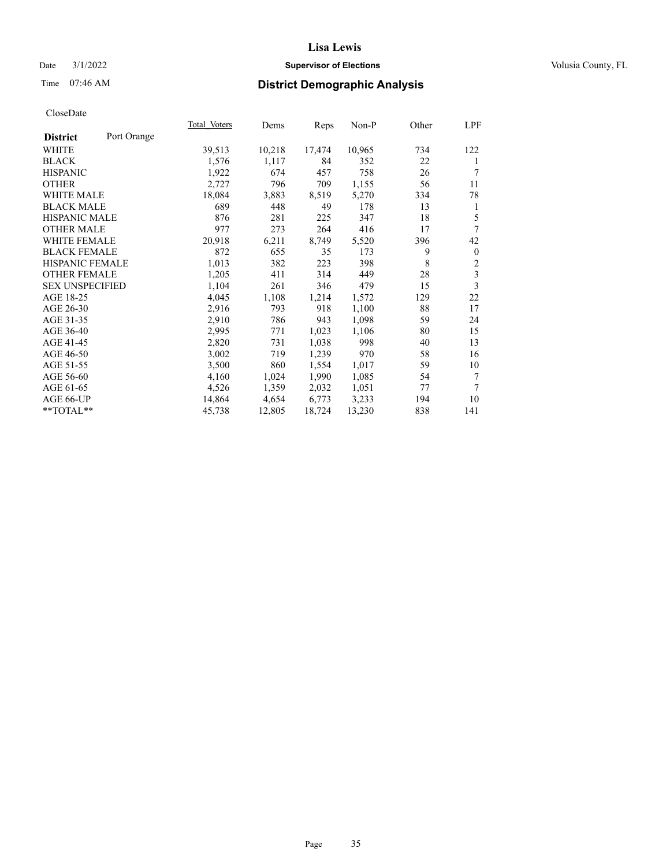## Date  $3/1/2022$  **Supervisor of Elections Supervisor of Elections** Volusia County, FL

## Time 07:46 AM **District Demographic Analysis**

|                                | Total Voters | Dems   | Reps   | Non-P  | Other | LPF              |
|--------------------------------|--------------|--------|--------|--------|-------|------------------|
| Port Orange<br><b>District</b> |              |        |        |        |       |                  |
| WHITE                          | 39,513       | 10,218 | 17,474 | 10,965 | 734   | 122              |
| <b>BLACK</b>                   | 1,576        | 1,117  | 84     | 352    | 22    | 1                |
| <b>HISPANIC</b>                | 1,922        | 674    | 457    | 758    | 26    | 7                |
| <b>OTHER</b>                   | 2,727        | 796    | 709    | 1,155  | 56    | 11               |
| WHITE MALE                     | 18,084       | 3,883  | 8,519  | 5,270  | 334   | 78               |
| <b>BLACK MALE</b>              | 689          | 448    | 49     | 178    | 13    | 1                |
| <b>HISPANIC MALE</b>           | 876          | 281    | 225    | 347    | 18    | 5                |
| <b>OTHER MALE</b>              | 977          | 273    | 264    | 416    | 17    | 7                |
| WHITE FEMALE                   | 20,918       | 6,211  | 8,749  | 5,520  | 396   | 42               |
| <b>BLACK FEMALE</b>            | 872          | 655    | 35     | 173    | 9     | $\boldsymbol{0}$ |
| HISPANIC FEMALE                | 1,013        | 382    | 223    | 398    | 8     | $\boldsymbol{2}$ |
| <b>OTHER FEMALE</b>            | 1,205        | 411    | 314    | 449    | 28    | $\overline{3}$   |
| <b>SEX UNSPECIFIED</b>         | 1,104        | 261    | 346    | 479    | 15    | 3                |
| AGE 18-25                      | 4,045        | 1,108  | 1,214  | 1,572  | 129   | 22               |
| AGE 26-30                      | 2,916        | 793    | 918    | 1,100  | 88    | 17               |
| AGE 31-35                      | 2,910        | 786    | 943    | 1,098  | 59    | 24               |
| AGE 36-40                      | 2,995        | 771    | 1,023  | 1,106  | 80    | 15               |
| AGE 41-45                      | 2,820        | 731    | 1,038  | 998    | 40    | 13               |
| AGE 46-50                      | 3,002        | 719    | 1,239  | 970    | 58    | 16               |
| AGE 51-55                      | 3,500        | 860    | 1,554  | 1,017  | 59    | 10               |
| AGE 56-60                      | 4,160        | 1,024  | 1,990  | 1,085  | 54    | 7                |
| AGE 61-65                      | 4,526        | 1,359  | 2,032  | 1,051  | 77    | 7                |
| AGE 66-UP                      | 14,864       | 4,654  | 6,773  | 3,233  | 194   | 10               |
| **TOTAL**                      | 45,738       | 12,805 | 18,724 | 13,230 | 838   | 141              |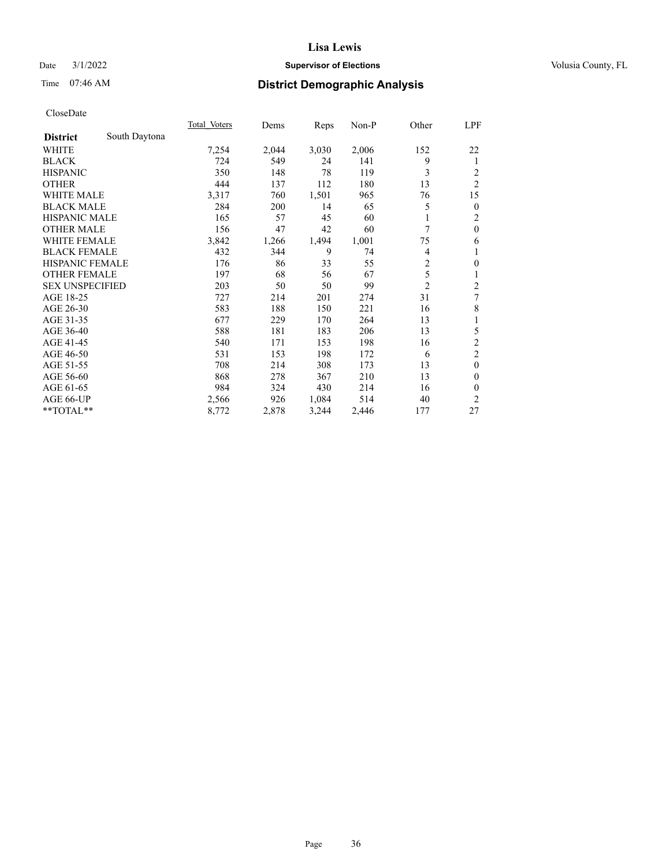## Date  $3/1/2022$  **Supervisor of Elections Supervisor of Elections** Volusia County, FL

## Time 07:46 AM **District Demographic Analysis**

|                        |               | Total Voters | Dems  | Reps  | $Non-P$ | Other          | LPF                     |
|------------------------|---------------|--------------|-------|-------|---------|----------------|-------------------------|
| <b>District</b>        | South Daytona |              |       |       |         |                |                         |
| WHITE                  |               | 7,254        | 2,044 | 3,030 | 2,006   | 152            | 22                      |
| <b>BLACK</b>           |               | 724          | 549   | 24    | 141     | 9              | 1                       |
| <b>HISPANIC</b>        |               | 350          | 148   | 78    | 119     | 3              | 2                       |
| <b>OTHER</b>           |               | 444          | 137   | 112   | 180     | 13             | $\overline{2}$          |
| <b>WHITE MALE</b>      |               | 3,317        | 760   | 1,501 | 965     | 76             | 15                      |
| <b>BLACK MALE</b>      |               | 284          | 200   | 14    | 65      | 5              | $\mathbf{0}$            |
| <b>HISPANIC MALE</b>   |               | 165          | 57    | 45    | 60      |                | 2                       |
| <b>OTHER MALE</b>      |               | 156          | 47    | 42    | 60      | 7              | $\mathbf{0}$            |
| WHITE FEMALE           |               | 3,842        | 1,266 | 1,494 | 1,001   | 75             | 6                       |
| <b>BLACK FEMALE</b>    |               | 432          | 344   | 9     | 74      | 4              | 1                       |
| <b>HISPANIC FEMALE</b> |               | 176          | 86    | 33    | 55      | $\overline{2}$ | $\mathbf{0}$            |
| <b>OTHER FEMALE</b>    |               | 197          | 68    | 56    | 67      | 5              | 1                       |
| <b>SEX UNSPECIFIED</b> |               | 203          | 50    | 50    | 99      | $\overline{2}$ | $\overline{\mathbf{c}}$ |
| AGE 18-25              |               | 727          | 214   | 201   | 274     | 31             | 7                       |
| AGE 26-30              |               | 583          | 188   | 150   | 221     | 16             | 8                       |
| AGE 31-35              |               | 677          | 229   | 170   | 264     | 13             | 1                       |
| AGE 36-40              |               | 588          | 181   | 183   | 206     | 13             | 5                       |
| AGE 41-45              |               | 540          | 171   | 153   | 198     | 16             | $\overline{c}$          |
| AGE 46-50              |               | 531          | 153   | 198   | 172     | 6              | $\overline{2}$          |
| AGE 51-55              |               | 708          | 214   | 308   | 173     | 13             | $\mathbf{0}$            |
| AGE 56-60              |               | 868          | 278   | 367   | 210     | 13             | $\theta$                |
| AGE 61-65              |               | 984          | 324   | 430   | 214     | 16             | $\theta$                |
| AGE 66-UP              |               | 2,566        | 926   | 1,084 | 514     | 40             | 2                       |
| **TOTAL**              |               | 8,772        | 2,878 | 3,244 | 2,446   | 177            | 27                      |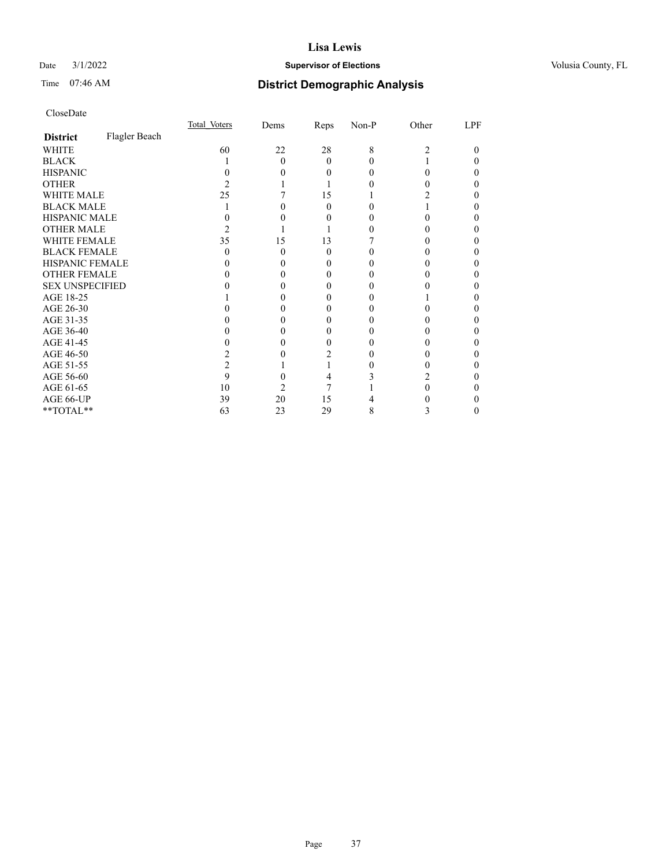# Date  $3/1/2022$  **Supervisor of Elections Supervisor of Elections** Volusia County, FL

# Time 07:46 AM **District Demographic Analysis**

|                        |               | Total Voters | Dems | Reps     | Non-P | Other | LPF |
|------------------------|---------------|--------------|------|----------|-------|-------|-----|
| <b>District</b>        | Flagler Beach |              |      |          |       |       |     |
| WHITE                  |               | 60           | 22   | 28       | 8     | 2     | 0   |
| <b>BLACK</b>           |               |              | 0    | $\Omega$ |       |       |     |
| <b>HISPANIC</b>        |               |              |      | 0        |       | 0     |     |
| <b>OTHER</b>           |               |              |      |          |       |       |     |
| <b>WHITE MALE</b>      |               | 25           |      | 15       |       |       |     |
| <b>BLACK MALE</b>      |               |              |      | 0        |       |       |     |
| <b>HISPANIC MALE</b>   |               |              |      |          |       |       |     |
| <b>OTHER MALE</b>      |               |              |      |          |       |       |     |
| <b>WHITE FEMALE</b>    |               | 35           | 15   | 13       |       |       |     |
| <b>BLACK FEMALE</b>    |               | $\theta$     | 0    | $\theta$ |       |       |     |
| <b>HISPANIC FEMALE</b> |               |              |      |          |       |       |     |
| <b>OTHER FEMALE</b>    |               |              |      | 0        |       |       |     |
| <b>SEX UNSPECIFIED</b> |               |              |      |          |       |       |     |
| AGE 18-25              |               |              |      | 0        |       |       |     |
| AGE 26-30              |               |              |      |          |       |       |     |
| AGE 31-35              |               |              |      |          |       |       |     |
| AGE 36-40              |               |              |      | $_{0}$   |       |       |     |
| AGE 41-45              |               |              |      | 0        |       |       |     |
| AGE 46-50              |               |              |      |          |       |       |     |
| AGE 51-55              |               |              |      |          |       |       |     |
| AGE 56-60              |               | 9            |      |          |       |       |     |
| AGE 61-65              |               | 10           | 2    |          |       |       |     |
| AGE 66-UP              |               | 39           | 20   | 15       |       |       |     |
| **TOTAL**              |               | 63           | 23   | 29       | 8     | 3     | 0   |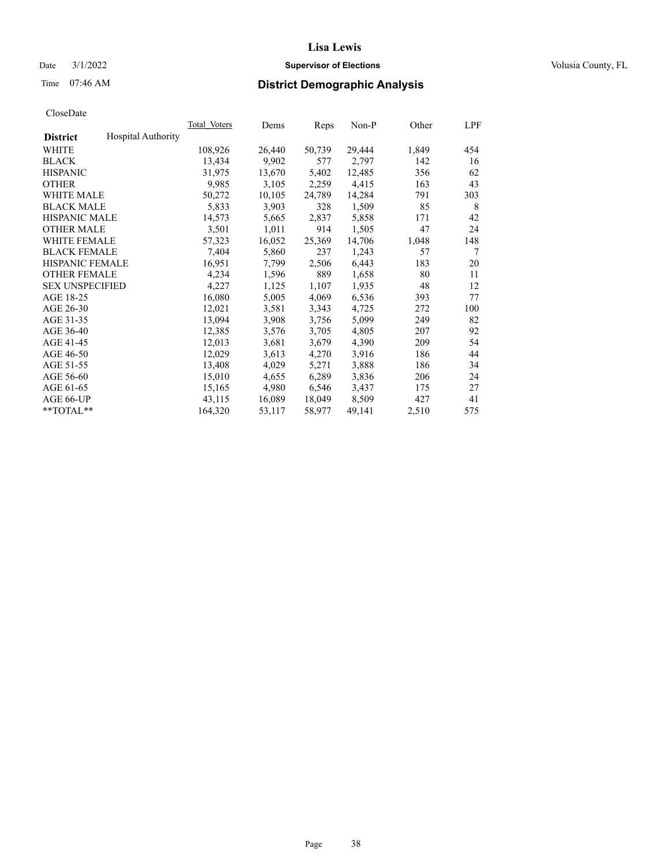# Date  $3/1/2022$  **Supervisor of Elections Supervisor of Elections** Volusia County, FL

# Time 07:46 AM **District Demographic Analysis**

|                        |                           | Total Voters | Dems   | Reps   | Non-P  | Other | LPF |
|------------------------|---------------------------|--------------|--------|--------|--------|-------|-----|
| <b>District</b>        | <b>Hospital Authority</b> |              |        |        |        |       |     |
| WHITE                  |                           | 108,926      | 26,440 | 50,739 | 29,444 | 1,849 | 454 |
| <b>BLACK</b>           |                           | 13,434       | 9,902  | 577    | 2,797  | 142   | 16  |
| <b>HISPANIC</b>        |                           | 31,975       | 13,670 | 5,402  | 12,485 | 356   | 62  |
| <b>OTHER</b>           |                           | 9,985        | 3,105  | 2,259  | 4,415  | 163   | 43  |
| WHITE MALE             |                           | 50,272       | 10,105 | 24,789 | 14,284 | 791   | 303 |
| <b>BLACK MALE</b>      |                           | 5,833        | 3,903  | 328    | 1,509  | 85    | 8   |
| <b>HISPANIC MALE</b>   |                           | 14,573       | 5,665  | 2,837  | 5,858  | 171   | 42  |
| <b>OTHER MALE</b>      |                           | 3,501        | 1,011  | 914    | 1,505  | 47    | 24  |
| <b>WHITE FEMALE</b>    |                           | 57,323       | 16,052 | 25,369 | 14,706 | 1,048 | 148 |
| <b>BLACK FEMALE</b>    |                           | 7,404        | 5,860  | 237    | 1,243  | 57    | 7   |
| <b>HISPANIC FEMALE</b> |                           | 16,951       | 7,799  | 2,506  | 6,443  | 183   | 20  |
| <b>OTHER FEMALE</b>    |                           | 4,234        | 1,596  | 889    | 1,658  | 80    | 11  |
| <b>SEX UNSPECIFIED</b> |                           | 4,227        | 1,125  | 1,107  | 1,935  | 48    | 12  |
| AGE 18-25              |                           | 16,080       | 5,005  | 4,069  | 6,536  | 393   | 77  |
| AGE 26-30              |                           | 12,021       | 3,581  | 3,343  | 4,725  | 272   | 100 |
| AGE 31-35              |                           | 13,094       | 3,908  | 3,756  | 5,099  | 249   | 82  |
| AGE 36-40              |                           | 12,385       | 3,576  | 3,705  | 4,805  | 207   | 92  |
| AGE 41-45              |                           | 12,013       | 3,681  | 3,679  | 4,390  | 209   | 54  |
| AGE 46-50              |                           | 12,029       | 3,613  | 4,270  | 3,916  | 186   | 44  |
| AGE 51-55              |                           | 13,408       | 4,029  | 5,271  | 3,888  | 186   | 34  |
| AGE 56-60              |                           | 15,010       | 4,655  | 6,289  | 3,836  | 206   | 24  |
| AGE 61-65              |                           | 15,165       | 4,980  | 6,546  | 3,437  | 175   | 27  |
| AGE 66-UP              |                           | 43,115       | 16,089 | 18,049 | 8,509  | 427   | 41  |
| $*$ TOTAL $*$          |                           | 164,320      | 53,117 | 58,977 | 49,141 | 2,510 | 575 |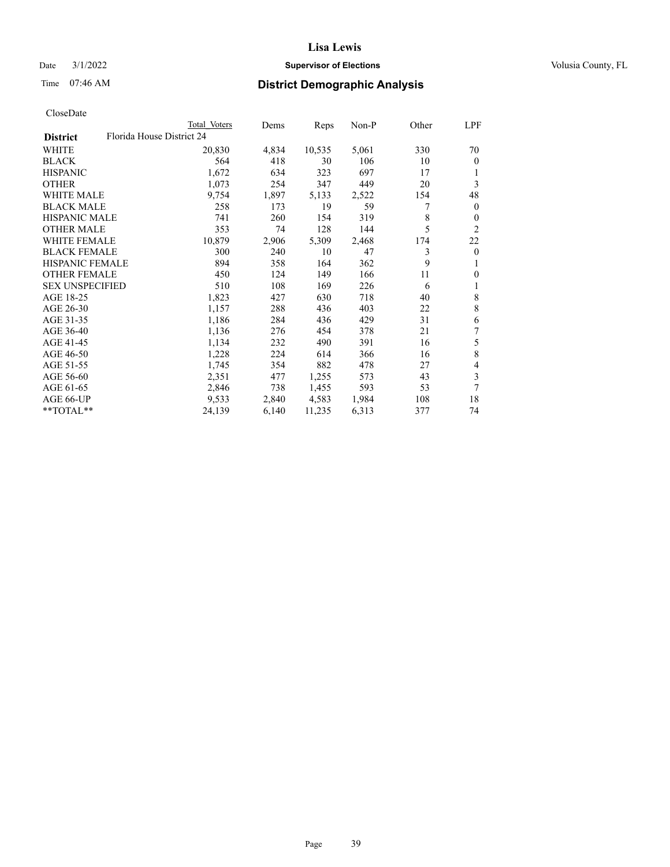# Date  $3/1/2022$  **Supervisor of Elections Supervisor of Elections** Volusia County, FL

| CloseDate |
|-----------|
|-----------|

|                                              | Total Voters | Dems  | Reps   | Non-P | Other | LPF            |
|----------------------------------------------|--------------|-------|--------|-------|-------|----------------|
| Florida House District 24<br><b>District</b> |              |       |        |       |       |                |
| WHITE                                        | 20,830       | 4,834 | 10,535 | 5,061 | 330   | 70             |
| <b>BLACK</b>                                 | 564          | 418   | 30     | 106   | 10    | $\mathbf{0}$   |
| <b>HISPANIC</b>                              | 1,672        | 634   | 323    | 697   | 17    | 1              |
| <b>OTHER</b>                                 | 1,073        | 254   | 347    | 449   | 20    | 3              |
| <b>WHITE MALE</b>                            | 9,754        | 1,897 | 5,133  | 2,522 | 154   | 48             |
| <b>BLACK MALE</b>                            | 258          | 173   | 19     | 59    | 7     | $\mathbf{0}$   |
| <b>HISPANIC MALE</b>                         | 741          | 260   | 154    | 319   | 8     | $\theta$       |
| <b>OTHER MALE</b>                            | 353          | 74    | 128    | 144   | 5     | $\overline{2}$ |
| <b>WHITE FEMALE</b>                          | 10,879       | 2,906 | 5,309  | 2,468 | 174   | 22             |
| <b>BLACK FEMALE</b>                          | 300          | 240   | 10     | 47    | 3     | $\mathbf{0}$   |
| HISPANIC FEMALE                              | 894          | 358   | 164    | 362   | 9     | 1              |
| <b>OTHER FEMALE</b>                          | 450          | 124   | 149    | 166   | 11    | $\theta$       |
| <b>SEX UNSPECIFIED</b>                       | 510          | 108   | 169    | 226   | 6     | 1              |
| AGE 18-25                                    | 1,823        | 427   | 630    | 718   | 40    | 8              |
| AGE 26-30                                    | 1,157        | 288   | 436    | 403   | 22    | $\,8\,$        |
| AGE 31-35                                    | 1,186        | 284   | 436    | 429   | 31    | 6              |
| AGE 36-40                                    | 1,136        | 276   | 454    | 378   | 21    | 7              |
| AGE 41-45                                    | 1,134        | 232   | 490    | 391   | 16    | 5              |
| AGE 46-50                                    | 1,228        | 224   | 614    | 366   | 16    | 8              |
| AGE 51-55                                    | 1,745        | 354   | 882    | 478   | 27    | 4              |
| AGE 56-60                                    | 2,351        | 477   | 1,255  | 573   | 43    | 3              |
| AGE 61-65                                    | 2,846        | 738   | 1,455  | 593   | 53    | 7              |
| AGE 66-UP                                    | 9,533        | 2,840 | 4,583  | 1,984 | 108   | 18             |
| **TOTAL**                                    | 24,139       | 6,140 | 11,235 | 6,313 | 377   | 74             |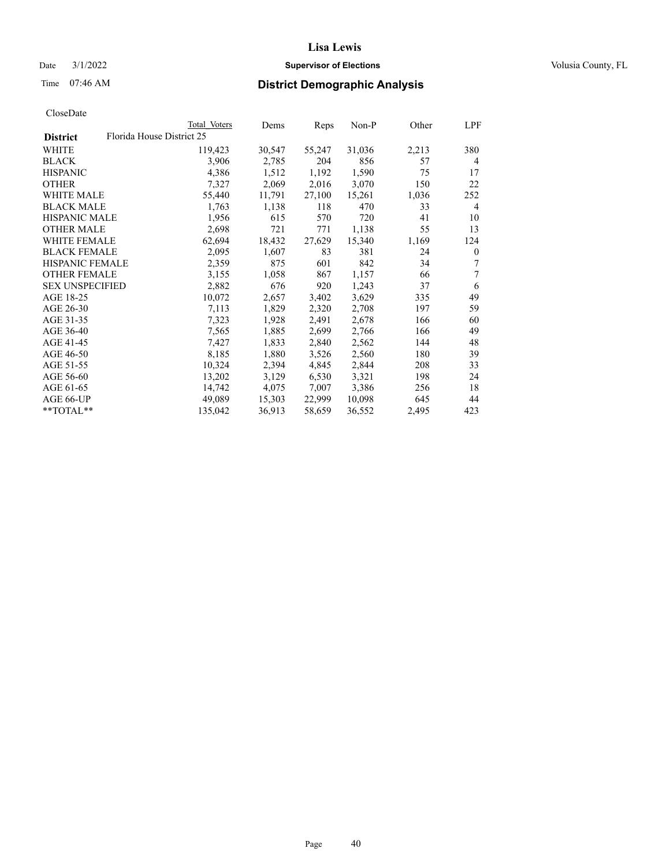# Date  $3/1/2022$  **Supervisor of Elections Supervisor of Elections** Volusia County, FL

| CloseDate |
|-----------|
|-----------|

|                        |                           | Total Voters | Dems   | Reps   | Non-P  | Other | LPF          |
|------------------------|---------------------------|--------------|--------|--------|--------|-------|--------------|
| <b>District</b>        | Florida House District 25 |              |        |        |        |       |              |
| WHITE                  |                           | 119,423      | 30,547 | 55,247 | 31,036 | 2,213 | 380          |
| <b>BLACK</b>           |                           | 3,906        | 2,785  | 204    | 856    | 57    | 4            |
| <b>HISPANIC</b>        |                           | 4,386        | 1,512  | 1,192  | 1,590  | 75    | 17           |
| <b>OTHER</b>           |                           | 7,327        | 2,069  | 2,016  | 3,070  | 150   | 22           |
| <b>WHITE MALE</b>      |                           | 55,440       | 11,791 | 27,100 | 15,261 | 1,036 | 252          |
| <b>BLACK MALE</b>      |                           | 1,763        | 1,138  | 118    | 470    | 33    | 4            |
| <b>HISPANIC MALE</b>   |                           | 1,956        | 615    | 570    | 720    | 41    | 10           |
| <b>OTHER MALE</b>      |                           | 2,698        | 721    | 771    | 1,138  | 55    | 13           |
| <b>WHITE FEMALE</b>    |                           | 62,694       | 18,432 | 27,629 | 15,340 | 1,169 | 124          |
| <b>BLACK FEMALE</b>    |                           | 2,095        | 1,607  | 83     | 381    | 24    | $\mathbf{0}$ |
| HISPANIC FEMALE        |                           | 2,359        | 875    | 601    | 842    | 34    | 7            |
| <b>OTHER FEMALE</b>    |                           | 3,155        | 1,058  | 867    | 1,157  | 66    | 7            |
| <b>SEX UNSPECIFIED</b> |                           | 2,882        | 676    | 920    | 1,243  | 37    | 6            |
| AGE 18-25              |                           | 10,072       | 2,657  | 3,402  | 3,629  | 335   | 49           |
| AGE 26-30              |                           | 7,113        | 1,829  | 2,320  | 2,708  | 197   | 59           |
| AGE 31-35              |                           | 7,323        | 1,928  | 2,491  | 2,678  | 166   | 60           |
| AGE 36-40              |                           | 7,565        | 1,885  | 2,699  | 2,766  | 166   | 49           |
| AGE 41-45              |                           | 7,427        | 1,833  | 2,840  | 2,562  | 144   | 48           |
| AGE 46-50              |                           | 8,185        | 1,880  | 3,526  | 2,560  | 180   | 39           |
| AGE 51-55              |                           | 10,324       | 2,394  | 4,845  | 2,844  | 208   | 33           |
| AGE 56-60              |                           | 13,202       | 3,129  | 6,530  | 3,321  | 198   | 24           |
| AGE 61-65              |                           | 14,742       | 4,075  | 7,007  | 3,386  | 256   | 18           |
| AGE 66-UP              |                           | 49,089       | 15,303 | 22,999 | 10,098 | 645   | 44           |
| **TOTAL**              |                           | 135,042      | 36,913 | 58,659 | 36,552 | 2,495 | 423          |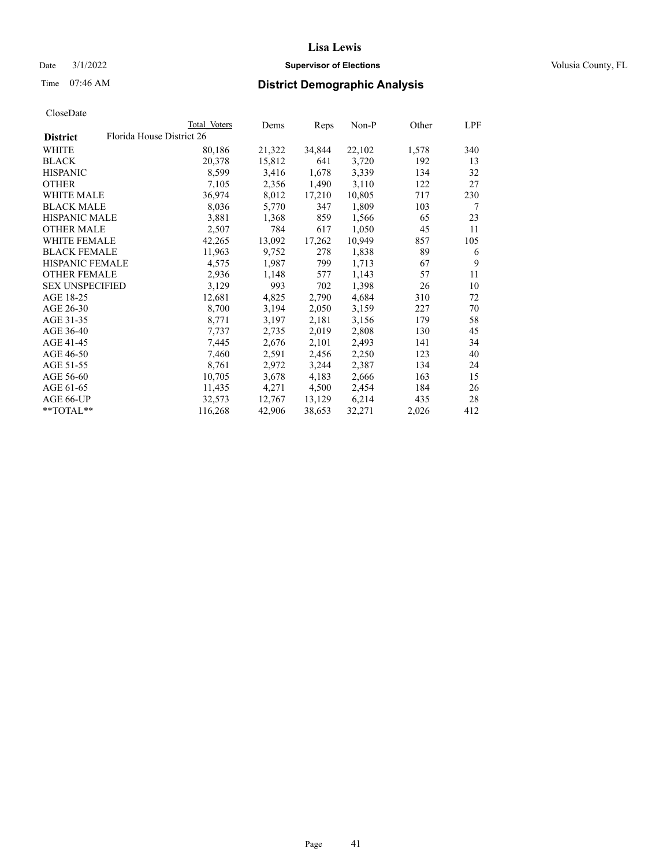# Date  $3/1/2022$  **Supervisor of Elections Supervisor of Elections** Volusia County, FL

|                        |                           | Total Voters | Dems   | Reps   | Non-P  | Other | LPF |
|------------------------|---------------------------|--------------|--------|--------|--------|-------|-----|
| <b>District</b>        | Florida House District 26 |              |        |        |        |       |     |
| WHITE                  |                           | 80,186       | 21,322 | 34,844 | 22,102 | 1,578 | 340 |
| BLACK                  |                           | 20,378       | 15,812 | 641    | 3,720  | 192   | 13  |
| <b>HISPANIC</b>        |                           | 8,599        | 3,416  | 1,678  | 3,339  | 134   | 32  |
| OTHER                  |                           | 7,105        | 2,356  | 1,490  | 3,110  | 122   | 27  |
| <b>WHITE MALE</b>      |                           | 36,974       | 8,012  | 17,210 | 10,805 | 717   | 230 |
| <b>BLACK MALE</b>      |                           | 8,036        | 5,770  | 347    | 1,809  | 103   | 7   |
| HISPANIC MALE          |                           | 3,881        | 1,368  | 859    | 1,566  | 65    | 23  |
| <b>OTHER MALE</b>      |                           | 2,507        | 784    | 617    | 1,050  | 45    | 11  |
| <b>WHITE FEMALE</b>    |                           | 42,265       | 13,092 | 17,262 | 10,949 | 857   | 105 |
| <b>BLACK FEMALE</b>    |                           | 11,963       | 9,752  | 278    | 1,838  | 89    | 6   |
| <b>HISPANIC FEMALE</b> |                           | 4,575        | 1,987  | 799    | 1,713  | 67    | 9   |
| <b>OTHER FEMALE</b>    |                           | 2,936        | 1,148  | 577    | 1,143  | 57    | 11  |
| <b>SEX UNSPECIFIED</b> |                           | 3,129        | 993    | 702    | 1,398  | 26    | 10  |
| AGE 18-25              |                           | 12,681       | 4,825  | 2,790  | 4,684  | 310   | 72  |
| AGE 26-30              |                           | 8,700        | 3,194  | 2,050  | 3,159  | 227   | 70  |
| AGE 31-35              |                           | 8,771        | 3,197  | 2,181  | 3,156  | 179   | 58  |
| AGE 36-40              |                           | 7,737        | 2,735  | 2,019  | 2,808  | 130   | 45  |
| AGE 41-45              |                           | 7,445        | 2,676  | 2,101  | 2,493  | 141   | 34  |
| AGE 46-50              |                           | 7,460        | 2,591  | 2,456  | 2,250  | 123   | 40  |
| AGE 51-55              |                           | 8,761        | 2,972  | 3,244  | 2,387  | 134   | 24  |
| AGE 56-60              |                           | 10,705       | 3,678  | 4,183  | 2,666  | 163   | 15  |
| AGE 61-65              |                           | 11,435       | 4,271  | 4,500  | 2,454  | 184   | 26  |
| AGE 66-UP              |                           | 32,573       | 12,767 | 13,129 | 6,214  | 435   | 28  |
| **TOTAL**              |                           | 116,268      | 42,906 | 38,653 | 32,271 | 2,026 | 412 |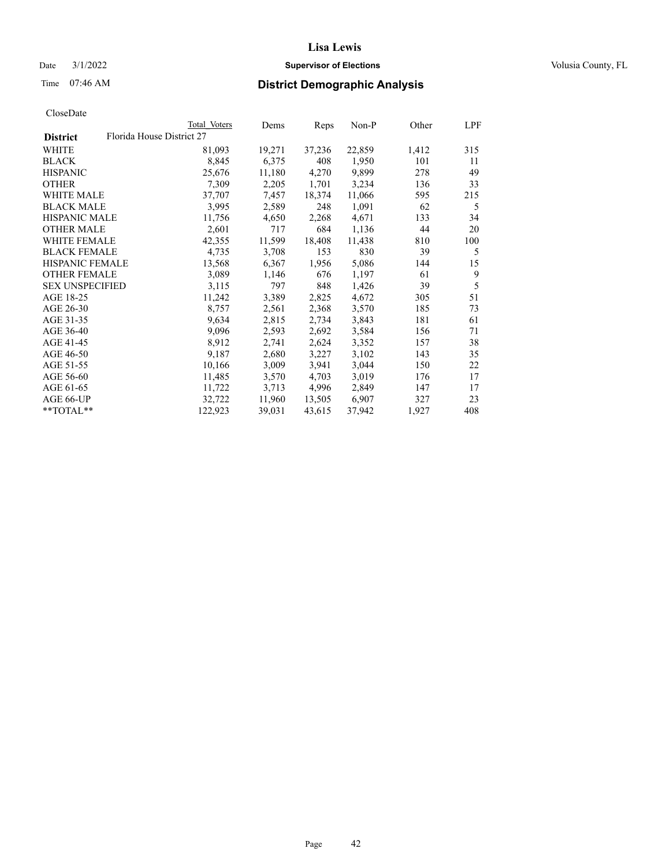# Date  $3/1/2022$  **Supervisor of Elections Supervisor of Elections** Volusia County, FL

| CloseDate |
|-----------|
|-----------|

|                        | Total Voters              | Dems   | Reps   | Non-P  | Other | LPF |
|------------------------|---------------------------|--------|--------|--------|-------|-----|
| <b>District</b>        | Florida House District 27 |        |        |        |       |     |
| WHITE                  | 81,093                    | 19,271 | 37,236 | 22,859 | 1,412 | 315 |
| <b>BLACK</b>           | 8,845                     | 6,375  | 408    | 1,950  | 101   | 11  |
| <b>HISPANIC</b>        | 25,676                    | 11,180 | 4,270  | 9,899  | 278   | 49  |
| <b>OTHER</b>           | 7,309                     | 2,205  | 1,701  | 3,234  | 136   | 33  |
| <b>WHITE MALE</b>      | 37,707                    | 7,457  | 18,374 | 11,066 | 595   | 215 |
| <b>BLACK MALE</b>      | 3,995                     | 2,589  | 248    | 1,091  | 62    | 5   |
| <b>HISPANIC MALE</b>   | 11,756                    | 4,650  | 2,268  | 4,671  | 133   | 34  |
| <b>OTHER MALE</b>      | 2,601                     | 717    | 684    | 1,136  | 44    | 20  |
| <b>WHITE FEMALE</b>    | 42,355                    | 11,599 | 18,408 | 11,438 | 810   | 100 |
| <b>BLACK FEMALE</b>    | 4,735                     | 3,708  | 153    | 830    | 39    | 5   |
| <b>HISPANIC FEMALE</b> | 13,568                    | 6,367  | 1,956  | 5,086  | 144   | 15  |
| <b>OTHER FEMALE</b>    | 3,089                     | 1,146  | 676    | 1,197  | 61    | 9   |
| <b>SEX UNSPECIFIED</b> | 3,115                     | 797    | 848    | 1,426  | 39    | 5   |
| AGE 18-25              | 11,242                    | 3,389  | 2,825  | 4,672  | 305   | 51  |
| AGE 26-30              | 8,757                     | 2,561  | 2,368  | 3,570  | 185   | 73  |
| AGE 31-35              | 9,634                     | 2,815  | 2,734  | 3,843  | 181   | 61  |
| AGE 36-40              | 9,096                     | 2,593  | 2,692  | 3,584  | 156   | 71  |
| AGE 41-45              | 8,912                     | 2,741  | 2,624  | 3,352  | 157   | 38  |
| AGE 46-50              | 9,187                     | 2,680  | 3,227  | 3,102  | 143   | 35  |
| AGE 51-55              | 10,166                    | 3,009  | 3,941  | 3,044  | 150   | 22  |
| AGE 56-60              | 11,485                    | 3,570  | 4,703  | 3,019  | 176   | 17  |
| AGE 61-65              | 11,722                    | 3,713  | 4,996  | 2,849  | 147   | 17  |
| AGE 66-UP              | 32,722                    | 11,960 | 13,505 | 6,907  | 327   | 23  |
| **TOTAL**              | 122,923                   | 39,031 | 43,615 | 37,942 | 1,927 | 408 |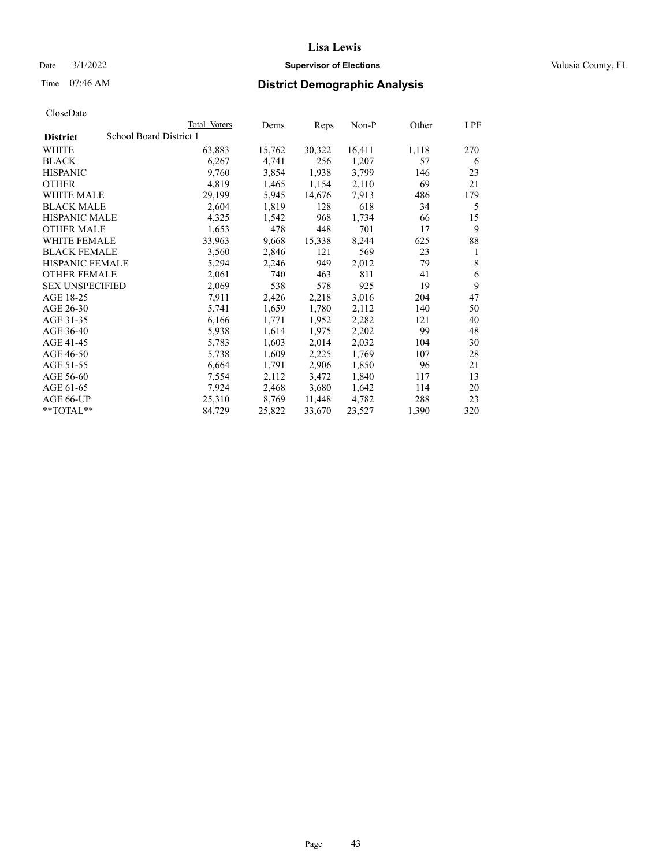# Date  $3/1/2022$  **Supervisor of Elections Supervisor of Elections** Volusia County, FL

# Time 07:46 AM **District Demographic Analysis**

|                        | Total Voters            | Dems   | Reps   | Non-P  | Other | LPF |
|------------------------|-------------------------|--------|--------|--------|-------|-----|
| <b>District</b>        | School Board District 1 |        |        |        |       |     |
| WHITE                  | 63,883                  | 15,762 | 30,322 | 16,411 | 1,118 | 270 |
| <b>BLACK</b>           | 6,267                   | 4,741  | 256    | 1,207  | 57    | 6   |
| <b>HISPANIC</b>        | 9,760                   | 3,854  | 1,938  | 3,799  | 146   | 23  |
| <b>OTHER</b>           | 4,819                   | 1,465  | 1,154  | 2,110  | 69    | 21  |
| WHITE MALE             | 29,199                  | 5,945  | 14,676 | 7,913  | 486   | 179 |
| <b>BLACK MALE</b>      | 2,604                   | 1,819  | 128    | 618    | 34    | 5   |
| <b>HISPANIC MALE</b>   | 4,325                   | 1,542  | 968    | 1,734  | 66    | 15  |
| <b>OTHER MALE</b>      | 1,653                   | 478    | 448    | 701    | 17    | 9   |
| <b>WHITE FEMALE</b>    | 33,963                  | 9,668  | 15,338 | 8,244  | 625   | 88  |
| <b>BLACK FEMALE</b>    | 3,560                   | 2,846  | 121    | 569    | 23    | 1   |
| <b>HISPANIC FEMALE</b> | 5,294                   | 2,246  | 949    | 2,012  | 79    | 8   |
| <b>OTHER FEMALE</b>    | 2,061                   | 740    | 463    | 811    | 41    | 6   |
| <b>SEX UNSPECIFIED</b> | 2,069                   | 538    | 578    | 925    | 19    | 9   |
| AGE 18-25              | 7,911                   | 2,426  | 2,218  | 3,016  | 204   | 47  |
| AGE 26-30              | 5,741                   | 1,659  | 1,780  | 2,112  | 140   | 50  |
| AGE 31-35              | 6,166                   | 1,771  | 1,952  | 2,282  | 121   | 40  |
| AGE 36-40              | 5,938                   | 1,614  | 1,975  | 2,202  | 99    | 48  |
| AGE 41-45              | 5,783                   | 1,603  | 2,014  | 2,032  | 104   | 30  |
| AGE 46-50              | 5,738                   | 1,609  | 2,225  | 1,769  | 107   | 28  |
| AGE 51-55              | 6,664                   | 1,791  | 2,906  | 1,850  | 96    | 21  |
| AGE 56-60              | 7,554                   | 2,112  | 3,472  | 1,840  | 117   | 13  |
| AGE 61-65              | 7,924                   | 2,468  | 3,680  | 1,642  | 114   | 20  |
| AGE 66-UP              | 25,310                  | 8,769  | 11,448 | 4,782  | 288   | 23  |
| **TOTAL**              | 84,729                  | 25,822 | 33,670 | 23,527 | 1,390 | 320 |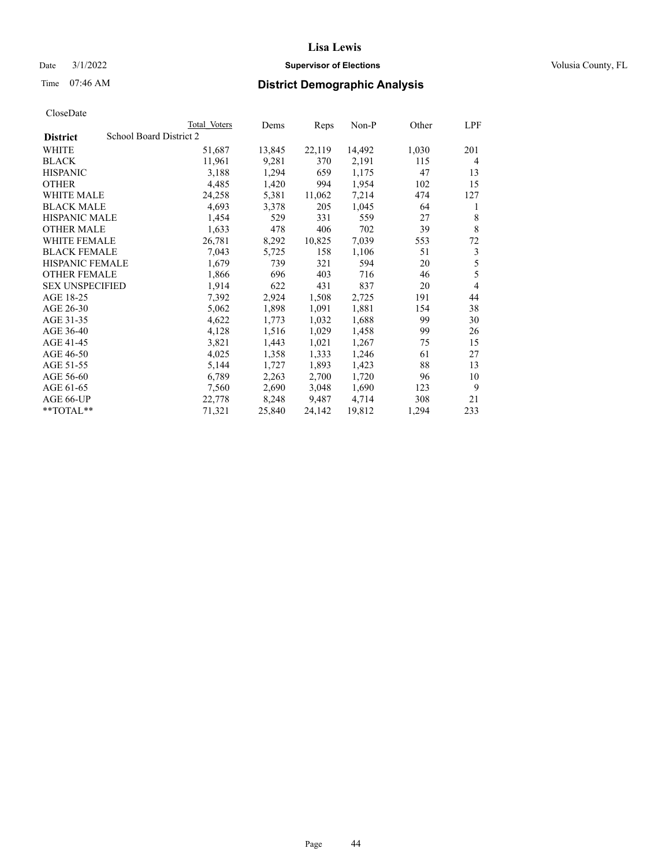# Date  $3/1/2022$  **Supervisor of Elections Supervisor of Elections** Volusia County, FL

# Time 07:46 AM **District Demographic Analysis**

|                        | Total Voters            | Dems   | Reps   | Non-P  | Other | LPF |
|------------------------|-------------------------|--------|--------|--------|-------|-----|
| <b>District</b>        | School Board District 2 |        |        |        |       |     |
| WHITE                  | 51,687                  | 13,845 | 22,119 | 14,492 | 1,030 | 201 |
| <b>BLACK</b>           | 11,961                  | 9,281  | 370    | 2,191  | 115   | 4   |
| <b>HISPANIC</b>        | 3,188                   | 1,294  | 659    | 1,175  | 47    | 13  |
| <b>OTHER</b>           | 4,485                   | 1,420  | 994    | 1,954  | 102   | 15  |
| WHITE MALE             | 24,258                  | 5,381  | 11,062 | 7,214  | 474   | 127 |
| <b>BLACK MALE</b>      | 4,693                   | 3,378  | 205    | 1,045  | 64    | 1   |
| <b>HISPANIC MALE</b>   | 1,454                   | 529    | 331    | 559    | 27    | 8   |
| <b>OTHER MALE</b>      | 1,633                   | 478    | 406    | 702    | 39    | 8   |
| WHITE FEMALE           | 26,781                  | 8,292  | 10,825 | 7,039  | 553   | 72  |
| <b>BLACK FEMALE</b>    | 7,043                   | 5,725  | 158    | 1,106  | 51    | 3   |
| <b>HISPANIC FEMALE</b> | 1,679                   | 739    | 321    | 594    | 20    | 5   |
| <b>OTHER FEMALE</b>    | 1,866                   | 696    | 403    | 716    | 46    | 5   |
| <b>SEX UNSPECIFIED</b> | 1,914                   | 622    | 431    | 837    | 20    | 4   |
| AGE 18-25              | 7,392                   | 2,924  | 1,508  | 2,725  | 191   | 44  |
| AGE 26-30              | 5,062                   | 1,898  | 1,091  | 1,881  | 154   | 38  |
| AGE 31-35              | 4,622                   | 1,773  | 1,032  | 1,688  | 99    | 30  |
| AGE 36-40              | 4,128                   | 1,516  | 1,029  | 1,458  | 99    | 26  |
| AGE 41-45              | 3,821                   | 1,443  | 1,021  | 1,267  | 75    | 15  |
| AGE 46-50              | 4,025                   | 1,358  | 1,333  | 1,246  | 61    | 27  |
| AGE 51-55              | 5,144                   | 1,727  | 1,893  | 1,423  | 88    | 13  |
| AGE 56-60              | 6,789                   | 2,263  | 2,700  | 1,720  | 96    | 10  |
| AGE 61-65              | 7,560                   | 2,690  | 3,048  | 1,690  | 123   | 9   |
| AGE 66-UP              | 22,778                  | 8,248  | 9,487  | 4,714  | 308   | 21  |
| **TOTAL**              | 71,321                  | 25,840 | 24,142 | 19,812 | 1,294 | 233 |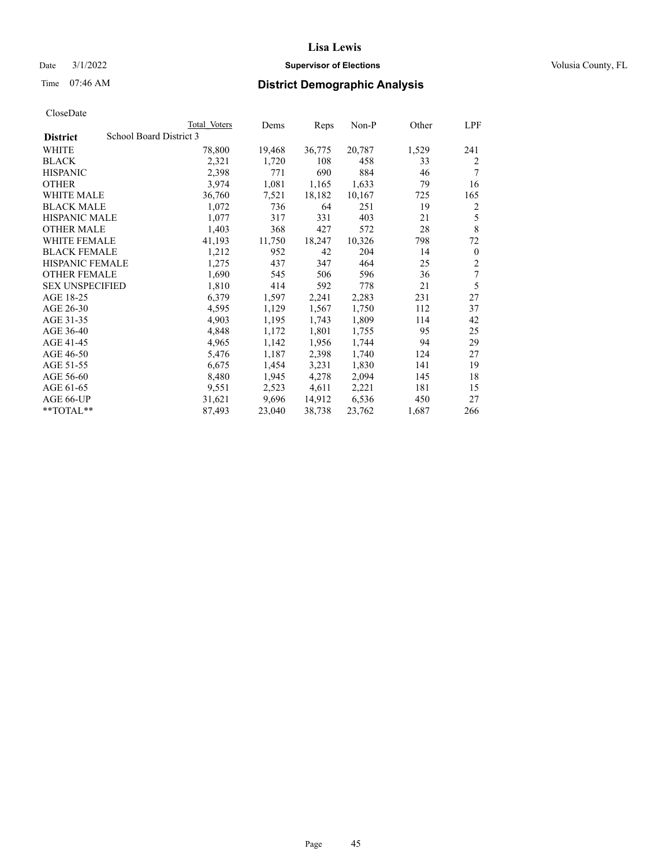# Date  $3/1/2022$  **Supervisor of Elections Supervisor of Elections** Volusia County, FL

# Time 07:46 AM **District Demographic Analysis**

|                                            | Total Voters | Dems   | Reps   | Non-P  | Other | LPF            |
|--------------------------------------------|--------------|--------|--------|--------|-------|----------------|
| School Board District 3<br><b>District</b> |              |        |        |        |       |                |
| WHITE                                      | 78,800       | 19,468 | 36,775 | 20,787 | 1,529 | 241            |
| <b>BLACK</b>                               | 2,321        | 1,720  | 108    | 458    | 33    | $\overline{2}$ |
| <b>HISPANIC</b>                            | 2,398        | 771    | 690    | 884    | 46    | 7              |
| <b>OTHER</b>                               | 3,974        | 1,081  | 1,165  | 1,633  | 79    | 16             |
| WHITE MALE                                 | 36,760       | 7,521  | 18,182 | 10,167 | 725   | 165            |
| <b>BLACK MALE</b>                          | 1,072        | 736    | 64     | 251    | 19    | 2              |
| <b>HISPANIC MALE</b>                       | 1,077        | 317    | 331    | 403    | 21    | 5              |
| <b>OTHER MALE</b>                          | 1,403        | 368    | 427    | 572    | 28    | $\,8\,$        |
| WHITE FEMALE                               | 41,193       | 11,750 | 18,247 | 10,326 | 798   | 72             |
| <b>BLACK FEMALE</b>                        | 1,212        | 952    | 42     | 204    | 14    | $\theta$       |
| <b>HISPANIC FEMALE</b>                     | 1,275        | 437    | 347    | 464    | 25    | $\overline{2}$ |
| <b>OTHER FEMALE</b>                        | 1,690        | 545    | 506    | 596    | 36    | 7              |
| <b>SEX UNSPECIFIED</b>                     | 1,810        | 414    | 592    | 778    | 21    | 5              |
| AGE 18-25                                  | 6,379        | 1,597  | 2,241  | 2,283  | 231   | 27             |
| AGE 26-30                                  | 4,595        | 1,129  | 1,567  | 1,750  | 112   | 37             |
| AGE 31-35                                  | 4,903        | 1,195  | 1,743  | 1,809  | 114   | 42             |
| AGE 36-40                                  | 4,848        | 1,172  | 1,801  | 1,755  | 95    | 25             |
| AGE 41-45                                  | 4,965        | 1,142  | 1,956  | 1,744  | 94    | 29             |
| AGE 46-50                                  | 5,476        | 1,187  | 2,398  | 1,740  | 124   | 27             |
| AGE 51-55                                  | 6,675        | 1,454  | 3,231  | 1,830  | 141   | 19             |
| AGE 56-60                                  | 8,480        | 1,945  | 4,278  | 2,094  | 145   | 18             |
| AGE 61-65                                  | 9,551        | 2,523  | 4,611  | 2,221  | 181   | 15             |
| AGE 66-UP                                  | 31,621       | 9,696  | 14,912 | 6,536  | 450   | 27             |
| **TOTAL**                                  | 87,493       | 23,040 | 38,738 | 23,762 | 1,687 | 266            |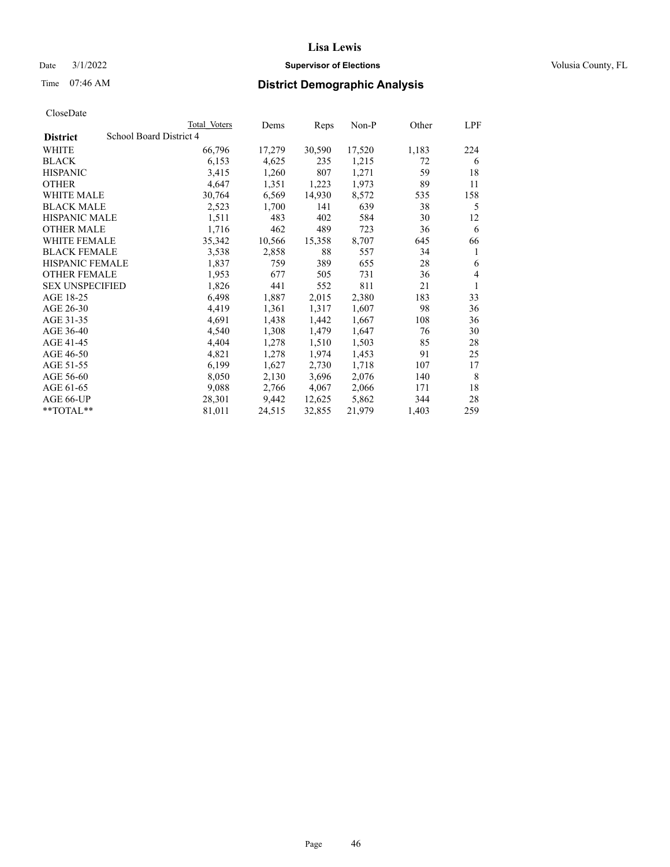# Date  $3/1/2022$  **Supervisor of Elections Supervisor of Elections** Volusia County, FL

# Time 07:46 AM **District Demographic Analysis**

|                        |                         | Total Voters | Dems   | Reps   | Non-P  | Other | LPF |
|------------------------|-------------------------|--------------|--------|--------|--------|-------|-----|
| <b>District</b>        | School Board District 4 |              |        |        |        |       |     |
| WHITE                  |                         | 66,796       | 17,279 | 30,590 | 17,520 | 1,183 | 224 |
| <b>BLACK</b>           |                         | 6,153        | 4,625  | 235    | 1,215  | 72    | 6   |
| <b>HISPANIC</b>        |                         | 3,415        | 1,260  | 807    | 1,271  | 59    | 18  |
| <b>OTHER</b>           |                         | 4,647        | 1,351  | 1,223  | 1,973  | 89    | 11  |
| WHITE MALE             |                         | 30,764       | 6,569  | 14,930 | 8,572  | 535   | 158 |
| <b>BLACK MALE</b>      |                         | 2,523        | 1,700  | 141    | 639    | 38    | 5   |
| <b>HISPANIC MALE</b>   |                         | 1,511        | 483    | 402    | 584    | 30    | 12  |
| <b>OTHER MALE</b>      |                         | 1,716        | 462    | 489    | 723    | 36    | 6   |
| WHITE FEMALE           |                         | 35,342       | 10,566 | 15,358 | 8,707  | 645   | 66  |
| <b>BLACK FEMALE</b>    |                         | 3,538        | 2,858  | 88     | 557    | 34    | 1   |
| <b>HISPANIC FEMALE</b> |                         | 1,837        | 759    | 389    | 655    | 28    | 6   |
| <b>OTHER FEMALE</b>    |                         | 1,953        | 677    | 505    | 731    | 36    | 4   |
| <b>SEX UNSPECIFIED</b> |                         | 1,826        | 441    | 552    | 811    | 21    | 1   |
| AGE 18-25              |                         | 6,498        | 1,887  | 2,015  | 2,380  | 183   | 33  |
| AGE 26-30              |                         | 4,419        | 1,361  | 1,317  | 1,607  | 98    | 36  |
| AGE 31-35              |                         | 4,691        | 1,438  | 1,442  | 1,667  | 108   | 36  |
| AGE 36-40              |                         | 4,540        | 1,308  | 1,479  | 1,647  | 76    | 30  |
| AGE 41-45              |                         | 4,404        | 1,278  | 1,510  | 1,503  | 85    | 28  |
| AGE 46-50              |                         | 4,821        | 1,278  | 1,974  | 1,453  | 91    | 25  |
| AGE 51-55              |                         | 6,199        | 1,627  | 2,730  | 1,718  | 107   | 17  |
| AGE 56-60              |                         | 8,050        | 2,130  | 3,696  | 2,076  | 140   | 8   |
| AGE 61-65              |                         | 9,088        | 2,766  | 4,067  | 2,066  | 171   | 18  |
| AGE 66-UP              |                         | 28,301       | 9,442  | 12,625 | 5,862  | 344   | 28  |
| **TOTAL**              |                         | 81,011       | 24,515 | 32,855 | 21,979 | 1,403 | 259 |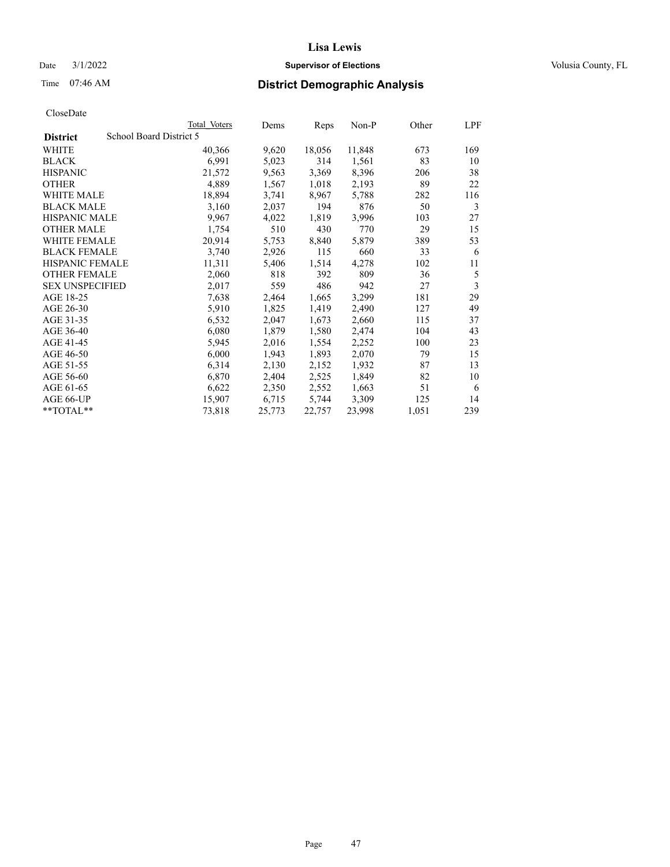# Date  $3/1/2022$  **Supervisor of Elections Supervisor of Elections** Volusia County, FL

# Time 07:46 AM **District Demographic Analysis**

|                        | Total Voters            | Dems             | Reps   | Non-P  | Other | LPF |
|------------------------|-------------------------|------------------|--------|--------|-------|-----|
| <b>District</b>        | School Board District 5 |                  |        |        |       |     |
| WHITE                  |                         | 40,366<br>9,620  | 18,056 | 11,848 | 673   | 169 |
| <b>BLACK</b>           |                         | 6,991<br>5,023   | 314    | 1,561  | 83    | 10  |
| <b>HISPANIC</b>        |                         | 9,563<br>21,572  | 3,369  | 8,396  | 206   | 38  |
| <b>OTHER</b>           |                         | 4,889<br>1,567   | 1,018  | 2,193  | 89    | 22  |
| WHITE MALE             |                         | 18,894<br>3,741  | 8,967  | 5,788  | 282   | 116 |
| <b>BLACK MALE</b>      |                         | 3,160<br>2,037   | 194    | 876    | 50    | 3   |
| <b>HISPANIC MALE</b>   |                         | 9,967<br>4,022   | 1,819  | 3,996  | 103   | 27  |
| <b>OTHER MALE</b>      |                         | 510<br>1,754     | 430    | 770    | 29    | 15  |
| WHITE FEMALE           |                         | 20,914<br>5,753  | 8,840  | 5,879  | 389   | 53  |
| <b>BLACK FEMALE</b>    |                         | 3,740<br>2,926   | 115    | 660    | 33    | 6   |
| <b>HISPANIC FEMALE</b> |                         | 11,311<br>5,406  | 1,514  | 4,278  | 102   | 11  |
| <b>OTHER FEMALE</b>    |                         | 2,060<br>818     | 392    | 809    | 36    | 5   |
| <b>SEX UNSPECIFIED</b> |                         | 2,017<br>559     | 486    | 942    | 27    | 3   |
| AGE 18-25              |                         | 7,638<br>2,464   | 1,665  | 3,299  | 181   | 29  |
| AGE 26-30              |                         | 5,910<br>1,825   | 1,419  | 2,490  | 127   | 49  |
| AGE 31-35              |                         | 6,532<br>2,047   | 1,673  | 2,660  | 115   | 37  |
| AGE 36-40              |                         | 6,080<br>1,879   | 1,580  | 2,474  | 104   | 43  |
| AGE 41-45              |                         | 5,945<br>2,016   | 1,554  | 2,252  | 100   | 23  |
| AGE 46-50              |                         | 6,000<br>1,943   | 1,893  | 2,070  | 79    | 15  |
| AGE 51-55              |                         | 6,314<br>2,130   | 2,152  | 1,932  | 87    | 13  |
| AGE 56-60              |                         | 6,870<br>2,404   | 2,525  | 1,849  | 82    | 10  |
| AGE 61-65              |                         | 6,622<br>2,350   | 2,552  | 1,663  | 51    | 6   |
| AGE 66-UP              |                         | 15,907<br>6,715  | 5,744  | 3,309  | 125   | 14  |
| $*$ $TOTAL**$          |                         | 73,818<br>25,773 | 22,757 | 23,998 | 1,051 | 239 |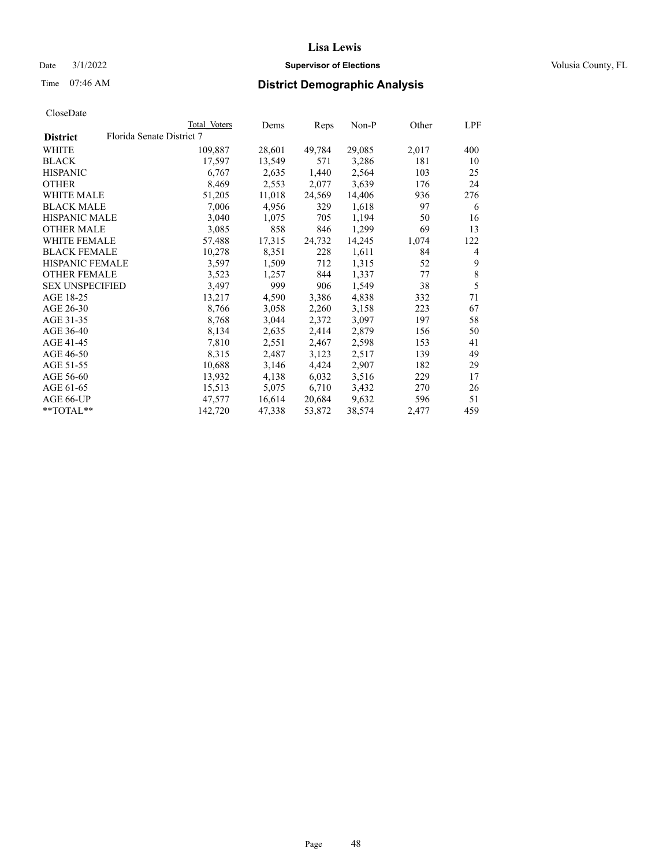# Date  $3/1/2022$  **Supervisor of Elections Supervisor of Elections** Volusia County, FL

| CloseDate |
|-----------|
|-----------|

|                        | Total Voters              | Dems   | Reps   | Non-P  | Other | LPF |
|------------------------|---------------------------|--------|--------|--------|-------|-----|
| <b>District</b>        | Florida Senate District 7 |        |        |        |       |     |
| WHITE                  | 109,887                   | 28,601 | 49,784 | 29,085 | 2,017 | 400 |
| <b>BLACK</b>           | 17,597                    | 13,549 | 571    | 3,286  | 181   | 10  |
| <b>HISPANIC</b>        | 6,767                     | 2,635  | 1,440  | 2,564  | 103   | 25  |
| <b>OTHER</b>           | 8,469                     | 2,553  | 2,077  | 3,639  | 176   | 24  |
| <b>WHITE MALE</b>      | 51,205                    | 11,018 | 24,569 | 14,406 | 936   | 276 |
| <b>BLACK MALE</b>      | 7,006                     | 4,956  | 329    | 1,618  | 97    | 6   |
| <b>HISPANIC MALE</b>   | 3,040                     | 1,075  | 705    | 1,194  | 50    | 16  |
| <b>OTHER MALE</b>      | 3,085                     | 858    | 846    | 1,299  | 69    | 13  |
| <b>WHITE FEMALE</b>    | 57,488                    | 17,315 | 24,732 | 14,245 | 1,074 | 122 |
| <b>BLACK FEMALE</b>    | 10,278                    | 8,351  | 228    | 1,611  | 84    | 4   |
| <b>HISPANIC FEMALE</b> | 3,597                     | 1,509  | 712    | 1,315  | 52    | 9   |
| <b>OTHER FEMALE</b>    | 3,523                     | 1,257  | 844    | 1,337  | 77    | 8   |
| <b>SEX UNSPECIFIED</b> | 3,497                     | 999    | 906    | 1,549  | 38    | 5   |
| AGE 18-25              | 13,217                    | 4,590  | 3,386  | 4,838  | 332   | 71  |
| AGE 26-30              | 8,766                     | 3,058  | 2,260  | 3,158  | 223   | 67  |
| AGE 31-35              | 8,768                     | 3,044  | 2,372  | 3,097  | 197   | 58  |
| AGE 36-40              | 8,134                     | 2,635  | 2,414  | 2,879  | 156   | 50  |
| AGE 41-45              | 7,810                     | 2,551  | 2,467  | 2,598  | 153   | 41  |
| AGE 46-50              | 8,315                     | 2,487  | 3,123  | 2,517  | 139   | 49  |
| AGE 51-55              | 10,688                    | 3,146  | 4,424  | 2,907  | 182   | 29  |
| AGE 56-60              | 13,932                    | 4,138  | 6,032  | 3,516  | 229   | 17  |
| AGE 61-65              | 15,513                    | 5,075  | 6,710  | 3,432  | 270   | 26  |
| AGE 66-UP              | 47,577                    | 16,614 | 20,684 | 9,632  | 596   | 51  |
| **TOTAL**              | 142,720                   | 47,338 | 53,872 | 38,574 | 2,477 | 459 |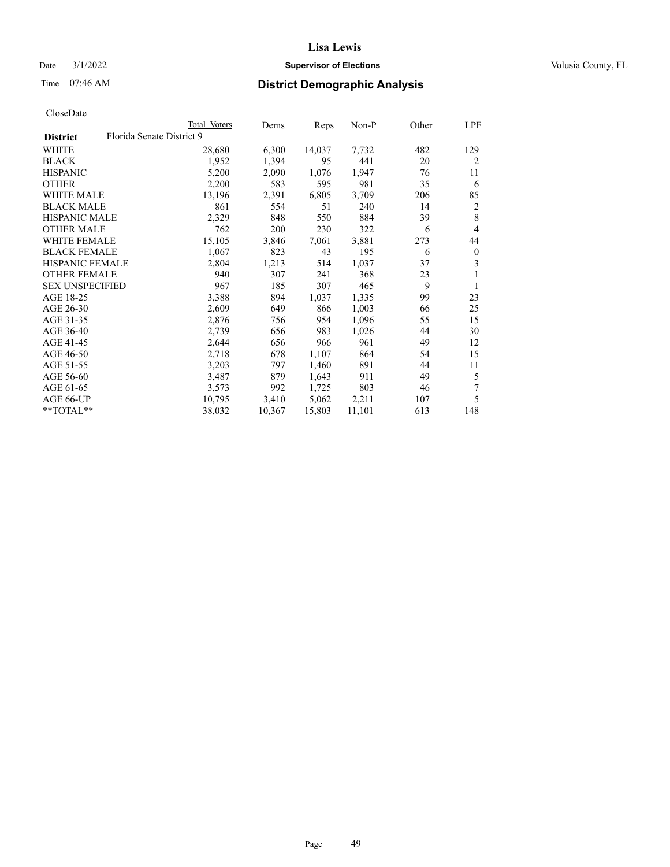# Date  $3/1/2022$  **Supervisor of Elections Supervisor of Elections** Volusia County, FL

# Time 07:46 AM **District Demographic Analysis**

|                        |                           | Total Voters | Dems   | Reps   | Non-P  | Other | LPF            |
|------------------------|---------------------------|--------------|--------|--------|--------|-------|----------------|
| <b>District</b>        | Florida Senate District 9 |              |        |        |        |       |                |
| WHITE                  |                           | 28,680       | 6,300  | 14,037 | 7,732  | 482   | 129            |
| <b>BLACK</b>           |                           | 1,952        | 1,394  | 95     | 441    | 20    | $\overline{2}$ |
| <b>HISPANIC</b>        |                           | 5,200        | 2,090  | 1,076  | 1,947  | 76    | 11             |
| <b>OTHER</b>           |                           | 2,200        | 583    | 595    | 981    | 35    | 6              |
| WHITE MALE             |                           | 13,196       | 2,391  | 6,805  | 3,709  | 206   | 85             |
| <b>BLACK MALE</b>      |                           | 861          | 554    | 51     | 240    | 14    | 2              |
| <b>HISPANIC MALE</b>   |                           | 2,329        | 848    | 550    | 884    | 39    | 8              |
| OTHER MALE             |                           | 762          | 200    | 230    | 322    | 6     | 4              |
| WHITE FEMALE           |                           | 15,105       | 3,846  | 7,061  | 3,881  | 273   | 44             |
| <b>BLACK FEMALE</b>    |                           | 1,067        | 823    | 43     | 195    | 6     | $\mathbf{0}$   |
| <b>HISPANIC FEMALE</b> |                           | 2,804        | 1,213  | 514    | 1,037  | 37    | 3              |
| <b>OTHER FEMALE</b>    |                           | 940          | 307    | 241    | 368    | 23    | 1              |
| <b>SEX UNSPECIFIED</b> |                           | 967          | 185    | 307    | 465    | 9     | 1              |
| AGE 18-25              |                           | 3,388        | 894    | 1,037  | 1,335  | 99    | 23             |
| AGE 26-30              |                           | 2,609        | 649    | 866    | 1,003  | 66    | 25             |
| AGE 31-35              |                           | 2,876        | 756    | 954    | 1,096  | 55    | 15             |
| AGE 36-40              |                           | 2,739        | 656    | 983    | 1,026  | 44    | 30             |
| AGE 41-45              |                           | 2,644        | 656    | 966    | 961    | 49    | 12             |
| AGE 46-50              |                           | 2,718        | 678    | 1,107  | 864    | 54    | 15             |
| AGE 51-55              |                           | 3,203        | 797    | 1,460  | 891    | 44    | 11             |
| AGE 56-60              |                           | 3,487        | 879    | 1,643  | 911    | 49    | 5              |
| AGE 61-65              |                           | 3,573        | 992    | 1,725  | 803    | 46    | 7              |
| AGE 66-UP              |                           | 10,795       | 3,410  | 5,062  | 2,211  | 107   | 5              |
| $*$ $TOTAL**$          |                           | 38,032       | 10,367 | 15,803 | 11,101 | 613   | 148            |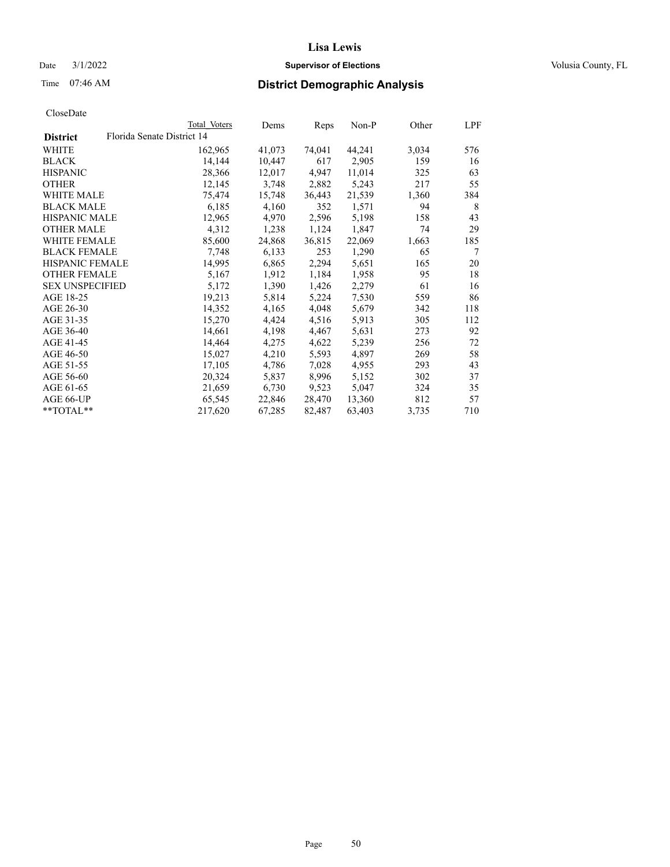# Date  $3/1/2022$  **Supervisor of Elections Supervisor of Elections** Volusia County, FL

| CloseDate |
|-----------|
|-----------|

|                        |                            | Total Voters | Dems   | Reps   | Non-P  | Other | LPF |
|------------------------|----------------------------|--------------|--------|--------|--------|-------|-----|
| <b>District</b>        | Florida Senate District 14 |              |        |        |        |       |     |
| WHITE                  |                            | 162,965      | 41,073 | 74,041 | 44,241 | 3,034 | 576 |
| <b>BLACK</b>           |                            | 14,144       | 10,447 | 617    | 2,905  | 159   | 16  |
| <b>HISPANIC</b>        |                            | 28,366       | 12,017 | 4,947  | 11,014 | 325   | 63  |
| <b>OTHER</b>           |                            | 12,145       | 3,748  | 2,882  | 5,243  | 217   | 55  |
| WHITE MALE             |                            | 75,474       | 15,748 | 36,443 | 21,539 | 1,360 | 384 |
| <b>BLACK MALE</b>      |                            | 6,185        | 4,160  | 352    | 1,571  | 94    | 8   |
| <b>HISPANIC MALE</b>   |                            | 12,965       | 4,970  | 2,596  | 5,198  | 158   | 43  |
| <b>OTHER MALE</b>      |                            | 4,312        | 1,238  | 1,124  | 1,847  | 74    | 29  |
| <b>WHITE FEMALE</b>    |                            | 85,600       | 24,868 | 36,815 | 22,069 | 1,663 | 185 |
| <b>BLACK FEMALE</b>    |                            | 7,748        | 6,133  | 253    | 1,290  | 65    | 7   |
| <b>HISPANIC FEMALE</b> |                            | 14,995       | 6,865  | 2,294  | 5,651  | 165   | 20  |
| <b>OTHER FEMALE</b>    |                            | 5,167        | 1,912  | 1,184  | 1,958  | 95    | 18  |
| <b>SEX UNSPECIFIED</b> |                            | 5,172        | 1,390  | 1,426  | 2,279  | 61    | 16  |
| AGE 18-25              |                            | 19,213       | 5,814  | 5,224  | 7,530  | 559   | 86  |
| AGE 26-30              |                            | 14,352       | 4,165  | 4,048  | 5,679  | 342   | 118 |
| AGE 31-35              |                            | 15,270       | 4,424  | 4,516  | 5,913  | 305   | 112 |
| AGE 36-40              |                            | 14,661       | 4,198  | 4,467  | 5,631  | 273   | 92  |
| AGE 41-45              |                            | 14,464       | 4,275  | 4,622  | 5,239  | 256   | 72  |
| AGE 46-50              |                            | 15,027       | 4,210  | 5,593  | 4,897  | 269   | 58  |
| AGE 51-55              |                            | 17,105       | 4,786  | 7,028  | 4,955  | 293   | 43  |
| AGE 56-60              |                            | 20,324       | 5,837  | 8,996  | 5,152  | 302   | 37  |
| AGE 61-65              |                            | 21,659       | 6,730  | 9,523  | 5,047  | 324   | 35  |
| AGE 66-UP              |                            | 65,545       | 22,846 | 28,470 | 13,360 | 812   | 57  |
| $*$ TOTAL $*$          |                            | 217,620      | 67,285 | 82,487 | 63,403 | 3,735 | 710 |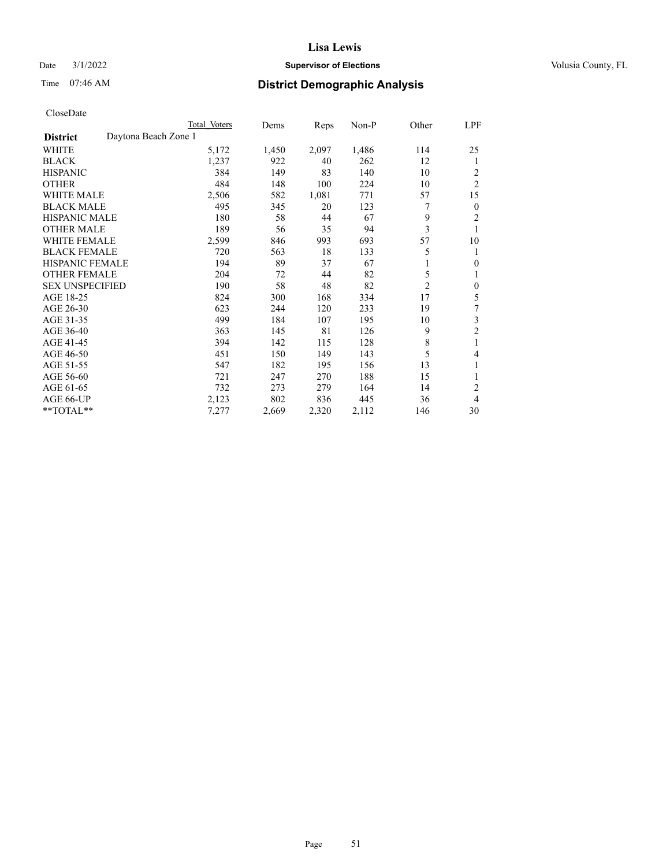# Date  $3/1/2022$  **Supervisor of Elections Supervisor of Elections** Volusia County, FL

# Time 07:46 AM **District Demographic Analysis**

|                        |                      | Total Voters | Dems  | Reps  | Non-P | Other          | LPF                     |
|------------------------|----------------------|--------------|-------|-------|-------|----------------|-------------------------|
| <b>District</b>        | Daytona Beach Zone 1 |              |       |       |       |                |                         |
| WHITE                  |                      | 5,172        | 1,450 | 2,097 | 1,486 | 114            | 25                      |
| <b>BLACK</b>           |                      | 1,237        | 922   | 40    | 262   | 12             | 1                       |
| <b>HISPANIC</b>        |                      | 384          | 149   | 83    | 140   | 10             | 2                       |
| <b>OTHER</b>           |                      | 484          | 148   | 100   | 224   | 10             | $\overline{2}$          |
| WHITE MALE             |                      | 2,506        | 582   | 1,081 | 771   | 57             | 15                      |
| <b>BLACK MALE</b>      |                      | 495          | 345   | 20    | 123   | 7              | $\mathbf{0}$            |
| <b>HISPANIC MALE</b>   |                      | 180          | 58    | 44    | 67    | 9              | 2                       |
| <b>OTHER MALE</b>      |                      | 189          | 56    | 35    | 94    | 3              | 1                       |
| WHITE FEMALE           |                      | 2,599        | 846   | 993   | 693   | 57             | 10                      |
| <b>BLACK FEMALE</b>    |                      | 720          | 563   | 18    | 133   | 5              | 1                       |
| <b>HISPANIC FEMALE</b> |                      | 194          | 89    | 37    | 67    | 1              | $\theta$                |
| <b>OTHER FEMALE</b>    |                      | 204          | 72    | 44    | 82    | 5              | 1                       |
| <b>SEX UNSPECIFIED</b> |                      | 190          | 58    | 48    | 82    | $\overline{2}$ | $\mathbf{0}$            |
| AGE 18-25              |                      | 824          | 300   | 168   | 334   | 17             | 5                       |
| AGE 26-30              |                      | 623          | 244   | 120   | 233   | 19             | 7                       |
| AGE 31-35              |                      | 499          | 184   | 107   | 195   | 10             | $\overline{\mathbf{3}}$ |
| AGE 36-40              |                      | 363          | 145   | 81    | 126   | 9              | $\overline{c}$          |
| AGE 41-45              |                      | 394          | 142   | 115   | 128   | 8              | 1                       |
| AGE 46-50              |                      | 451          | 150   | 149   | 143   | 5              | $\overline{4}$          |
| AGE 51-55              |                      | 547          | 182   | 195   | 156   | 13             | 1                       |
| AGE 56-60              |                      | 721          | 247   | 270   | 188   | 15             | 1                       |
| AGE 61-65              |                      | 732          | 273   | 279   | 164   | 14             | 2                       |
| AGE 66-UP              |                      | 2,123        | 802   | 836   | 445   | 36             | 4                       |
| **TOTAL**              |                      | 7,277        | 2,669 | 2,320 | 2,112 | 146            | 30                      |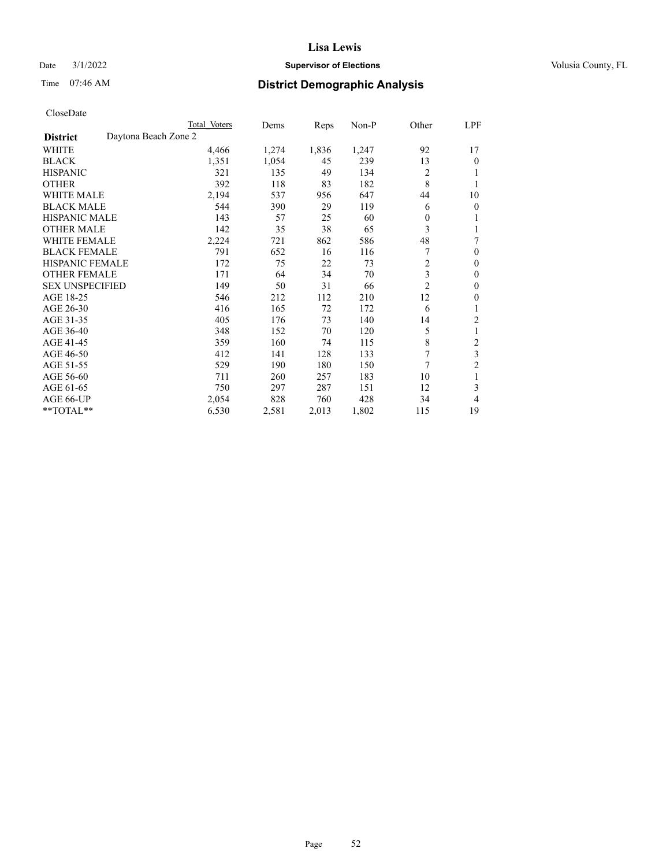# Date  $3/1/2022$  **Supervisor of Elections Supervisor of Elections** Volusia County, FL

# Time 07:46 AM **District Demographic Analysis**

|                        |                      | Total Voters | Dems  | Reps  | Non-P | Other          | LPF            |
|------------------------|----------------------|--------------|-------|-------|-------|----------------|----------------|
| <b>District</b>        | Daytona Beach Zone 2 |              |       |       |       |                |                |
| WHITE                  |                      | 4,466        | 1,274 | 1,836 | 1,247 | 92             | 17             |
| <b>BLACK</b>           |                      | 1,351        | 1,054 | 45    | 239   | 13             | $\mathbf{0}$   |
| <b>HISPANIC</b>        |                      | 321          | 135   | 49    | 134   | 2              |                |
| <b>OTHER</b>           |                      | 392          | 118   | 83    | 182   | 8              |                |
| WHITE MALE             |                      | 2,194        | 537   | 956   | 647   | 44             | 10             |
| <b>BLACK MALE</b>      |                      | 544          | 390   | 29    | 119   | 6              | $\theta$       |
| <b>HISPANIC MALE</b>   |                      | 143          | 57    | 25    | 60    | 0              | 1              |
| <b>OTHER MALE</b>      |                      | 142          | 35    | 38    | 65    | 3              | 1              |
| WHITE FEMALE           |                      | 2,224        | 721   | 862   | 586   | 48             | 7              |
| <b>BLACK FEMALE</b>    |                      | 791          | 652   | 16    | 116   |                | $\mathbf{0}$   |
| <b>HISPANIC FEMALE</b> |                      | 172          | 75    | 22    | 73    | $\overline{2}$ | $\theta$       |
| <b>OTHER FEMALE</b>    |                      | 171          | 64    | 34    | 70    | 3              | $\theta$       |
| <b>SEX UNSPECIFIED</b> |                      | 149          | 50    | 31    | 66    | $\overline{2}$ | $\theta$       |
| AGE 18-25              |                      | 546          | 212   | 112   | 210   | 12             | $\theta$       |
| AGE 26-30              |                      | 416          | 165   | 72    | 172   | 6              | 1              |
| AGE 31-35              |                      | 405          | 176   | 73    | 140   | 14             | $\overline{2}$ |
| AGE 36-40              |                      | 348          | 152   | 70    | 120   | 5              | 1              |
| AGE 41-45              |                      | 359          | 160   | 74    | 115   | 8              | $\overline{c}$ |
| AGE 46-50              |                      | 412          | 141   | 128   | 133   | 7              | 3              |
| AGE 51-55              |                      | 529          | 190   | 180   | 150   | 7              | $\overline{2}$ |
| AGE 56-60              |                      | 711          | 260   | 257   | 183   | 10             |                |
| AGE 61-65              |                      | 750          | 297   | 287   | 151   | 12             | 3              |
| AGE 66-UP              |                      | 2,054        | 828   | 760   | 428   | 34             | 4              |
| **TOTAL**              |                      | 6,530        | 2,581 | 2,013 | 1,802 | 115            | 19             |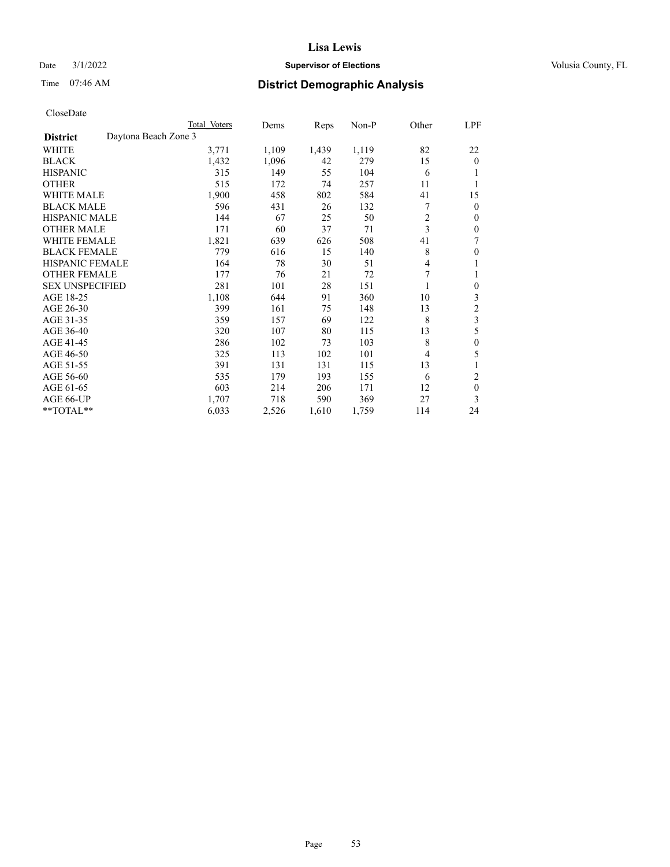# Date  $3/1/2022$  **Supervisor of Elections Supervisor of Elections** Volusia County, FL

# Time 07:46 AM **District Demographic Analysis**

|                        |                      | Total Voters | Dems  | Reps  | Non-P | Other | LPF              |
|------------------------|----------------------|--------------|-------|-------|-------|-------|------------------|
| <b>District</b>        | Daytona Beach Zone 3 |              |       |       |       |       |                  |
| WHITE                  |                      | 3,771        | 1,109 | 1,439 | 1,119 | 82    | 22               |
| <b>BLACK</b>           |                      | 1,432        | 1,096 | 42    | 279   | 15    | $\overline{0}$   |
| <b>HISPANIC</b>        |                      | 315          | 149   | 55    | 104   | 6     |                  |
| <b>OTHER</b>           |                      | 515          | 172   | 74    | 257   | 11    |                  |
| WHITE MALE             |                      | 1,900        | 458   | 802   | 584   | 41    | 15               |
| <b>BLACK MALE</b>      |                      | 596          | 431   | 26    | 132   | 7     | 0                |
| <b>HISPANIC MALE</b>   |                      | 144          | 67    | 25    | 50    | 2     | 0                |
| <b>OTHER MALE</b>      |                      | 171          | 60    | 37    | 71    | 3     | 0                |
| WHITE FEMALE           |                      | 1,821        | 639   | 626   | 508   | 41    | 7                |
| <b>BLACK FEMALE</b>    |                      | 779          | 616   | 15    | 140   | 8     | 0                |
| <b>HISPANIC FEMALE</b> |                      | 164          | 78    | 30    | 51    | 4     |                  |
| <b>OTHER FEMALE</b>    |                      | 177          | 76    | 21    | 72    | 7     |                  |
| <b>SEX UNSPECIFIED</b> |                      | 281          | 101   | 28    | 151   |       | $\boldsymbol{0}$ |
| AGE 18-25              |                      | 1,108        | 644   | 91    | 360   | 10    | 3                |
| AGE 26-30              |                      | 399          | 161   | 75    | 148   | 13    | 2                |
| AGE 31-35              |                      | 359          | 157   | 69    | 122   | 8     | 3                |
| AGE 36-40              |                      | 320          | 107   | 80    | 115   | 13    | 5                |
| AGE 41-45              |                      | 286          | 102   | 73    | 103   | 8     | 0                |
| AGE 46-50              |                      | 325          | 113   | 102   | 101   | 4     | 5                |
| AGE 51-55              |                      | 391          | 131   | 131   | 115   | 13    | 1                |
| AGE 56-60              |                      | 535          | 179   | 193   | 155   | 6     | 2                |
| AGE 61-65              |                      | 603          | 214   | 206   | 171   | 12    | $\boldsymbol{0}$ |
| AGE 66-UP              |                      | 1,707        | 718   | 590   | 369   | 27    | 3                |
| **TOTAL**              |                      | 6,033        | 2,526 | 1,610 | 1,759 | 114   | 24               |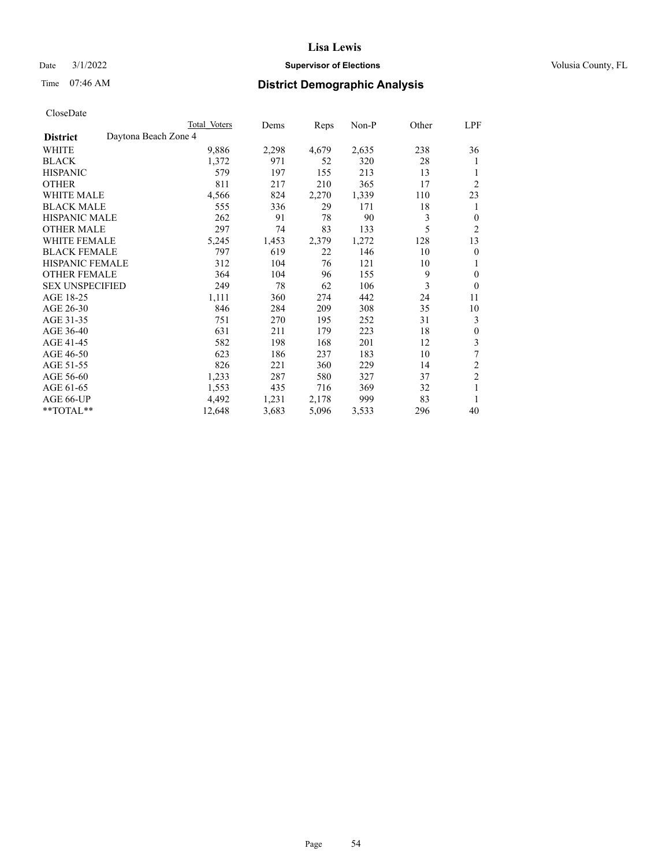# Date  $3/1/2022$  **Supervisor of Elections Supervisor of Elections** Volusia County, FL

# Time 07:46 AM **District Demographic Analysis**

|                        |                      | Total Voters | Dems  | Reps  | Non-P | Other | LPF            |
|------------------------|----------------------|--------------|-------|-------|-------|-------|----------------|
| <b>District</b>        | Daytona Beach Zone 4 |              |       |       |       |       |                |
| WHITE                  |                      | 9,886        | 2,298 | 4,679 | 2,635 | 238   | 36             |
| <b>BLACK</b>           |                      | 1,372        | 971   | 52    | 320   | 28    | 1              |
| <b>HISPANIC</b>        |                      | 579          | 197   | 155   | 213   | 13    | 1              |
| <b>OTHER</b>           |                      | 811          | 217   | 210   | 365   | 17    | $\overline{2}$ |
| WHITE MALE             |                      | 4,566        | 824   | 2,270 | 1,339 | 110   | 23             |
| <b>BLACK MALE</b>      |                      | 555          | 336   | 29    | 171   | 18    | 1              |
| <b>HISPANIC MALE</b>   |                      | 262          | 91    | 78    | 90    | 3     | $\theta$       |
| <b>OTHER MALE</b>      |                      | 297          | 74    | 83    | 133   | 5     | 2              |
| <b>WHITE FEMALE</b>    |                      | 5,245        | 1,453 | 2,379 | 1,272 | 128   | 13             |
| <b>BLACK FEMALE</b>    |                      | 797          | 619   | 22    | 146   | 10    | $\overline{0}$ |
| <b>HISPANIC FEMALE</b> |                      | 312          | 104   | 76    | 121   | 10    | 1              |
| <b>OTHER FEMALE</b>    |                      | 364          | 104   | 96    | 155   | 9     | $\theta$       |
| <b>SEX UNSPECIFIED</b> |                      | 249          | 78    | 62    | 106   | 3     | $\theta$       |
| AGE 18-25              |                      | 1,111        | 360   | 274   | 442   | 24    | 11             |
| AGE 26-30              |                      | 846          | 284   | 209   | 308   | 35    | 10             |
| AGE 31-35              |                      | 751          | 270   | 195   | 252   | 31    | 3              |
| AGE 36-40              |                      | 631          | 211   | 179   | 223   | 18    | $\theta$       |
| AGE 41-45              |                      | 582          | 198   | 168   | 201   | 12    | 3              |
| AGE 46-50              |                      | 623          | 186   | 237   | 183   | 10    | 7              |
| AGE 51-55              |                      | 826          | 221   | 360   | 229   | 14    | 2              |
| AGE 56-60              |                      | 1,233        | 287   | 580   | 327   | 37    | $\overline{c}$ |
| AGE 61-65              |                      | 1,553        | 435   | 716   | 369   | 32    | 1              |
| AGE 66-UP              |                      | 4,492        | 1,231 | 2,178 | 999   | 83    | 1              |
| **TOTAL**              |                      | 12,648       | 3,683 | 5,096 | 3,533 | 296   | 40             |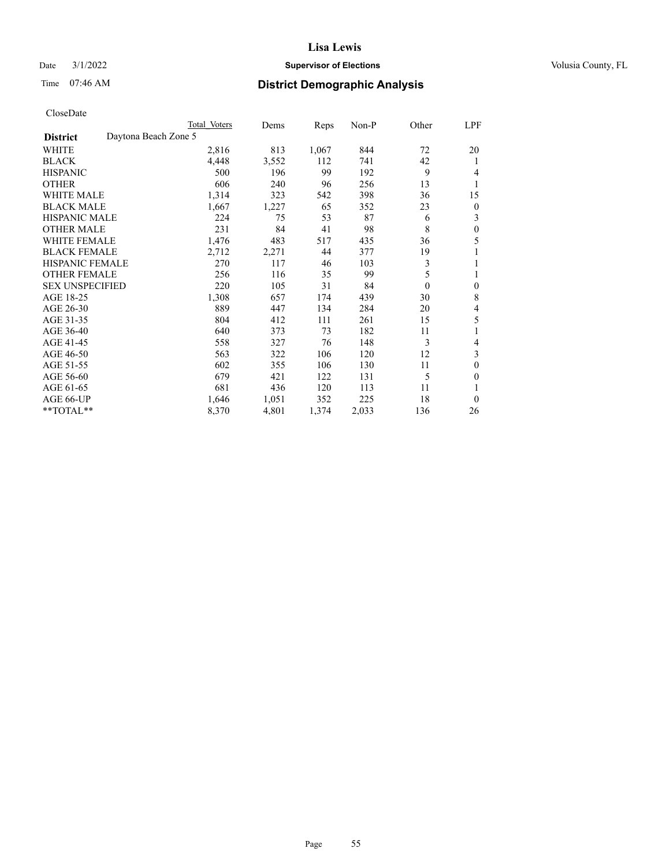# Date  $3/1/2022$  **Supervisor of Elections Supervisor of Elections** Volusia County, FL

# Time 07:46 AM **District Demographic Analysis**

| Total Voters         | Dems  | Reps  | $Non-P$ | Other    | LPF |
|----------------------|-------|-------|---------|----------|-----|
| Daytona Beach Zone 5 |       |       |         |          |     |
| 2,816                | 813   | 1,067 | 844     | 72       | 20  |
| 4,448                | 3,552 | 112   | 741     | 42       | 1   |
| 500                  | 196   | 99    | 192     | 9        | 4   |
| 606                  | 240   | 96    | 256     | 13       | 1   |
| 1,314                | 323   | 542   | 398     | 36       | 15  |
| 1,667                | 1,227 | 65    | 352     | 23       | 0   |
| 224                  | 75    | 53    | 87      | 6        | 3   |
| 231                  | 84    | 41    | 98      | 8        | 0   |
| 1,476                | 483   | 517   | 435     | 36       | 5   |
| 2,712                | 2,271 | 44    | 377     | 19       |     |
| 270                  | 117   | 46    | 103     | 3        | 1   |
| 256                  | 116   | 35    | 99      | 5        | 1   |
| 220                  | 105   | 31    | 84      | $\theta$ | 0   |
| 1,308                | 657   | 174   | 439     | 30       | 8   |
| 889                  | 447   | 134   | 284     | 20       | 4   |
| 804                  | 412   | 111   | 261     | 15       | 5   |
| 640                  | 373   | 73    | 182     | 11       |     |
| 558                  | 327   | 76    | 148     | 3        | 4   |
| 563                  | 322   | 106   | 120     | 12       | 3   |
| 602                  | 355   | 106   | 130     | 11       | 0   |
| 679                  | 421   | 122   | 131     | 5        | 0   |
| 681                  | 436   | 120   | 113     | 11       |     |
| 1,646                | 1,051 | 352   | 225     | 18       | 0   |
| 8,370                | 4,801 | 1,374 | 2,033   | 136      | 26  |
|                      |       |       |         |          |     |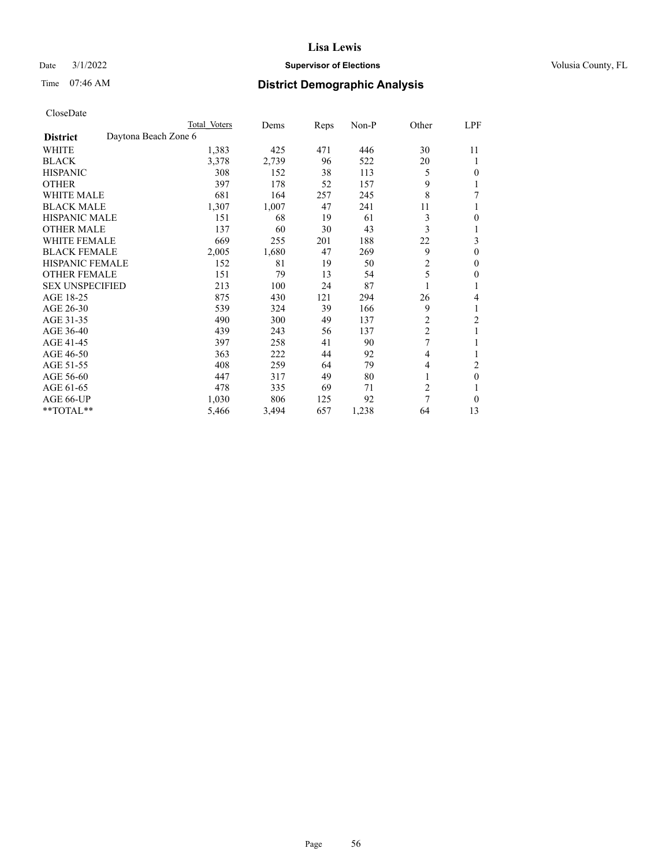# Date  $3/1/2022$  **Supervisor of Elections Supervisor of Elections** Volusia County, FL

# Time 07:46 AM **District Demographic Analysis**

|                        |                      | Total Voters | Dems  | Reps | Non-P | Other          | <u>LPF</u> |
|------------------------|----------------------|--------------|-------|------|-------|----------------|------------|
| <b>District</b>        | Daytona Beach Zone 6 |              |       |      |       |                |            |
| WHITE                  |                      | 1,383        | 425   | 471  | 446   | 30             | 11         |
| <b>BLACK</b>           |                      | 3,378        | 2,739 | 96   | 522   | 20             | 1          |
| <b>HISPANIC</b>        |                      | 308          | 152   | 38   | 113   | 5              | $\theta$   |
| <b>OTHER</b>           |                      | 397          | 178   | 52   | 157   | 9              | 1          |
| <b>WHITE MALE</b>      |                      | 681          | 164   | 257  | 245   | 8              | 7          |
| <b>BLACK MALE</b>      |                      | 1,307        | 1,007 | 47   | 241   | 11             | 1          |
| <b>HISPANIC MALE</b>   |                      | 151          | 68    | 19   | 61    | 3              | $\theta$   |
| <b>OTHER MALE</b>      |                      | 137          | 60    | 30   | 43    | 3              | 1          |
| <b>WHITE FEMALE</b>    |                      | 669          | 255   | 201  | 188   | 22             | 3          |
| <b>BLACK FEMALE</b>    |                      | 2,005        | 1,680 | 47   | 269   | 9              | $\theta$   |
| <b>HISPANIC FEMALE</b> |                      | 152          | 81    | 19   | 50    | $\overline{c}$ | $\theta$   |
| <b>OTHER FEMALE</b>    |                      | 151          | 79    | 13   | 54    | 5              | $\theta$   |
| <b>SEX UNSPECIFIED</b> |                      | 213          | 100   | 24   | 87    |                | 1          |
| AGE 18-25              |                      | 875          | 430   | 121  | 294   | 26             | 4          |
| AGE 26-30              |                      | 539          | 324   | 39   | 166   | 9              | 1          |
| AGE 31-35              |                      | 490          | 300   | 49   | 137   | $\overline{c}$ | 2          |
| AGE 36-40              |                      | 439          | 243   | 56   | 137   | $\overline{c}$ |            |
| AGE 41-45              |                      | 397          | 258   | 41   | 90    | 7              |            |
| AGE 46-50              |                      | 363          | 222   | 44   | 92    | 4              | 1          |
| AGE 51-55              |                      | 408          | 259   | 64   | 79    | 4              | 2          |
| AGE 56-60              |                      | 447          | 317   | 49   | 80    |                | $\theta$   |
| AGE 61-65              |                      | 478          | 335   | 69   | 71    | $\overline{c}$ | 1          |
| AGE 66-UP              |                      | 1,030        | 806   | 125  | 92    | 7              | $\theta$   |
| **TOTAL**              |                      | 5,466        | 3,494 | 657  | 1,238 | 64             | 13         |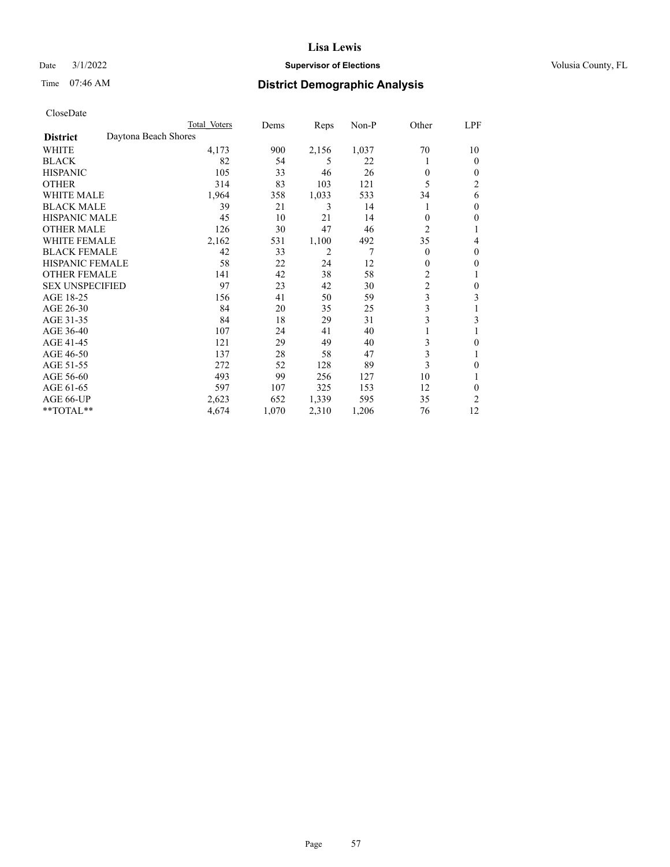# Date  $3/1/2022$  **Supervisor of Elections Supervisor of Elections** Volusia County, FL

# Time 07:46 AM **District Demographic Analysis**

|                        |                      | Total Voters | Dems  | Reps           | Non-P | Other          | LPF            |
|------------------------|----------------------|--------------|-------|----------------|-------|----------------|----------------|
| <b>District</b>        | Daytona Beach Shores |              |       |                |       |                |                |
| WHITE                  |                      | 4,173        | 900   | 2,156          | 1,037 | 70             | 10             |
| <b>BLACK</b>           |                      | 82           | 54    | 5              | 22    |                | 0              |
| <b>HISPANIC</b>        |                      | 105          | 33    | 46             | 26    | $\theta$       | $_{0}$         |
| <b>OTHER</b>           |                      | 314          | 83    | 103            | 121   | 5              | $\overline{c}$ |
| WHITE MALE             |                      | 1,964        | 358   | 1,033          | 533   | 34             | 6              |
| <b>BLACK MALE</b>      |                      | 39           | 21    | 3              | 14    |                | 0              |
| <b>HISPANIC MALE</b>   |                      | 45           | 10    | 21             | 14    | $\theta$       | 0              |
| <b>OTHER MALE</b>      |                      | 126          | 30    | 47             | 46    | $\overline{2}$ | 1              |
| WHITE FEMALE           |                      | 2,162        | 531   | 1,100          | 492   | 35             | 4              |
| <b>BLACK FEMALE</b>    |                      | 42           | 33    | $\overline{2}$ | 7     | $\theta$       | 0              |
| <b>HISPANIC FEMALE</b> |                      | 58           | 22    | 24             | 12    | $\theta$       | 0              |
| <b>OTHER FEMALE</b>    |                      | 141          | 42    | 38             | 58    | 2              |                |
| <b>SEX UNSPECIFIED</b> |                      | 97           | 23    | 42             | 30    | $\overline{c}$ | 0              |
| AGE 18-25              |                      | 156          | 41    | 50             | 59    | 3              | 3              |
| AGE 26-30              |                      | 84           | 20    | 35             | 25    | 3              | 1              |
| AGE 31-35              |                      | 84           | 18    | 29             | 31    | 3              | 3              |
| AGE 36-40              |                      | 107          | 24    | 41             | 40    |                |                |
| AGE 41-45              |                      | 121          | 29    | 49             | 40    | 3              | 0              |
| AGE 46-50              |                      | 137          | 28    | 58             | 47    | 3              |                |
| AGE 51-55              |                      | 272          | 52    | 128            | 89    | 3              | 0              |
| AGE 56-60              |                      | 493          | 99    | 256            | 127   | 10             |                |
| AGE 61-65              |                      | 597          | 107   | 325            | 153   | 12             | 0              |
| AGE 66-UP              |                      | 2,623        | 652   | 1,339          | 595   | 35             | 2              |
| **TOTAL**              |                      | 4,674        | 1,070 | 2,310          | 1,206 | 76             | 12             |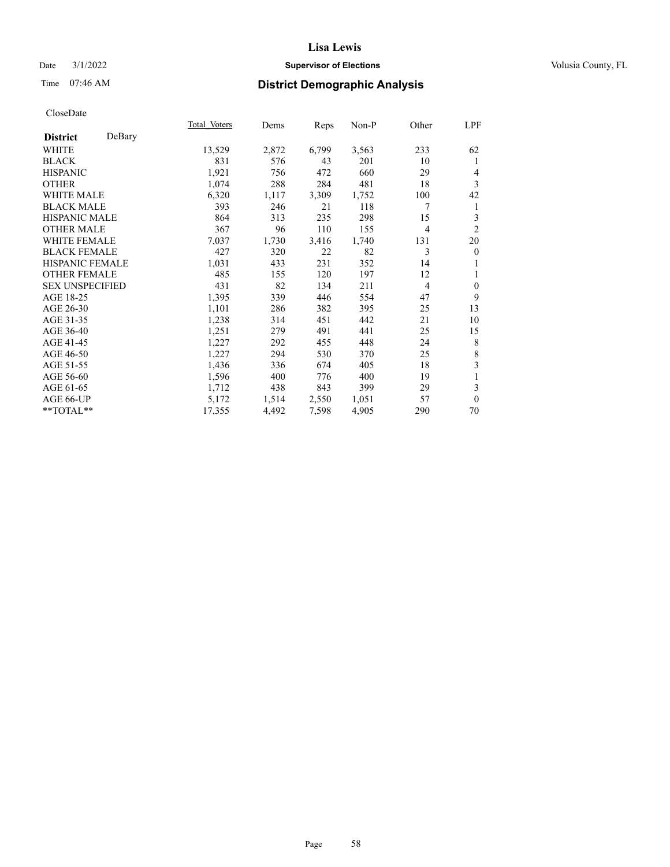# Date  $3/1/2022$  **Supervisor of Elections Supervisor of Elections** Volusia County, FL

# Time 07:46 AM **District Demographic Analysis**

|                        |        | Total Voters | Dems  | Reps  | Non-P | Other          | LPF              |
|------------------------|--------|--------------|-------|-------|-------|----------------|------------------|
| <b>District</b>        | DeBary |              |       |       |       |                |                  |
| WHITE                  |        | 13,529       | 2,872 | 6,799 | 3,563 | 233            | 62               |
| <b>BLACK</b>           |        | 831          | 576   | 43    | 201   | 10             | 1                |
| <b>HISPANIC</b>        |        | 1,921        | 756   | 472   | 660   | 29             | 4                |
| <b>OTHER</b>           |        | 1,074        | 288   | 284   | 481   | 18             | 3                |
| <b>WHITE MALE</b>      |        | 6,320        | 1,117 | 3,309 | 1,752 | 100            | 42               |
| <b>BLACK MALE</b>      |        | 393          | 246   | 21    | 118   | 7              | 1                |
| <b>HISPANIC MALE</b>   |        | 864          | 313   | 235   | 298   | 15             | 3                |
| <b>OTHER MALE</b>      |        | 367          | 96    | 110   | 155   | $\overline{4}$ | $\overline{2}$   |
| <b>WHITE FEMALE</b>    |        | 7,037        | 1,730 | 3,416 | 1,740 | 131            | 20               |
| <b>BLACK FEMALE</b>    |        | 427          | 320   | 22    | 82    | 3              | $\boldsymbol{0}$ |
| <b>HISPANIC FEMALE</b> |        | 1,031        | 433   | 231   | 352   | 14             |                  |
| <b>OTHER FEMALE</b>    |        | 485          | 155   | 120   | 197   | 12             | 1                |
| <b>SEX UNSPECIFIED</b> |        | 431          | 82    | 134   | 211   | 4              | $\mathbf{0}$     |
| AGE 18-25              |        | 1,395        | 339   | 446   | 554   | 47             | 9                |
| AGE 26-30              |        | 1,101        | 286   | 382   | 395   | 25             | 13               |
| AGE 31-35              |        | 1,238        | 314   | 451   | 442   | 21             | 10               |
| AGE 36-40              |        | 1,251        | 279   | 491   | 441   | 25             | 15               |
| AGE 41-45              |        | 1,227        | 292   | 455   | 448   | 24             | 8                |
| AGE 46-50              |        | 1,227        | 294   | 530   | 370   | 25             | $\,$ $\,$        |
| AGE 51-55              |        | 1,436        | 336   | 674   | 405   | 18             | 3                |
| AGE 56-60              |        | 1,596        | 400   | 776   | 400   | 19             | 1                |
| AGE 61-65              |        | 1,712        | 438   | 843   | 399   | 29             | 3                |
| AGE 66-UP              |        | 5,172        | 1,514 | 2,550 | 1,051 | 57             | $\mathbf{0}$     |
| **TOTAL**              |        | 17,355       | 4,492 | 7,598 | 4,905 | 290            | 70               |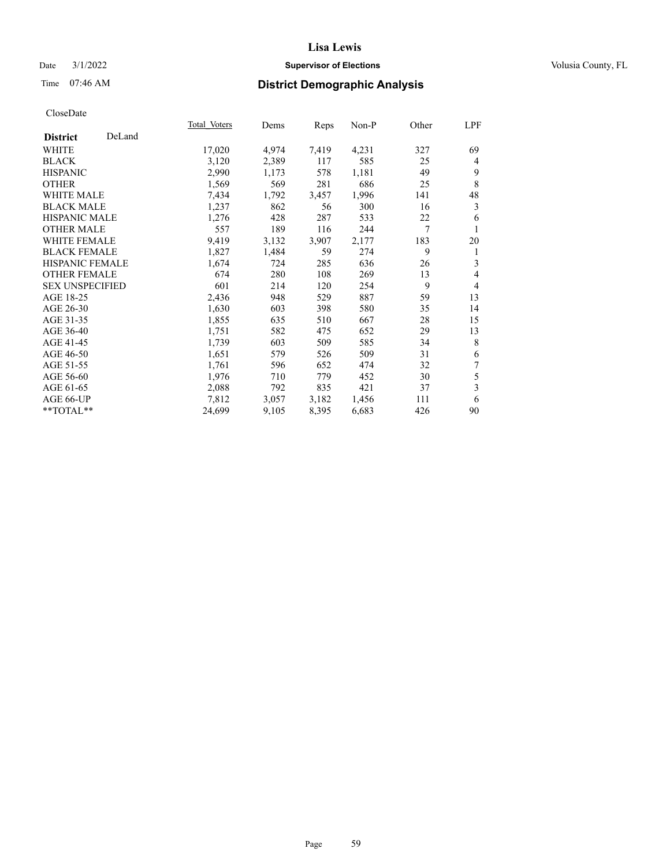# Date  $3/1/2022$  **Supervisor of Elections Supervisor of Elections** Volusia County, FL

# Time 07:46 AM **District Demographic Analysis**

|                        |        | Total Voters | Dems  | Reps  | Non-P | Other | LPF            |
|------------------------|--------|--------------|-------|-------|-------|-------|----------------|
| <b>District</b>        | DeLand |              |       |       |       |       |                |
| WHITE                  |        | 17,020       | 4,974 | 7,419 | 4,231 | 327   | 69             |
| <b>BLACK</b>           |        | 3,120        | 2,389 | 117   | 585   | 25    | 4              |
| <b>HISPANIC</b>        |        | 2,990        | 1,173 | 578   | 1,181 | 49    | 9              |
| <b>OTHER</b>           |        | 1,569        | 569   | 281   | 686   | 25    | 8              |
| <b>WHITE MALE</b>      |        | 7,434        | 1,792 | 3,457 | 1,996 | 141   | 48             |
| <b>BLACK MALE</b>      |        | 1,237        | 862   | 56    | 300   | 16    | 3              |
| <b>HISPANIC MALE</b>   |        | 1,276        | 428   | 287   | 533   | 22    | 6              |
| <b>OTHER MALE</b>      |        | 557          | 189   | 116   | 244   | 7     | 1              |
| <b>WHITE FEMALE</b>    |        | 9,419        | 3,132 | 3,907 | 2,177 | 183   | 20             |
| <b>BLACK FEMALE</b>    |        | 1,827        | 1,484 | 59    | 274   | 9     | 1              |
| <b>HISPANIC FEMALE</b> |        | 1,674        | 724   | 285   | 636   | 26    | 3              |
| <b>OTHER FEMALE</b>    |        | 674          | 280   | 108   | 269   | 13    | 4              |
| <b>SEX UNSPECIFIED</b> |        | 601          | 214   | 120   | 254   | 9     | $\overline{4}$ |
| AGE 18-25              |        | 2,436        | 948   | 529   | 887   | 59    | 13             |
| AGE 26-30              |        | 1,630        | 603   | 398   | 580   | 35    | 14             |
| AGE 31-35              |        | 1,855        | 635   | 510   | 667   | 28    | 15             |
| AGE 36-40              |        | 1,751        | 582   | 475   | 652   | 29    | 13             |
| AGE 41-45              |        | 1,739        | 603   | 509   | 585   | 34    | 8              |
| AGE 46-50              |        | 1,651        | 579   | 526   | 509   | 31    | 6              |
| AGE 51-55              |        | 1,761        | 596   | 652   | 474   | 32    | 7              |
| AGE 56-60              |        | 1,976        | 710   | 779   | 452   | 30    | 5              |
| AGE 61-65              |        | 2,088        | 792   | 835   | 421   | 37    | 3              |
| AGE 66-UP              |        | 7,812        | 3,057 | 3,182 | 1,456 | 111   | 6              |
| $**TOTAL**$            |        | 24,699       | 9,105 | 8,395 | 6,683 | 426   | 90             |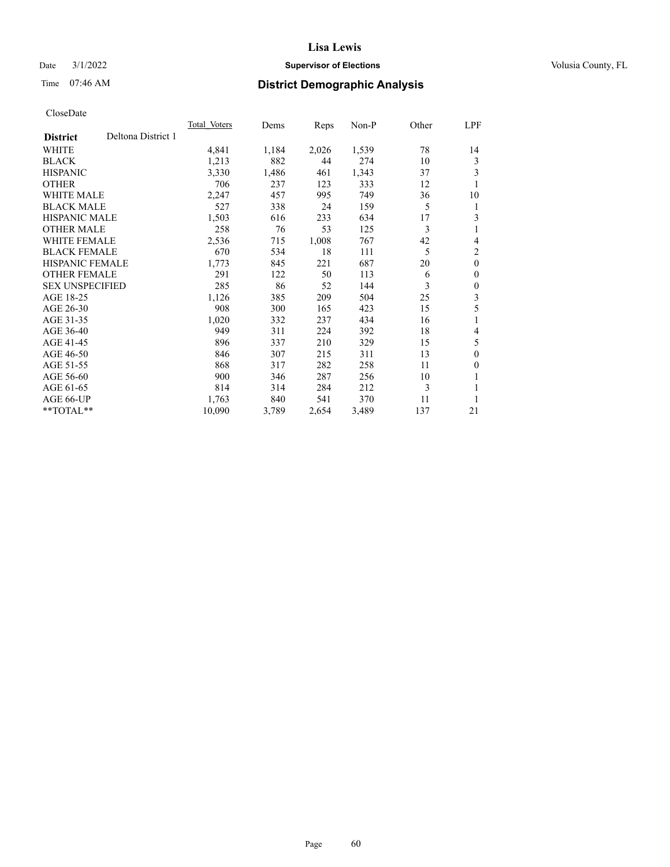# Date  $3/1/2022$  **Supervisor of Elections Supervisor of Elections** Volusia County, FL

# Time 07:46 AM **District Demographic Analysis**

|                        |                    | Total Voters | Dems  | Reps  | Non-P | Other | LPF          |
|------------------------|--------------------|--------------|-------|-------|-------|-------|--------------|
| <b>District</b>        | Deltona District 1 |              |       |       |       |       |              |
| WHITE                  |                    | 4,841        | 1,184 | 2,026 | 1,539 | 78    | 14           |
| <b>BLACK</b>           |                    | 1,213        | 882   | 44    | 274   | 10    | 3            |
| <b>HISPANIC</b>        |                    | 3,330        | 1,486 | 461   | 1,343 | 37    | 3            |
| <b>OTHER</b>           |                    | 706          | 237   | 123   | 333   | 12    | 1            |
| WHITE MALE             |                    | 2,247        | 457   | 995   | 749   | 36    | 10           |
| <b>BLACK MALE</b>      |                    | 527          | 338   | 24    | 159   | 5     | 1            |
| <b>HISPANIC MALE</b>   |                    | 1,503        | 616   | 233   | 634   | 17    | 3            |
| <b>OTHER MALE</b>      |                    | 258          | 76    | 53    | 125   | 3     | 1            |
| WHITE FEMALE           |                    | 2,536        | 715   | 1,008 | 767   | 42    | 4            |
| <b>BLACK FEMALE</b>    |                    | 670          | 534   | 18    | 111   | 5     | 2            |
| <b>HISPANIC FEMALE</b> |                    | 1,773        | 845   | 221   | 687   | 20    | $\mathbf{0}$ |
| <b>OTHER FEMALE</b>    |                    | 291          | 122   | 50    | 113   | 6     | $\theta$     |
| <b>SEX UNSPECIFIED</b> |                    | 285          | 86    | 52    | 144   | 3     | $\theta$     |
| AGE 18-25              |                    | 1,126        | 385   | 209   | 504   | 25    | 3            |
| AGE 26-30              |                    | 908          | 300   | 165   | 423   | 15    | 5            |
| AGE 31-35              |                    | 1,020        | 332   | 237   | 434   | 16    | 1            |
| AGE 36-40              |                    | 949          | 311   | 224   | 392   | 18    | 4            |
| AGE 41-45              |                    | 896          | 337   | 210   | 329   | 15    | 5            |
| AGE 46-50              |                    | 846          | 307   | 215   | 311   | 13    | $\theta$     |
| AGE 51-55              |                    | 868          | 317   | 282   | 258   | 11    | $\theta$     |
| AGE 56-60              |                    | 900          | 346   | 287   | 256   | 10    | 1            |
| AGE 61-65              |                    | 814          | 314   | 284   | 212   | 3     | 1            |
| AGE 66-UP              |                    | 1,763        | 840   | 541   | 370   | 11    |              |
| **TOTAL**              |                    | 10,090       | 3,789 | 2,654 | 3,489 | 137   | 21           |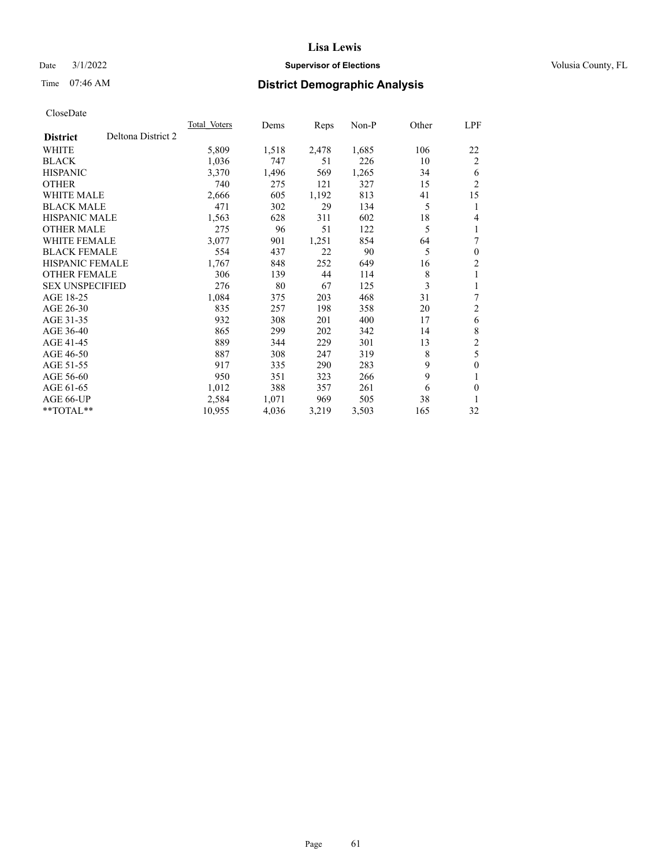# Date  $3/1/2022$  **Supervisor of Elections Supervisor of Elections** Volusia County, FL

# Time 07:46 AM **District Demographic Analysis**

|                        |                    | <b>Total Voters</b> | Dems  | Reps  | $Non-P$ | Other | <u>LPF</u>     |
|------------------------|--------------------|---------------------|-------|-------|---------|-------|----------------|
| <b>District</b>        | Deltona District 2 |                     |       |       |         |       |                |
| WHITE                  |                    | 5,809               | 1,518 | 2,478 | 1,685   | 106   | 22             |
| <b>BLACK</b>           |                    | 1,036               | 747   | 51    | 226     | 10    | $\overline{2}$ |
| <b>HISPANIC</b>        |                    | 3,370               | 1,496 | 569   | 1,265   | 34    | 6              |
| <b>OTHER</b>           |                    | 740                 | 275   | 121   | 327     | 15    | $\overline{2}$ |
| <b>WHITE MALE</b>      |                    | 2,666               | 605   | 1,192 | 813     | 41    | 15             |
| <b>BLACK MALE</b>      |                    | 471                 | 302   | 29    | 134     | 5     | 1              |
| <b>HISPANIC MALE</b>   |                    | 1,563               | 628   | 311   | 602     | 18    | 4              |
| <b>OTHER MALE</b>      |                    | 275                 | 96    | 51    | 122     | 5     | 1              |
| <b>WHITE FEMALE</b>    |                    | 3,077               | 901   | 1,251 | 854     | 64    | 7              |
| <b>BLACK FEMALE</b>    |                    | 554                 | 437   | 22    | 90      | 5     | $\mathbf{0}$   |
| <b>HISPANIC FEMALE</b> |                    | 1,767               | 848   | 252   | 649     | 16    | $\overline{2}$ |
| <b>OTHER FEMALE</b>    |                    | 306                 | 139   | 44    | 114     | 8     | 1              |
| <b>SEX UNSPECIFIED</b> |                    | 276                 | 80    | 67    | 125     | 3     | 1              |
| AGE 18-25              |                    | 1,084               | 375   | 203   | 468     | 31    | 7              |
| AGE 26-30              |                    | 835                 | 257   | 198   | 358     | 20    | $\overline{c}$ |
| AGE 31-35              |                    | 932                 | 308   | 201   | 400     | 17    | 6              |
| AGE 36-40              |                    | 865                 | 299   | 202   | 342     | 14    | 8              |
| AGE 41-45              |                    | 889                 | 344   | 229   | 301     | 13    | $\overline{c}$ |
| AGE 46-50              |                    | 887                 | 308   | 247   | 319     | 8     | 5              |
| AGE 51-55              |                    | 917                 | 335   | 290   | 283     | 9     | $\mathbf{0}$   |
| AGE 56-60              |                    | 950                 | 351   | 323   | 266     | 9     | 1              |
| AGE 61-65              |                    | 1,012               | 388   | 357   | 261     | 6     | $\theta$       |
| AGE 66-UP              |                    | 2,584               | 1,071 | 969   | 505     | 38    | 1              |
| $*$ $TOTAL**$          |                    | 10,955              | 4,036 | 3,219 | 3,503   | 165   | 32             |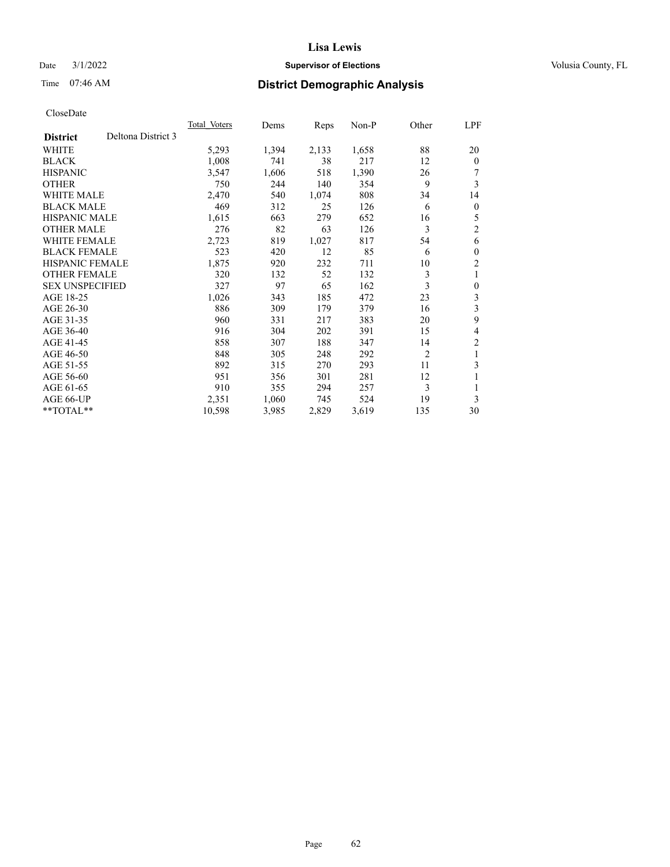# Date  $3/1/2022$  **Supervisor of Elections Supervisor of Elections** Volusia County, FL

# Time 07:46 AM **District Demographic Analysis**

|                                       | Total Voters | Dems  | Reps  | Non-P | Other          | LPF          |
|---------------------------------------|--------------|-------|-------|-------|----------------|--------------|
| Deltona District 3<br><b>District</b> |              |       |       |       |                |              |
| WHITE                                 | 5,293        | 1,394 | 2,133 | 1,658 | 88             | 20           |
| <b>BLACK</b>                          | 1,008        | 741   | 38    | 217   | 12             | $\Omega$     |
| <b>HISPANIC</b>                       | 3,547        | 1,606 | 518   | 1,390 | 26             |              |
| <b>OTHER</b>                          | 750          | 244   | 140   | 354   | 9              | 3            |
| <b>WHITE MALE</b>                     | 2,470        | 540   | 1,074 | 808   | 34             | 14           |
| <b>BLACK MALE</b>                     | 469          | 312   | 25    | 126   | 6              | 0            |
| <b>HISPANIC MALE</b>                  | 1,615        | 663   | 279   | 652   | 16             | 5            |
| <b>OTHER MALE</b>                     | 276          | 82    | 63    | 126   | 3              | 2            |
| WHITE FEMALE                          | 2,723        | 819   | 1,027 | 817   | 54             | 6            |
| <b>BLACK FEMALE</b>                   | 523          | 420   | 12    | 85    | 6              | 0            |
| <b>HISPANIC FEMALE</b>                | 1,875        | 920   | 232   | 711   | 10             | 2            |
| <b>OTHER FEMALE</b>                   | 320          | 132   | 52    | 132   | 3              | 1            |
| <b>SEX UNSPECIFIED</b>                | 327          | 97    | 65    | 162   | 3              | $\mathbf{0}$ |
| AGE 18-25                             | 1,026        | 343   | 185   | 472   | 23             | 3            |
| AGE 26-30                             | 886          | 309   | 179   | 379   | 16             | 3            |
| AGE 31-35                             | 960          | 331   | 217   | 383   | 20             | 9            |
| AGE 36-40                             | 916          | 304   | 202   | 391   | 15             | 4            |
| AGE 41-45                             | 858          | 307   | 188   | 347   | 14             | 2            |
| AGE 46-50                             | 848          | 305   | 248   | 292   | $\overline{2}$ | 1            |
| AGE 51-55                             | 892          | 315   | 270   | 293   | 11             | 3            |
| AGE 56-60                             | 951          | 356   | 301   | 281   | 12             | 1            |
| AGE 61-65                             | 910          | 355   | 294   | 257   | 3              |              |
| AGE 66-UP                             | 2,351        | 1,060 | 745   | 524   | 19             | 3            |
| $*$ $TOTAL**$                         | 10,598       | 3,985 | 2,829 | 3,619 | 135            | 30           |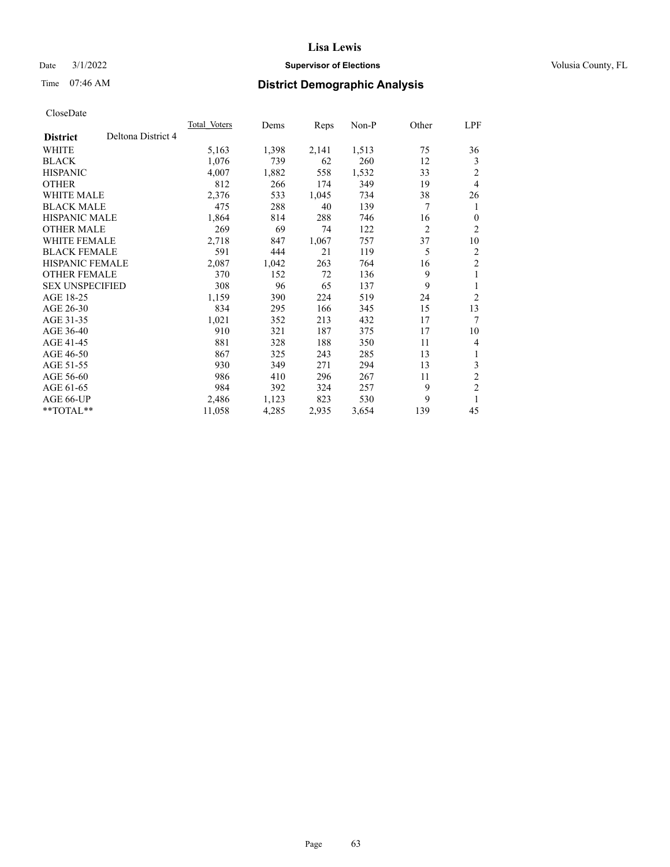# Date  $3/1/2022$  **Supervisor of Elections Supervisor of Elections** Volusia County, FL

# Time 07:46 AM **District Demographic Analysis**

|                                       | Total Voters | Dems  | Reps  | $Non-P$ | Other          | LPF            |
|---------------------------------------|--------------|-------|-------|---------|----------------|----------------|
| Deltona District 4<br><b>District</b> |              |       |       |         |                |                |
| WHITE                                 | 5,163        | 1,398 | 2,141 | 1,513   | 75             | 36             |
| <b>BLACK</b>                          | 1,076        | 739   | 62    | 260     | 12             | 3              |
| <b>HISPANIC</b>                       | 4,007        | 1,882 | 558   | 1,532   | 33             | $\overline{2}$ |
| <b>OTHER</b>                          | 812          | 266   | 174   | 349     | 19             | 4              |
| <b>WHITE MALE</b>                     | 2,376        | 533   | 1,045 | 734     | 38             | 26             |
| <b>BLACK MALE</b>                     | 475          | 288   | 40    | 139     | 7              | 1              |
| <b>HISPANIC MALE</b>                  | 1,864        | 814   | 288   | 746     | 16             | $\theta$       |
| <b>OTHER MALE</b>                     | 269          | 69    | 74    | 122     | $\overline{2}$ | $\overline{2}$ |
| WHITE FEMALE                          | 2,718        | 847   | 1,067 | 757     | 37             | 10             |
| <b>BLACK FEMALE</b>                   | 591          | 444   | 21    | 119     | 5              | $\overline{2}$ |
| <b>HISPANIC FEMALE</b>                | 2,087        | 1,042 | 263   | 764     | 16             | $\overline{2}$ |
| <b>OTHER FEMALE</b>                   | 370          | 152   | 72    | 136     | 9              | 1              |
| <b>SEX UNSPECIFIED</b>                | 308          | 96    | 65    | 137     | 9              | 1              |
| AGE 18-25                             | 1,159        | 390   | 224   | 519     | 24             | $\overline{2}$ |
| AGE 26-30                             | 834          | 295   | 166   | 345     | 15             | 13             |
| AGE 31-35                             | 1,021        | 352   | 213   | 432     | 17             | 7              |
| AGE 36-40                             | 910          | 321   | 187   | 375     | 17             | 10             |
| AGE 41-45                             | 881          | 328   | 188   | 350     | 11             | 4              |
| AGE 46-50                             | 867          | 325   | 243   | 285     | 13             | 1              |
| AGE 51-55                             | 930          | 349   | 271   | 294     | 13             | 3              |
| AGE 56-60                             | 986          | 410   | 296   | 267     | 11             | $\mathfrak{2}$ |
| AGE 61-65                             | 984          | 392   | 324   | 257     | 9              | $\mathfrak{2}$ |
| AGE 66-UP                             | 2,486        | 1,123 | 823   | 530     | 9              | 1              |
| $*$ $TOTAL**$                         | 11,058       | 4,285 | 2,935 | 3,654   | 139            | 45             |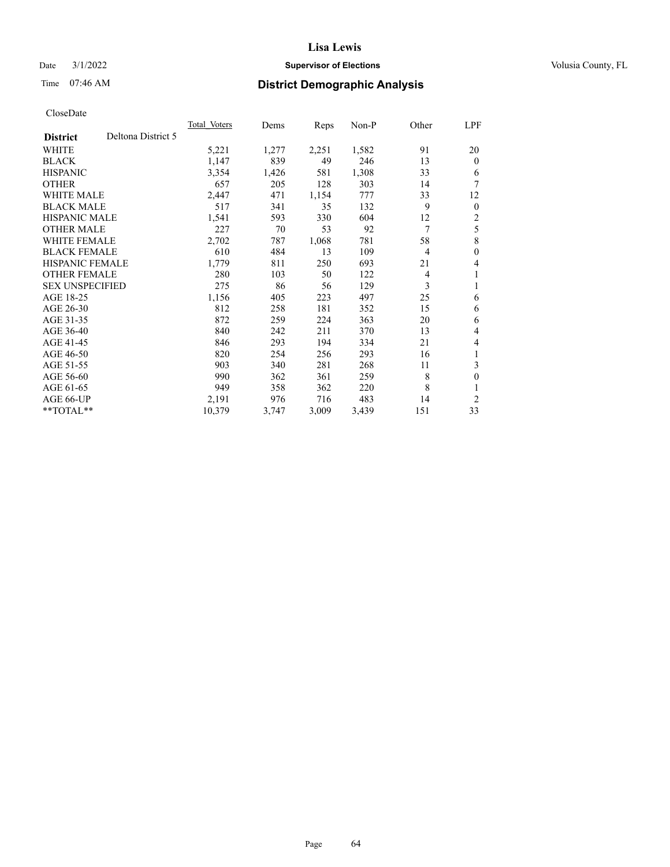# Date  $3/1/2022$  **Supervisor of Elections Supervisor of Elections** Volusia County, FL

# Time 07:46 AM **District Demographic Analysis**

|                        |                    | Total Voters | Dems  | Reps  | $Non-P$ | Other          | LPF          |
|------------------------|--------------------|--------------|-------|-------|---------|----------------|--------------|
| <b>District</b>        | Deltona District 5 |              |       |       |         |                |              |
| WHITE                  |                    | 5,221        | 1,277 | 2,251 | 1,582   | 91             | 20           |
| <b>BLACK</b>           |                    | 1,147        | 839   | 49    | 246     | 13             | $\theta$     |
| <b>HISPANIC</b>        |                    | 3,354        | 1,426 | 581   | 1,308   | 33             | 6            |
| <b>OTHER</b>           |                    | 657          | 205   | 128   | 303     | 14             | 7            |
| <b>WHITE MALE</b>      |                    | 2,447        | 471   | 1,154 | 777     | 33             | 12           |
| <b>BLACK MALE</b>      |                    | 517          | 341   | 35    | 132     | 9              | $\mathbf{0}$ |
| <b>HISPANIC MALE</b>   |                    | 1,541        | 593   | 330   | 604     | 12             | 2            |
| <b>OTHER MALE</b>      |                    | 227          | 70    | 53    | 92      | 7              | 5            |
| <b>WHITE FEMALE</b>    |                    | 2,702        | 787   | 1,068 | 781     | 58             | 8            |
| <b>BLACK FEMALE</b>    |                    | 610          | 484   | 13    | 109     | $\overline{4}$ | $\theta$     |
| <b>HISPANIC FEMALE</b> |                    | 1,779        | 811   | 250   | 693     | 21             | 4            |
| <b>OTHER FEMALE</b>    |                    | 280          | 103   | 50    | 122     | 4              | 1            |
| <b>SEX UNSPECIFIED</b> |                    | 275          | 86    | 56    | 129     | 3              | 1            |
| AGE 18-25              |                    | 1,156        | 405   | 223   | 497     | 25             | 6            |
| AGE 26-30              |                    | 812          | 258   | 181   | 352     | 15             | 6            |
| AGE 31-35              |                    | 872          | 259   | 224   | 363     | 20             | 6            |
| AGE 36-40              |                    | 840          | 242   | 211   | 370     | 13             | 4            |
| AGE 41-45              |                    | 846          | 293   | 194   | 334     | 21             | 4            |
| AGE 46-50              |                    | 820          | 254   | 256   | 293     | 16             | 1            |
| AGE 51-55              |                    | 903          | 340   | 281   | 268     | 11             | 3            |
| AGE 56-60              |                    | 990          | 362   | 361   | 259     | 8              | $\theta$     |
| AGE 61-65              |                    | 949          | 358   | 362   | 220     | 8              |              |
| AGE 66-UP              |                    | 2,191        | 976   | 716   | 483     | 14             | 2            |
| $*$ $TOTAL**$          |                    | 10,379       | 3,747 | 3,009 | 3,439   | 151            | 33           |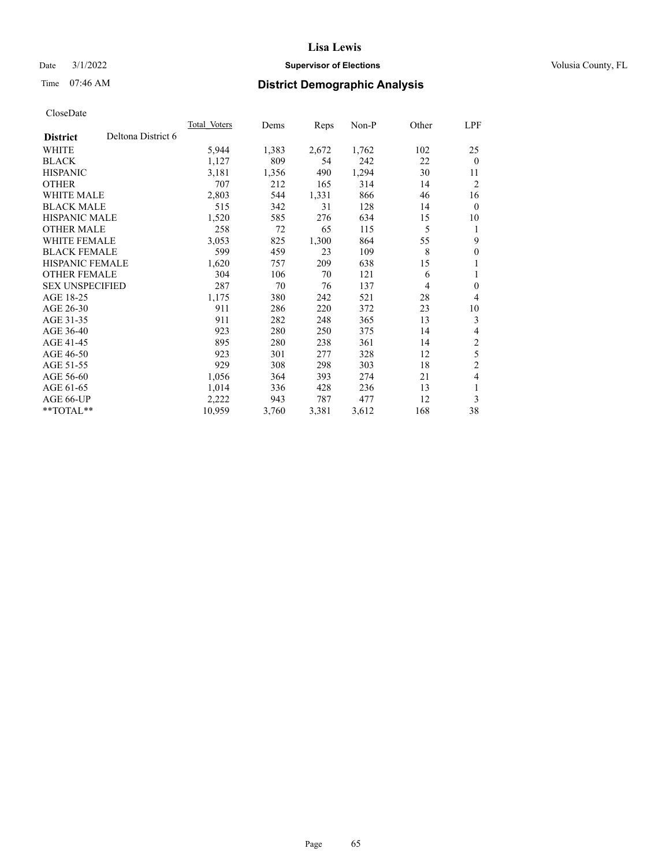# Date  $3/1/2022$  **Supervisor of Elections Supervisor of Elections** Volusia County, FL

# Time 07:46 AM **District Demographic Analysis**

|                        |                    | Total Voters | Dems  | <b>Reps</b> | $Non-P$ | Other | LPF              |
|------------------------|--------------------|--------------|-------|-------------|---------|-------|------------------|
| <b>District</b>        | Deltona District 6 |              |       |             |         |       |                  |
| WHITE                  |                    | 5,944        | 1,383 | 2,672       | 1,762   | 102   | 25               |
| <b>BLACK</b>           |                    | 1,127        | 809   | 54          | 242     | 22    | $\mathbf{0}$     |
| <b>HISPANIC</b>        |                    | 3,181        | 1,356 | 490         | 1,294   | 30    | 11               |
| <b>OTHER</b>           |                    | 707          | 212   | 165         | 314     | 14    | $\overline{2}$   |
| <b>WHITE MALE</b>      |                    | 2,803        | 544   | 1,331       | 866     | 46    | 16               |
| <b>BLACK MALE</b>      |                    | 515          | 342   | 31          | 128     | 14    | $\mathbf{0}$     |
| <b>HISPANIC MALE</b>   |                    | 1,520        | 585   | 276         | 634     | 15    | 10               |
| <b>OTHER MALE</b>      |                    | 258          | 72    | 65          | 115     | 5     | 1                |
| <b>WHITE FEMALE</b>    |                    | 3,053        | 825   | 1,300       | 864     | 55    | 9                |
| <b>BLACK FEMALE</b>    |                    | 599          | 459   | 23          | 109     | 8     | $\boldsymbol{0}$ |
| <b>HISPANIC FEMALE</b> |                    | 1,620        | 757   | 209         | 638     | 15    | 1                |
| <b>OTHER FEMALE</b>    |                    | 304          | 106   | 70          | 121     | 6     | 1                |
| <b>SEX UNSPECIFIED</b> |                    | 287          | 70    | 76          | 137     | 4     | $\mathbf{0}$     |
| AGE 18-25              |                    | 1,175        | 380   | 242         | 521     | 28    | 4                |
| AGE 26-30              |                    | 911          | 286   | 220         | 372     | 23    | 10               |
| AGE 31-35              |                    | 911          | 282   | 248         | 365     | 13    | 3                |
| AGE 36-40              |                    | 923          | 280   | 250         | 375     | 14    | 4                |
| AGE 41-45              |                    | 895          | 280   | 238         | 361     | 14    | $\overline{c}$   |
| AGE 46-50              |                    | 923          | 301   | 277         | 328     | 12    | 5                |
| AGE 51-55              |                    | 929          | 308   | 298         | 303     | 18    | $\overline{2}$   |
| AGE 56-60              |                    | 1,056        | 364   | 393         | 274     | 21    | 4                |
| AGE 61-65              |                    | 1,014        | 336   | 428         | 236     | 13    | 1                |
| AGE 66-UP              |                    | 2,222        | 943   | 787         | 477     | 12    | 3                |
| **TOTAL**              |                    | 10,959       | 3,760 | 3,381       | 3,612   | 168   | 38               |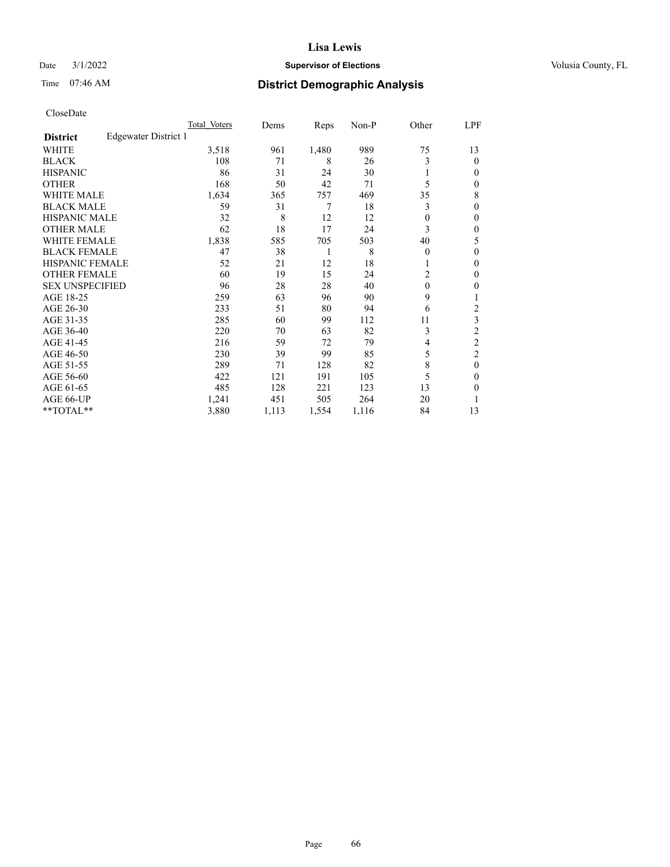# Date  $3/1/2022$  **Supervisor of Elections Supervisor of Elections** Volusia County, FL

# Time 07:46 AM **District Demographic Analysis**

|                        |                      | Total Voters | Dems  | Reps  | Non-P | Other    | LPF            |
|------------------------|----------------------|--------------|-------|-------|-------|----------|----------------|
| <b>District</b>        | Edgewater District 1 |              |       |       |       |          |                |
| <b>WHITE</b>           |                      | 3,518        | 961   | 1,480 | 989   | 75       | 13             |
| <b>BLACK</b>           |                      | 108          | 71    | 8     | 26    | 3        | 0              |
| <b>HISPANIC</b>        |                      | 86           | 31    | 24    | 30    |          | $_{0}$         |
| <b>OTHER</b>           |                      | 168          | 50    | 42    | 71    | 5        | 0              |
| WHITE MALE             |                      | 1,634        | 365   | 757   | 469   | 35       | 8              |
| <b>BLACK MALE</b>      |                      | 59           | 31    | 7     | 18    | 3        | 0              |
| <b>HISPANIC MALE</b>   |                      | 32           | 8     | 12    | 12    | 0        | 0              |
| <b>OTHER MALE</b>      |                      | 62           | 18    | 17    | 24    | 3        | 0              |
| <b>WHITE FEMALE</b>    |                      | 1,838        | 585   | 705   | 503   | 40       | 5              |
| <b>BLACK FEMALE</b>    |                      | 47           | 38    | 1     | 8     | $\Omega$ | 0              |
| <b>HISPANIC FEMALE</b> |                      | 52           | 21    | 12    | 18    |          | 0              |
| <b>OTHER FEMALE</b>    |                      | 60           | 19    | 15    | 24    | 2        | 0              |
| <b>SEX UNSPECIFIED</b> |                      | 96           | 28    | 28    | 40    | $\theta$ | 0              |
| AGE 18-25              |                      | 259          | 63    | 96    | 90    | 9        |                |
| AGE 26-30              |                      | 233          | 51    | 80    | 94    | 6        | 2              |
| AGE 31-35              |                      | 285          | 60    | 99    | 112   | 11       | 3              |
| AGE 36-40              |                      | 220          | 70    | 63    | 82    | 3        | $\overline{c}$ |
| AGE 41-45              |                      | 216          | 59    | 72    | 79    | 4        | $\overline{c}$ |
| AGE 46-50              |                      | 230          | 39    | 99    | 85    | 5        | $\overline{2}$ |
| AGE 51-55              |                      | 289          | 71    | 128   | 82    | 8        | 0              |
| AGE 56-60              |                      | 422          | 121   | 191   | 105   | 5        | 0              |
| AGE 61-65              |                      | 485          | 128   | 221   | 123   | 13       | 0              |
| AGE 66-UP              |                      | 1,241        | 451   | 505   | 264   | 20       |                |
| **TOTAL**              |                      | 3,880        | 1,113 | 1,554 | 1,116 | 84       | 13             |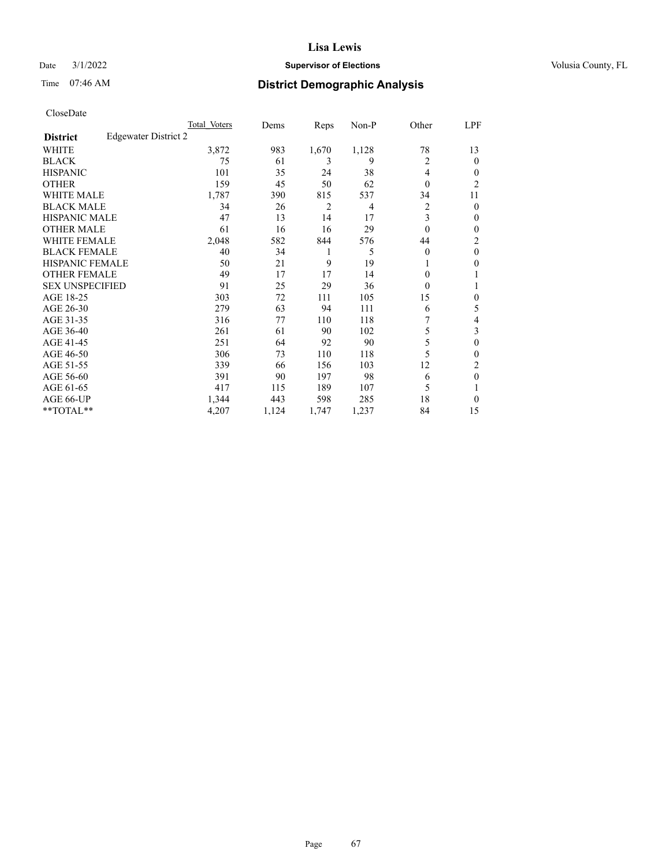# Date  $3/1/2022$  **Supervisor of Elections Supervisor of Elections** Volusia County, FL

# Time 07:46 AM **District Demographic Analysis**

|                        |                      | Total Voters | Dems  | Reps  | Non-P          | Other    | LPF            |
|------------------------|----------------------|--------------|-------|-------|----------------|----------|----------------|
| <b>District</b>        | Edgewater District 2 |              |       |       |                |          |                |
| WHITE                  |                      | 3,872        | 983   | 1,670 | 1,128          | 78       | 13             |
| <b>BLACK</b>           |                      | 75           | 61    | 3     | 9              | 2        | 0              |
| <b>HISPANIC</b>        |                      | 101          | 35    | 24    | 38             | 4        | $_{0}$         |
| <b>OTHER</b>           |                      | 159          | 45    | 50    | 62             | $\theta$ | $\overline{c}$ |
| WHITE MALE             |                      | 1,787        | 390   | 815   | 537            | 34       | 11             |
| <b>BLACK MALE</b>      |                      | 34           | 26    | 2     | $\overline{4}$ | 2        | 0              |
| <b>HISPANIC MALE</b>   |                      | 47           | 13    | 14    | 17             | 3        | 0              |
| <b>OTHER MALE</b>      |                      | 61           | 16    | 16    | 29             | $\theta$ | 0              |
| <b>WHITE FEMALE</b>    |                      | 2,048        | 582   | 844   | 576            | 44       | 2              |
| <b>BLACK FEMALE</b>    |                      | 40           | 34    | 1     | 5              | $\Omega$ | $\theta$       |
| <b>HISPANIC FEMALE</b> |                      | 50           | 21    | 9     | 19             |          | 0              |
| <b>OTHER FEMALE</b>    |                      | 49           | 17    | 17    | 14             | $\Omega$ |                |
| <b>SEX UNSPECIFIED</b> |                      | 91           | 25    | 29    | 36             | $\Omega$ |                |
| AGE 18-25              |                      | 303          | 72    | 111   | 105            | 15       | 0              |
| AGE 26-30              |                      | 279          | 63    | 94    | 111            | 6        | 5              |
| AGE 31-35              |                      | 316          | 77    | 110   | 118            | 7        | 4              |
| AGE 36-40              |                      | 261          | 61    | 90    | 102            | 5        | 3              |
| AGE 41-45              |                      | 251          | 64    | 92    | 90             | 5        | 0              |
| AGE 46-50              |                      | 306          | 73    | 110   | 118            | 5        | 0              |
| AGE 51-55              |                      | 339          | 66    | 156   | 103            | 12       | 2              |
| AGE 56-60              |                      | 391          | 90    | 197   | 98             | 6        | $\theta$       |
| AGE 61-65              |                      | 417          | 115   | 189   | 107            | 5        |                |
| AGE 66-UP              |                      | 1,344        | 443   | 598   | 285            | 18       | 0              |
| **TOTAL**              |                      | 4,207        | 1,124 | 1,747 | 1,237          | 84       | 15             |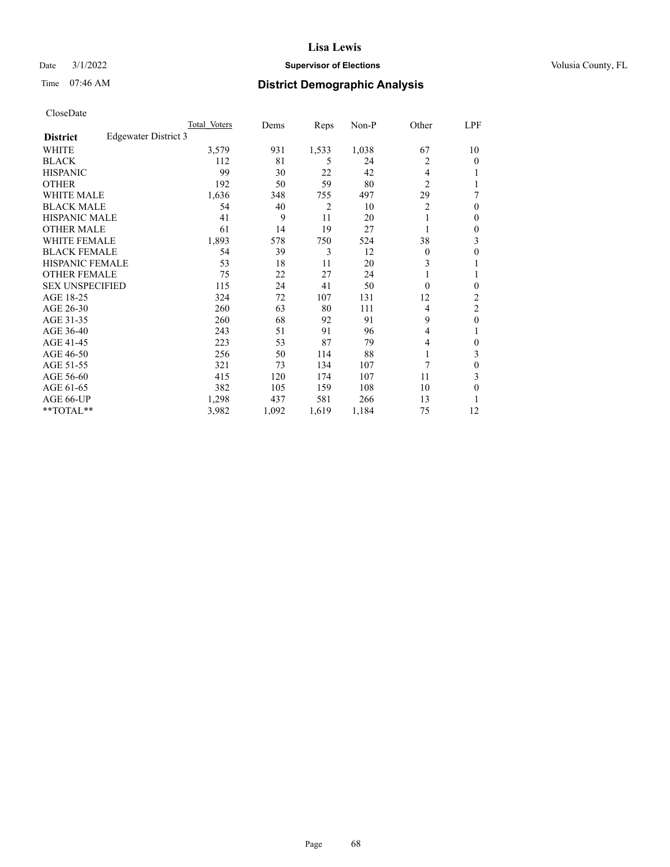# Date  $3/1/2022$  **Supervisor of Elections Supervisor of Elections** Volusia County, FL

# Time 07:46 AM **District Demographic Analysis**

|                        |                      | Total Voters | Dems  | Reps           | Non-P | Other          | LPF              |
|------------------------|----------------------|--------------|-------|----------------|-------|----------------|------------------|
| <b>District</b>        | Edgewater District 3 |              |       |                |       |                |                  |
| WHITE                  |                      | 3,579        | 931   | 1,533          | 1,038 | 67             | 10               |
| <b>BLACK</b>           |                      | 112          | 81    | 5              | 24    | 2              | 0                |
| <b>HISPANIC</b>        |                      | 99           | 30    | 22             | 42    | 4              |                  |
| <b>OTHER</b>           |                      | 192          | 50    | 59             | 80    | $\overline{2}$ |                  |
| WHITE MALE             |                      | 1,636        | 348   | 755            | 497   | 29             | 7                |
| <b>BLACK MALE</b>      |                      | 54           | 40    | $\overline{2}$ | 10    | 2              | 0                |
| <b>HISPANIC MALE</b>   |                      | 41           | 9     | 11             | 20    |                | 0                |
| <b>OTHER MALE</b>      |                      | 61           | 14    | 19             | 27    | 1              | 0                |
| WHITE FEMALE           |                      | 1,893        | 578   | 750            | 524   | 38             | 3                |
| <b>BLACK FEMALE</b>    |                      | 54           | 39    | 3              | 12    | $\Omega$       | 0                |
| HISPANIC FEMALE        |                      | 53           | 18    | 11             | 20    | 3              |                  |
| <b>OTHER FEMALE</b>    |                      | 75           | 22    | 27             | 24    | 1              |                  |
| <b>SEX UNSPECIFIED</b> |                      | 115          | 24    | 41             | 50    | $\Omega$       | 0                |
| AGE 18-25              |                      | 324          | 72    | 107            | 131   | 12             | $\overline{c}$   |
| AGE 26-30              |                      | 260          | 63    | 80             | 111   | 4              | 2                |
| AGE 31-35              |                      | 260          | 68    | 92             | 91    | 9              | $\boldsymbol{0}$ |
| AGE 36-40              |                      | 243          | 51    | 91             | 96    | 4              |                  |
| AGE 41-45              |                      | 223          | 53    | 87             | 79    | 4              | 0                |
| AGE 46-50              |                      | 256          | 50    | 114            | 88    | 1              | 3                |
| AGE 51-55              |                      | 321          | 73    | 134            | 107   | 7              | 0                |
| AGE 56-60              |                      | 415          | 120   | 174            | 107   | 11             | 3                |
| AGE 61-65              |                      | 382          | 105   | 159            | 108   | 10             | 0                |
| AGE 66-UP              |                      | 1,298        | 437   | 581            | 266   | 13             |                  |
| **TOTAL**              |                      | 3,982        | 1,092 | 1,619          | 1,184 | 75             | 12               |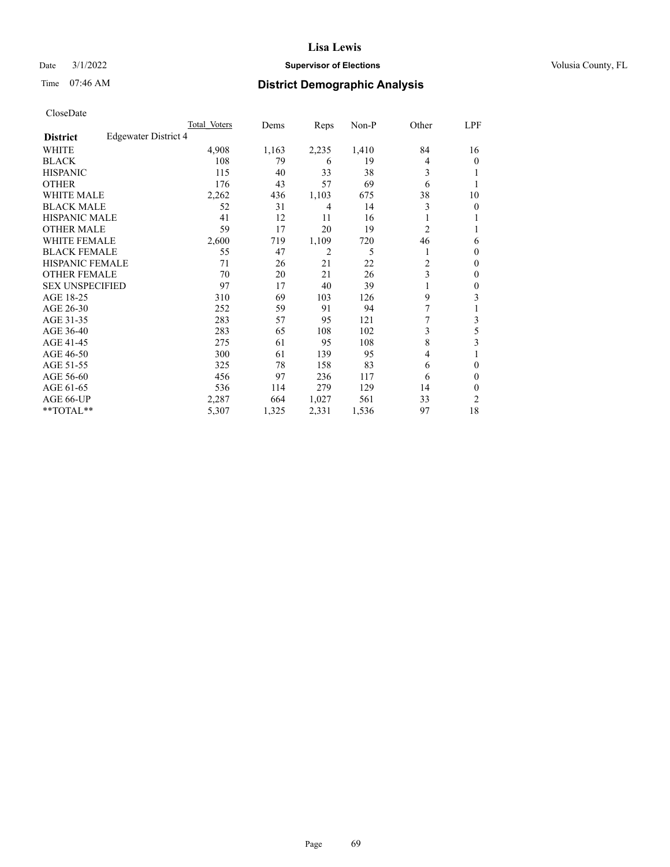# Date  $3/1/2022$  **Supervisor of Elections Supervisor of Elections** Volusia County, FL

# Time 07:46 AM **District Demographic Analysis**

|                        |                      | Total Voters | Dems  | Reps  | Non-P | Other          | LPF |
|------------------------|----------------------|--------------|-------|-------|-------|----------------|-----|
| <b>District</b>        | Edgewater District 4 |              |       |       |       |                |     |
| WHITE                  |                      | 4,908        | 1,163 | 2,235 | 1,410 | 84             | 16  |
| <b>BLACK</b>           |                      | 108          | 79    | 6     | 19    | 4              | 0   |
| <b>HISPANIC</b>        |                      | 115          | 40    | 33    | 38    | 3              |     |
| <b>OTHER</b>           |                      | 176          | 43    | 57    | 69    | 6              |     |
| WHITE MALE             |                      | 2,262        | 436   | 1,103 | 675   | 38             | 10  |
| <b>BLACK MALE</b>      |                      | 52           | 31    | 4     | 14    | 3              | 0   |
| <b>HISPANIC MALE</b>   |                      | 41           | 12    | 11    | 16    |                |     |
| <b>OTHER MALE</b>      |                      | 59           | 17    | 20    | 19    | 2              | 1   |
| <b>WHITE FEMALE</b>    |                      | 2,600        | 719   | 1,109 | 720   | 46             | 6   |
| <b>BLACK FEMALE</b>    |                      | 55           | 47    | 2     | 5     |                | 0   |
| <b>HISPANIC FEMALE</b> |                      | 71           | 26    | 21    | 22    | $\overline{c}$ | 0   |
| <b>OTHER FEMALE</b>    |                      | 70           | 20    | 21    | 26    | 3              | 0   |
| <b>SEX UNSPECIFIED</b> |                      | 97           | 17    | 40    | 39    |                | 0   |
| AGE 18-25              |                      | 310          | 69    | 103   | 126   | 9              | 3   |
| AGE 26-30              |                      | 252          | 59    | 91    | 94    | 7              |     |
| AGE 31-35              |                      | 283          | 57    | 95    | 121   | 7              | 3   |
| AGE 36-40              |                      | 283          | 65    | 108   | 102   | 3              | 5   |
| AGE 41-45              |                      | 275          | 61    | 95    | 108   | 8              | 3   |
| AGE 46-50              |                      | 300          | 61    | 139   | 95    | $\overline{4}$ |     |
| AGE 51-55              |                      | 325          | 78    | 158   | 83    | 6              | 0   |
| AGE 56-60              |                      | 456          | 97    | 236   | 117   | 6              | 0   |
| AGE 61-65              |                      | 536          | 114   | 279   | 129   | 14             | 0   |
| AGE 66-UP              |                      | 2,287        | 664   | 1,027 | 561   | 33             | 2   |
| **TOTAL**              |                      | 5,307        | 1,325 | 2,331 | 1,536 | 97             | 18  |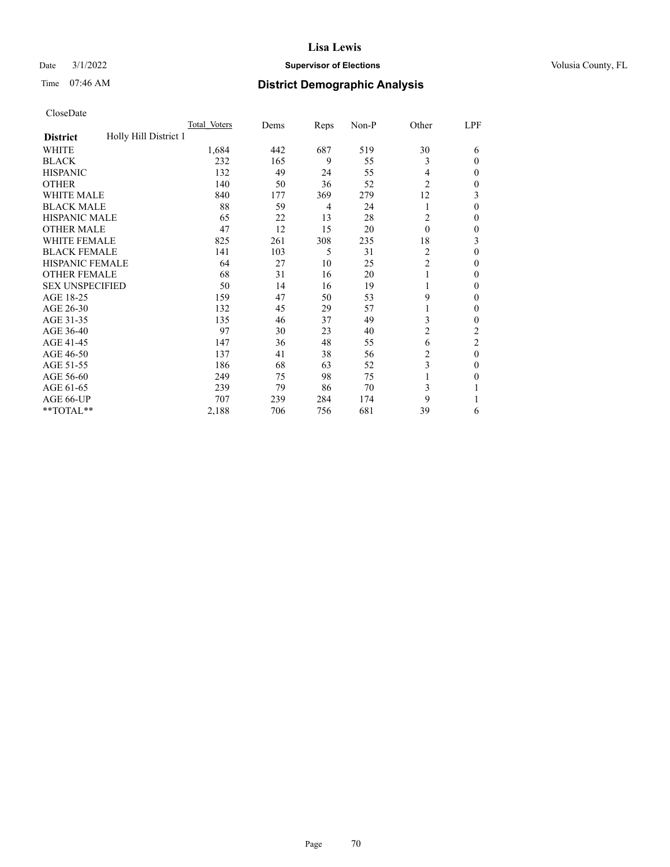# Date  $3/1/2022$  **Supervisor of Elections Supervisor of Elections** Volusia County, FL

# Time 07:46 AM **District Demographic Analysis**

|                                          | Total Voters | Dems | Reps | Non-P | Other          | LPF          |
|------------------------------------------|--------------|------|------|-------|----------------|--------------|
| Holly Hill District 1<br><b>District</b> |              |      |      |       |                |              |
| WHITE                                    | 1,684        | 442  | 687  | 519   | 30             | 6            |
| <b>BLACK</b>                             | 232          | 165  | 9    | 55    | 3              | $\Omega$     |
| <b>HISPANIC</b>                          | 132          | 49   | 24   | 55    | 4              | $\Omega$     |
| <b>OTHER</b>                             | 140          | 50   | 36   | 52    | $\overline{2}$ | 0            |
| <b>WHITE MALE</b>                        | 840          | 177  | 369  | 279   | 12             | 3            |
| <b>BLACK MALE</b>                        | 88           | 59   | 4    | 24    | 1              | $\theta$     |
| <b>HISPANIC MALE</b>                     | 65           | 22   | 13   | 28    | 2              | $\mathbf{0}$ |
| <b>OTHER MALE</b>                        | 47           | 12   | 15   | 20    | $\theta$       | 0            |
| <b>WHITE FEMALE</b>                      | 825          | 261  | 308  | 235   | 18             | 3            |
| <b>BLACK FEMALE</b>                      | 141          | 103  | 5    | 31    | 2              | $\Omega$     |
| <b>HISPANIC FEMALE</b>                   | 64           | 27   | 10   | 25    | $\overline{c}$ | 0            |
| <b>OTHER FEMALE</b>                      | 68           | 31   | 16   | 20    | 1              | 0            |
| <b>SEX UNSPECIFIED</b>                   | 50           | 14   | 16   | 19    | 1              | 0            |
| AGE 18-25                                | 159          | 47   | 50   | 53    | 9              | $\Omega$     |
| AGE 26-30                                | 132          | 45   | 29   | 57    | 1              | $\mathbf{0}$ |
| AGE 31-35                                | 135          | 46   | 37   | 49    | 3              | 0            |
| AGE 36-40                                | 97           | 30   | 23   | 40    | 2              | 2            |
| AGE 41-45                                | 147          | 36   | 48   | 55    | 6              | 2            |
| AGE 46-50                                | 137          | 41   | 38   | 56    | 2              | $\theta$     |
| AGE 51-55                                | 186          | 68   | 63   | 52    | 3              | $\Omega$     |
| AGE 56-60                                | 249          | 75   | 98   | 75    |                | 0            |
| AGE 61-65                                | 239          | 79   | 86   | 70    | 3              |              |
| AGE 66-UP                                | 707          | 239  | 284  | 174   | 9              |              |
| **TOTAL**                                | 2,188        | 706  | 756  | 681   | 39             | 6            |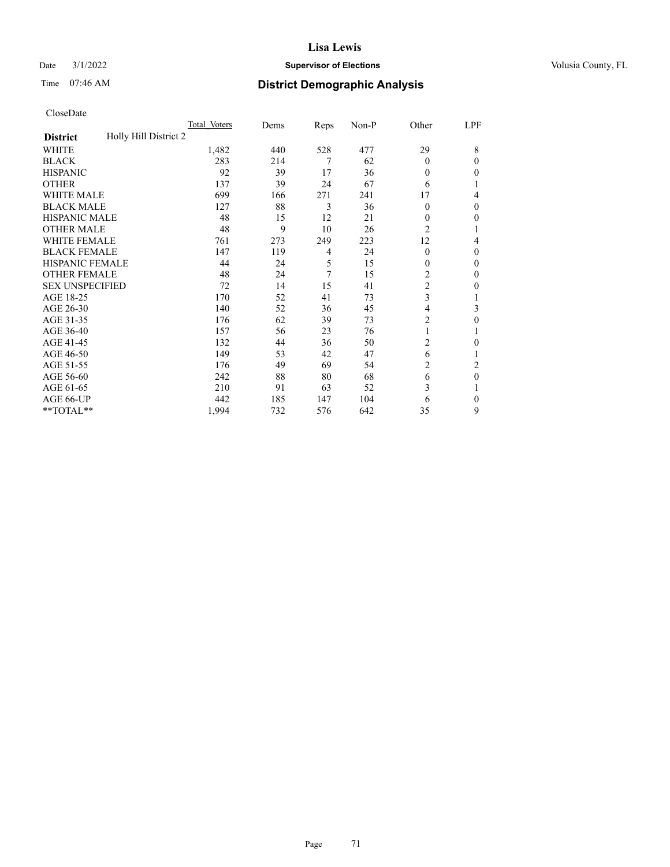# Date  $3/1/2022$  **Supervisor of Elections Supervisor of Elections** Volusia County, FL

# Time 07:46 AM **District Demographic Analysis**

|                                          | Total Voters | Dems | Reps | Non-P | Other          | LPF      |
|------------------------------------------|--------------|------|------|-------|----------------|----------|
| Holly Hill District 2<br><b>District</b> |              |      |      |       |                |          |
| WHITE                                    | 1,482        | 440  | 528  | 477   | 29             | 8        |
| <b>BLACK</b>                             | 283          | 214  | 7    | 62    | $\theta$       | $\Omega$ |
| <b>HISPANIC</b>                          | 92           | 39   | 17   | 36    | $\theta$       | 0        |
| <b>OTHER</b>                             | 137          | 39   | 24   | 67    | 6              |          |
| WHITE MALE                               | 699          | 166  | 271  | 241   | 17             | 4        |
| <b>BLACK MALE</b>                        | 127          | 88   | 3    | 36    | $\theta$       | $\Omega$ |
| <b>HISPANIC MALE</b>                     | 48           | 15   | 12   | 21    | $\mathbf{0}$   | 0        |
| <b>OTHER MALE</b>                        | 48           | 9    | 10   | 26    | $\overline{c}$ | 1        |
| <b>WHITE FEMALE</b>                      | 761          | 273  | 249  | 223   | 12             | 4        |
| <b>BLACK FEMALE</b>                      | 147          | 119  | 4    | 24    | $\theta$       | $\Omega$ |
| <b>HISPANIC FEMALE</b>                   | 44           | 24   | 5    | 15    | $\theta$       | 0        |
| <b>OTHER FEMALE</b>                      | 48           | 24   | 7    | 15    | 2              | $\Omega$ |
| <b>SEX UNSPECIFIED</b>                   | 72           | 14   | 15   | 41    | $\overline{c}$ | 0        |
| AGE 18-25                                | 170          | 52   | 41   | 73    | 3              |          |
| AGE 26-30                                | 140          | 52   | 36   | 45    | 4              | 3        |
| AGE 31-35                                | 176          | 62   | 39   | 73    | 2              | 0        |
| AGE 36-40                                | 157          | 56   | 23   | 76    | 1              |          |
| AGE 41-45                                | 132          | 44   | 36   | 50    | $\overline{c}$ | 0        |
| AGE 46-50                                | 149          | 53   | 42   | 47    | 6              |          |
| AGE 51-55                                | 176          | 49   | 69   | 54    | 2              | 2        |
| AGE 56-60                                | 242          | 88   | 80   | 68    | 6              | $\theta$ |
| AGE 61-65                                | 210          | 91   | 63   | 52    | 3              |          |
| AGE 66-UP                                | 442          | 185  | 147  | 104   | 6              | $\Omega$ |
| **TOTAL**                                | 1,994        | 732  | 576  | 642   | 35             | 9        |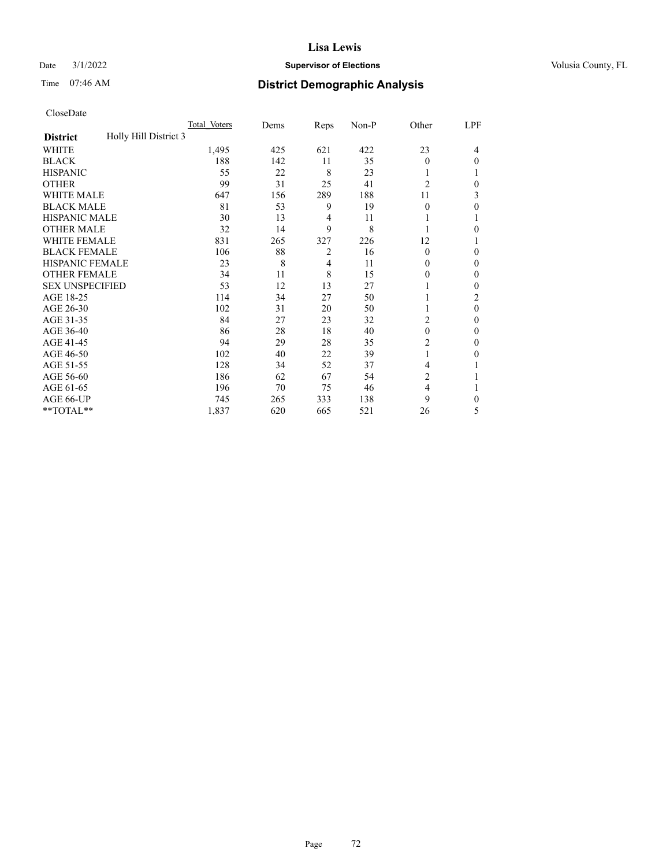# Date  $3/1/2022$  **Supervisor of Elections Supervisor of Elections** Volusia County, FL

# Time 07:46 AM **District Demographic Analysis**

|                                          | Total Voters | Dems | Reps           | Non-P | Other          | LPF          |
|------------------------------------------|--------------|------|----------------|-------|----------------|--------------|
| Holly Hill District 3<br><b>District</b> |              |      |                |       |                |              |
| WHITE                                    | 1,495        | 425  | 621            | 422   | 23             | 4            |
| <b>BLACK</b>                             | 188          | 142  | 11             | 35    | $\Omega$       | 0            |
| <b>HISPANIC</b>                          | 55           | 22   | 8              | 23    |                |              |
| <b>OTHER</b>                             | 99           | 31   | 25             | 41    | $\overline{2}$ | 0            |
| WHITE MALE                               | 647          | 156  | 289            | 188   | 11             | 3            |
| <b>BLACK MALE</b>                        | 81           | 53   | 9              | 19    | 0              | 0            |
| <b>HISPANIC MALE</b>                     | 30           | 13   | 4              | 11    |                |              |
| <b>OTHER MALE</b>                        | 32           | 14   | 9              | 8     |                | 0            |
| WHITE FEMALE                             | 831          | 265  | 327            | 226   | 12             |              |
| <b>BLACK FEMALE</b>                      | 106          | 88   | $\overline{2}$ | 16    | $\Omega$       | 0            |
| <b>HISPANIC FEMALE</b>                   | 23           | 8    | 4              | 11    | 0              | 0            |
| <b>OTHER FEMALE</b>                      | 34           | 11   | 8              | 15    | $_{0}$         | 0            |
| <b>SEX UNSPECIFIED</b>                   | 53           | 12   | 13             | 27    |                | 0            |
| AGE 18-25                                | 114          | 34   | 27             | 50    |                | 2            |
| AGE 26-30                                | 102          | 31   | 20             | 50    | 1              | $\mathbf{0}$ |
| AGE 31-35                                | 84           | 27   | 23             | 32    | $\overline{2}$ | 0            |
| AGE 36-40                                | 86           | 28   | 18             | 40    | $\theta$       | 0            |
| AGE 41-45                                | 94           | 29   | 28             | 35    | 2              | 0            |
| AGE 46-50                                | 102          | 40   | 22             | 39    | 1              | 0            |
| AGE 51-55                                | 128          | 34   | 52             | 37    | 4              |              |
| AGE 56-60                                | 186          | 62   | 67             | 54    | $\overline{c}$ |              |
| AGE 61-65                                | 196          | 70   | 75             | 46    | 4              |              |
| AGE 66-UP                                | 745          | 265  | 333            | 138   | 9              | 0            |
| **TOTAL**                                | 1,837        | 620  | 665            | 521   | 26             | 5            |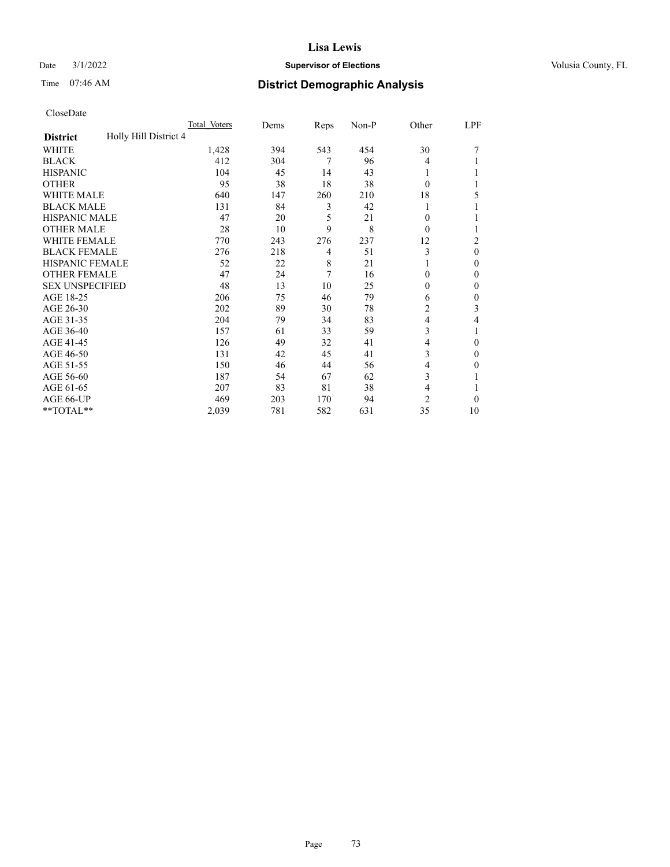## Date  $3/1/2022$  **Supervisor of Elections Supervisor of Elections** Volusia County, FL

# Time 07:46 AM **District Demographic Analysis**

|                                          | Total Voters | Dems | Reps | Non-P | Other          | LPF            |
|------------------------------------------|--------------|------|------|-------|----------------|----------------|
| Holly Hill District 4<br><b>District</b> |              |      |      |       |                |                |
| WHITE                                    | 1,428        | 394  | 543  | 454   | 30             |                |
| <b>BLACK</b>                             | 412          | 304  | 7    | 96    | 4              |                |
| <b>HISPANIC</b>                          | 104          | 45   | 14   | 43    | 1              |                |
| <b>OTHER</b>                             | 95           | 38   | 18   | 38    | 0              |                |
| <b>WHITE MALE</b>                        | 640          | 147  | 260  | 210   | 18             | 5              |
| <b>BLACK MALE</b>                        | 131          | 84   | 3    | 42    |                |                |
| <b>HISPANIC MALE</b>                     | 47           | 20   | 5    | 21    | 0              |                |
| <b>OTHER MALE</b>                        | 28           | 10   | 9    | 8     | 0              | 1              |
| WHITE FEMALE                             | 770          | 243  | 276  | 237   | 12             | $\overline{c}$ |
| <b>BLACK FEMALE</b>                      | 276          | 218  | 4    | 51    | 3              | $\theta$       |
| <b>HISPANIC FEMALE</b>                   | 52           | 22   | 8    | 21    |                | $\Omega$       |
| <b>OTHER FEMALE</b>                      | 47           | 24   | 7    | 16    | 0              | $\theta$       |
| <b>SEX UNSPECIFIED</b>                   | 48           | 13   | 10   | 25    | 0              | $\theta$       |
| AGE 18-25                                | 206          | 75   | 46   | 79    | 6              | $\theta$       |
| AGE 26-30                                | 202          | 89   | 30   | 78    | 2              | 3              |
| AGE 31-35                                | 204          | 79   | 34   | 83    | 4              | 4              |
| AGE 36-40                                | 157          | 61   | 33   | 59    | 3              |                |
| AGE 41-45                                | 126          | 49   | 32   | 41    | 4              | $\theta$       |
| AGE 46-50                                | 131          | 42   | 45   | 41    | 3              | $\Omega$       |
| AGE 51-55                                | 150          | 46   | 44   | 56    | 4              | 0              |
| AGE 56-60                                | 187          | 54   | 67   | 62    | 3              |                |
| AGE 61-65                                | 207          | 83   | 81   | 38    | 4              | 1              |
| AGE 66-UP                                | 469          | 203  | 170  | 94    | $\overline{c}$ | $\Omega$       |
| **TOTAL**                                | 2,039        | 781  | 582  | 631   | 35             | 10             |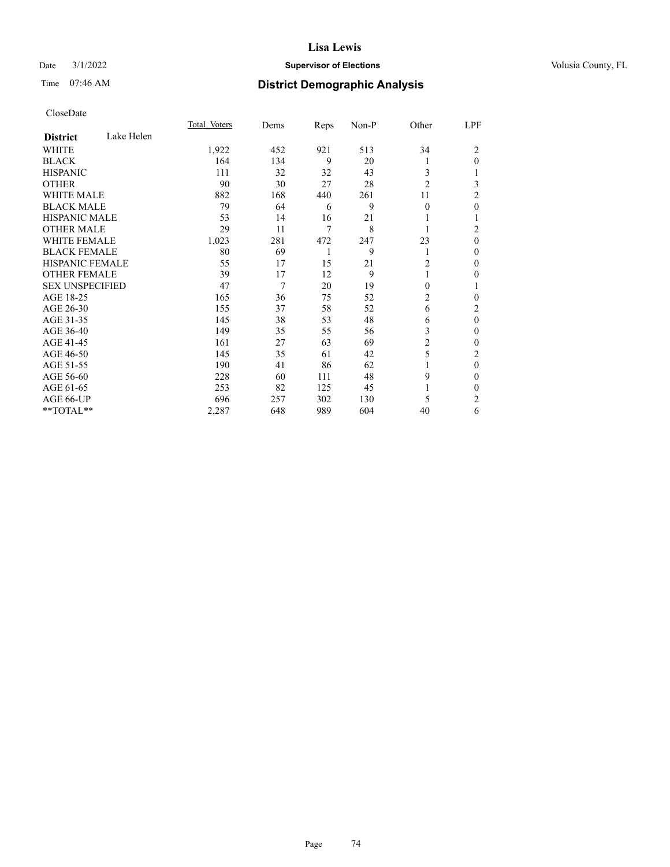## Date  $3/1/2022$  **Supervisor of Elections Supervisor of Elections** Volusia County, FL

## Time 07:46 AM **District Demographic Analysis**

|                        |            | Total Voters | Dems | Reps | Non-P | Other          | LPF            |
|------------------------|------------|--------------|------|------|-------|----------------|----------------|
| <b>District</b>        | Lake Helen |              |      |      |       |                |                |
| WHITE                  |            | 1,922        | 452  | 921  | 513   | 34             | 2              |
| <b>BLACK</b>           |            | 164          | 134  | 9    | 20    | 1              | $\Omega$       |
| <b>HISPANIC</b>        |            | 111          | 32   | 32   | 43    | 3              |                |
| <b>OTHER</b>           |            | 90           | 30   | 27   | 28    | $\overline{2}$ | 3              |
| <b>WHITE MALE</b>      |            | 882          | 168  | 440  | 261   | 11             | 2              |
| <b>BLACK MALE</b>      |            | 79           | 64   | 6    | 9     | $\Omega$       | 0              |
| <b>HISPANIC MALE</b>   |            | 53           | 14   | 16   | 21    |                |                |
| <b>OTHER MALE</b>      |            | 29           | 11   | 7    | 8     | 1              | $\overline{c}$ |
| <b>WHITE FEMALE</b>    |            | 1,023        | 281  | 472  | 247   | 23             | $\theta$       |
| <b>BLACK FEMALE</b>    |            | 80           | 69   | 1    | 9     | 1              | 0              |
| <b>HISPANIC FEMALE</b> |            | 55           | 17   | 15   | 21    | 2              | 0              |
| <b>OTHER FEMALE</b>    |            | 39           | 17   | 12   | 9     | 1              | 0              |
| <b>SEX UNSPECIFIED</b> |            | 47           | 7    | 20   | 19    | 0              | 1              |
| AGE 18-25              |            | 165          | 36   | 75   | 52    | 2              | 0              |
| AGE 26-30              |            | 155          | 37   | 58   | 52    | 6              | 2              |
| AGE 31-35              |            | 145          | 38   | 53   | 48    | 6              | $\theta$       |
| AGE 36-40              |            | 149          | 35   | 55   | 56    | 3              | 0              |
| AGE 41-45              |            | 161          | 27   | 63   | 69    | 2              | 0              |
| AGE 46-50              |            | 145          | 35   | 61   | 42    | 5              | 2              |
| AGE 51-55              |            | 190          | 41   | 86   | 62    | 1              | 0              |
| AGE 56-60              |            | 228          | 60   | 111  | 48    | 9              | 0              |
| AGE 61-65              |            | 253          | 82   | 125  | 45    |                | 0              |
| AGE 66-UP              |            | 696          | 257  | 302  | 130   | 5              | 2              |
| **TOTAL**              |            | 2,287        | 648  | 989  | 604   | 40             | 6              |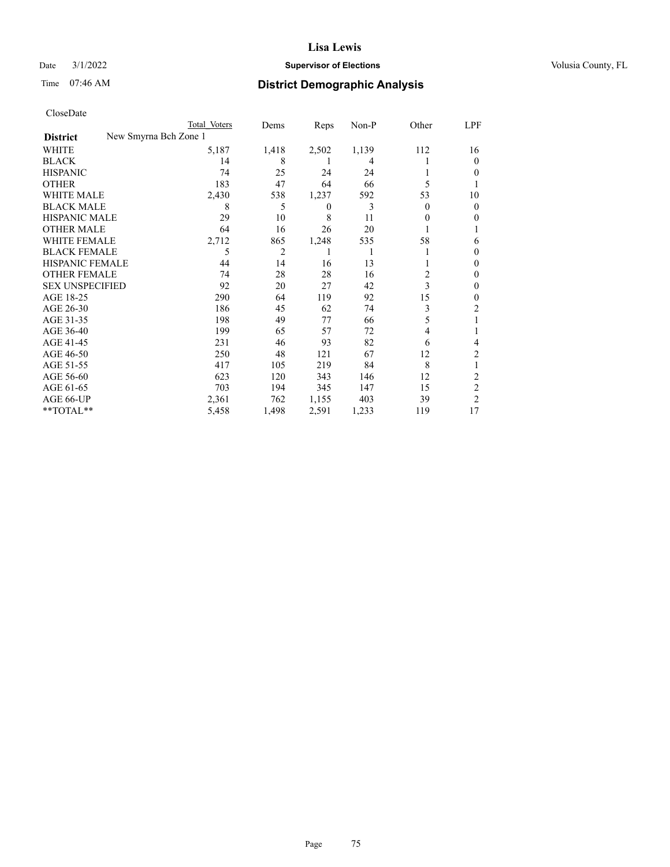## Date  $3/1/2022$  **Supervisor of Elections Supervisor of Elections** Volusia County, FL

| CloseDate |
|-----------|
|-----------|

|                        |                       | Total Voters | Dems           | Reps     | $Non-P$ | Other    | LPF            |
|------------------------|-----------------------|--------------|----------------|----------|---------|----------|----------------|
| <b>District</b>        | New Smyrna Bch Zone 1 |              |                |          |         |          |                |
| <b>WHITE</b>           |                       | 5,187        | 1,418          | 2,502    | 1,139   | 112      | 16             |
| <b>BLACK</b>           |                       | 14           | 8              | 1        | 4       |          | $\theta$       |
| <b>HISPANIC</b>        |                       | 74           | 25             | 24       | 24      |          | 0              |
| <b>OTHER</b>           |                       | 183          | 47             | 64       | 66      | 5        |                |
| <b>WHITE MALE</b>      |                       | 2,430        | 538            | 1,237    | 592     | 53       | 10             |
| <b>BLACK MALE</b>      |                       | 8            | 5              | $\theta$ | 3       | $\Omega$ | 0              |
| <b>HISPANIC MALE</b>   |                       | 29           | 10             | 8        | 11      | 0        | 0              |
| <b>OTHER MALE</b>      |                       | 64           | 16             | 26       | 20      |          |                |
| <b>WHITE FEMALE</b>    |                       | 2,712        | 865            | 1,248    | 535     | 58       | 6              |
| <b>BLACK FEMALE</b>    |                       | 5            | $\overline{c}$ | 1        |         |          | $_{0}$         |
| HISPANIC FEMALE        |                       | 44           | 14             | 16       | 13      | 1        | 0              |
| <b>OTHER FEMALE</b>    |                       | 74           | 28             | 28       | 16      | 2        | 0              |
| <b>SEX UNSPECIFIED</b> |                       | 92           | 20             | 27       | 42      | 3        | 0              |
| AGE 18-25              |                       | 290          | 64             | 119      | 92      | 15       | $_{0}$         |
| AGE 26-30              |                       | 186          | 45             | 62       | 74      | 3        | 2              |
| AGE 31-35              |                       | 198          | 49             | 77       | 66      | 5        |                |
| AGE 36-40              |                       | 199          | 65             | 57       | 72      | 4        |                |
| AGE 41-45              |                       | 231          | 46             | 93       | 82      | 6        | 4              |
| AGE 46-50              |                       | 250          | 48             | 121      | 67      | 12       | 2              |
| AGE 51-55              |                       | 417          | 105            | 219      | 84      | 8        |                |
| AGE 56-60              |                       | 623          | 120            | 343      | 146     | 12       | $\overline{c}$ |
| AGE 61-65              |                       | 703          | 194            | 345      | 147     | 15       | $\overline{c}$ |
| AGE 66-UP              |                       | 2,361        | 762            | 1,155    | 403     | 39       | $\overline{2}$ |
| **TOTAL**              |                       | 5,458        | 1,498          | 2,591    | 1,233   | 119      | 17             |
|                        |                       |              |                |          |         |          |                |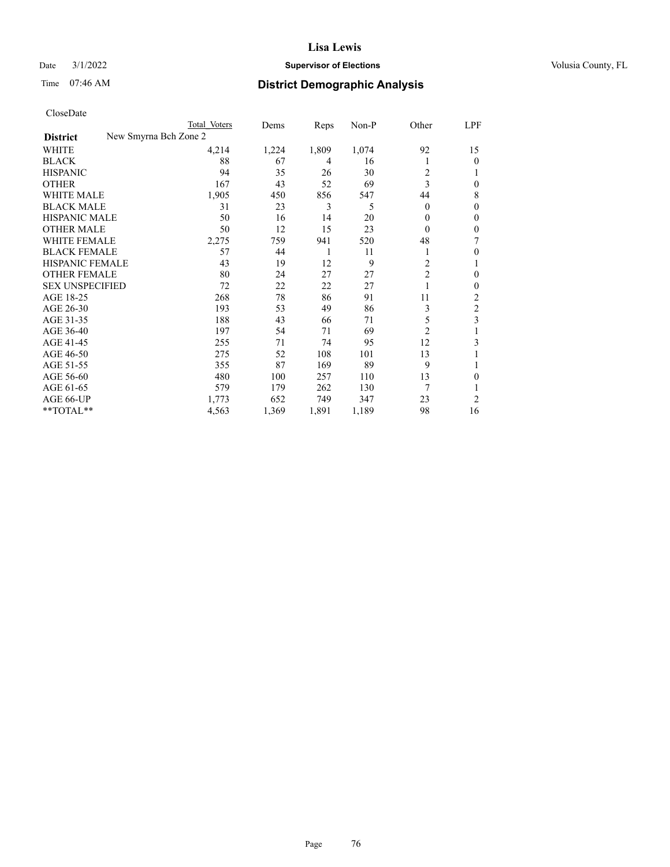## Date  $3/1/2022$  **Supervisor of Elections Supervisor of Elections** Volusia County, FL

| CloseDate |
|-----------|
|-----------|

|                                          | Total Voters | Dems  | Reps  | Non-P | Other          | LPF            |
|------------------------------------------|--------------|-------|-------|-------|----------------|----------------|
| New Smyrna Bch Zone 2<br><b>District</b> |              |       |       |       |                |                |
| WHITE                                    | 4,214        | 1,224 | 1,809 | 1,074 | 92             | 15             |
| <b>BLACK</b>                             | 88           | 67    | 4     | 16    | 1              | 0              |
| <b>HISPANIC</b>                          | 94           | 35    | 26    | 30    | 2              |                |
| <b>OTHER</b>                             | 167          | 43    | 52    | 69    | 3              | 0              |
| <b>WHITE MALE</b>                        | 1,905        | 450   | 856   | 547   | 44             | 8              |
| <b>BLACK MALE</b>                        | 31           | 23    | 3     | 5     | $\theta$       | 0              |
| <b>HISPANIC MALE</b>                     | 50           | 16    | 14    | 20    | $\theta$       | 0              |
| <b>OTHER MALE</b>                        | 50           | 12    | 15    | 23    | $\theta$       | 0              |
| <b>WHITE FEMALE</b>                      | 2,275        | 759   | 941   | 520   | 48             | 7              |
| <b>BLACK FEMALE</b>                      | 57           | 44    | 1     | 11    | 1              | 0              |
| HISPANIC FEMALE                          | 43           | 19    | 12    | 9     | 2              |                |
| <b>OTHER FEMALE</b>                      | 80           | 24    | 27    | 27    | $\overline{2}$ | 0              |
| <b>SEX UNSPECIFIED</b>                   | 72           | 22    | 22    | 27    | 1              | 0              |
| AGE 18-25                                | 268          | 78    | 86    | 91    | 11             | $\overline{c}$ |
| AGE 26-30                                | 193          | 53    | 49    | 86    | 3              | $\overline{c}$ |
| AGE 31-35                                | 188          | 43    | 66    | 71    | 5              | 3              |
| AGE 36-40                                | 197          | 54    | 71    | 69    | $\overline{c}$ |                |
| AGE 41-45                                | 255          | 71    | 74    | 95    | 12             | 3              |
| AGE 46-50                                | 275          | 52    | 108   | 101   | 13             |                |
| AGE 51-55                                | 355          | 87    | 169   | 89    | 9              |                |
| AGE 56-60                                | 480          | 100   | 257   | 110   | 13             | 0              |
| AGE 61-65                                | 579          | 179   | 262   | 130   | 7              |                |
| AGE 66-UP                                | 1,773        | 652   | 749   | 347   | 23             | 2              |
| **TOTAL**                                | 4,563        | 1,369 | 1,891 | 1,189 | 98             | 16             |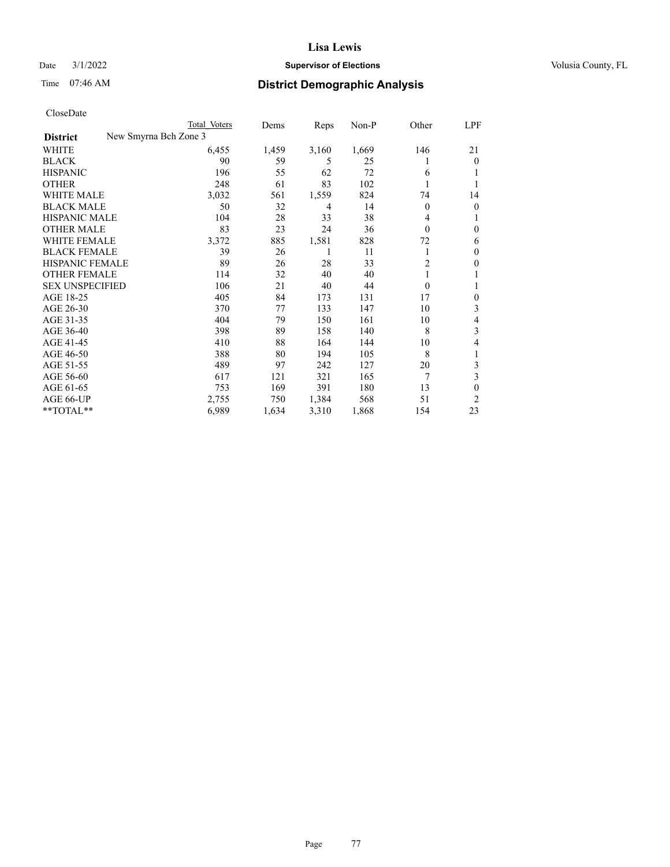## Date  $3/1/2022$  **Supervisor of Elections Supervisor of Elections** Volusia County, FL

|                                          | Total Voters | Dems  | Reps  | $Non-P$ | Other          | LPF              |
|------------------------------------------|--------------|-------|-------|---------|----------------|------------------|
| New Smyrna Bch Zone 3<br><b>District</b> |              |       |       |         |                |                  |
| WHITE                                    | 6,455        | 1,459 | 3,160 | 1,669   | 146            | 21               |
| <b>BLACK</b>                             | 90           | 59    | 5     | 25      |                | $\theta$         |
| <b>HISPANIC</b>                          | 196          | 55    | 62    | 72      | 6              |                  |
| <b>OTHER</b>                             | 248          | 61    | 83    | 102     |                |                  |
| <b>WHITE MALE</b>                        | 3,032        | 561   | 1,559 | 824     | 74             | 14               |
| <b>BLACK MALE</b>                        | 50           | 32    | 4     | 14      | $\theta$       | $\theta$         |
| <b>HISPANIC MALE</b>                     | 104          | 28    | 33    | 38      | 4              | 1                |
| <b>OTHER MALE</b>                        | 83           | 23    | 24    | 36      | $\theta$       | $\boldsymbol{0}$ |
| <b>WHITE FEMALE</b>                      | 3,372        | 885   | 1,581 | 828     | 72             | 6                |
| <b>BLACK FEMALE</b>                      | 39           | 26    |       | 11      | 1              | 0                |
| HISPANIC FEMALE                          | 89           | 26    | 28    | 33      | 2              | 0                |
| <b>OTHER FEMALE</b>                      | 114          | 32    | 40    | 40      |                |                  |
| <b>SEX UNSPECIFIED</b>                   | 106          | 21    | 40    | 44      | $\overline{0}$ | 1                |
| AGE 18-25                                | 405          | 84    | 173   | 131     | 17             | 0                |
| AGE 26-30                                | 370          | 77    | 133   | 147     | 10             | 3                |
| AGE 31-35                                | 404          | 79    | 150   | 161     | 10             | 4                |
| AGE 36-40                                | 398          | 89    | 158   | 140     | 8              | 3                |
| AGE 41-45                                | 410          | 88    | 164   | 144     | 10             | 4                |
| AGE 46-50                                | 388          | 80    | 194   | 105     | 8              | 1                |
| AGE 51-55                                | 489          | 97    | 242   | 127     | 20             | 3                |
| AGE 56-60                                | 617          | 121   | 321   | 165     | 7              | 3                |
| AGE 61-65                                | 753          | 169   | 391   | 180     | 13             | 0                |
| AGE 66-UP                                | 2,755        | 750   | 1,384 | 568     | 51             | $\overline{c}$   |
| **TOTAL**                                | 6,989        | 1,634 | 3,310 | 1,868   | 154            | 23               |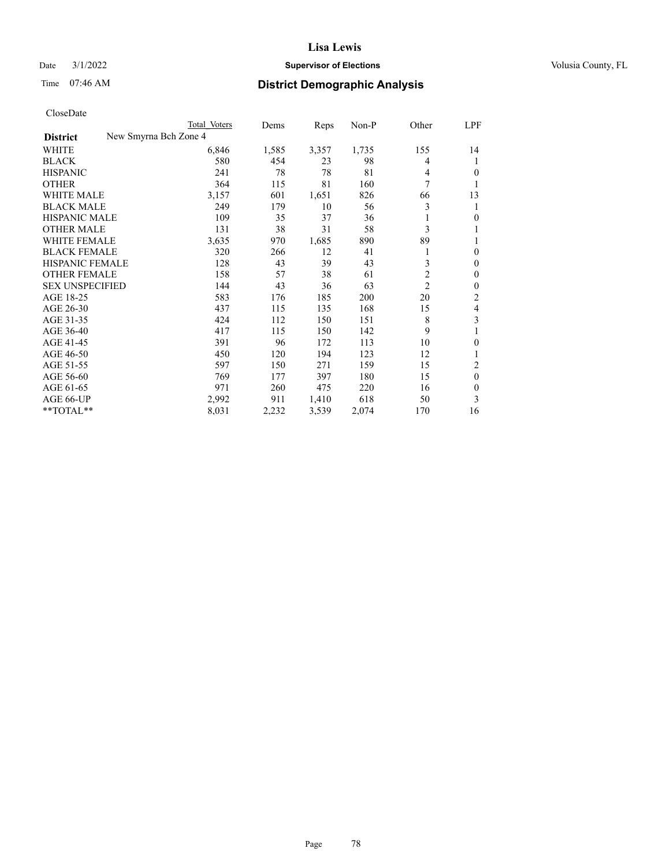## Date  $3/1/2022$  **Supervisor of Elections Supervisor of Elections** Volusia County, FL

| CloseDate |
|-----------|
|-----------|

|                                          | Total Voters | Dems  | Reps  | Non-P | Other          | LPF          |
|------------------------------------------|--------------|-------|-------|-------|----------------|--------------|
| New Smyrna Bch Zone 4<br><b>District</b> |              |       |       |       |                |              |
| WHITE                                    | 6,846        | 1,585 | 3,357 | 1,735 | 155            | 14           |
| <b>BLACK</b>                             | 580          | 454   | 23    | 98    | 4              | 1            |
| <b>HISPANIC</b>                          | 241          | 78    | 78    | 81    | 4              | 0            |
| <b>OTHER</b>                             | 364          | 115   | 81    | 160   | 7              | 1            |
| <b>WHITE MALE</b>                        | 3,157        | 601   | 1,651 | 826   | 66             | 13           |
| <b>BLACK MALE</b>                        | 249          | 179   | 10    | 56    | 3              | 1            |
| <b>HISPANIC MALE</b>                     | 109          | 35    | 37    | 36    |                | 0            |
| <b>OTHER MALE</b>                        | 131          | 38    | 31    | 58    | 3              | 1            |
| <b>WHITE FEMALE</b>                      | 3,635        | 970   | 1,685 | 890   | 89             |              |
| <b>BLACK FEMALE</b>                      | 320          | 266   | 12    | 41    |                | $\mathbf{0}$ |
| <b>HISPANIC FEMALE</b>                   | 128          | 43    | 39    | 43    | 3              | $\mathbf{0}$ |
| <b>OTHER FEMALE</b>                      | 158          | 57    | 38    | 61    | $\overline{c}$ | $\theta$     |
| <b>SEX UNSPECIFIED</b>                   | 144          | 43    | 36    | 63    | $\overline{2}$ | $\theta$     |
| AGE 18-25                                | 583          | 176   | 185   | 200   | 20             | 2            |
| AGE 26-30                                | 437          | 115   | 135   | 168   | 15             | 4            |
| AGE 31-35                                | 424          | 112   | 150   | 151   | 8              | 3            |
| AGE 36-40                                | 417          | 115   | 150   | 142   | 9              |              |
| AGE 41-45                                | 391          | 96    | 172   | 113   | 10             | 0            |
| AGE 46-50                                | 450          | 120   | 194   | 123   | 12             | 1            |
| AGE 51-55                                | 597          | 150   | 271   | 159   | 15             | 2            |
| AGE 56-60                                | 769          | 177   | 397   | 180   | 15             | $\theta$     |
| AGE 61-65                                | 971          | 260   | 475   | 220   | 16             | 0            |
| AGE 66-UP                                | 2,992        | 911   | 1,410 | 618   | 50             | 3            |
| **TOTAL**                                | 8,031        | 2,232 | 3,539 | 2,074 | 170            | 16           |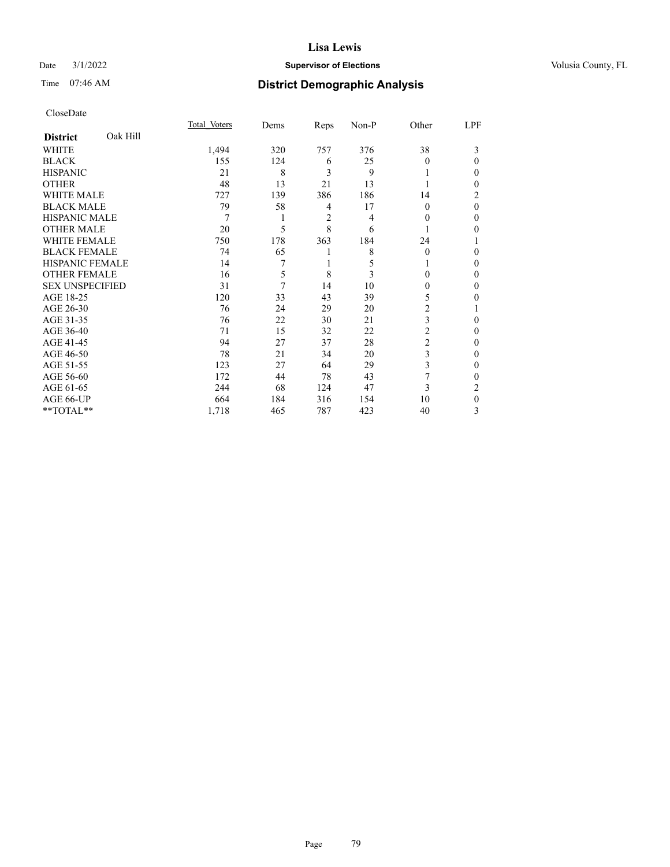### Date  $3/1/2022$  **Supervisor of Elections** Volusia County, FL

# Time 07:46 AM **District Demographic Analysis**

|                        |          | Total Voters | Dems | Reps | Non-P | Other          | LPF |
|------------------------|----------|--------------|------|------|-------|----------------|-----|
| <b>District</b>        | Oak Hill |              |      |      |       |                |     |
| WHITE                  |          | 1,494        | 320  | 757  | 376   | 38             | 3   |
| <b>BLACK</b>           |          | 155          | 124  | 6    | 25    | 0              | 0   |
| <b>HISPANIC</b>        |          | 21           | 8    | 3    | 9     |                | 0   |
| <b>OTHER</b>           |          | 48           | 13   | 21   | 13    |                | 0   |
| WHITE MALE             |          | 727          | 139  | 386  | 186   | 14             | 2   |
| <b>BLACK MALE</b>      |          | 79           | 58   | 4    | 17    | $\Omega$       | 0   |
| <b>HISPANIC MALE</b>   |          | 7            |      | 2    | 4     | 0              | 0   |
| <b>OTHER MALE</b>      |          | 20           | 5    | 8    | 6     |                | 0   |
| WHITE FEMALE           |          | 750          | 178  | 363  | 184   | 24             |     |
| <b>BLACK FEMALE</b>    |          | 74           | 65   | 1    | 8     | $\Omega$       | 0   |
| <b>HISPANIC FEMALE</b> |          | 14           | 7    | 1    | 5     |                | 0   |
| <b>OTHER FEMALE</b>    |          | 16           | 5    | 8    | 3     | 0              | 0   |
| <b>SEX UNSPECIFIED</b> |          | 31           | 7    | 14   | 10    | 0              | 0   |
| AGE 18-25              |          | 120          | 33   | 43   | 39    | 5              | 0   |
| AGE 26-30              |          | 76           | 24   | 29   | 20    | $\overline{c}$ |     |
| AGE 31-35              |          | 76           | 22   | 30   | 21    | 3              | 0   |
| AGE 36-40              |          | 71           | 15   | 32   | 22    | 2              | 0   |
| AGE 41-45              |          | 94           | 27   | 37   | 28    | 2              | 0   |
| AGE 46-50              |          | 78           | 21   | 34   | 20    | 3              | 0   |
| AGE 51-55              |          | 123          | 27   | 64   | 29    | 3              | 0   |
| AGE 56-60              |          | 172          | 44   | 78   | 43    | 7              | 0   |
| AGE 61-65              |          | 244          | 68   | 124  | 47    | 3              | 2   |
| AGE 66-UP              |          | 664          | 184  | 316  | 154   | 10             | 0   |
| **TOTAL**              |          | 1,718        | 465  | 787  | 423   | 40             | 3   |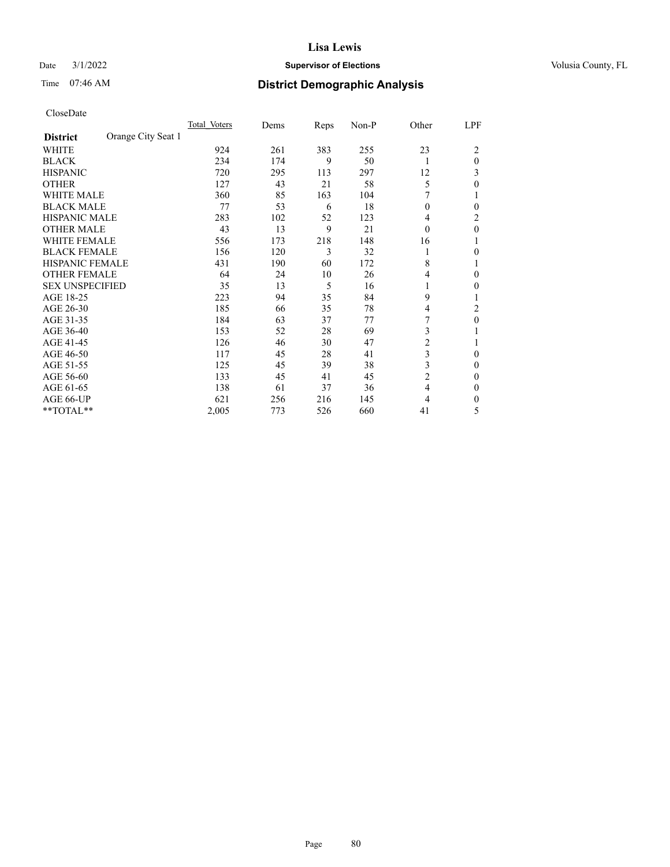## Date  $3/1/2022$  **Supervisor of Elections Supervisor of Elections** Volusia County, FL

# Time 07:46 AM **District Demographic Analysis**

|                        |                    | Total Voters | Dems | Reps | Non-P | Other          | LPF          |
|------------------------|--------------------|--------------|------|------|-------|----------------|--------------|
| <b>District</b>        | Orange City Seat 1 |              |      |      |       |                |              |
| WHITE                  |                    | 924          | 261  | 383  | 255   | 23             | 2            |
| <b>BLACK</b>           |                    | 234          | 174  | 9    | 50    | 1              | $\theta$     |
| <b>HISPANIC</b>        |                    | 720          | 295  | 113  | 297   | 12             | 3            |
| <b>OTHER</b>           |                    | 127          | 43   | 21   | 58    | 5              | 0            |
| <b>WHITE MALE</b>      |                    | 360          | 85   | 163  | 104   |                |              |
| <b>BLACK MALE</b>      |                    | 77           | 53   | 6    | 18    | $\theta$       | $\Omega$     |
| <b>HISPANIC MALE</b>   |                    | 283          | 102  | 52   | 123   | 4              | 2            |
| <b>OTHER MALE</b>      |                    | 43           | 13   | 9    | 21    | $\theta$       | $\mathbf{0}$ |
| <b>WHITE FEMALE</b>    |                    | 556          | 173  | 218  | 148   | 16             |              |
| <b>BLACK FEMALE</b>    |                    | 156          | 120  | 3    | 32    | 1              | 0            |
| <b>HISPANIC FEMALE</b> |                    | 431          | 190  | 60   | 172   | 8              |              |
| <b>OTHER FEMALE</b>    |                    | 64           | 24   | 10   | 26    | 4              | 0            |
| <b>SEX UNSPECIFIED</b> |                    | 35           | 13   | 5    | 16    | 1              | 0            |
| AGE 18-25              |                    | 223          | 94   | 35   | 84    | 9              |              |
| AGE 26-30              |                    | 185          | 66   | 35   | 78    | $\overline{4}$ | 2            |
| AGE 31-35              |                    | 184          | 63   | 37   | 77    | 7              | $\theta$     |
| AGE 36-40              |                    | 153          | 52   | 28   | 69    | 3              |              |
| AGE 41-45              |                    | 126          | 46   | 30   | 47    | $\overline{c}$ |              |
| AGE 46-50              |                    | 117          | 45   | 28   | 41    | 3              | $\Omega$     |
| AGE 51-55              |                    | 125          | 45   | 39   | 38    | 3              | 0            |
| AGE 56-60              |                    | 133          | 45   | 41   | 45    | $\overline{c}$ | 0            |
| AGE 61-65              |                    | 138          | 61   | 37   | 36    | $\overline{4}$ | $\Omega$     |
| AGE 66-UP              |                    | 621          | 256  | 216  | 145   | 4              | 0            |
| **TOTAL**              |                    | 2,005        | 773  | 526  | 660   | 41             | 5            |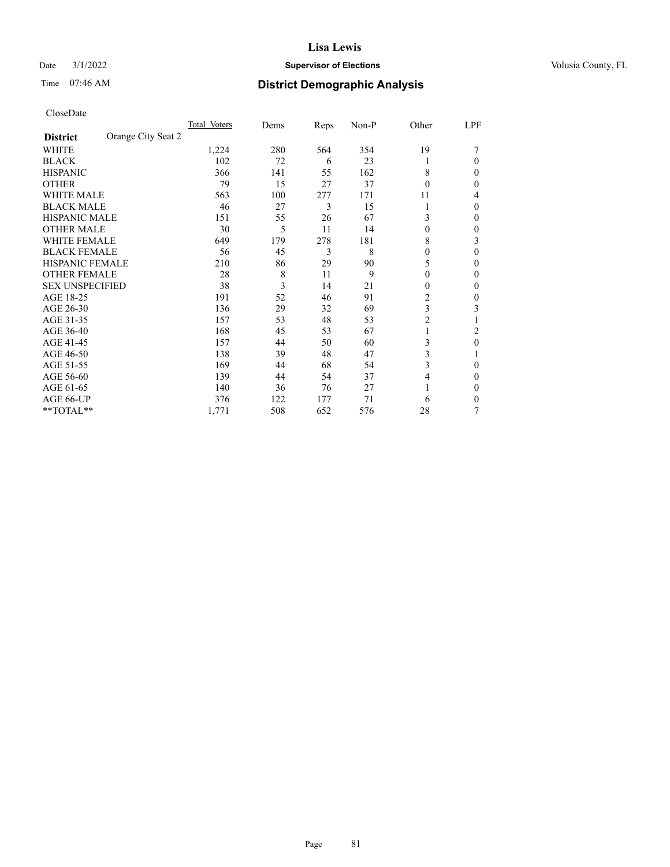## Date  $3/1/2022$  **Supervisor of Elections Supervisor of Elections** Volusia County, FL

# Time 07:46 AM **District Demographic Analysis**

|                        | Total Voters       | Dems | Reps | Non-P | Other          | LPF    |
|------------------------|--------------------|------|------|-------|----------------|--------|
| <b>District</b>        | Orange City Seat 2 |      |      |       |                |        |
| WHITE                  | 1,224              | 280  | 564  | 354   | 19             |        |
| <b>BLACK</b>           | 102                | 72   | 6    | 23    |                | 0      |
| <b>HISPANIC</b>        | 366                | 141  | 55   | 162   | 8              | $_{0}$ |
| <b>OTHER</b>           | 79                 | 15   | 27   | 37    | $\Omega$       | 0      |
| <b>WHITE MALE</b>      | 563                | 100  | 277  | 171   | 11             | 4      |
| <b>BLACK MALE</b>      | 46                 | 27   | 3    | 15    |                | 0      |
| <b>HISPANIC MALE</b>   | 151                | 55   | 26   | 67    | 3              | 0      |
| <b>OTHER MALE</b>      | 30                 | 5    | 11   | 14    | $\theta$       | 0      |
| WHITE FEMALE           | 649                | 179  | 278  | 181   | 8              | 3      |
| <b>BLACK FEMALE</b>    | 56                 | 45   | 3    | 8     | $\theta$       | 0      |
| <b>HISPANIC FEMALE</b> | 210                | 86   | 29   | 90    | 5              | 0      |
| <b>OTHER FEMALE</b>    | 28                 | 8    | 11   | 9     | $\theta$       | 0      |
| <b>SEX UNSPECIFIED</b> | 38                 | 3    | 14   | 21    | 0              | 0      |
| AGE 18-25              | 191                | 52   | 46   | 91    | $\overline{2}$ | 0      |
| AGE 26-30              | 136                | 29   | 32   | 69    | 3              | 3      |
| AGE 31-35              | 157                | 53   | 48   | 53    | $\overline{c}$ |        |
| AGE 36-40              | 168                | 45   | 53   | 67    | 1              | 2      |
| AGE 41-45              | 157                | 44   | 50   | 60    | 3              | 0      |
| AGE 46-50              | 138                | 39   | 48   | 47    | 3              |        |
| AGE 51-55              | 169                | 44   | 68   | 54    | 3              | 0      |
| AGE 56-60              | 139                | 44   | 54   | 37    | 4              | 0      |
| AGE 61-65              | 140                | 36   | 76   | 27    |                | 0      |
| AGE 66-UP              | 376                | 122  | 177  | 71    | 6              | 0      |
| **TOTAL**              | 1,771              | 508  | 652  | 576   | 28             | 7      |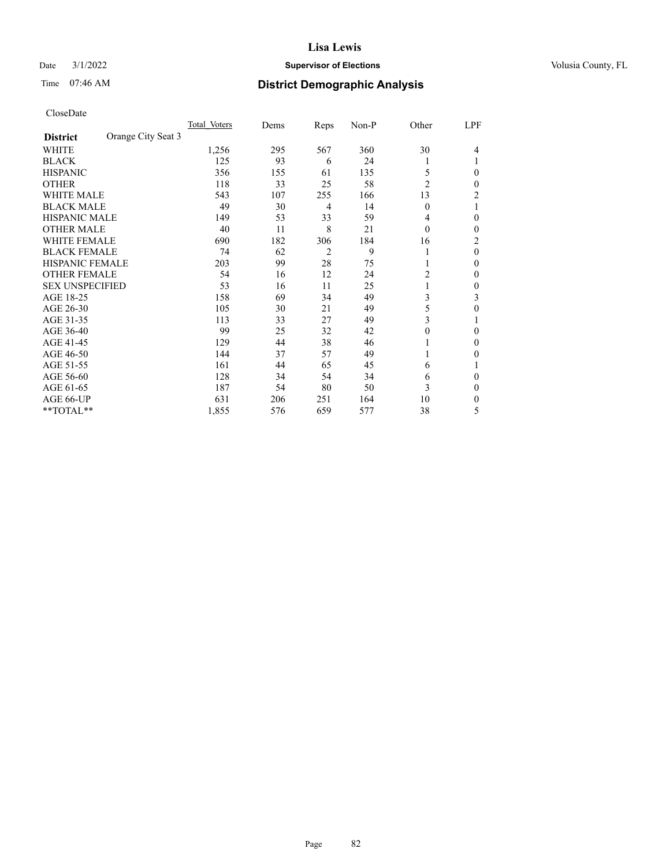## Date  $3/1/2022$  **Supervisor of Elections Supervisor of Elections** Volusia County, FL

# Time 07:46 AM **District Demographic Analysis**

|                        |                    | Total Voters | Dems | Reps           | Non-P | Other          | LPF |
|------------------------|--------------------|--------------|------|----------------|-------|----------------|-----|
| <b>District</b>        | Orange City Seat 3 |              |      |                |       |                |     |
| WHITE                  |                    | 1,256        | 295  | 567            | 360   | 30             | 4   |
| <b>BLACK</b>           |                    | 125          | 93   | 6              | 24    |                |     |
| <b>HISPANIC</b>        |                    | 356          | 155  | 61             | 135   | 5              | 0   |
| <b>OTHER</b>           |                    | 118          | 33   | 25             | 58    | $\overline{2}$ | 0   |
| <b>WHITE MALE</b>      |                    | 543          | 107  | 255            | 166   | 13             | 2   |
| <b>BLACK MALE</b>      |                    | 49           | 30   | 4              | 14    | $\overline{0}$ |     |
| <b>HISPANIC MALE</b>   |                    | 149          | 53   | 33             | 59    | 4              | 0   |
| <b>OTHER MALE</b>      |                    | 40           | 11   | 8              | 21    | $\theta$       | 0   |
| WHITE FEMALE           |                    | 690          | 182  | 306            | 184   | 16             | 2   |
| <b>BLACK FEMALE</b>    |                    | 74           | 62   | $\overline{2}$ | 9     |                | 0   |
| <b>HISPANIC FEMALE</b> |                    | 203          | 99   | 28             | 75    |                | 0   |
| <b>OTHER FEMALE</b>    |                    | 54           | 16   | 12             | 24    | 2              | 0   |
| <b>SEX UNSPECIFIED</b> |                    | 53           | 16   | 11             | 25    |                | 0   |
| AGE 18-25              |                    | 158          | 69   | 34             | 49    | 3              | 3   |
| AGE 26-30              |                    | 105          | 30   | 21             | 49    | 5              | 0   |
| AGE 31-35              |                    | 113          | 33   | 27             | 49    | 3              |     |
| AGE 36-40              |                    | 99           | 25   | 32             | 42    | $\theta$       | 0   |
| AGE 41-45              |                    | 129          | 44   | 38             | 46    |                | 0   |
| AGE 46-50              |                    | 144          | 37   | 57             | 49    | 1              | 0   |
| AGE 51-55              |                    | 161          | 44   | 65             | 45    | 6              |     |
| AGE 56-60              |                    | 128          | 34   | 54             | 34    | 6              | 0   |
| AGE 61-65              |                    | 187          | 54   | 80             | 50    | 3              | 0   |
| AGE 66-UP              |                    | 631          | 206  | 251            | 164   | 10             | 0   |
| **TOTAL**              |                    | 1,855        | 576  | 659            | 577   | 38             | 5   |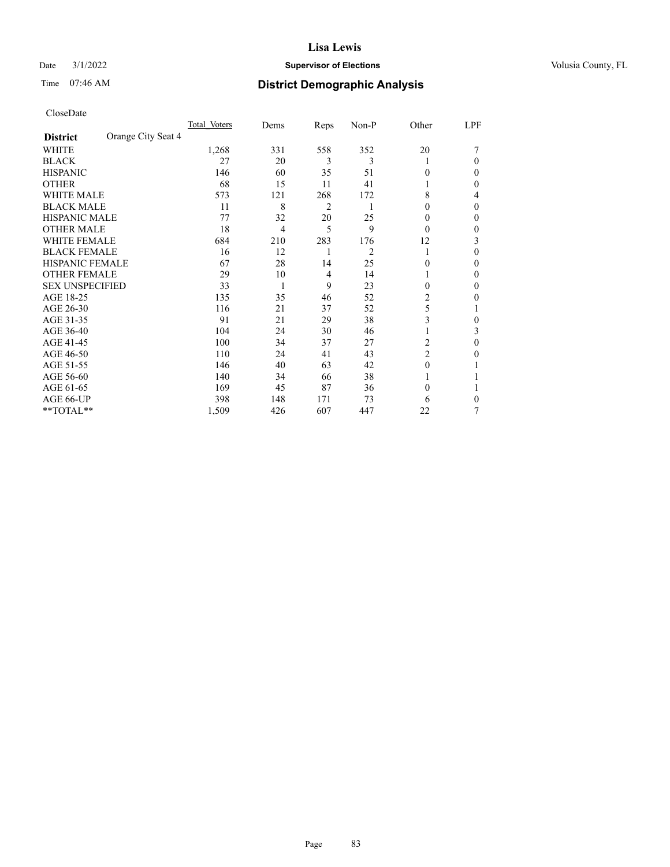## Date  $3/1/2022$  **Supervisor of Elections Supervisor of Elections** Volusia County, FL

# Time 07:46 AM **District Demographic Analysis**

|                        |                    | Total Voters | Dems           | Reps | Non-P | Other          | LPF |
|------------------------|--------------------|--------------|----------------|------|-------|----------------|-----|
| <b>District</b>        | Orange City Seat 4 |              |                |      |       |                |     |
| WHITE                  |                    | 1,268        | 331            | 558  | 352   | 20             |     |
| <b>BLACK</b>           |                    | 27           | 20             | 3    | 3     |                | 0   |
| <b>HISPANIC</b>        |                    | 146          | 60             | 35   | 51    | 0              | 0   |
| <b>OTHER</b>           |                    | 68           | 15             | 11   | 41    |                | 0   |
| WHITE MALE             |                    | 573          | 121            | 268  | 172   | 8              | 4   |
| <b>BLACK MALE</b>      |                    | 11           | 8              | 2    | 1     | 0              | 0   |
| <b>HISPANIC MALE</b>   |                    | 77           | 32             | 20   | 25    | $_{0}$         | 0   |
| <b>OTHER MALE</b>      |                    | 18           | $\overline{4}$ | 5    | 9     | $\theta$       | 0   |
| <b>WHITE FEMALE</b>    |                    | 684          | 210            | 283  | 176   | 12             | 3   |
| <b>BLACK FEMALE</b>    |                    | 16           | 12             |      | 2     | 1              | 0   |
| <b>HISPANIC FEMALE</b> |                    | 67           | 28             | 14   | 25    | 0              | 0   |
| <b>OTHER FEMALE</b>    |                    | 29           | 10             | 4    | 14    |                | 0   |
| <b>SEX UNSPECIFIED</b> |                    | 33           | 1              | 9    | 23    | $\Omega$       | 0   |
| AGE 18-25              |                    | 135          | 35             | 46   | 52    | 2              | 0   |
| AGE 26-30              |                    | 116          | 21             | 37   | 52    | 5              |     |
| AGE 31-35              |                    | 91           | 21             | 29   | 38    | 3              | 0   |
| AGE 36-40              |                    | 104          | 24             | 30   | 46    |                | 3   |
| AGE 41-45              |                    | 100          | 34             | 37   | 27    | 2              | 0   |
| AGE 46-50              |                    | 110          | 24             | 41   | 43    | $\overline{c}$ | 0   |
| AGE 51-55              |                    | 146          | 40             | 63   | 42    | $\Omega$       |     |
| AGE 56-60              |                    | 140          | 34             | 66   | 38    |                |     |
| AGE 61-65              |                    | 169          | 45             | 87   | 36    | $\theta$       |     |
| AGE 66-UP              |                    | 398          | 148            | 171  | 73    | 6              | 0   |
| **TOTAL**              |                    | 1,509        | 426            | 607  | 447   | 22             | 7   |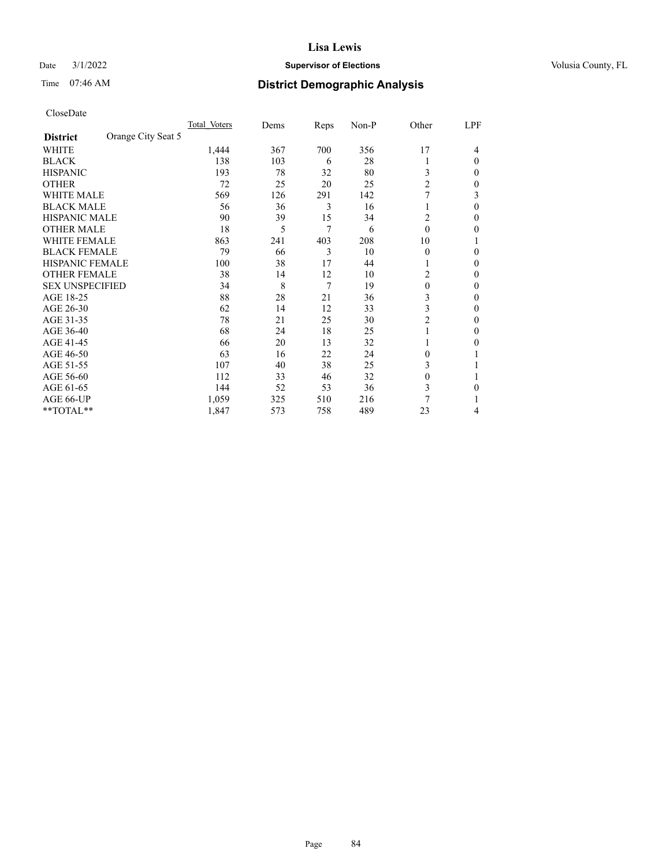## Date  $3/1/2022$  **Supervisor of Elections Supervisor of Elections** Volusia County, FL

# Time 07:46 AM **District Demographic Analysis**

|                        |                    | Total Voters | Dems | Reps | Non-P | Other          | LPF |
|------------------------|--------------------|--------------|------|------|-------|----------------|-----|
| <b>District</b>        | Orange City Seat 5 |              |      |      |       |                |     |
| WHITE                  |                    | 1,444        | 367  | 700  | 356   | 17             | 4   |
| <b>BLACK</b>           |                    | 138          | 103  | 6    | 28    |                | 0   |
| <b>HISPANIC</b>        |                    | 193          | 78   | 32   | 80    | 3              | 0   |
| <b>OTHER</b>           |                    | 72           | 25   | 20   | 25    | $\overline{2}$ | 0   |
| <b>WHITE MALE</b>      |                    | 569          | 126  | 291  | 142   | 7              | 3   |
| <b>BLACK MALE</b>      |                    | 56           | 36   | 3    | 16    |                | 0   |
| <b>HISPANIC MALE</b>   |                    | 90           | 39   | 15   | 34    | 2              | 0   |
| <b>OTHER MALE</b>      |                    | 18           | 5    | 7    | 6     | $\theta$       | 0   |
| WHITE FEMALE           |                    | 863          | 241  | 403  | 208   | 10             |     |
| <b>BLACK FEMALE</b>    |                    | 79           | 66   | 3    | 10    | $\Omega$       | 0   |
| <b>HISPANIC FEMALE</b> |                    | 100          | 38   | 17   | 44    |                | 0   |
| <b>OTHER FEMALE</b>    |                    | 38           | 14   | 12   | 10    | 2              | 0   |
| <b>SEX UNSPECIFIED</b> |                    | 34           | 8    | 7    | 19    | $\theta$       | 0   |
| AGE 18-25              |                    | 88           | 28   | 21   | 36    | 3              | 0   |
| AGE 26-30              |                    | 62           | 14   | 12   | 33    | 3              | 0   |
| AGE 31-35              |                    | 78           | 21   | 25   | 30    | $\overline{2}$ | 0   |
| AGE 36-40              |                    | 68           | 24   | 18   | 25    |                | 0   |
| AGE 41-45              |                    | 66           | 20   | 13   | 32    |                | 0   |
| AGE 46-50              |                    | 63           | 16   | 22   | 24    | $\Omega$       |     |
| AGE 51-55              |                    | 107          | 40   | 38   | 25    | 3              |     |
| AGE 56-60              |                    | 112          | 33   | 46   | 32    | $\theta$       |     |
| AGE 61-65              |                    | 144          | 52   | 53   | 36    | 3              | 0   |
| AGE 66-UP              |                    | 1,059        | 325  | 510  | 216   | 7              |     |
| **TOTAL**              |                    | 1,847        | 573  | 758  | 489   | 23             | 4   |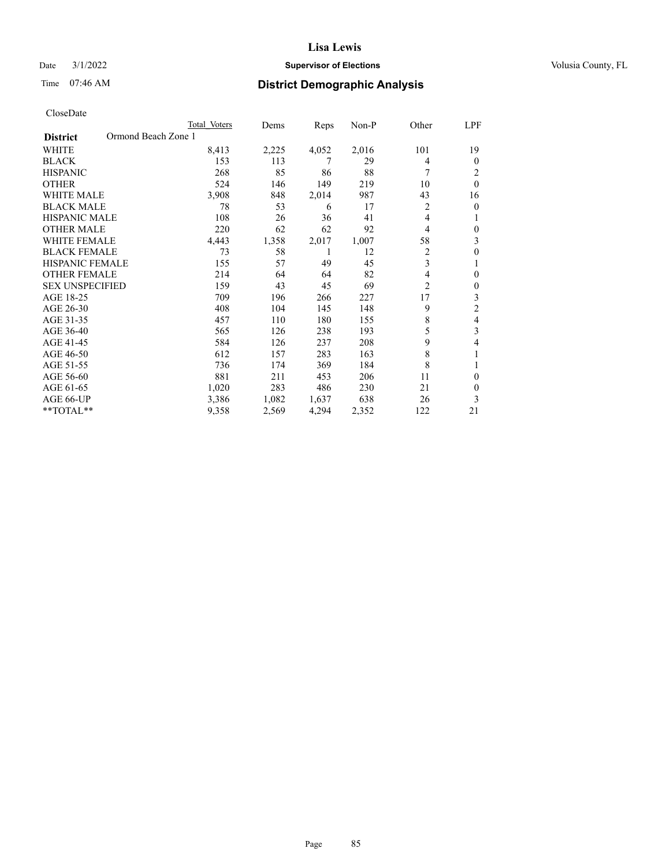## Date  $3/1/2022$  **Supervisor of Elections Supervisor of Elections** Volusia County, FL

# Time 07:46 AM **District Demographic Analysis**

|                        | Total Voters        | Dems  | Reps  | $Non-P$ | Other          | LPF      |
|------------------------|---------------------|-------|-------|---------|----------------|----------|
| <b>District</b>        | Ormond Beach Zone 1 |       |       |         |                |          |
| <b>WHITE</b>           | 8,413               | 2,225 | 4,052 | 2,016   | 101            | 19       |
| <b>BLACK</b>           | 153                 | 113   | 7     | 29      | 4              | $\theta$ |
| <b>HISPANIC</b>        | 268                 | 85    | 86    | 88      | 7              | 2        |
| <b>OTHER</b>           | 524                 | 146   | 149   | 219     | 10             | $\theta$ |
| <b>WHITE MALE</b>      | 3,908               | 848   | 2,014 | 987     | 43             | 16       |
| <b>BLACK MALE</b>      | 78                  | 53    | 6     | 17      | $\overline{2}$ | $\theta$ |
| HISPANIC MALE          | 108                 | 26    | 36    | 41      | 4              | 1        |
| <b>OTHER MALE</b>      | 220                 | 62    | 62    | 92      | 4              | $\theta$ |
| <b>WHITE FEMALE</b>    | 4,443               | 1,358 | 2,017 | 1,007   | 58             | 3        |
| <b>BLACK FEMALE</b>    | 73                  | 58    | 1     | 12      | $\overline{c}$ | $\theta$ |
| <b>HISPANIC FEMALE</b> | 155                 | 57    | 49    | 45      | 3              | 1        |
| <b>OTHER FEMALE</b>    | 214                 | 64    | 64    | 82      | 4              | $\theta$ |
| <b>SEX UNSPECIFIED</b> | 159                 | 43    | 45    | 69      | $\overline{c}$ | $\theta$ |
| AGE 18-25              | 709                 | 196   | 266   | 227     | 17             | 3        |
| AGE 26-30              | 408                 | 104   | 145   | 148     | 9              | 2        |
| AGE 31-35              | 457                 | 110   | 180   | 155     | 8              | 4        |
| AGE 36-40              | 565                 | 126   | 238   | 193     | 5              | 3        |
| AGE 41-45              | 584                 | 126   | 237   | 208     | 9              | 4        |
| AGE 46-50              | 612                 | 157   | 283   | 163     | 8              |          |
| AGE 51-55              | 736                 | 174   | 369   | 184     | 8              | 1        |
| AGE 56-60              | 881                 | 211   | 453   | 206     | 11             | $\theta$ |
| AGE 61-65              | 1,020               | 283   | 486   | 230     | 21             | $\theta$ |
| AGE 66-UP              | 3,386               | 1,082 | 1,637 | 638     | 26             | 3        |
| **TOTAL**              | 9,358               | 2,569 | 4,294 | 2,352   | 122            | 21       |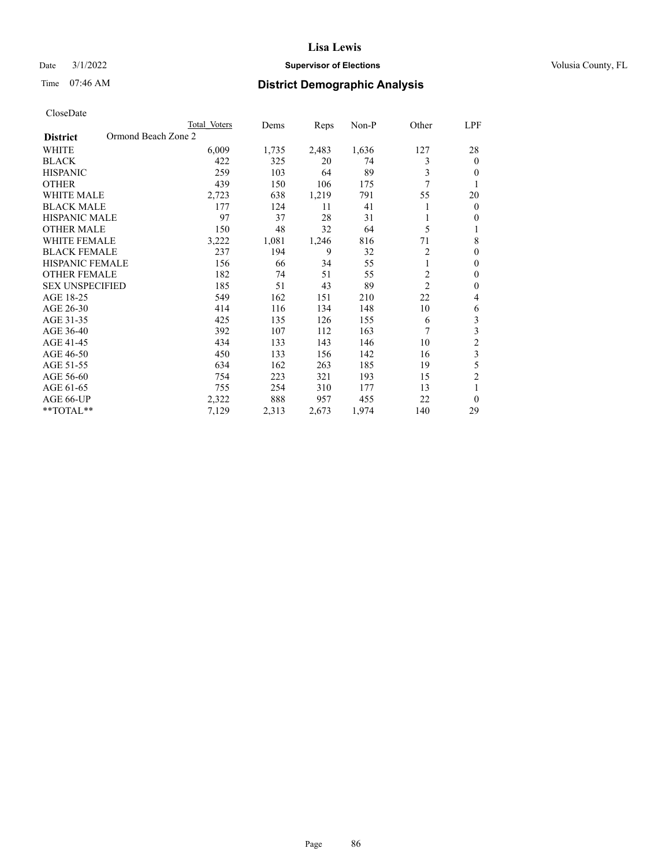## Date  $3/1/2022$  **Supervisor of Elections Supervisor of Elections** Volusia County, FL

# Time 07:46 AM **District Demographic Analysis**

|                                        | Total Voters | Dems  | Reps  | Non-P | Other          | LPF            |
|----------------------------------------|--------------|-------|-------|-------|----------------|----------------|
| Ormond Beach Zone 2<br><b>District</b> |              |       |       |       |                |                |
| WHITE                                  | 6,009        | 1,735 | 2,483 | 1,636 | 127            | 28             |
| <b>BLACK</b>                           | 422          | 325   | 20    | 74    | 3              | $\mathbf{0}$   |
| <b>HISPANIC</b>                        | 259          | 103   | 64    | 89    | 3              | $\Omega$       |
| <b>OTHER</b>                           | 439          | 150   | 106   | 175   | 7              |                |
| <b>WHITE MALE</b>                      | 2,723        | 638   | 1,219 | 791   | 55             | 20             |
| <b>BLACK MALE</b>                      | 177          | 124   | 11    | 41    |                | $\mathbf{0}$   |
| <b>HISPANIC MALE</b>                   | 97           | 37    | 28    | 31    |                | $\mathbf{0}$   |
| <b>OTHER MALE</b>                      | 150          | 48    | 32    | 64    | 5              | 1              |
| WHITE FEMALE                           | 3,222        | 1,081 | 1,246 | 816   | 71             | 8              |
| <b>BLACK FEMALE</b>                    | 237          | 194   | 9     | 32    | 2              | $\theta$       |
| <b>HISPANIC FEMALE</b>                 | 156          | 66    | 34    | 55    | 1              | $\theta$       |
| <b>OTHER FEMALE</b>                    | 182          | 74    | 51    | 55    | $\overline{c}$ | $\theta$       |
| <b>SEX UNSPECIFIED</b>                 | 185          | 51    | 43    | 89    | $\overline{2}$ | $\theta$       |
| AGE 18-25                              | 549          | 162   | 151   | 210   | 22             | 4              |
| AGE 26-30                              | 414          | 116   | 134   | 148   | 10             | 6              |
| AGE 31-35                              | 425          | 135   | 126   | 155   | 6              | 3              |
| AGE 36-40                              | 392          | 107   | 112   | 163   | 7              | 3              |
| AGE 41-45                              | 434          | 133   | 143   | 146   | 10             | $\overline{c}$ |
| AGE 46-50                              | 450          | 133   | 156   | 142   | 16             | 3              |
| AGE 51-55                              | 634          | 162   | 263   | 185   | 19             | 5              |
| AGE 56-60                              | 754          | 223   | 321   | 193   | 15             | $\overline{2}$ |
| AGE 61-65                              | 755          | 254   | 310   | 177   | 13             | 1              |
| AGE 66-UP                              | 2,322        | 888   | 957   | 455   | 22             | $\theta$       |
| **TOTAL**                              | 7,129        | 2,313 | 2,673 | 1,974 | 140            | 29             |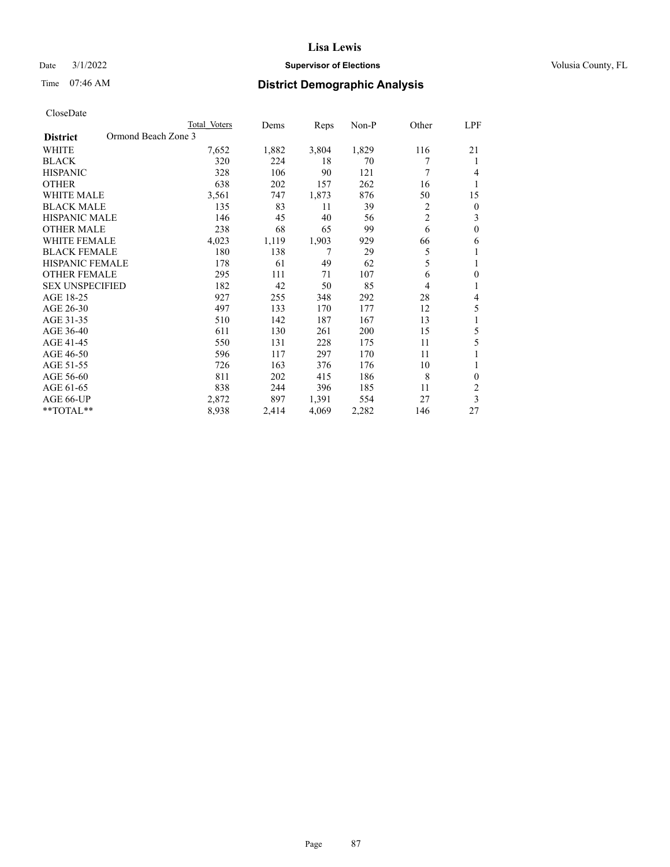## Date  $3/1/2022$  **Supervisor of Elections Supervisor of Elections** Volusia County, FL

# Time 07:46 AM **District Demographic Analysis**

|                                        | Total Voters | Dems  | Reps  | Non-P | Other          | <u>LPF</u>     |
|----------------------------------------|--------------|-------|-------|-------|----------------|----------------|
| Ormond Beach Zone 3<br><b>District</b> |              |       |       |       |                |                |
| WHITE                                  | 7,652        | 1,882 | 3,804 | 1,829 | 116            | 21             |
| <b>BLACK</b>                           | 320          | 224   | 18    | 70    |                | 1              |
| <b>HISPANIC</b>                        | 328          | 106   | 90    | 121   | 7              | 4              |
| <b>OTHER</b>                           | 638          | 202   | 157   | 262   | 16             | 1              |
| <b>WHITE MALE</b>                      | 3,561        | 747   | 1,873 | 876   | 50             | 15             |
| <b>BLACK MALE</b>                      | 135          | 83    | 11    | 39    | 2              | $\mathbf{0}$   |
| <b>HISPANIC MALE</b>                   | 146          | 45    | 40    | 56    | $\overline{c}$ | 3              |
| <b>OTHER MALE</b>                      | 238          | 68    | 65    | 99    | 6              | $\mathbf{0}$   |
| <b>WHITE FEMALE</b>                    | 4,023        | 1,119 | 1,903 | 929   | 66             | 6              |
| <b>BLACK FEMALE</b>                    | 180          | 138   | 7     | 29    | 5              | 1              |
| <b>HISPANIC FEMALE</b>                 | 178          | 61    | 49    | 62    | 5              | 1              |
| <b>OTHER FEMALE</b>                    | 295          | 111   | 71    | 107   | 6              | $\mathbf{0}$   |
| <b>SEX UNSPECIFIED</b>                 | 182          | 42    | 50    | 85    | 4              | 1              |
| AGE 18-25                              | 927          | 255   | 348   | 292   | 28             | 4              |
| AGE 26-30                              | 497          | 133   | 170   | 177   | 12             | 5              |
| AGE 31-35                              | 510          | 142   | 187   | 167   | 13             | 1              |
| AGE 36-40                              | 611          | 130   | 261   | 200   | 15             | 5              |
| AGE 41-45                              | 550          | 131   | 228   | 175   | 11             | 5              |
| AGE 46-50                              | 596          | 117   | 297   | 170   | 11             |                |
| AGE 51-55                              | 726          | 163   | 376   | 176   | 10             | 1              |
| AGE 56-60                              | 811          | 202   | 415   | 186   | 8              | $\theta$       |
| AGE 61-65                              | 838          | 244   | 396   | 185   | 11             | $\overline{2}$ |
| AGE 66-UP                              | 2,872        | 897   | 1,391 | 554   | 27             | 3              |
| **TOTAL**                              | 8,938        | 2,414 | 4,069 | 2,282 | 146            | 27             |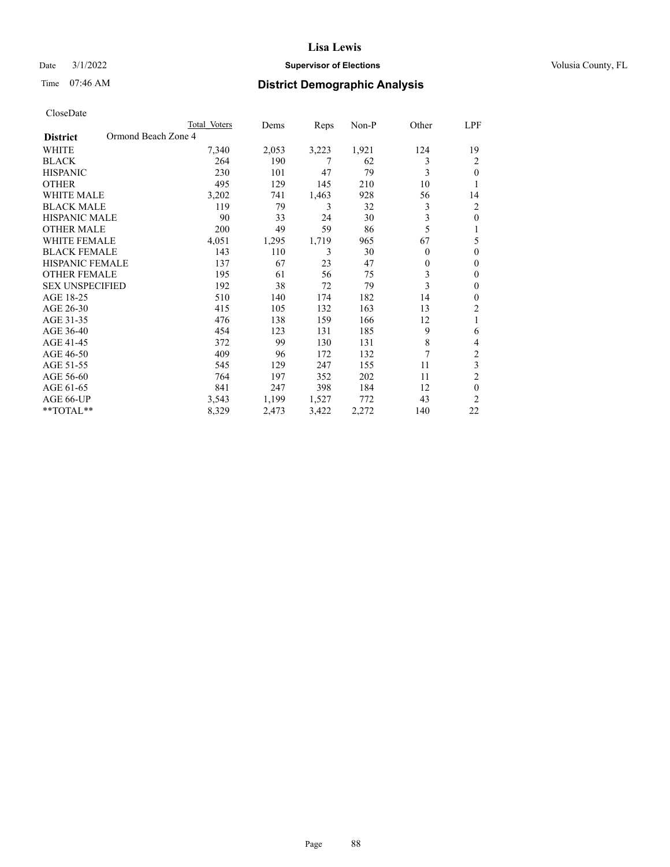## Date  $3/1/2022$  **Supervisor of Elections Supervisor of Elections** Volusia County, FL

# Time 07:46 AM **District Demographic Analysis**

|                                        | Total Voters | Dems  | Reps  | Non-P | Other    | LPF            |
|----------------------------------------|--------------|-------|-------|-------|----------|----------------|
| Ormond Beach Zone 4<br><b>District</b> |              |       |       |       |          |                |
| WHITE                                  | 7,340        | 2,053 | 3,223 | 1,921 | 124      | 19             |
| <b>BLACK</b>                           | 264          | 190   | 7     | 62    | 3        | 2              |
| <b>HISPANIC</b>                        | 230          | 101   | 47    | 79    | 3        | 0              |
| <b>OTHER</b>                           | 495          | 129   | 145   | 210   | 10       |                |
| WHITE MALE                             | 3,202        | 741   | 1,463 | 928   | 56       | 14             |
| <b>BLACK MALE</b>                      | 119          | 79    | 3     | 32    | 3        | 2              |
| <b>HISPANIC MALE</b>                   | 90           | 33    | 24    | 30    | 3        | 0              |
| <b>OTHER MALE</b>                      | 200          | 49    | 59    | 86    | 5        | 1              |
| <b>WHITE FEMALE</b>                    | 4,051        | 1,295 | 1,719 | 965   | 67       | 5              |
| <b>BLACK FEMALE</b>                    | 143          | 110   | 3     | 30    | $\theta$ | 0              |
| <b>HISPANIC FEMALE</b>                 | 137          | 67    | 23    | 47    | $\theta$ | 0              |
| <b>OTHER FEMALE</b>                    | 195          | 61    | 56    | 75    | 3        | 0              |
| <b>SEX UNSPECIFIED</b>                 | 192          | 38    | 72    | 79    | 3        | $\mathbf{0}$   |
| AGE 18-25                              | 510          | 140   | 174   | 182   | 14       | 0              |
| AGE 26-30                              | 415          | 105   | 132   | 163   | 13       | 2              |
| AGE 31-35                              | 476          | 138   | 159   | 166   | 12       | 1              |
| AGE 36-40                              | 454          | 123   | 131   | 185   | 9        | 6              |
| AGE 41-45                              | 372          | 99    | 130   | 131   | 8        | 4              |
| AGE 46-50                              | 409          | 96    | 172   | 132   | 7        | 2              |
| AGE 51-55                              | 545          | 129   | 247   | 155   | 11       | 3              |
| AGE 56-60                              | 764          | 197   | 352   | 202   | 11       | $\overline{2}$ |
| AGE 61-65                              | 841          | 247   | 398   | 184   | 12       | $\theta$       |
| AGE 66-UP                              | 3,543        | 1,199 | 1,527 | 772   | 43       | $\overline{c}$ |
| **TOTAL**                              | 8,329        | 2,473 | 3,422 | 2,272 | 140      | 22             |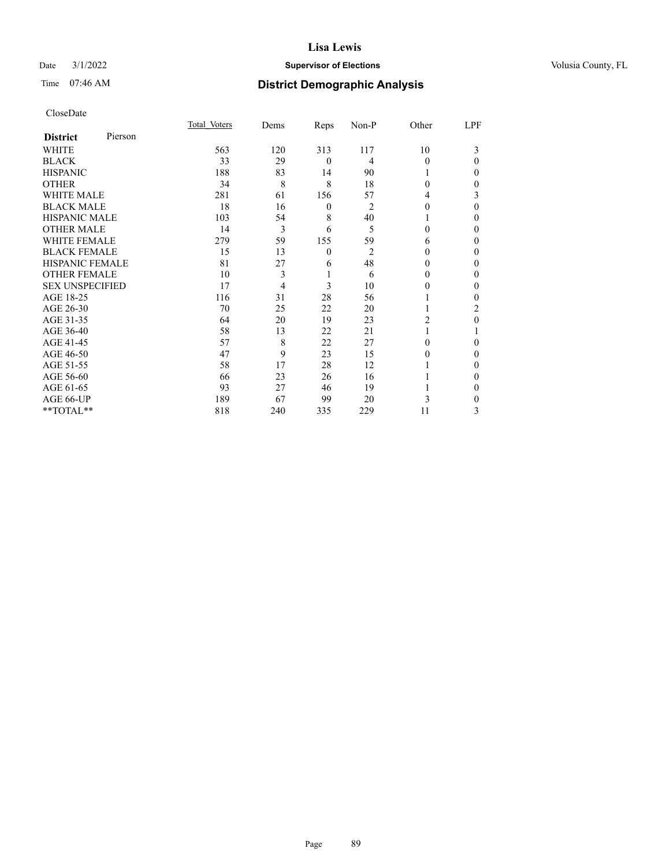## Date  $3/1/2022$  **Supervisor of Elections Supervisor of Elections** Volusia County, FL

| CloseDate |
|-----------|
|-----------|

|                        |         | Total Voters | Dems | Reps         | Non-P          | Other    | LPF      |
|------------------------|---------|--------------|------|--------------|----------------|----------|----------|
| <b>District</b>        | Pierson |              |      |              |                |          |          |
| WHITE                  |         | 563          | 120  | 313          | 117            | 10       | 3        |
| <b>BLACK</b>           |         | 33           | 29   | $\mathbf{0}$ | 4              | $\Omega$ | $\Omega$ |
| <b>HISPANIC</b>        |         | 188          | 83   | 14           | 90             |          | 0        |
| <b>OTHER</b>           |         | 34           | 8    | 8            | 18             | 0        | 0        |
| <b>WHITE MALE</b>      |         | 281          | 61   | 156          | 57             | 4        | 3        |
| <b>BLACK MALE</b>      |         | 18           | 16   | 0            | 2              | 0        | $\Omega$ |
| <b>HISPANIC MALE</b>   |         | 103          | 54   | 8            | 40             |          | 0        |
| <b>OTHER MALE</b>      |         | 14           | 3    | 6            | 5              | 0        | 0        |
| <b>WHITE FEMALE</b>    |         | 279          | 59   | 155          | 59             | 6        | 0        |
| <b>BLACK FEMALE</b>    |         | 15           | 13   | $\mathbf{0}$ | $\overline{2}$ | 0        | 0        |
| <b>HISPANIC FEMALE</b> |         | 81           | 27   | 6            | 48             | 0        | 0        |
| <b>OTHER FEMALE</b>    |         | 10           | 3    | 1            | 6              | 0        | 0        |
| <b>SEX UNSPECIFIED</b> |         | 17           | 4    | 3            | 10             | 0        | 0        |
| AGE 18-25              |         | 116          | 31   | 28           | 56             |          | 0        |
| AGE 26-30              |         | 70           | 25   | 22           | 20             |          | 2        |
| AGE 31-35              |         | 64           | 20   | 19           | 23             | 2        | 0        |
| AGE 36-40              |         | 58           | 13   | 22           | 21             |          |          |
| AGE 41-45              |         | 57           | 8    | 22           | 27             | 0        | 0        |
| AGE 46-50              |         | 47           | 9    | 23           | 15             | 0        | $\Omega$ |
| AGE 51-55              |         | 58           | 17   | 28           | 12             |          | 0        |
| AGE 56-60              |         | 66           | 23   | 26           | 16             |          | 0        |
| AGE 61-65              |         | 93           | 27   | 46           | 19             |          | 0        |
| AGE 66-UP              |         | 189          | 67   | 99           | 20             | 3        | 0        |
| **TOTAL**              |         | 818          | 240  | 335          | 229            | 11       | 3        |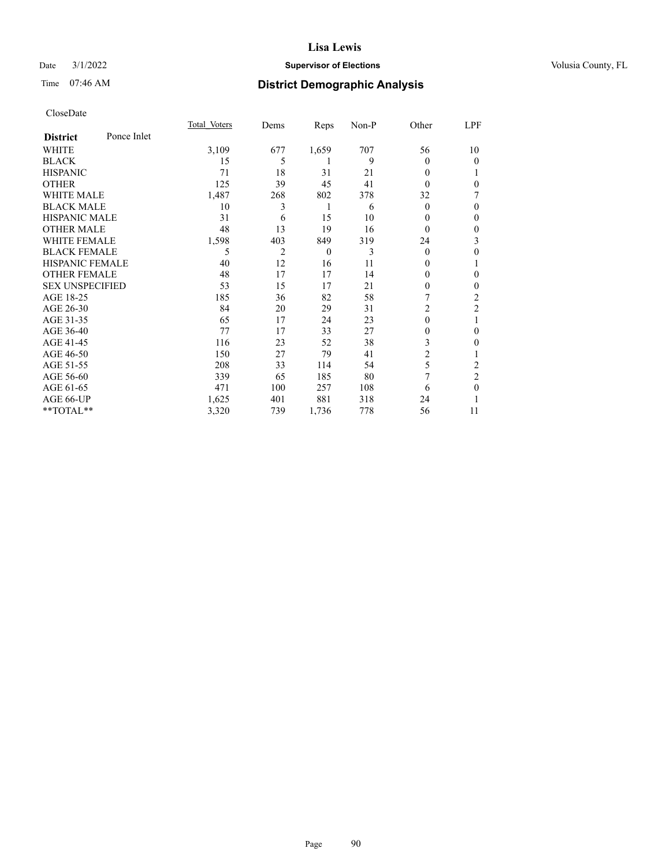## Date  $3/1/2022$  **Supervisor of Elections Supervisor of Elections** Volusia County, FL

# Time 07:46 AM **District Demographic Analysis**

|                        |             | Total Voters | Dems | Reps     | Non-P | Other          | LPF            |
|------------------------|-------------|--------------|------|----------|-------|----------------|----------------|
| <b>District</b>        | Ponce Inlet |              |      |          |       |                |                |
| WHITE                  |             | 3,109        | 677  | 1,659    | 707   | 56             | 10             |
| <b>BLACK</b>           |             | 15           | 5    |          | 9     | 0              | $\theta$       |
| <b>HISPANIC</b>        |             | 71           | 18   | 31       | 21    | 0              |                |
| <b>OTHER</b>           |             | 125          | 39   | 45       | 41    | 0              | $\theta$       |
| <b>WHITE MALE</b>      |             | 1,487        | 268  | 802      | 378   | 32             | 7              |
| <b>BLACK MALE</b>      |             | 10           | 3    | 1        | 6     | $\mathbf{0}$   | $\mathbf{0}$   |
| <b>HISPANIC MALE</b>   |             | 31           | 6    | 15       | 10    | 0              | $\mathbf{0}$   |
| <b>OTHER MALE</b>      |             | 48           | 13   | 19       | 16    | 0              | $\mathbf{0}$   |
| <b>WHITE FEMALE</b>    |             | 1,598        | 403  | 849      | 319   | 24             | 3              |
| <b>BLACK FEMALE</b>    |             | 5            | 2    | $\theta$ | 3     | $\theta$       | $\theta$       |
| <b>HISPANIC FEMALE</b> |             | 40           | 12   | 16       | 11    | 0              | 1              |
| <b>OTHER FEMALE</b>    |             | 48           | 17   | 17       | 14    | 0              | $\theta$       |
| <b>SEX UNSPECIFIED</b> |             | 53           | 15   | 17       | 21    | $\mathbf{0}$   | $\mathbf{0}$   |
| AGE 18-25              |             | 185          | 36   | 82       | 58    | 7              | $\overline{c}$ |
| AGE 26-30              |             | 84           | 20   | 29       | 31    | $\overline{c}$ | $\overline{c}$ |
| AGE 31-35              |             | 65           | 17   | 24       | 23    | $\theta$       | 1              |
| AGE 36-40              |             | 77           | 17   | 33       | 27    | 0              | $\theta$       |
| AGE 41-45              |             | 116          | 23   | 52       | 38    | 3              | $\mathbf{0}$   |
| AGE 46-50              |             | 150          | 27   | 79       | 41    | $\overline{2}$ | 1              |
| AGE 51-55              |             | 208          | 33   | 114      | 54    | 5              | 2              |
| AGE 56-60              |             | 339          | 65   | 185      | 80    | 7              | $\overline{c}$ |
| AGE 61-65              |             | 471          | 100  | 257      | 108   | 6              | $\mathbf{0}$   |
| AGE 66-UP              |             | 1,625        | 401  | 881      | 318   | 24             |                |
| $**TOTAL**$            |             | 3,320        | 739  | 1,736    | 778   | 56             | 11             |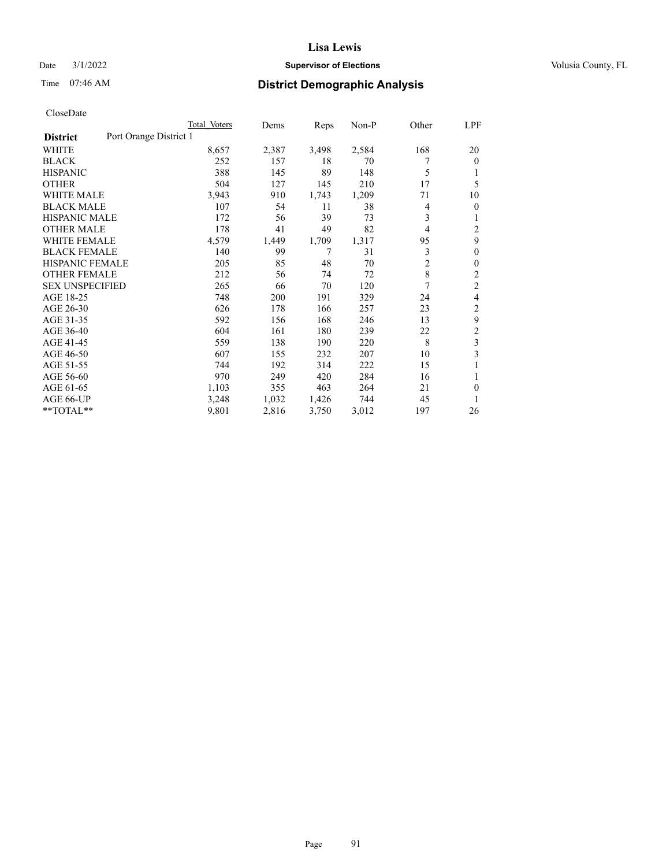## Date  $3/1/2022$  **Supervisor of Elections Supervisor of Elections** Volusia County, FL

# Time 07:46 AM **District Demographic Analysis**

|                                           | Total Voters | Dems  | Reps  | $Non-P$ | Other          | LPF            |
|-------------------------------------------|--------------|-------|-------|---------|----------------|----------------|
| Port Orange District 1<br><b>District</b> |              |       |       |         |                |                |
| WHITE                                     | 8,657        | 2,387 | 3,498 | 2,584   | 168            | 20             |
| <b>BLACK</b>                              | 252          | 157   | 18    | 70      |                | $\theta$       |
| <b>HISPANIC</b>                           | 388          | 145   | 89    | 148     | 5              | 1              |
| <b>OTHER</b>                              | 504          | 127   | 145   | 210     | 17             | 5              |
| <b>WHITE MALE</b>                         | 3,943        | 910   | 1,743 | 1,209   | 71             | 10             |
| <b>BLACK MALE</b>                         | 107          | 54    | 11    | 38      | 4              | $\overline{0}$ |
| <b>HISPANIC MALE</b>                      | 172          | 56    | 39    | 73      | 3              | 1              |
| <b>OTHER MALE</b>                         | 178          | 41    | 49    | 82      | 4              | 2              |
| <b>WHITE FEMALE</b>                       | 4,579        | 1,449 | 1,709 | 1,317   | 95             | 9              |
| <b>BLACK FEMALE</b>                       | 140          | 99    | 7     | 31      | 3              | $\theta$       |
| <b>HISPANIC FEMALE</b>                    | 205          | 85    | 48    | 70      | $\overline{c}$ | $\mathbf{0}$   |
| <b>OTHER FEMALE</b>                       | 212          | 56    | 74    | 72      | $\,8\,$        | 2              |
| <b>SEX UNSPECIFIED</b>                    | 265          | 66    | 70    | 120     | 7              | $\overline{2}$ |
| AGE 18-25                                 | 748          | 200   | 191   | 329     | 24             | 4              |
| AGE 26-30                                 | 626          | 178   | 166   | 257     | 23             | 2              |
| AGE 31-35                                 | 592          | 156   | 168   | 246     | 13             | 9              |
| AGE 36-40                                 | 604          | 161   | 180   | 239     | 22             | $\overline{2}$ |
| AGE 41-45                                 | 559          | 138   | 190   | 220     | 8              | 3              |
| AGE 46-50                                 | 607          | 155   | 232   | 207     | 10             | 3              |
| AGE 51-55                                 | 744          | 192   | 314   | 222     | 15             |                |
| AGE 56-60                                 | 970          | 249   | 420   | 284     | 16             | 1              |
| AGE 61-65                                 | 1,103        | 355   | 463   | 264     | 21             | $\theta$       |
| AGE 66-UP                                 | 3,248        | 1,032 | 1,426 | 744     | 45             | 1              |
| **TOTAL**                                 | 9,801        | 2,816 | 3,750 | 3,012   | 197            | 26             |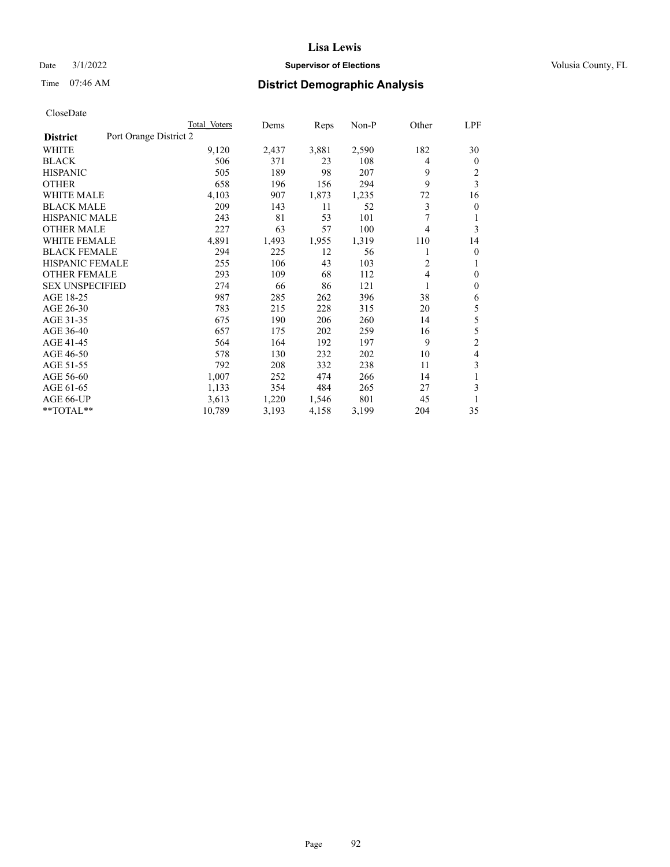## Date  $3/1/2022$  **Supervisor of Elections Supervisor of Elections** Volusia County, FL

# Time 07:46 AM **District Demographic Analysis**

|                                           | Total Voters | Dems  | Reps  | $Non-P$ | Other          | LPF            |
|-------------------------------------------|--------------|-------|-------|---------|----------------|----------------|
| Port Orange District 2<br><b>District</b> |              |       |       |         |                |                |
| <b>WHITE</b>                              | 9,120        | 2,437 | 3,881 | 2,590   | 182            | 30             |
| <b>BLACK</b>                              | 506          | 371   | 23    | 108     | 4              | $\mathbf{0}$   |
| <b>HISPANIC</b>                           | 505          | 189   | 98    | 207     | 9              | 2              |
| <b>OTHER</b>                              | 658          | 196   | 156   | 294     | 9              | 3              |
| <b>WHITE MALE</b>                         | 4,103        | 907   | 1,873 | 1,235   | 72             | 16             |
| <b>BLACK MALE</b>                         | 209          | 143   | 11    | 52      | 3              | $\mathbf{0}$   |
| <b>HISPANIC MALE</b>                      | 243          | 81    | 53    | 101     | 7              | 1              |
| <b>OTHER MALE</b>                         | 227          | 63    | 57    | 100     | $\overline{4}$ | 3              |
| <b>WHITE FEMALE</b>                       | 4,891        | 1,493 | 1,955 | 1,319   | 110            | 14             |
| <b>BLACK FEMALE</b>                       | 294          | 225   | 12    | 56      | 1              | $\mathbf{0}$   |
| <b>HISPANIC FEMALE</b>                    | 255          | 106   | 43    | 103     | $\overline{c}$ | 1              |
| <b>OTHER FEMALE</b>                       | 293          | 109   | 68    | 112     | $\overline{4}$ | $\mathbf{0}$   |
| <b>SEX UNSPECIFIED</b>                    | 274          | 66    | 86    | 121     | 1              | $\mathbf{0}$   |
| AGE 18-25                                 | 987          | 285   | 262   | 396     | 38             | 6              |
| AGE 26-30                                 | 783          | 215   | 228   | 315     | 20             | 5              |
| AGE 31-35                                 | 675          | 190   | 206   | 260     | 14             | 5              |
| AGE 36-40                                 | 657          | 175   | 202   | 259     | 16             | 5              |
| AGE 41-45                                 | 564          | 164   | 192   | 197     | 9              | $\overline{c}$ |
| AGE 46-50                                 | 578          | 130   | 232   | 202     | 10             | $\overline{4}$ |
| AGE 51-55                                 | 792          | 208   | 332   | 238     | 11             | 3              |
| AGE 56-60                                 | 1,007        | 252   | 474   | 266     | 14             | 1              |
| AGE 61-65                                 | 1,133        | 354   | 484   | 265     | 27             | 3              |
| AGE 66-UP                                 | 3,613        | 1,220 | 1,546 | 801     | 45             | 1              |
| **TOTAL**                                 | 10,789       | 3,193 | 4,158 | 3,199   | 204            | 35             |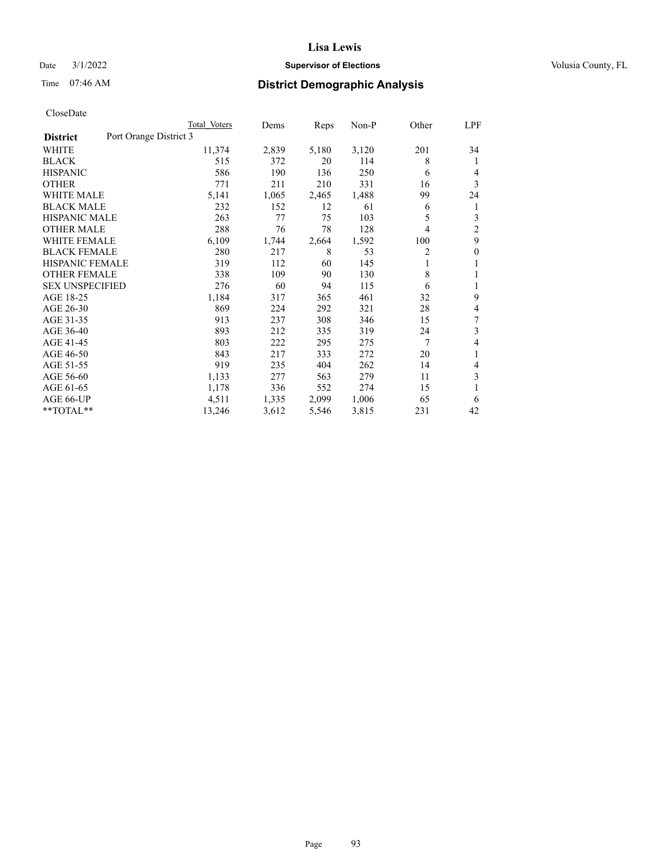## Date  $3/1/2022$  **Supervisor of Elections Supervisor of Elections** Volusia County, FL

# Time 07:46 AM **District Demographic Analysis**

|                                           | Total Voters | Dems  | Reps  | Non-P | Other | LPF            |
|-------------------------------------------|--------------|-------|-------|-------|-------|----------------|
| Port Orange District 3<br><b>District</b> |              |       |       |       |       |                |
| WHITE                                     | 11,374       | 2,839 | 5,180 | 3,120 | 201   | 34             |
| <b>BLACK</b>                              | 515          | 372   | 20    | 114   | 8     | 1              |
| <b>HISPANIC</b>                           | 586          | 190   | 136   | 250   | 6     | 4              |
| <b>OTHER</b>                              | 771          | 211   | 210   | 331   | 16    | 3              |
| <b>WHITE MALE</b>                         | 5,141        | 1,065 | 2,465 | 1,488 | 99    | 24             |
| <b>BLACK MALE</b>                         | 232          | 152   | 12    | 61    | 6     | 1              |
| <b>HISPANIC MALE</b>                      | 263          | 77    | 75    | 103   | 5     | 3              |
| <b>OTHER MALE</b>                         | 288          | 76    | 78    | 128   | 4     | $\overline{2}$ |
| <b>WHITE FEMALE</b>                       | 6,109        | 1,744 | 2,664 | 1,592 | 100   | 9              |
| <b>BLACK FEMALE</b>                       | 280          | 217   | 8     | 53    | 2     | $\theta$       |
| <b>HISPANIC FEMALE</b>                    | 319          | 112   | 60    | 145   | 1     | 1              |
| <b>OTHER FEMALE</b>                       | 338          | 109   | 90    | 130   | 8     | 1              |
| <b>SEX UNSPECIFIED</b>                    | 276          | 60    | 94    | 115   | 6     | 1              |
| AGE 18-25                                 | 1,184        | 317   | 365   | 461   | 32    | 9              |
| AGE 26-30                                 | 869          | 224   | 292   | 321   | 28    | 4              |
| AGE 31-35                                 | 913          | 237   | 308   | 346   | 15    | 7              |
| AGE 36-40                                 | 893          | 212   | 335   | 319   | 24    | 3              |
| AGE 41-45                                 | 803          | 222   | 295   | 275   | 7     | 4              |
| AGE 46-50                                 | 843          | 217   | 333   | 272   | 20    | 1              |
| AGE 51-55                                 | 919          | 235   | 404   | 262   | 14    | 4              |
| AGE 56-60                                 | 1,133        | 277   | 563   | 279   | 11    | 3              |
| AGE 61-65                                 | 1,178        | 336   | 552   | 274   | 15    | 1              |
| AGE 66-UP                                 | 4,511        | 1,335 | 2,099 | 1,006 | 65    | 6              |
| **TOTAL**                                 | 13,246       | 3,612 | 5,546 | 3,815 | 231   | 42             |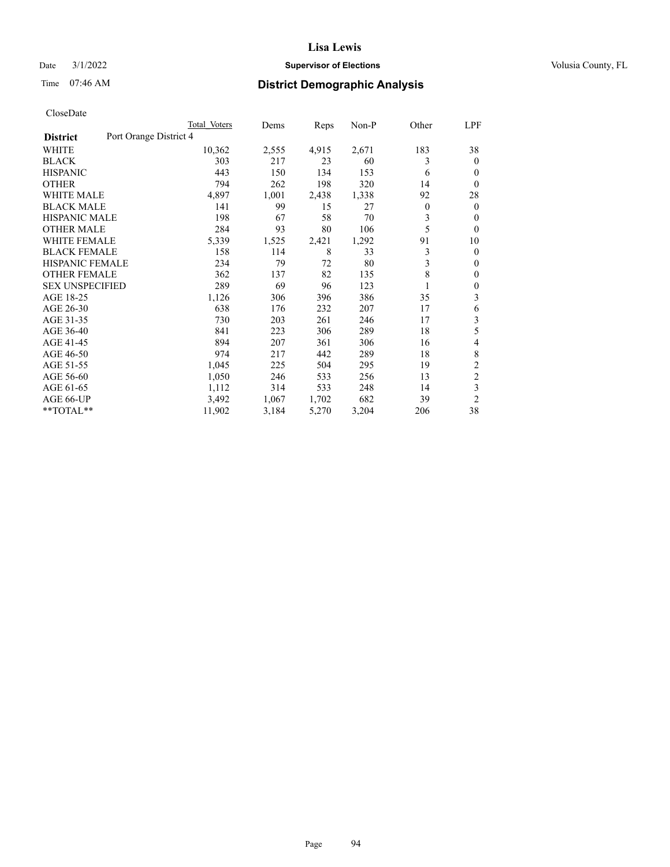## Date  $3/1/2022$  **Supervisor of Elections Supervisor of Elections** Volusia County, FL

# Time 07:46 AM **District Demographic Analysis**

|                                           | Total Voters | Dems  | Reps  | $Non-P$ | Other        | LPF            |
|-------------------------------------------|--------------|-------|-------|---------|--------------|----------------|
| Port Orange District 4<br><b>District</b> |              |       |       |         |              |                |
| WHITE                                     | 10,362       | 2,555 | 4,915 | 2,671   | 183          | 38             |
| <b>BLACK</b>                              | 303          | 217   | 23    | 60      | 3            | $\theta$       |
| <b>HISPANIC</b>                           | 443          | 150   | 134   | 153     | 6            | $\theta$       |
| <b>OTHER</b>                              | 794          | 262   | 198   | 320     | 14           | $\theta$       |
| <b>WHITE MALE</b>                         | 4,897        | 1,001 | 2,438 | 1,338   | 92           | 28             |
| <b>BLACK MALE</b>                         | 141          | 99    | 15    | 27      | $\mathbf{0}$ | $\theta$       |
| <b>HISPANIC MALE</b>                      | 198          | 67    | 58    | 70      | 3            | $\theta$       |
| <b>OTHER MALE</b>                         | 284          | 93    | 80    | 106     | 5            | $\mathbf{0}$   |
| <b>WHITE FEMALE</b>                       | 5,339        | 1,525 | 2,421 | 1,292   | 91           | 10             |
| <b>BLACK FEMALE</b>                       | 158          | 114   | 8     | 33      | 3            | $\mathbf{0}$   |
| <b>HISPANIC FEMALE</b>                    | 234          | 79    | 72    | 80      | 3            | $\mathbf{0}$   |
| <b>OTHER FEMALE</b>                       | 362          | 137   | 82    | 135     | 8            | $\mathbf{0}$   |
| <b>SEX UNSPECIFIED</b>                    | 289          | 69    | 96    | 123     |              | $\theta$       |
| AGE 18-25                                 | 1,126        | 306   | 396   | 386     | 35           | 3              |
| AGE 26-30                                 | 638          | 176   | 232   | 207     | 17           | 6              |
| AGE 31-35                                 | 730          | 203   | 261   | 246     | 17           | 3              |
| AGE 36-40                                 | 841          | 223   | 306   | 289     | 18           | 5              |
| AGE 41-45                                 | 894          | 207   | 361   | 306     | 16           | 4              |
| AGE 46-50                                 | 974          | 217   | 442   | 289     | 18           | 8              |
| AGE 51-55                                 | 1,045        | 225   | 504   | 295     | 19           | $\overline{c}$ |
| AGE 56-60                                 | 1,050        | 246   | 533   | 256     | 13           | $\overline{c}$ |
| AGE 61-65                                 | 1,112        | 314   | 533   | 248     | 14           | 3              |
| AGE 66-UP                                 | 3,492        | 1,067 | 1,702 | 682     | 39           | $\overline{2}$ |
| **TOTAL**                                 | 11,902       | 3,184 | 5,270 | 3,204   | 206          | 38             |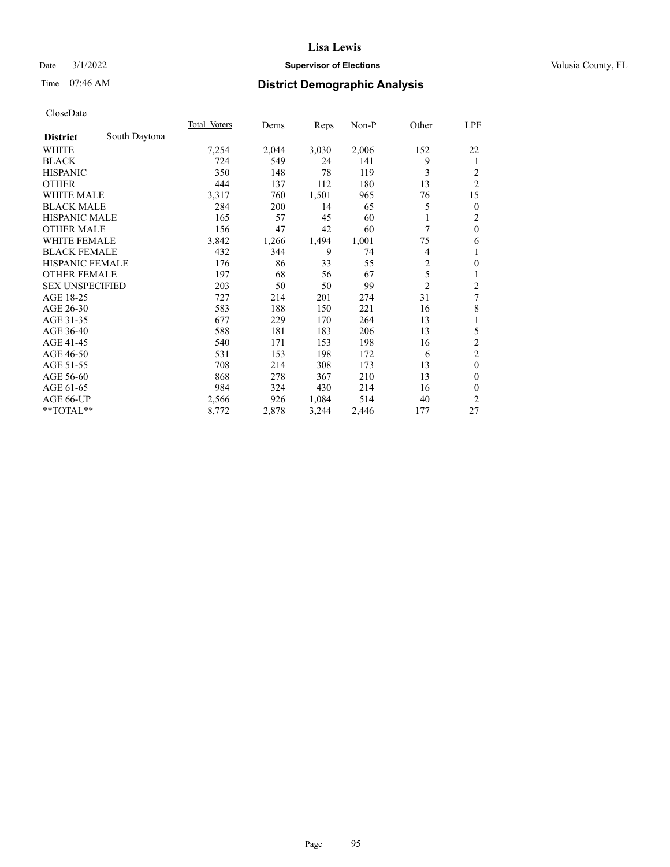## Date  $3/1/2022$  **Supervisor of Elections Supervisor of Elections** Volusia County, FL

# Time 07:46 AM **District Demographic Analysis**

|                        |               | Total Voters | Dems  | Reps  | $Non-P$ | Other          | LPF                     |
|------------------------|---------------|--------------|-------|-------|---------|----------------|-------------------------|
| <b>District</b>        | South Daytona |              |       |       |         |                |                         |
| WHITE                  |               | 7,254        | 2,044 | 3,030 | 2,006   | 152            | 22                      |
| <b>BLACK</b>           |               | 724          | 549   | 24    | 141     | 9              | 1                       |
| <b>HISPANIC</b>        |               | 350          | 148   | 78    | 119     | 3              | 2                       |
| <b>OTHER</b>           |               | 444          | 137   | 112   | 180     | 13             | $\overline{2}$          |
| <b>WHITE MALE</b>      |               | 3,317        | 760   | 1,501 | 965     | 76             | 15                      |
| <b>BLACK MALE</b>      |               | 284          | 200   | 14    | 65      | 5              | $\mathbf{0}$            |
| <b>HISPANIC MALE</b>   |               | 165          | 57    | 45    | 60      |                | 2                       |
| <b>OTHER MALE</b>      |               | 156          | 47    | 42    | 60      | 7              | $\mathbf{0}$            |
| WHITE FEMALE           |               | 3,842        | 1,266 | 1,494 | 1,001   | 75             | 6                       |
| <b>BLACK FEMALE</b>    |               | 432          | 344   | 9     | 74      | 4              | 1                       |
| <b>HISPANIC FEMALE</b> |               | 176          | 86    | 33    | 55      | $\overline{2}$ | $\mathbf{0}$            |
| <b>OTHER FEMALE</b>    |               | 197          | 68    | 56    | 67      | 5              | 1                       |
| <b>SEX UNSPECIFIED</b> |               | 203          | 50    | 50    | 99      | $\overline{2}$ | $\overline{\mathbf{c}}$ |
| AGE 18-25              |               | 727          | 214   | 201   | 274     | 31             | 7                       |
| AGE 26-30              |               | 583          | 188   | 150   | 221     | 16             | 8                       |
| AGE 31-35              |               | 677          | 229   | 170   | 264     | 13             | 1                       |
| AGE 36-40              |               | 588          | 181   | 183   | 206     | 13             | 5                       |
| AGE 41-45              |               | 540          | 171   | 153   | 198     | 16             | $\overline{c}$          |
| AGE 46-50              |               | 531          | 153   | 198   | 172     | 6              | $\overline{c}$          |
| AGE 51-55              |               | 708          | 214   | 308   | 173     | 13             | $\mathbf{0}$            |
| AGE 56-60              |               | 868          | 278   | 367   | 210     | 13             | $\theta$                |
| AGE 61-65              |               | 984          | 324   | 430   | 214     | 16             | $\theta$                |
| AGE 66-UP              |               | 2,566        | 926   | 1,084 | 514     | 40             | 2                       |
| **TOTAL**              |               | 8,772        | 2,878 | 3,244 | 2,446   | 177            | 27                      |